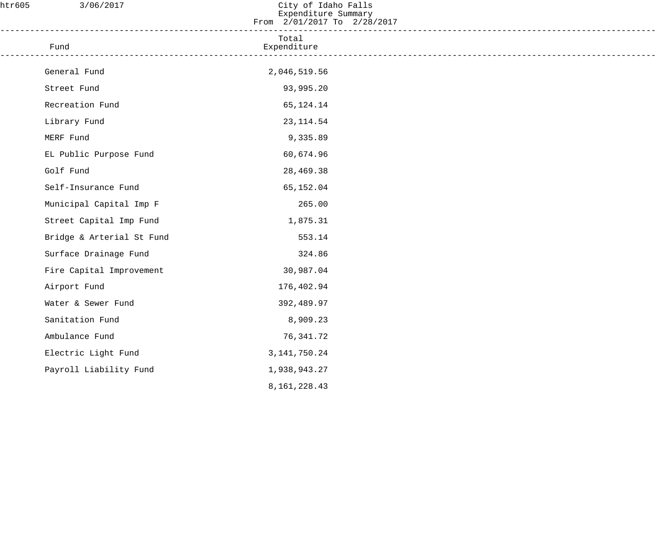| htr605 | 3/06/2017                                 | City of Idaho Falls<br>Expenditure Summary<br>From 2/01/2017 To 2/28/2017 |  |
|--------|-------------------------------------------|---------------------------------------------------------------------------|--|
|        | Fund<br>--------------------------------- | Total<br>Expenditure                                                      |  |
|        | General Fund                              | 2,046,519.56                                                              |  |
|        | Street Fund                               | 93,995.20                                                                 |  |
|        | Recreation Fund                           | 65, 124. 14                                                               |  |
|        | Library Fund                              | 23, 114.54                                                                |  |
|        | MERF Fund                                 | 9,335.89                                                                  |  |
|        | EL Public Purpose Fund                    | 60,674.96                                                                 |  |
|        | Golf Fund                                 | 28,469.38                                                                 |  |
|        | Self-Insurance Fund                       | 65,152.04                                                                 |  |
|        | Municipal Capital Imp F                   | 265.00                                                                    |  |
|        | Street Capital Imp Fund                   | 1,875.31                                                                  |  |
|        | Bridge & Arterial St Fund                 | 553.14                                                                    |  |
|        | Surface Drainage Fund                     | 324.86                                                                    |  |
|        | Fire Capital Improvement                  | 30,987.04                                                                 |  |
|        | Airport Fund                              | 176,402.94                                                                |  |
|        | Water & Sewer Fund                        | 392,489.97                                                                |  |
|        | Sanitation Fund                           | 8,909.23                                                                  |  |
|        | Ambulance Fund                            | 76, 341. 72                                                               |  |
|        | Electric Light Fund                       | 3, 141, 750. 24                                                           |  |
|        | Payroll Liability Fund                    | 1,938,943.27                                                              |  |
|        |                                           | 8, 161, 228. 43                                                           |  |
|        |                                           |                                                                           |  |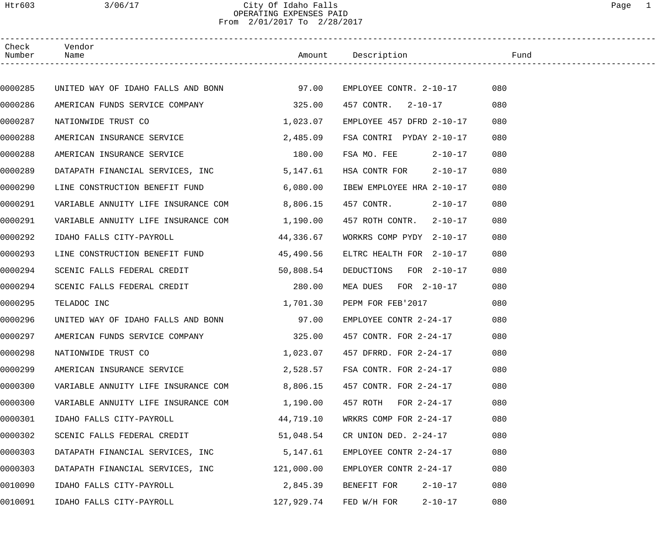### Htr603 3/06/17 City Of Idaho Falls Page 1 OPERATING EXPENSES PAID From 2/01/2017 To 2/28/2017

| Check<br>Number | Vendor<br>Name                           |            | Amount Description               | Fund |
|-----------------|------------------------------------------|------------|----------------------------------|------|
|                 |                                          |            |                                  |      |
| 0000285         | UNITED WAY OF IDAHO FALLS AND BONN 97.00 |            | EMPLOYEE CONTR. 2-10-17 080      |      |
| 0000286         | AMERICAN FUNDS SERVICE COMPANY           | 325.00     | 457 CONTR. 2-10-17               | 080  |
| 0000287         | NATIONWIDE TRUST CO                      | 1,023.07   | EMPLOYEE 457 DFRD 2-10-17        | 080  |
| 0000288         | AMERICAN INSURANCE SERVICE               | 2,485.09   | FSA CONTRI PYDAY 2-10-17         | 080  |
| 0000288         | AMERICAN INSURANCE SERVICE               | 180.00     | FSA MO. FEE 2-10-17              | 080  |
| 0000289         | DATAPATH FINANCIAL SERVICES, INC         | 5,147.61   | HSA CONTR FOR 2-10-17            | 080  |
| 0000290         | LINE CONSTRUCTION BENEFIT FUND           | 6,080.00   | IBEW EMPLOYEE HRA 2-10-17        | 080  |
| 0000291         | VARIABLE ANNUITY LIFE INSURANCE COM      | 8,806.15   | 457 CONTR. 2-10-17               | 080  |
| 0000291         | VARIABLE ANNUITY LIFE INSURANCE COM      | 1,190.00   | 457 ROTH CONTR. 2-10-17          | 080  |
| 0000292         | IDAHO FALLS CITY-PAYROLL                 | 44,336.67  | WORKRS COMP PYDY 2-10-17         | 080  |
| 0000293         | LINE CONSTRUCTION BENEFIT FUND           | 45,490.56  | ELTRC HEALTH FOR 2-10-17         | 080  |
| 0000294         | SCENIC FALLS FEDERAL CREDIT              | 50,808.54  | DEDUCTIONS FOR 2-10-17           | 080  |
| 0000294         | SCENIC FALLS FEDERAL CREDIT              | 280.00     | MEA DUES FOR 2-10-17             | 080  |
| 0000295         | TELADOC INC                              | 1,701.30   | PEPM FOR FEB'2017                | 080  |
| 0000296         | UNITED WAY OF IDAHO FALLS AND BONN 97.00 |            | EMPLOYEE CONTR 2-24-17           | 080  |
| 0000297         | AMERICAN FUNDS SERVICE COMPANY           | 325.00     | 457 CONTR. FOR 2-24-17           | 080  |
| 0000298         | NATIONWIDE TRUST CO                      |            | 1,023.07  457 DFRRD. FOR 2-24-17 | 080  |
| 0000299         | AMERICAN INSURANCE SERVICE               | 2,528.57   | FSA CONTR. FOR 2-24-17           | 080  |
| 0000300         | VARIABLE ANNUITY LIFE INSURANCE COM      | 8,806.15   | 457 CONTR. FOR 2-24-17           | 080  |
| 0000300         | VARIABLE ANNUITY LIFE INSURANCE COM      | 1,190.00   | 457 ROTH FOR 2-24-17             | 080  |
| 0000301         | IDAHO FALLS CITY-PAYROLL                 | 44,719.10  | WRKRS COMP FOR 2-24-17           | 080  |
| 0000302         | SCENIC FALLS FEDERAL CREDIT              | 51,048.54  | CR UNION DED. 2-24-17            | 080  |
| 0000303         | DATAPATH FINANCIAL SERVICES, INC         | 5,147.61   | EMPLOYEE CONTR 2-24-17           | 080  |
| 0000303         | DATAPATH FINANCIAL SERVICES, INC         | 121,000.00 | EMPLOYER CONTR 2-24-17           | 080  |
| 0010090         | IDAHO FALLS CITY-PAYROLL                 | 2,845.39   | BENEFIT FOR<br>2-10-17           | 080  |
| 0010091         | IDAHO FALLS CITY-PAYROLL                 | 127,929.74 | $2 - 10 - 17$<br>FED W/H FOR     | 080  |
|                 |                                          |            |                                  |      |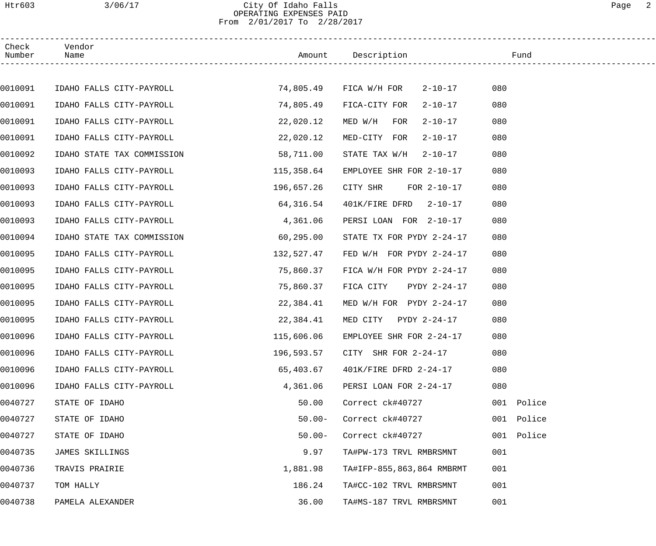# Htr603 3/06/17 City Of Idaho Falls Page 2 OPERATING EXPENSES PAID From 2/01/2017 To 2/28/2017

| Check<br>Number | Vendor<br>Name             |            | Amount Description                  | Fund          |
|-----------------|----------------------------|------------|-------------------------------------|---------------|
|                 |                            |            |                                     |               |
| 0010091         | IDAHO FALLS CITY-PAYROLL   | 74,805.49  | FICA W/H FOR<br>$2 - 10 - 17$       | 080           |
| 0010091         | IDAHO FALLS CITY-PAYROLL   | 74,805.49  | $2 - 10 - 17$<br>FICA-CITY FOR      | 080           |
| 0010091         | IDAHO FALLS CITY-PAYROLL   | 22,020.12  | MED W/H FOR<br>$2 - 10 - 17$        | 080           |
| 0010091         | IDAHO FALLS CITY-PAYROLL   | 22,020.12  | MED-CITY FOR<br>$2 - 10 - 17$       | 080           |
| 0010092         | IDAHO STATE TAX COMMISSION | 58,711.00  | STATE TAX $W/H$ 2-10-17             | 080           |
| 0010093         | IDAHO FALLS CITY-PAYROLL   | 115,358.64 | EMPLOYEE SHR FOR 2-10-17            | 080           |
| 0010093         | IDAHO FALLS CITY-PAYROLL   | 196,657.26 | CITY SHR<br>FOR 2-10-17             | 080           |
| 0010093         | IDAHO FALLS CITY-PAYROLL   | 64,316.54  | $401K/FIRE$ DFRD $2-10-17$          | 080           |
| 0010093         | IDAHO FALLS CITY-PAYROLL   | 4,361.06   | PERSI LOAN FOR 2-10-17              | 080           |
| 0010094         | IDAHO STATE TAX COMMISSION | 60, 295.00 | STATE TX FOR PYDY 2-24-17           | 080           |
| 0010095         | IDAHO FALLS CITY-PAYROLL   | 132,527.47 | FED $W/H$ FOR PYDY 2-24-17          | 080           |
| 0010095         | IDAHO FALLS CITY-PAYROLL   | 75,860.37  | FICA W/H FOR PYDY $2-24-17$         | 080           |
| 0010095         | IDAHO FALLS CITY-PAYROLL   | 75,860.37  | FICA CITY PYDY 2-24-17              | 080           |
| 0010095         | IDAHO FALLS CITY-PAYROLL   | 22,384.41  | MED W/H FOR PYDY $2-24-17$          | 080           |
| 0010095         | IDAHO FALLS CITY-PAYROLL   | 22,384.41  | MED CITY PYDY 2-24-17               | 080           |
| 0010096         | IDAHO FALLS CITY-PAYROLL   |            | 115,606.06 EMPLOYEE SHR FOR 2-24-17 | 080           |
| 0010096         | IDAHO FALLS CITY-PAYROLL   | 196,593.57 | CITY SHR FOR 2-24-17                | 080           |
| 0010096         | IDAHO FALLS CITY-PAYROLL   | 65,403.67  | 401K/FIRE DFRD 2-24-17              | 080           |
| 0010096         | IDAHO FALLS CITY-PAYROLL   | 4,361.06   | PERSI LOAN FOR 2-24-17              | 080           |
| 0040727         | STATE OF IDAHO             | 50.00      | Correct ck#40727                    | 001 Police    |
| 0040727         | STATE OF IDAHO             | $50.00 -$  | Correct ck#40727                    | 001 Police    |
| 0040727         | STATE OF IDAHO             | $50.00 -$  | Correct ck#40727                    | Police<br>001 |
| 0040735         | JAMES SKILLINGS            | 9.97       | TA#PW-173 TRVL RMBRSMNT             | 001           |
| 0040736         | TRAVIS PRAIRIE             | 1,881.98   | TA#IFP-855,863,864 RMBRMT           | 001           |
| 0040737         | TOM HALLY                  | 186.24     | TA#CC-102 TRVL RMBRSMNT             | 001           |
| 0040738         | PAMELA ALEXANDER           | 36.00      | TA#MS-187 TRVL RMBRSMNT             | 001           |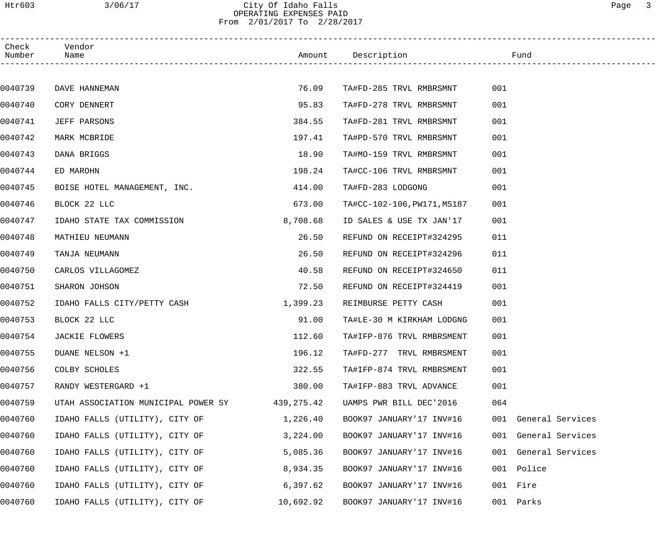# Htr603 3/06/17 City Of Idaho Falls Page 3 OPERATING EXPENSES PAID From 2/01/2017 To 2/28/2017

| Check<br>Number | Vendor<br>Name                      |            | Amount Description          | Fund                 |  |
|-----------------|-------------------------------------|------------|-----------------------------|----------------------|--|
|                 |                                     |            |                             |                      |  |
| 0040739         | DAVE HANNEMAN                       | 76.09      | TA#FD-285 TRVL RMBRSMNT     | 001                  |  |
| 0040740         | CORY DENNERT                        | 95.83      | TA#FD-278 TRVL RMBRSMNT     | 001                  |  |
| 0040741         | JEFF PARSONS                        | 384.55     | TA#FD-281 TRVL RMBRSMNT     | 001                  |  |
| 0040742         | MARK MCBRIDE                        | 197.41     | TA#PD-570 TRVL RMBRSMNT     | 001                  |  |
| 0040743         | DANA BRIGGS                         | 18.90      | TA#MO-159 TRVL RMBRSMNT     | 001                  |  |
| 0040744         | ED MAROHN                           | 198.24     | TA#CC-106 TRVL RMBRSMNT     | 001                  |  |
| 0040745         | BOISE HOTEL MANAGEMENT, INC.        | 414.00     | TA#FD-283 LODGONG           | 001                  |  |
| 0040746         | BLOCK 22 LLC                        | 673.00     | TA#CC-102-106, PW171, MS187 | 001                  |  |
| 0040747         | IDAHO STATE TAX COMMISSION          | 8,708.68   | ID SALES & USE TX JAN'17    | 001                  |  |
| 0040748         | MATHIEU NEUMANN                     | 26.50      | REFUND ON RECEIPT#324295    | 011                  |  |
| 0040749         | TANJA NEUMANN                       | 26.50      | REFUND ON RECEIPT#324296    | 011                  |  |
| 0040750         | CARLOS VILLAGOMEZ                   | 40.58      | REFUND ON RECEIPT#324650    | 011                  |  |
| 0040751         | SHARON JOHSON                       | 72.50      | REFUND ON RECEIPT#324419    | 001                  |  |
| 0040752         | IDAHO FALLS CITY/PETTY CASH         | 1,399.23   | REIMBURSE PETTY CASH        | 001                  |  |
| 0040753         | BLOCK 22 LLC                        | 91.00      | TA#LE-30 M KIRKHAM LODGNG   | 001                  |  |
| 0040754         | JACKIE FLOWERS                      | 112.60     | TA#IFP-876 TRVL RMBRSMENT   | 001                  |  |
| 0040755         | DUANE NELSON +1                     | 196.12     | TA#FD-277 TRVL RMBRSMENT    | 001                  |  |
| 0040756         | COLBY SCHOLES                       | 322.55     | TA#IFP-874 TRVL RMBRSMENT   | 001                  |  |
| 0040757         | RANDY WESTERGARD +1                 | 380.00     | TA#IFP-883 TRVL ADVANCE     | 001                  |  |
| 0040759         | UTAH ASSOCIATION MUNICIPAL POWER SY | 439,275.42 | UAMPS PWR BILL DEC'2016     | 064                  |  |
| 0040760         | IDAHO FALLS (UTILITY), CITY OF      | 1,226.40   | BOOK97 JANUARY'17 INV#16    | 001 General Services |  |
| 0040760         | IDAHO FALLS (UTILITY), CITY OF      | 3,224.00   | BOOK97 JANUARY'17 INV#16    | 001 General Services |  |
| 0040760         | IDAHO FALLS (UTILITY), CITY OF      | 5,085.36   | BOOK97 JANUARY'17 INV#16    | 001 General Services |  |
| 0040760         | IDAHO FALLS (UTILITY), CITY OF      | 8,934.35   | BOOK97 JANUARY'17 INV#16    | 001 Police           |  |
| 0040760         | IDAHO FALLS (UTILITY), CITY OF      | 6,397.62   | BOOK97 JANUARY'17 INV#16    | 001 Fire             |  |
| 0040760         | IDAHO FALLS (UTILITY), CITY OF      | 10,692.92  | BOOK97 JANUARY'17 INV#16    | 001 Parks            |  |
|                 |                                     |            |                             |                      |  |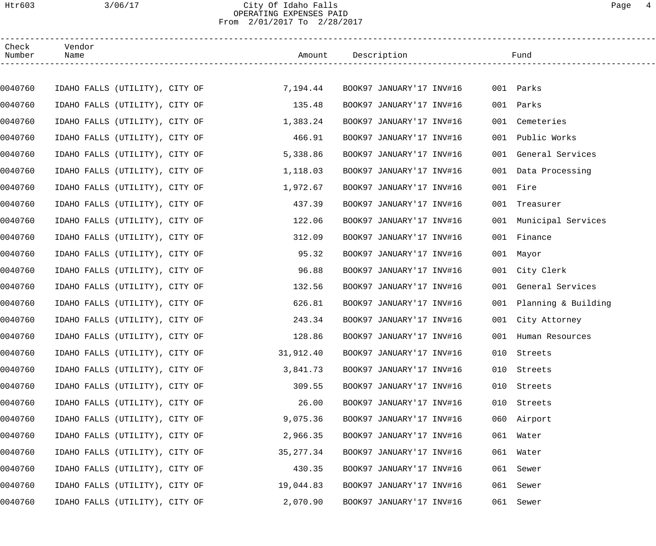### Htr603 3/06/17 City Of Idaho Falls Page 4 OPERATING EXPENSES PAID From 2/01/2017 To 2/28/2017

| Check<br>Number | Vendor<br>Name                 |  | Amount     | Description              |     | Fund                    |  |
|-----------------|--------------------------------|--|------------|--------------------------|-----|-------------------------|--|
|                 |                                |  |            |                          |     |                         |  |
| 0040760         | IDAHO FALLS (UTILITY), CITY OF |  | 7,194.44   | BOOK97 JANUARY'17 INV#16 |     | 001 Parks               |  |
| 0040760         | IDAHO FALLS (UTILITY), CITY OF |  | 135.48     | BOOK97 JANUARY'17 INV#16 |     | 001 Parks               |  |
| 0040760         | IDAHO FALLS (UTILITY), CITY OF |  | 1,383.24   | BOOK97 JANUARY'17 INV#16 |     | 001 Cemeteries          |  |
| 0040760         | IDAHO FALLS (UTILITY), CITY OF |  | 466.91     | BOOK97 JANUARY'17 INV#16 |     | 001 Public Works        |  |
| 0040760         | IDAHO FALLS (UTILITY), CITY OF |  | 5,338.86   | BOOK97 JANUARY'17 INV#16 |     | 001 General Services    |  |
| 0040760         | IDAHO FALLS (UTILITY), CITY OF |  | 1,118.03   | BOOK97 JANUARY'17 INV#16 |     | 001 Data Processing     |  |
| 0040760         | IDAHO FALLS (UTILITY), CITY OF |  | 1,972.67   | BOOK97 JANUARY'17 INV#16 |     | 001 Fire                |  |
| 0040760         | IDAHO FALLS (UTILITY), CITY OF |  | 437.39     | BOOK97 JANUARY'17 INV#16 |     | 001 Treasurer           |  |
| 0040760         | IDAHO FALLS (UTILITY), CITY OF |  | 122.06     | BOOK97 JANUARY'17 INV#16 |     | 001 Municipal Services  |  |
| 0040760         | IDAHO FALLS (UTILITY), CITY OF |  | 312.09     | BOOK97 JANUARY'17 INV#16 |     | 001 Finance             |  |
| 0040760         | IDAHO FALLS (UTILITY), CITY OF |  | 95.32      | BOOK97 JANUARY'17 INV#16 |     | 001 Mayor               |  |
| 0040760         | IDAHO FALLS (UTILITY), CITY OF |  | 96.88      | BOOK97 JANUARY'17 INV#16 |     | 001 City Clerk          |  |
| 0040760         | IDAHO FALLS (UTILITY), CITY OF |  | 132.56     | BOOK97 JANUARY'17 INV#16 |     | 001 General Services    |  |
| 0040760         | IDAHO FALLS (UTILITY), CITY OF |  | 626.81     | BOOK97 JANUARY'17 INV#16 |     | 001 Planning & Building |  |
| 0040760         | IDAHO FALLS (UTILITY), CITY OF |  | 243.34     | BOOK97 JANUARY'17 INV#16 |     | 001 City Attorney       |  |
| 0040760         | IDAHO FALLS (UTILITY), CITY OF |  | 128.86     | BOOK97 JANUARY'17 INV#16 |     | 001 Human Resources     |  |
| 0040760         | IDAHO FALLS (UTILITY), CITY OF |  | 31,912.40  | BOOK97 JANUARY'17 INV#16 |     | 010 Streets             |  |
| 0040760         | IDAHO FALLS (UTILITY), CITY OF |  | 3,841.73   | BOOK97 JANUARY'17 INV#16 | 010 | Streets                 |  |
| 0040760         | IDAHO FALLS (UTILITY), CITY OF |  | 309.55     | BOOK97 JANUARY'17 INV#16 | 010 | Streets                 |  |
| 0040760         | IDAHO FALLS (UTILITY), CITY OF |  | 26.00      | BOOK97 JANUARY'17 INV#16 | 010 | Streets                 |  |
| 0040760         | IDAHO FALLS (UTILITY), CITY OF |  | 9,075.36   | BOOK97 JANUARY'17 INV#16 |     | 060 Airport             |  |
| 0040760         | IDAHO FALLS (UTILITY), CITY OF |  | 2,966.35   | BOOK97 JANUARY'17 INV#16 |     | 061 Water               |  |
| 0040760         | IDAHO FALLS (UTILITY), CITY OF |  | 35, 277.34 | BOOK97 JANUARY'17 INV#16 |     | 061 Water               |  |
| 0040760         | IDAHO FALLS (UTILITY), CITY OF |  | 430.35     | BOOK97 JANUARY'17 INV#16 | 061 | Sewer                   |  |
| 0040760         | IDAHO FALLS (UTILITY), CITY OF |  | 19,044.83  | BOOK97 JANUARY'17 INV#16 | 061 | Sewer                   |  |
| 0040760         | IDAHO FALLS (UTILITY), CITY OF |  | 2,070.90   | BOOK97 JANUARY'17 INV#16 |     | 061 Sewer               |  |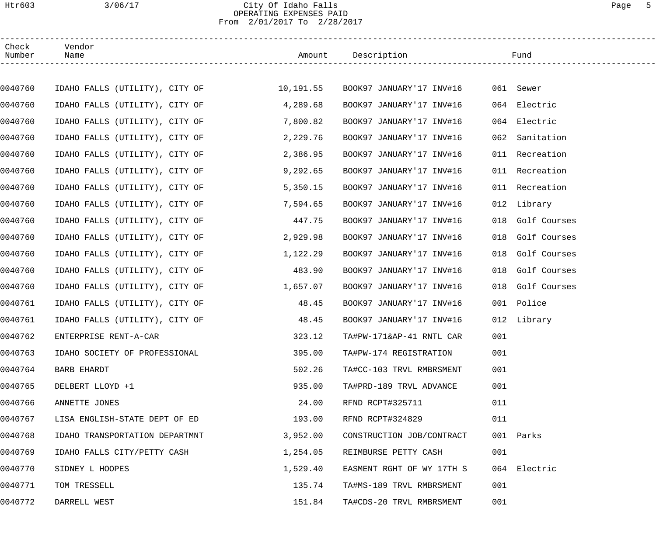### Htr603 3/06/17 City Of Idaho Falls Page 5 OPERATING EXPENSES PAID From 2/01/2017 To 2/28/2017

| Check<br>Number | Vendor<br>Name                 |          | Amount Description        |     | Fund           |  |
|-----------------|--------------------------------|----------|---------------------------|-----|----------------|--|
|                 |                                |          |                           |     |                |  |
| 0040760         | IDAHO FALLS (UTILITY), CITY OF |          |                           |     | 061 Sewer      |  |
| 0040760         | IDAHO FALLS (UTILITY), CITY OF | 4,289.68 | BOOK97 JANUARY'17 INV#16  |     | 064 Electric   |  |
| 0040760         | IDAHO FALLS (UTILITY), CITY OF | 7,800.82 | BOOK97 JANUARY'17 INV#16  | 064 | Electric       |  |
| 0040760         | IDAHO FALLS (UTILITY), CITY OF | 2,229.76 | BOOK97 JANUARY'17 INV#16  | 062 | Sanitation     |  |
| 0040760         | IDAHO FALLS (UTILITY), CITY OF | 2,386.95 | BOOK97 JANUARY'17 INV#16  |     | 011 Recreation |  |
| 0040760         | IDAHO FALLS (UTILITY), CITY OF | 9,292.65 | BOOK97 JANUARY'17 INV#16  |     | 011 Recreation |  |
| 0040760         | IDAHO FALLS (UTILITY), CITY OF | 5,350.15 | BOOK97 JANUARY'17 INV#16  |     | 011 Recreation |  |
| 0040760         | IDAHO FALLS (UTILITY), CITY OF | 7,594.65 | BOOK97 JANUARY'17 INV#16  |     | 012 Library    |  |
| 0040760         | IDAHO FALLS (UTILITY), CITY OF | 447.75   | BOOK97 JANUARY'17 INV#16  | 018 | Golf Courses   |  |
| 0040760         | IDAHO FALLS (UTILITY), CITY OF | 2,929.98 | BOOK97 JANUARY'17 INV#16  | 018 | Golf Courses   |  |
| 0040760         | IDAHO FALLS (UTILITY), CITY OF | 1,122.29 | BOOK97 JANUARY'17 INV#16  | 018 | Golf Courses   |  |
| 0040760         | IDAHO FALLS (UTILITY), CITY OF | 483.90   | BOOK97 JANUARY'17 INV#16  | 018 | Golf Courses   |  |
| 0040760         | IDAHO FALLS (UTILITY), CITY OF | 1,657.07 | BOOK97 JANUARY'17 INV#16  | 018 | Golf Courses   |  |
| 0040761         | IDAHO FALLS (UTILITY), CITY OF | 48.45    | BOOK97 JANUARY'17 INV#16  |     | 001 Police     |  |
| 0040761         | IDAHO FALLS (UTILITY), CITY OF | 48.45    | BOOK97 JANUARY'17 INV#16  |     | 012 Library    |  |
| 0040762         | ENTERPRISE RENT-A-CAR          | 323.12   | TA#PW-171&AP-41 RNTL CAR  | 001 |                |  |
| 0040763         | IDAHO SOCIETY OF PROFESSIONAL  | 395.00   | TA#PW-174 REGISTRATION    | 001 |                |  |
| 0040764         | BARB EHARDT                    | 502.26   | TA#CC-103 TRVL RMBRSMENT  | 001 |                |  |
| 0040765         | DELBERT LLOYD +1               | 935.00   | TA#PRD-189 TRVL ADVANCE   | 001 |                |  |
| 0040766         | ANNETTE JONES                  | 24.00    | RFND RCPT#325711          | 011 |                |  |
| 0040767         | LISA ENGLISH-STATE DEPT OF ED  | 193.00   | RFND RCPT#324829          | 011 |                |  |
| 0040768         | IDAHO TRANSPORTATION DEPARTMNT | 3,952.00 | CONSTRUCTION JOB/CONTRACT |     | 001 Parks      |  |
| 0040769         | IDAHO FALLS CITY/PETTY CASH    | 1,254.05 | REIMBURSE PETTY CASH      | 001 |                |  |
| 0040770         | SIDNEY L HOOPES                | 1,529.40 | EASMENT RGHT OF WY 17TH S |     | 064 Electric   |  |
| 0040771         | TOM TRESSELL                   | 135.74   | TA#MS-189 TRVL RMBRSMENT  | 001 |                |  |
| 0040772         | DARRELL WEST                   | 151.84   | TA#CDS-20 TRVL RMBRSMENT  | 001 |                |  |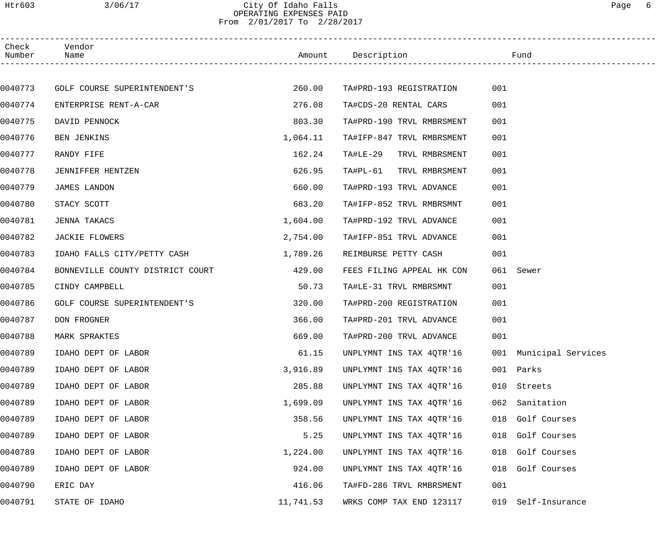# Htr603 3/06/17 City Of Idaho Falls Page 6 OPERATING EXPENSES PAID From 2/01/2017 To 2/28/2017

| Check<br>Number | Vendor<br>Name                   |           | Amount Description         |     | Fund                   |  |
|-----------------|----------------------------------|-----------|----------------------------|-----|------------------------|--|
|                 |                                  |           |                            |     |                        |  |
| 0040773         | GOLF COURSE SUPERINTENDENT'S     | 260.00    | TA#PRD-193 REGISTRATION    | 001 |                        |  |
| 0040774         | ENTERPRISE RENT-A-CAR            | 276.08    | TA#CDS-20 RENTAL CARS      | 001 |                        |  |
| 0040775         | DAVID PENNOCK                    | 803.30    | TA#PRD-190 TRVL RMBRSMENT  | 001 |                        |  |
| 0040776         | <b>BEN JENKINS</b>               | 1,064.11  | TA#IFP-847 TRVL RMBRSMENT  | 001 |                        |  |
| 0040777         | RANDY FIFE                       | 162.24    | TA#LE-29<br>TRVL RMBRSMENT | 001 |                        |  |
| 0040778         | JENNIFFER HENTZEN                | 626.95    | TA#PL-61<br>TRVL RMBRSMENT | 001 |                        |  |
| 0040779         | <b>JAMES LANDON</b>              | 660.00    | TA#PRD-193 TRVL ADVANCE    | 001 |                        |  |
| 0040780         | STACY SCOTT                      | 683.20    | TA#IFP-852 TRVL RMBRSMNT   | 001 |                        |  |
| 0040781         | JENNA TAKACS                     | 1,604.00  | TA#PRD-192 TRVL ADVANCE    | 001 |                        |  |
| 0040782         | <b>JACKIE FLOWERS</b>            | 2,754.00  | TA#IFP-851 TRVL ADVANCE    | 001 |                        |  |
| 0040783         | IDAHO FALLS CITY/PETTY CASH      | 1,789.26  | REIMBURSE PETTY CASH       | 001 |                        |  |
| 0040784         | BONNEVILLE COUNTY DISTRICT COURT | 429.00    | FEES FILING APPEAL HK CON  |     | 061 Sewer              |  |
| 0040785         | CINDY CAMPBELL                   | 50.73     | TA#LE-31 TRVL RMBRSMNT     | 001 |                        |  |
| 0040786         | GOLF COURSE SUPERINTENDENT'S     | 320.00    | TA#PRD-200 REGISTRATION    | 001 |                        |  |
| 0040787         | DON FROGNER                      | 366.00    | TA#PRD-201 TRVL ADVANCE    | 001 |                        |  |
| 0040788         | MARK SPRAKTES                    | 669.00    | TA#PRD-200 TRVL ADVANCE    | 001 |                        |  |
| 0040789         | IDAHO DEPT OF LABOR              | 61.15     | UNPLYMNT INS TAX 4QTR'16   |     | 001 Municipal Services |  |
| 0040789         | IDAHO DEPT OF LABOR              | 3,916.89  | UNPLYMNT INS TAX 4QTR'16   | 001 | Parks                  |  |
| 0040789         | IDAHO DEPT OF LABOR              | 285.88    | UNPLYMNT INS TAX 4QTR'16   | 010 | Streets                |  |
| 0040789         | IDAHO DEPT OF LABOR              | 1,699.09  | UNPLYMNT INS TAX 4QTR'16   | 062 | Sanitation             |  |
| 0040789         | IDAHO DEPT OF LABOR              | 358.56    | UNPLYMNT INS TAX 4QTR'16   |     | 018 Golf Courses       |  |
| 0040789         | IDAHO DEPT OF LABOR              | 5.25      | UNPLYMNT INS TAX 4QTR'16   | 018 | Golf Courses           |  |
| 0040789         | IDAHO DEPT OF LABOR              | 1,224.00  | UNPLYMNT INS TAX 4QTR'16   | 018 | Golf Courses           |  |
| 0040789         | IDAHO DEPT OF LABOR              | 924.00    | UNPLYMNT INS TAX 4QTR'16   | 018 | Golf Courses           |  |
| 0040790         | ERIC DAY                         | 416.06    | TA#FD-286 TRVL RMBRSMENT   | 001 |                        |  |
| 0040791         | STATE OF IDAHO                   | 11,741.53 | WRKS COMP TAX END 123117   | 019 | Self-Insurance         |  |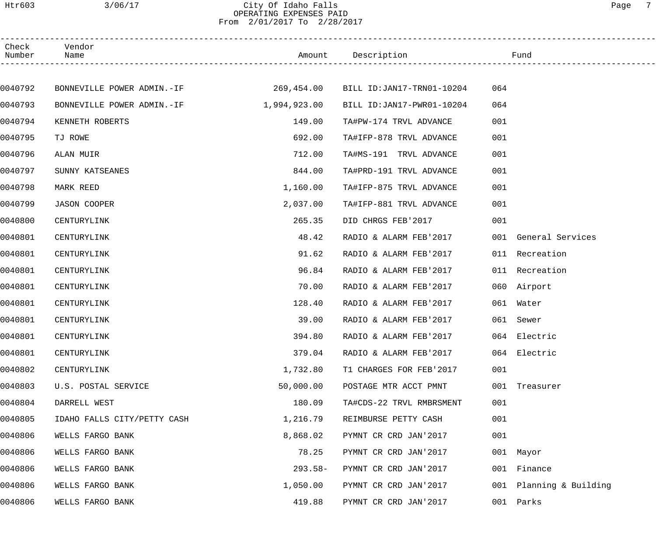# Htr603 3/06/17 City Of Idaho Falls Page 7 OPERATING EXPENSES PAID From 2/01/2017 To 2/28/2017

| Check<br>Number | Vendor<br>Name              |              | Amount Description                   |     | Fund                    |  |
|-----------------|-----------------------------|--------------|--------------------------------------|-----|-------------------------|--|
|                 |                             |              |                                      |     |                         |  |
| 0040792         | BONNEVILLE POWER ADMIN.-IF  |              | 269,454.00 BILL ID:JAN17-TRN01-10204 | 064 |                         |  |
| 0040793         | BONNEVILLE POWER ADMIN.-IF  | 1,994,923.00 | BILL ID: JAN17-PWR01-10204           | 064 |                         |  |
| 0040794         | KENNETH ROBERTS             | 149.00       | TA#PW-174 TRVL ADVANCE               | 001 |                         |  |
| 0040795         | TJ ROWE                     | 692.00       | TA#IFP-878 TRVL ADVANCE              | 001 |                         |  |
| 0040796         | ALAN MUIR                   | 712.00       | TA#MS-191 TRVL ADVANCE               | 001 |                         |  |
| 0040797         | SUNNY KATSEANES             | 844.00       | TA#PRD-191 TRVL ADVANCE              | 001 |                         |  |
| 0040798         | MARK REED                   | 1,160.00     | TA#IFP-875 TRVL ADVANCE              | 001 |                         |  |
| 0040799         | <b>JASON COOPER</b>         | 2,037.00     | TA#IFP-881 TRVL ADVANCE              | 001 |                         |  |
| 0040800         | CENTURYLINK                 | 265.35       | DID CHRGS FEB'2017                   | 001 |                         |  |
| 0040801         | CENTURYLINK                 | 48.42        | RADIO & ALARM FEB'2017               |     | 001 General Services    |  |
| 0040801         | CENTURYLINK                 | 91.62        | RADIO & ALARM FEB'2017               |     | 011 Recreation          |  |
| 0040801         | CENTURYLINK                 | 96.84        | RADIO & ALARM FEB'2017               |     | 011 Recreation          |  |
| 0040801         | CENTURYLINK                 | 70.00        | RADIO & ALARM FEB'2017               |     | 060 Airport             |  |
| 0040801         | CENTURYLINK                 | 128.40       | RADIO & ALARM FEB'2017               |     | 061 Water               |  |
| 0040801         | CENTURYLINK                 | 39.00        | RADIO & ALARM FEB'2017               |     | 061 Sewer               |  |
| 0040801         | CENTURYLINK                 | 394.80       | RADIO & ALARM FEB'2017               |     | 064 Electric            |  |
| 0040801         | CENTURYLINK                 | 379.04       | RADIO & ALARM FEB'2017               |     | 064 Electric            |  |
| 0040802         | CENTURYLINK                 | 1,732.80     | T1 CHARGES FOR FEB'2017              | 001 |                         |  |
| 0040803         | U.S. POSTAL SERVICE         | 50,000.00    | POSTAGE MTR ACCT PMNT                |     | 001 Treasurer           |  |
| 0040804         | DARRELL WEST                | 180.09       | TA#CDS-22 TRVL RMBRSMENT             | 001 |                         |  |
| 0040805         | IDAHO FALLS CITY/PETTY CASH | 1,216.79     | REIMBURSE PETTY CASH                 | 001 |                         |  |
| 0040806         | WELLS FARGO BANK            | 8,868.02     | PYMNT CR CRD JAN'2017                | 001 |                         |  |
| 0040806         | WELLS FARGO BANK            | 78.25        | PYMNT CR CRD JAN'2017                |     | 001 Mayor               |  |
| 0040806         | WELLS FARGO BANK            | $293.58-$    | PYMNT CR CRD JAN'2017                |     | 001 Finance             |  |
| 0040806         | WELLS FARGO BANK            | 1,050.00     | PYMNT CR CRD JAN'2017                |     | 001 Planning & Building |  |
| 0040806         | WELLS FARGO BANK            | 419.88       | PYMNT CR CRD JAN'2017                | 001 | Parks                   |  |
|                 |                             |              |                                      |     |                         |  |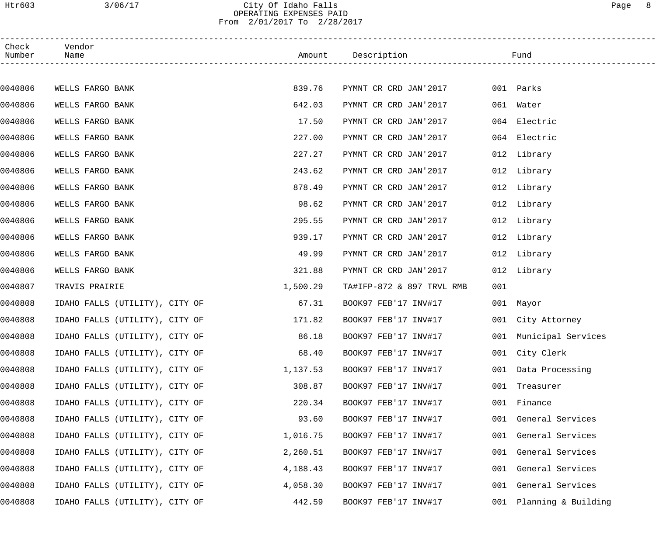### Htr603 3/06/17 City Of Idaho Falls Page 8 OPERATING EXPENSES PAID From 2/01/2017 To 2/28/2017

| Check<br>Number | Vendor<br>Name                 |          | Amount Description        |     | Fund                   |  |
|-----------------|--------------------------------|----------|---------------------------|-----|------------------------|--|
|                 |                                |          |                           |     |                        |  |
| 0040806         | WELLS FARGO BANK               | 839.76   | PYMNT CR CRD JAN'2017     |     | 001 Parks              |  |
| 0040806         | WELLS FARGO BANK               | 642.03   | PYMNT CR CRD JAN'2017     | 061 | Water                  |  |
| 0040806         | WELLS FARGO BANK               | 17.50    | PYMNT CR CRD JAN'2017     | 064 | Electric               |  |
| 0040806         | WELLS FARGO BANK               | 227.00   | PYMNT CR CRD JAN'2017     |     | 064 Electric           |  |
| 0040806         | WELLS FARGO BANK               | 227.27   | PYMNT CR CRD JAN'2017     |     | 012 Library            |  |
| 0040806         | WELLS FARGO BANK               | 243.62   | PYMNT CR CRD JAN'2017     |     | 012 Library            |  |
| 0040806         | WELLS FARGO BANK               | 878.49   | PYMNT CR CRD JAN'2017     |     | 012 Library            |  |
| 0040806         | WELLS FARGO BANK               | 98.62    | PYMNT CR CRD JAN'2017     |     | 012 Library            |  |
| 0040806         | WELLS FARGO BANK               | 295.55   | PYMNT CR CRD JAN'2017     |     | 012 Library            |  |
| 0040806         | WELLS FARGO BANK               | 939.17   | PYMNT CR CRD JAN'2017     |     | 012 Library            |  |
| 0040806         | WELLS FARGO BANK               | 49.99    | PYMNT CR CRD JAN'2017     |     | 012 Library            |  |
| 0040806         | WELLS FARGO BANK               | 321.88   | PYMNT CR CRD JAN'2017     |     | 012 Library            |  |
| 0040807         | TRAVIS PRAIRIE                 | 1,500.29 | TA#IFP-872 & 897 TRVL RMB | 001 |                        |  |
| 0040808         | IDAHO FALLS (UTILITY), CITY OF | 67.31    | BOOK97 FEB'17 INV#17      |     | 001 Mayor              |  |
| 0040808         | IDAHO FALLS (UTILITY), CITY OF | 171.82   | BOOK97 FEB'17 INV#17      |     | 001 City Attorney      |  |
| 0040808         | IDAHO FALLS (UTILITY), CITY OF | 86.18    | BOOK97 FEB'17 INV#17      |     | 001 Municipal Services |  |
| 0040808         | IDAHO FALLS (UTILITY), CITY OF | 68.40    | BOOK97 FEB'17 INV#17      |     | 001 City Clerk         |  |
| 0040808         | IDAHO FALLS (UTILITY), CITY OF | 1,137.53 | BOOK97 FEB'17 INV#17      |     | 001 Data Processing    |  |
| 0040808         | IDAHO FALLS (UTILITY), CITY OF | 308.87   | BOOK97 FEB'17 INV#17      | 001 | Treasurer              |  |
| 0040808         | IDAHO FALLS (UTILITY), CITY OF | 220.34   | BOOK97 FEB'17 INV#17      |     | 001 Finance            |  |
| 0040808         | IDAHO FALLS (UTILITY), CITY OF | 93.60    | BOOK97 FEB'17 INV#17      |     | 001 General Services   |  |
| 0040808         | IDAHO FALLS (UTILITY), CITY OF | 1,016.75 | BOOK97 FEB'17 INV#17      | 001 | General Services       |  |
| 0040808         | IDAHO FALLS (UTILITY), CITY OF | 2,260.51 | BOOK97 FEB'17 INV#17      | 001 | General Services       |  |
| 0040808         | IDAHO FALLS (UTILITY), CITY OF | 4,188.43 | BOOK97 FEB'17 INV#17      | 001 | General Services       |  |
| 0040808         | IDAHO FALLS (UTILITY), CITY OF | 4,058.30 | BOOK97 FEB'17 INV#17      | 001 | General Services       |  |
| 0040808         | IDAHO FALLS (UTILITY), CITY OF | 442.59   | BOOK97 FEB'17 INV#17      | 001 | Planning & Building    |  |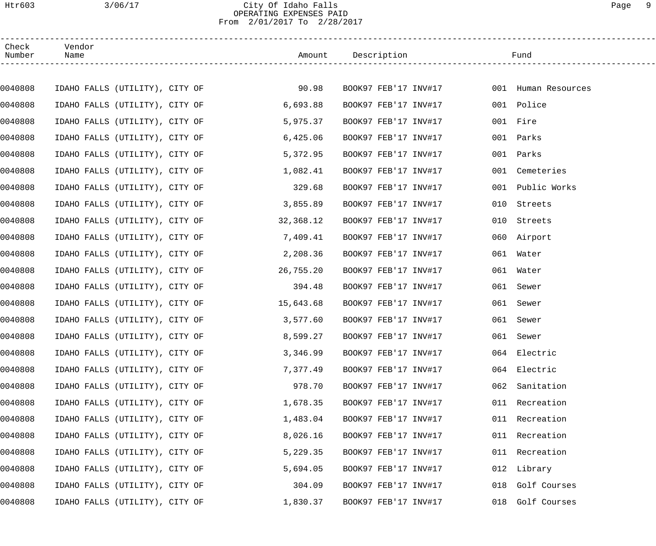# Htr603 3/06/17 City Of Idaho Falls Page 9 OPERATING EXPENSES PAID From 2/01/2017 To 2/28/2017

| Check<br>Number | Vendor<br>Name                 |  |           | Amount Description   |                      | Fund                |
|-----------------|--------------------------------|--|-----------|----------------------|----------------------|---------------------|
|                 |                                |  |           |                      |                      |                     |
| 0040808         | IDAHO FALLS (UTILITY), CITY OF |  | 90.98     |                      | BOOK97 FEB'17 INV#17 | 001 Human Resources |
| 0040808         | IDAHO FALLS (UTILITY), CITY OF |  | 6,693.88  | BOOK97 FEB'17 INV#17 |                      | 001 Police          |
| 0040808         | IDAHO FALLS (UTILITY), CITY OF |  | 5,975.37  | BOOK97 FEB'17 INV#17 |                      | 001 Fire            |
| 0040808         | IDAHO FALLS (UTILITY), CITY OF |  | 6,425.06  | BOOK97 FEB'17 INV#17 | 001                  | Parks               |
| 0040808         | IDAHO FALLS (UTILITY), CITY OF |  | 5,372.95  | BOOK97 FEB'17 INV#17 | 001                  | Parks               |
| 0040808         | IDAHO FALLS (UTILITY), CITY OF |  | 1,082.41  | BOOK97 FEB'17 INV#17 | 001                  | Cemeteries          |
| 0040808         | IDAHO FALLS (UTILITY), CITY OF |  | 329.68    | BOOK97 FEB'17 INV#17 | 001                  | Public Works        |
| 0040808         | IDAHO FALLS (UTILITY), CITY OF |  | 3,855.89  | BOOK97 FEB'17 INV#17 | 010                  | Streets             |
| 0040808         | IDAHO FALLS (UTILITY), CITY OF |  | 32,368.12 | BOOK97 FEB'17 INV#17 | 010                  | Streets             |
| 0040808         | IDAHO FALLS (UTILITY), CITY OF |  | 7,409.41  | BOOK97 FEB'17 INV#17 |                      | 060 Airport         |
| 0040808         | IDAHO FALLS (UTILITY), CITY OF |  | 2,208.36  | BOOK97 FEB'17 INV#17 |                      | 061 Water           |
| 0040808         | IDAHO FALLS (UTILITY), CITY OF |  | 26,755.20 | BOOK97 FEB'17 INV#17 | 061                  | Water               |
| 0040808         | IDAHO FALLS (UTILITY), CITY OF |  | 394.48    | BOOK97 FEB'17 INV#17 | 061                  | Sewer               |
| 0040808         | IDAHO FALLS (UTILITY), CITY OF |  | 15,643.68 | BOOK97 FEB'17 INV#17 | 061                  | Sewer               |
| 0040808         | IDAHO FALLS (UTILITY), CITY OF |  | 3,577.60  | BOOK97 FEB'17 INV#17 | 061                  | Sewer               |
| 0040808         | IDAHO FALLS (UTILITY), CITY OF |  | 8,599.27  | BOOK97 FEB'17 INV#17 |                      | 061 Sewer           |
| 0040808         | IDAHO FALLS (UTILITY), CITY OF |  | 3,346.99  | BOOK97 FEB'17 INV#17 |                      | 064 Electric        |
| 0040808         | IDAHO FALLS (UTILITY), CITY OF |  | 7,377.49  | BOOK97 FEB'17 INV#17 |                      | 064 Electric        |
| 0040808         | IDAHO FALLS (UTILITY), CITY OF |  | 978.70    | BOOK97 FEB'17 INV#17 | 062                  | Sanitation          |
| 0040808         | IDAHO FALLS (UTILITY), CITY OF |  | 1,678.35  | BOOK97 FEB'17 INV#17 |                      | 011 Recreation      |
| 0040808         | IDAHO FALLS (UTILITY), CITY OF |  | 1,483.04  | BOOK97 FEB'17 INV#17 |                      | 011 Recreation      |
| 0040808         | IDAHO FALLS (UTILITY), CITY OF |  | 8,026.16  | BOOK97 FEB'17 INV#17 |                      | 011 Recreation      |
| 0040808         | IDAHO FALLS (UTILITY), CITY OF |  | 5,229.35  | BOOK97 FEB'17 INV#17 |                      | 011 Recreation      |
| 0040808         | IDAHO FALLS (UTILITY), CITY OF |  | 5,694.05  | BOOK97 FEB'17 INV#17 |                      | 012 Library         |
| 0040808         | IDAHO FALLS (UTILITY), CITY OF |  | 304.09    | BOOK97 FEB'17 INV#17 |                      | 018 Golf Courses    |
| 0040808         | IDAHO FALLS (UTILITY), CITY OF |  | 1,830.37  | BOOK97 FEB'17 INV#17 |                      | 018 Golf Courses    |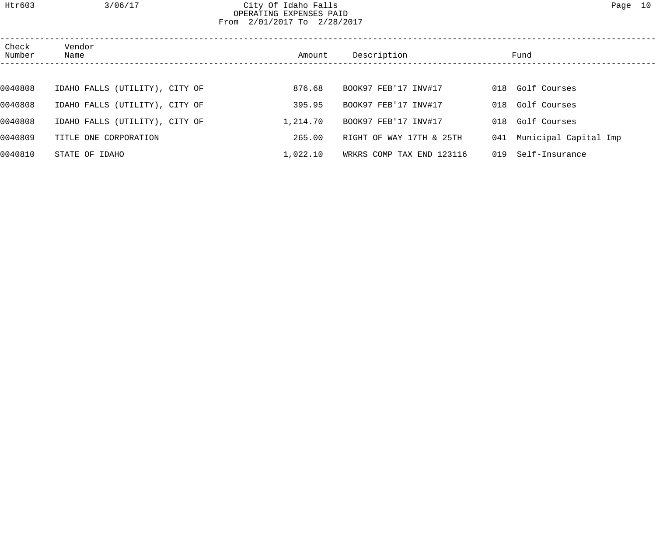Htr603 3/06/17 City Of Idaho Falls Page 10 OPERATING EXPENSES PAID

From 2/01/2017 To 2/28/2017

| Check<br>Number | Vendor<br>Name                 | Amount   | Description               | Fund                      |
|-----------------|--------------------------------|----------|---------------------------|---------------------------|
|                 |                                |          |                           |                           |
| 0040808         | IDAHO FALLS (UTILITY), CITY OF | 876.68   | BOOK97 FEB'17 INV#17      | 018 Golf Courses          |
| 0040808         | IDAHO FALLS (UTILITY), CITY OF | 395.95   | BOOK97 FEB'17 INV#17      | 018 Golf Courses          |
| 0040808         | IDAHO FALLS (UTILITY), CITY OF | 1,214.70 | BOOK97 FEB'17 INV#17      | 018 Golf Courses          |
| 0040809         | TITLE ONE CORPORATION          | 265.00   | RIGHT OF WAY 17TH & 25TH  | 041 Municipal Capital Imp |
| 0040810         | STATE OF IDAHO                 | 1,022.10 | WRKRS COMP TAX END 123116 | 019 Self-Insurance        |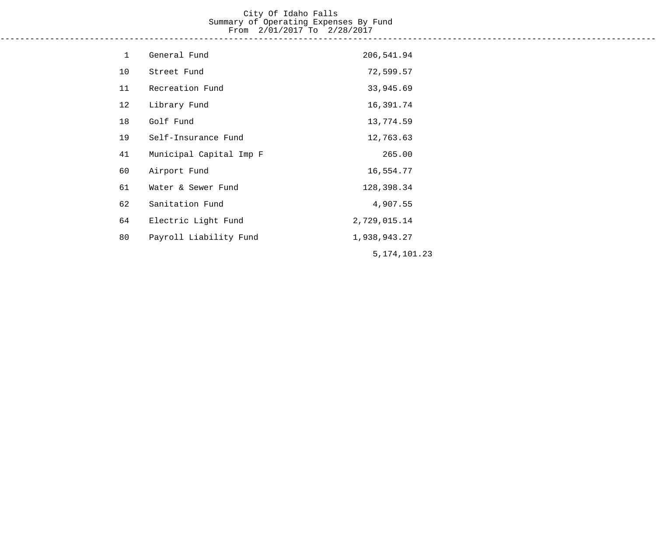# City Of Idaho Falls Summary of Operating Expenses By Fund From 2/01/2017 To 2/28/2017

------------------------------------------------------------------------------------------------------------------------------------

| $\mathbf 1$ | General Fund            | 206,541.94      |
|-------------|-------------------------|-----------------|
| 10          | Street Fund             | 72,599.57       |
| 11          | Recreation Fund         | 33,945.69       |
| 12          | Library Fund            | 16,391.74       |
| 18          | Golf Fund               | 13,774.59       |
| 19          | Self-Insurance Fund     | 12,763.63       |
| 41          | Municipal Capital Imp F | 265.00          |
| 60          | Airport Fund            | 16,554.77       |
| 61          | Water & Sewer Fund      | 128,398.34      |
| 62          | Sanitation Fund         | 4,907.55        |
| 64          | Electric Light Fund     | 2,729,015.14    |
| 80          | Payroll Liability Fund  | 1,938,943.27    |
|             |                         | 5, 174, 101. 23 |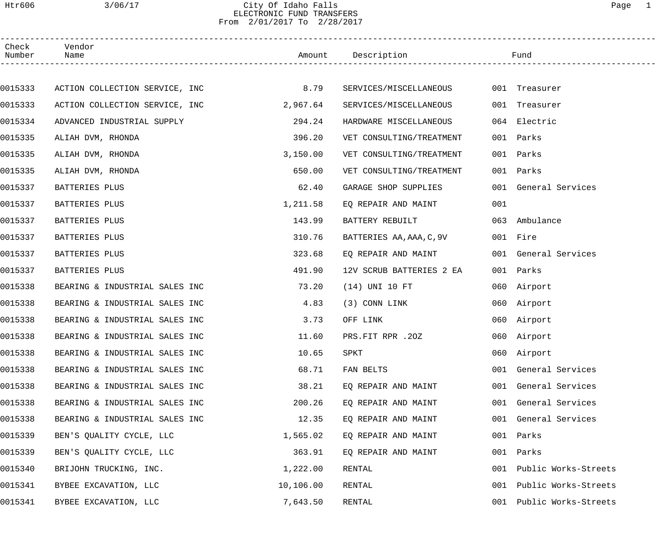# Htr606 3/06/17 City Of Idaho Falls Page 1 ELECTRONIC FUND TRANSFERS From 2/01/2017 To 2/28/2017

| Check<br>Number | Vendor<br>Name                 |           | Amount Description       |     | Fund                 |
|-----------------|--------------------------------|-----------|--------------------------|-----|----------------------|
|                 |                                |           |                          |     |                      |
| 0015333         | ACTION COLLECTION SERVICE, INC | 8.79      | SERVICES/MISCELLANEOUS   |     | 001 Treasurer        |
| 0015333         | ACTION COLLECTION SERVICE, INC | 2,967.64  | SERVICES/MISCELLANEOUS   |     | 001 Treasurer        |
| 0015334         | ADVANCED INDUSTRIAL SUPPLY     | 294.24    | HARDWARE MISCELLANEOUS   | 064 | Electric             |
| 0015335         | ALIAH DVM, RHONDA              | 396.20    | VET CONSULTING/TREATMENT |     | 001 Parks            |
| 0015335         | ALIAH DVM, RHONDA              | 3,150.00  | VET CONSULTING/TREATMENT | 001 | Parks                |
| 0015335         | ALIAH DVM, RHONDA              | 650.00    | VET CONSULTING/TREATMENT |     | 001 Parks            |
| 0015337         | BATTERIES PLUS                 | 62.40     | GARAGE SHOP SUPPLIES     |     | 001 General Services |
| 0015337         | BATTERIES PLUS                 | 1,211.58  | EO REPAIR AND MAINT      | 001 |                      |
| 0015337         | BATTERIES PLUS                 | 143.99    | BATTERY REBUILT          |     | 063 Ambulance        |
| 0015337         | BATTERIES PLUS                 | 310.76    | BATTERIES AA, AAA, C, 9V |     | 001 Fire             |
| 0015337         | BATTERIES PLUS                 | 323.68    | EQ REPAIR AND MAINT      |     | 001 General Services |
| 0015337         | BATTERIES PLUS                 | 491.90    | 12V SCRUB BATTERIES 2 EA |     | 001 Parks            |
| 0015338         | BEARING & INDUSTRIAL SALES INC | 73.20     | (14) UNI 10 FT           |     | 060 Airport          |
| 0015338         | BEARING & INDUSTRIAL SALES INC | 4.83      | (3) CONN LINK            |     | 060 Airport          |
| 0015338         | BEARING & INDUSTRIAL SALES INC | 3.73      | OFF LINK                 |     | 060 Airport          |
| 0015338         | BEARING & INDUSTRIAL SALES INC | 11.60     | PRS.FIT RPR .20Z         |     | 060 Airport          |
| 0015338         | BEARING & INDUSTRIAL SALES INC | 10.65     | SPKT                     |     | 060 Airport          |
| 0015338         | BEARING & INDUSTRIAL SALES INC | 68.71     | FAN BELTS                |     | 001 General Services |
| 0015338         | BEARING & INDUSTRIAL SALES INC | 38.21     | EQ REPAIR AND MAINT      |     | 001 General Services |
| 0015338         | BEARING & INDUSTRIAL SALES INC | 200.26    | EQ REPAIR AND MAINT      |     | 001 General Services |
| 0015338         | BEARING & INDUSTRIAL SALES INC | 12.35     | EO REPAIR AND MAINT      |     | 001 General Services |
| 0015339         | BEN'S QUALITY CYCLE, LLC       | 1,565.02  | EQ REPAIR AND MAINT      | 001 | Parks                |
| 0015339         | BEN'S QUALITY CYCLE, LLC       | 363.91    | EQ REPAIR AND MAINT      | 001 | Parks                |
| 0015340         | BRIJOHN TRUCKING, INC.         | 1,222.00  | RENTAL                   | 001 | Public Works-Streets |
| 0015341         | BYBEE EXCAVATION, LLC          | 10,106.00 | RENTAL                   | 001 | Public Works-Streets |
| 0015341         | BYBEE EXCAVATION, LLC          | 7,643.50  | RENTAL                   | 001 | Public Works-Streets |
|                 |                                |           |                          |     |                      |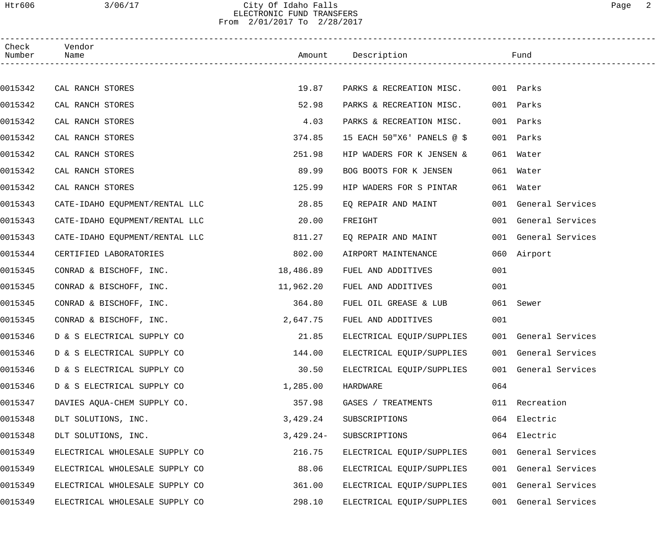### Htr606 3/06/17 City Of Idaho Falls Page 2 ELECTRONIC FUND TRANSFERS From 2/01/2017 To 2/28/2017

| Check<br>Number | Vendor<br>Name                 |             | Amount Description         |     | Fund                 |  |
|-----------------|--------------------------------|-------------|----------------------------|-----|----------------------|--|
|                 |                                |             |                            |     |                      |  |
| 0015342         | CAL RANCH STORES               | 19.87       | PARKS & RECREATION MISC.   |     | 001 Parks            |  |
| 0015342         | CAL RANCH STORES               | 52.98       | PARKS & RECREATION MISC.   |     | 001 Parks            |  |
| 0015342         | CAL RANCH STORES               | 4.03        | PARKS & RECREATION MISC.   | 001 | Parks                |  |
| 0015342         | CAL RANCH STORES               | 374.85      | 15 EACH 50"X6' PANELS @ \$ |     | 001 Parks            |  |
| 0015342         | CAL RANCH STORES               | 251.98      | HIP WADERS FOR K JENSEN &  |     | 061 Water            |  |
| 0015342         | CAL RANCH STORES               | 89.99       | BOG BOOTS FOR K JENSEN     |     | 061 Water            |  |
| 0015342         | CAL RANCH STORES               | 125.99      | HIP WADERS FOR S PINTAR    |     | 061 Water            |  |
| 0015343         | CATE-IDAHO EQUPMENT/RENTAL LLC | 28.85       | EQ REPAIR AND MAINT        |     | 001 General Services |  |
| 0015343         | CATE-IDAHO EQUPMENT/RENTAL LLC | 20.00       | FREIGHT                    |     | 001 General Services |  |
| 0015343         | CATE-IDAHO EQUPMENT/RENTAL LLC | 811.27      | EQ REPAIR AND MAINT        |     | 001 General Services |  |
| 0015344         | CERTIFIED LABORATORIES         | 802.00      | AIRPORT MAINTENANCE        |     | 060 Airport          |  |
| 0015345         | CONRAD & BISCHOFF, INC.        | 18,486.89   | FUEL AND ADDITIVES         | 001 |                      |  |
| 0015345         | CONRAD & BISCHOFF, INC.        | 11,962.20   | FUEL AND ADDITIVES         | 001 |                      |  |
| 0015345         | CONRAD & BISCHOFF, INC.        | 364.80      | FUEL OIL GREASE & LUB      |     | 061 Sewer            |  |
| 0015345         | CONRAD & BISCHOFF, INC.        | 2,647.75    | FUEL AND ADDITIVES         | 001 |                      |  |
| 0015346         | D & S ELECTRICAL SUPPLY CO     | 21.85       | ELECTRICAL EQUIP/SUPPLIES  |     | 001 General Services |  |
| 0015346         | D & S ELECTRICAL SUPPLY CO     | 144.00      | ELECTRICAL EQUIP/SUPPLIES  |     | 001 General Services |  |
| 0015346         | D & S ELECTRICAL SUPPLY CO     | 30.50       | ELECTRICAL EQUIP/SUPPLIES  |     | 001 General Services |  |
| 0015346         | D & S ELECTRICAL SUPPLY CO     | 1,285.00    | HARDWARE                   | 064 |                      |  |
| 0015347         | DAVIES AQUA-CHEM SUPPLY CO.    | 357.98      | GASES / TREATMENTS         |     | 011 Recreation       |  |
| 0015348         | DLT SOLUTIONS, INC.            | 3,429.24    | SUBSCRIPTIONS              |     | 064 Electric         |  |
| 0015348         | DLT SOLUTIONS, INC.            | $3,429.24-$ | SUBSCRIPTIONS              |     | 064 Electric         |  |
| 0015349         | ELECTRICAL WHOLESALE SUPPLY CO | 216.75      | ELECTRICAL EQUIP/SUPPLIES  |     | 001 General Services |  |
| 0015349         | ELECTRICAL WHOLESALE SUPPLY CO | 88.06       | ELECTRICAL EQUIP/SUPPLIES  |     | 001 General Services |  |
| 0015349         | ELECTRICAL WHOLESALE SUPPLY CO | 361.00      | ELECTRICAL EQUIP/SUPPLIES  |     | 001 General Services |  |
| 0015349         | ELECTRICAL WHOLESALE SUPPLY CO | 298.10      | ELECTRICAL EQUIP/SUPPLIES  |     | 001 General Services |  |
|                 |                                |             |                            |     |                      |  |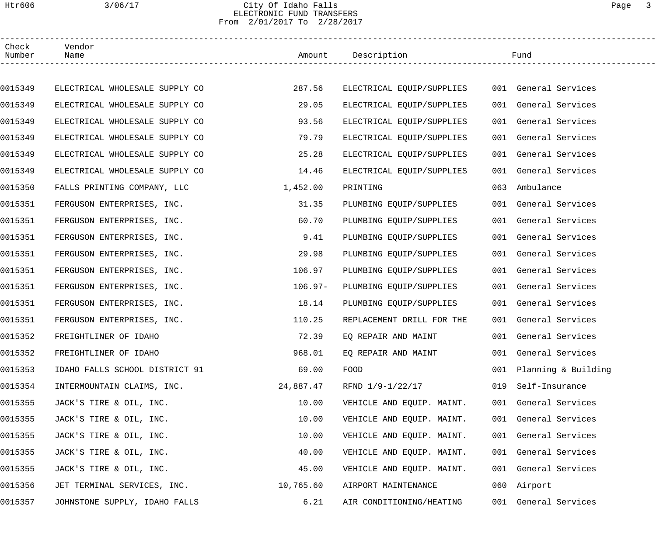# Htr606 3/06/17 City Of Idaho Falls Page 3 ELECTRONIC FUND TRANSFERS From 2/01/2017 To 2/28/2017

| Check<br>Number | Vendor<br>Name                 |           | Amount Description        |     | Fund                 |  |
|-----------------|--------------------------------|-----------|---------------------------|-----|----------------------|--|
|                 |                                |           |                           |     |                      |  |
| 0015349         | ELECTRICAL WHOLESALE SUPPLY CO | 287.56    | ELECTRICAL EQUIP/SUPPLIES |     | 001 General Services |  |
| 0015349         | ELECTRICAL WHOLESALE SUPPLY CO | 29.05     | ELECTRICAL EQUIP/SUPPLIES |     | 001 General Services |  |
| 0015349         | ELECTRICAL WHOLESALE SUPPLY CO | 93.56     | ELECTRICAL EQUIP/SUPPLIES |     | 001 General Services |  |
| 0015349         | ELECTRICAL WHOLESALE SUPPLY CO | 79.79     | ELECTRICAL EQUIP/SUPPLIES |     | 001 General Services |  |
| 0015349         | ELECTRICAL WHOLESALE SUPPLY CO | 25.28     | ELECTRICAL EQUIP/SUPPLIES |     | 001 General Services |  |
| 0015349         | ELECTRICAL WHOLESALE SUPPLY CO | 14.46     | ELECTRICAL EQUIP/SUPPLIES |     | 001 General Services |  |
| 0015350         | FALLS PRINTING COMPANY, LLC    | 1,452.00  | PRINTING                  | 063 | Ambulance            |  |
| 0015351         | FERGUSON ENTERPRISES, INC.     | 31.35     | PLUMBING EQUIP/SUPPLIES   |     | 001 General Services |  |
| 0015351         | FERGUSON ENTERPRISES, INC.     | 60.70     | PLUMBING EQUIP/SUPPLIES   |     | 001 General Services |  |
| 0015351         | FERGUSON ENTERPRISES, INC.     | 9.41      | PLUMBING EQUIP/SUPPLIES   |     | 001 General Services |  |
| 0015351         | FERGUSON ENTERPRISES, INC.     | 29.98     | PLUMBING EQUIP/SUPPLIES   |     | 001 General Services |  |
| 0015351         | FERGUSON ENTERPRISES, INC.     | 106.97    | PLUMBING EQUIP/SUPPLIES   |     | 001 General Services |  |
| 0015351         | FERGUSON ENTERPRISES, INC.     | $106.97-$ | PLUMBING EQUIP/SUPPLIES   |     | 001 General Services |  |
| 0015351         | FERGUSON ENTERPRISES, INC.     | 18.14     | PLUMBING EQUIP/SUPPLIES   |     | 001 General Services |  |
| 0015351         | FERGUSON ENTERPRISES, INC.     | 110.25    | REPLACEMENT DRILL FOR THE |     | 001 General Services |  |
| 0015352         | FREIGHTLINER OF IDAHO          | 72.39     | EO REPAIR AND MAINT       |     | 001 General Services |  |
| 0015352         | FREIGHTLINER OF IDAHO          | 968.01    | EQ REPAIR AND MAINT       |     | 001 General Services |  |
| 0015353         | IDAHO FALLS SCHOOL DISTRICT 91 | 69.00     | FOOD                      | 001 | Planning & Building  |  |
| 0015354         | INTERMOUNTAIN CLAIMS, INC.     | 24,887.47 | RFND 1/9-1/22/17          | 019 | Self-Insurance       |  |
| 0015355         | JACK'S TIRE & OIL, INC.        | 10.00     | VEHICLE AND EQUIP. MAINT. |     | 001 General Services |  |
| 0015355         | JACK'S TIRE & OIL, INC.        | 10.00     | VEHICLE AND EQUIP. MAINT. |     | 001 General Services |  |
| 0015355         | JACK'S TIRE & OIL, INC.        | 10.00     | VEHICLE AND EQUIP. MAINT. |     | 001 General Services |  |
| 0015355         | JACK'S TIRE & OIL, INC.        | 40.00     | VEHICLE AND EQUIP. MAINT. |     | 001 General Services |  |
| 0015355         | JACK'S TIRE & OIL, INC.        | 45.00     | VEHICLE AND EQUIP. MAINT. |     | 001 General Services |  |
| 0015356         | JET TERMINAL SERVICES, INC.    | 10,765.60 | AIRPORT MAINTENANCE       |     | 060 Airport          |  |
| 0015357         | JOHNSTONE SUPPLY, IDAHO FALLS  | 6.21      | AIR CONDITIONING/HEATING  |     | 001 General Services |  |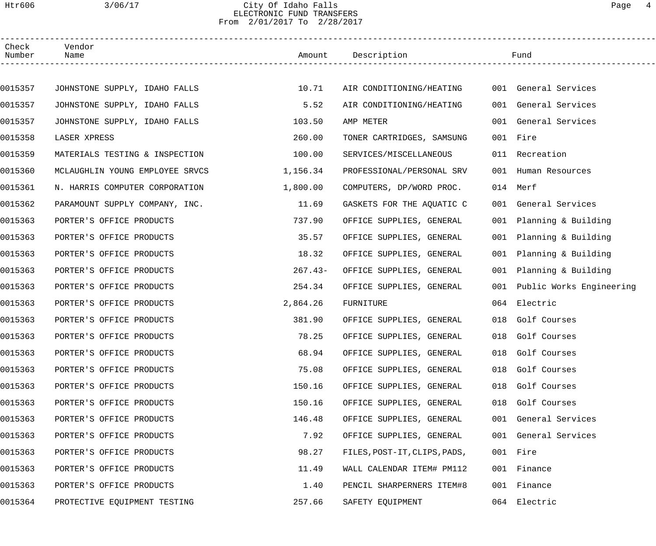# Htr606 3/06/17 City Of Idaho Falls Page 4 ELECTRONIC FUND TRANSFERS From 2/01/2017 To 2/28/2017

| Check<br>Number | Vendor<br>Name                  |           | Amount Description           |     | Fund                         |  |
|-----------------|---------------------------------|-----------|------------------------------|-----|------------------------------|--|
|                 |                                 |           |                              |     |                              |  |
| 0015357         | JOHNSTONE SUPPLY, IDAHO FALLS   | 10.71     | AIR CONDITIONING/HEATING     |     | 001 General Services         |  |
| 0015357         | JOHNSTONE SUPPLY, IDAHO FALLS   | 5.52      | AIR CONDITIONING/HEATING     |     | 001 General Services         |  |
| 0015357         | JOHNSTONE SUPPLY, IDAHO FALLS   | 103.50    | AMP METER                    |     | 001 General Services         |  |
| 0015358         | LASER XPRESS                    | 260.00    | TONER CARTRIDGES, SAMSUNG    |     | 001 Fire                     |  |
| 0015359         | MATERIALS TESTING & INSPECTION  | 100.00    | SERVICES/MISCELLANEOUS       |     | 011 Recreation               |  |
| 0015360         | MCLAUGHLIN YOUNG EMPLOYEE SRVCS | 1,156.34  | PROFESSIONAL/PERSONAL SRV    | 001 | Human Resources              |  |
| 0015361         | N. HARRIS COMPUTER CORPORATION  | 1,800.00  | COMPUTERS, DP/WORD PROC.     |     | 014 Merf                     |  |
| 0015362         | PARAMOUNT SUPPLY COMPANY, INC.  | 11.69     | GASKETS FOR THE AQUATIC C    |     | 001 General Services         |  |
| 0015363         | PORTER'S OFFICE PRODUCTS        | 737.90    | OFFICE SUPPLIES, GENERAL     |     | 001 Planning & Building      |  |
| 0015363         | PORTER'S OFFICE PRODUCTS        | 35.57     | OFFICE SUPPLIES, GENERAL     |     | 001 Planning & Building      |  |
| 0015363         | PORTER'S OFFICE PRODUCTS        | 18.32     | OFFICE SUPPLIES, GENERAL     |     | 001 Planning & Building      |  |
| 0015363         | PORTER'S OFFICE PRODUCTS        | $267.43-$ | OFFICE SUPPLIES, GENERAL     | 001 | Planning & Building          |  |
| 0015363         | PORTER'S OFFICE PRODUCTS        | 254.34    | OFFICE SUPPLIES, GENERAL     |     | 001 Public Works Engineering |  |
| 0015363         | PORTER'S OFFICE PRODUCTS        | 2,864.26  | FURNITURE                    |     | 064 Electric                 |  |
| 0015363         | PORTER'S OFFICE PRODUCTS        | 381.90    | OFFICE SUPPLIES, GENERAL     |     | 018 Golf Courses             |  |
| 0015363         | PORTER'S OFFICE PRODUCTS        | 78.25     | OFFICE SUPPLIES, GENERAL     |     | 018 Golf Courses             |  |
| 0015363         | PORTER'S OFFICE PRODUCTS        | 68.94     | OFFICE SUPPLIES, GENERAL     |     | 018 Golf Courses             |  |
| 0015363         | PORTER'S OFFICE PRODUCTS        | 75.08     | OFFICE SUPPLIES, GENERAL     |     | 018 Golf Courses             |  |
| 0015363         | PORTER'S OFFICE PRODUCTS        | 150.16    | OFFICE SUPPLIES, GENERAL     |     | 018 Golf Courses             |  |
| 0015363         | PORTER'S OFFICE PRODUCTS        | 150.16    | OFFICE SUPPLIES, GENERAL     |     | 018 Golf Courses             |  |
| 0015363         | PORTER'S OFFICE PRODUCTS        | 146.48    | OFFICE SUPPLIES, GENERAL     |     | 001 General Services         |  |
| 0015363         | PORTER'S OFFICE PRODUCTS        | 7.92      | OFFICE SUPPLIES, GENERAL     |     | 001 General Services         |  |
| 0015363         | PORTER'S OFFICE PRODUCTS        | 98.27     | FILES, POST-IT, CLIPS, PADS, |     | 001 Fire                     |  |
| 0015363         | PORTER'S OFFICE PRODUCTS        | 11.49     | WALL CALENDAR ITEM# PM112    |     | 001 Finance                  |  |
| 0015363         | PORTER'S OFFICE PRODUCTS        | 1.40      | PENCIL SHARPERNERS ITEM#8    |     | 001 Finance                  |  |
| 0015364         | PROTECTIVE EQUIPMENT TESTING    | 257.66    | SAFETY EQUIPMENT             |     | 064 Electric                 |  |
|                 |                                 |           |                              |     |                              |  |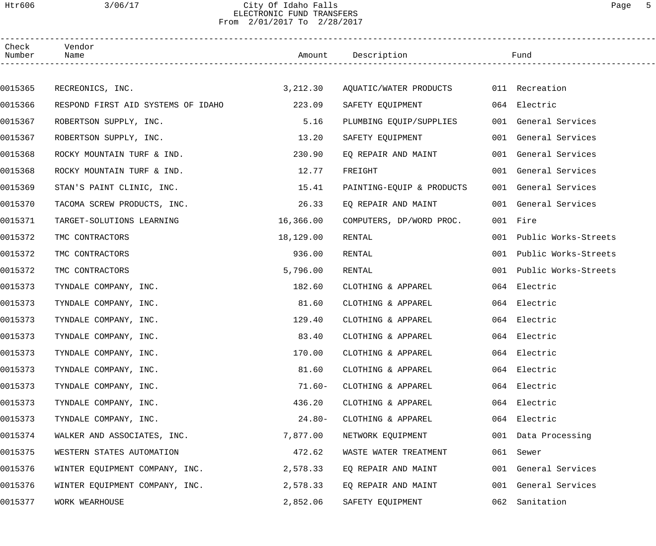### Htr606 3/06/17 City Of Idaho Falls Page 5 ELECTRONIC FUND TRANSFERS From 2/01/2017 To 2/28/2017

| Check<br>Number | Vendor<br>Name                     |           | Amount Description                    |     | Fund                     |
|-----------------|------------------------------------|-----------|---------------------------------------|-----|--------------------------|
|                 |                                    |           |                                       |     |                          |
| 0015365         | RECREONICS, INC.                   | 3,212.30  | AQUATIC/WATER PRODUCTS 011 Recreation |     |                          |
| 0015366         | RESPOND FIRST AID SYSTEMS OF IDAHO | 223.09    | SAFETY EQUIPMENT                      |     | 064 Electric             |
| 0015367         | ROBERTSON SUPPLY, INC.             | 5.16      | PLUMBING EQUIP/SUPPLIES               |     | 001 General Services     |
| 0015367         | ROBERTSON SUPPLY, INC.             | 13.20     | SAFETY EQUIPMENT                      |     | 001 General Services     |
| 0015368         | ROCKY MOUNTAIN TURF & IND.         | 230.90    | EQ REPAIR AND MAINT                   |     | 001 General Services     |
| 0015368         | ROCKY MOUNTAIN TURF & IND.         | 12.77     | FREIGHT                               |     | 001 General Services     |
| 0015369         | STAN'S PAINT CLINIC, INC.          | 15.41     | PAINTING-EQUIP & PRODUCTS             |     | 001 General Services     |
| 0015370         | TACOMA SCREW PRODUCTS, INC.        | 26.33     | EO REPAIR AND MAINT                   |     | 001 General Services     |
| 0015371         | TARGET-SOLUTIONS LEARNING          | 16,366.00 | COMPUTERS, DP/WORD PROC.              |     | 001 Fire                 |
| 0015372         | TMC CONTRACTORS                    | 18,129.00 | RENTAL                                |     | 001 Public Works-Streets |
| 0015372         | TMC CONTRACTORS                    | 936.00    | RENTAL                                | 001 | Public Works-Streets     |
| 0015372         | TMC CONTRACTORS                    | 5,796.00  | RENTAL                                |     | 001 Public Works-Streets |
| 0015373         | TYNDALE COMPANY, INC.              | 182.60    | CLOTHING & APPAREL                    |     | 064 Electric             |
| 0015373         | TYNDALE COMPANY, INC.              | 81.60     | CLOTHING & APPAREL                    |     | 064 Electric             |
| 0015373         | TYNDALE COMPANY, INC.              | 129.40    | CLOTHING & APPAREL                    |     | 064 Electric             |
| 0015373         | TYNDALE COMPANY, INC.              | 83.40     | CLOTHING & APPAREL                    |     | 064 Electric             |
| 0015373         | TYNDALE COMPANY, INC.              | 170.00    | CLOTHING & APPAREL                    |     | 064 Electric             |
| 0015373         | TYNDALE COMPANY, INC.              | 81.60     | CLOTHING & APPAREL                    |     | 064 Electric             |
| 0015373         | TYNDALE COMPANY, INC.              | $71.60 -$ | CLOTHING & APPAREL                    |     | 064 Electric             |
| 0015373         | TYNDALE COMPANY, INC.              | 436.20    | CLOTHING & APPAREL                    |     | 064 Electric             |
| 0015373         | TYNDALE COMPANY, INC.              | $24.80-$  | CLOTHING & APPAREL                    |     | 064 Electric             |
| 0015374         | WALKER AND ASSOCIATES, INC.        | 7,877.00  | NETWORK EQUIPMENT                     |     | 001 Data Processing      |
| 0015375         | WESTERN STATES AUTOMATION          | 472.62    | WASTE WATER TREATMENT                 | 061 | Sewer                    |
| 0015376         | WINTER EQUIPMENT COMPANY, INC.     | 2,578.33  | EQ REPAIR AND MAINT                   |     | 001 General Services     |
| 0015376         | WINTER EQUIPMENT COMPANY, INC.     | 2,578.33  | EQ REPAIR AND MAINT                   |     | 001 General Services     |
| 0015377         | WORK WEARHOUSE                     | 2,852.06  | SAFETY EQUIPMENT                      | 062 | Sanitation               |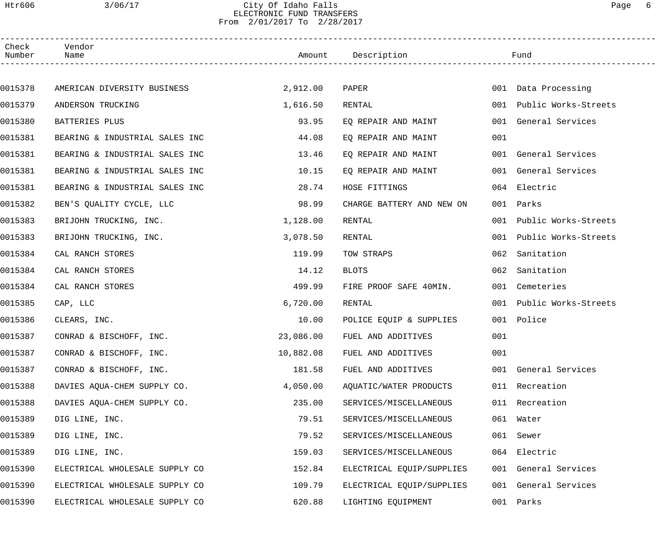### Htr606 3/06/17 City Of Idaho Falls Page 6 ELECTRONIC FUND TRANSFERS From 2/01/2017 To 2/28/2017

| Check<br>Number | Vendor<br>Name                 | Amount Description |                           |     | Fund                     |  |
|-----------------|--------------------------------|--------------------|---------------------------|-----|--------------------------|--|
|                 |                                |                    |                           |     |                          |  |
| 0015378         | AMERICAN DIVERSITY BUSINESS    | 2,912.00           | <b>PAPER</b>              |     | 001 Data Processing      |  |
| 0015379         | ANDERSON TRUCKING              | 1,616.50           | RENTAL                    |     | 001 Public Works-Streets |  |
| 0015380         | BATTERIES PLUS                 | 93.95              | EQ REPAIR AND MAINT       |     | 001 General Services     |  |
| 0015381         | BEARING & INDUSTRIAL SALES INC | 44.08              | EQ REPAIR AND MAINT       | 001 |                          |  |
| 0015381         | BEARING & INDUSTRIAL SALES INC | 13.46              | EQ REPAIR AND MAINT       |     | 001 General Services     |  |
| 0015381         | BEARING & INDUSTRIAL SALES INC | 10.15              | EQ REPAIR AND MAINT       |     | 001 General Services     |  |
| 0015381         | BEARING & INDUSTRIAL SALES INC | 28.74              | HOSE FITTINGS             |     | 064 Electric             |  |
| 0015382         | BEN'S QUALITY CYCLE, LLC       | 98.99              | CHARGE BATTERY AND NEW ON |     | 001 Parks                |  |
| 0015383         | BRIJOHN TRUCKING, INC.         | 1,128.00           | RENTAL                    | 001 | Public Works-Streets     |  |
| 0015383         | BRIJOHN TRUCKING, INC.         | 3,078.50           | RENTAL                    | 001 | Public Works-Streets     |  |
| 0015384         | CAL RANCH STORES               | 119.99             | TOW STRAPS                | 062 | Sanitation               |  |
| 0015384         | CAL RANCH STORES               | 14.12              | <b>BLOTS</b>              | 062 | Sanitation               |  |
| 0015384         | CAL RANCH STORES               | 499.99             | FIRE PROOF SAFE 40MIN.    | 001 | Cemeteries               |  |
| 0015385         | CAP, LLC                       | 6,720.00           | RENTAL                    |     | 001 Public Works-Streets |  |
| 0015386         | CLEARS, INC.                   | 10.00              | POLICE EQUIP & SUPPLIES   |     | 001 Police               |  |
| 0015387         | CONRAD & BISCHOFF, INC.        | 23,086.00          | FUEL AND ADDITIVES        | 001 |                          |  |
| 0015387         | CONRAD & BISCHOFF, INC.        | 10,882.08          | FUEL AND ADDITIVES        | 001 |                          |  |
| 0015387         | CONRAD & BISCHOFF, INC.        | 181.58             | FUEL AND ADDITIVES        |     | 001 General Services     |  |
| 0015388         | DAVIES AQUA-CHEM SUPPLY CO.    | 4,050.00           | AQUATIC/WATER PRODUCTS    |     | 011 Recreation           |  |
| 0015388         | DAVIES AQUA-CHEM SUPPLY CO.    | 235.00             | SERVICES/MISCELLANEOUS    |     | 011 Recreation           |  |
| 0015389         | DIG LINE, INC.                 | 79.51              | SERVICES/MISCELLANEOUS    |     | 061 Water                |  |
| 0015389         | DIG LINE, INC.                 | 79.52              | SERVICES/MISCELLANEOUS    | 061 | Sewer                    |  |
| 0015389         | DIG LINE, INC.                 | 159.03             | SERVICES/MISCELLANEOUS    |     | 064 Electric             |  |
| 0015390         | ELECTRICAL WHOLESALE SUPPLY CO | 152.84             | ELECTRICAL EQUIP/SUPPLIES |     | 001 General Services     |  |
| 0015390         | ELECTRICAL WHOLESALE SUPPLY CO | 109.79             | ELECTRICAL EQUIP/SUPPLIES |     | 001 General Services     |  |
| 0015390         | ELECTRICAL WHOLESALE SUPPLY CO | 620.88             | LIGHTING EQUIPMENT        |     | 001 Parks                |  |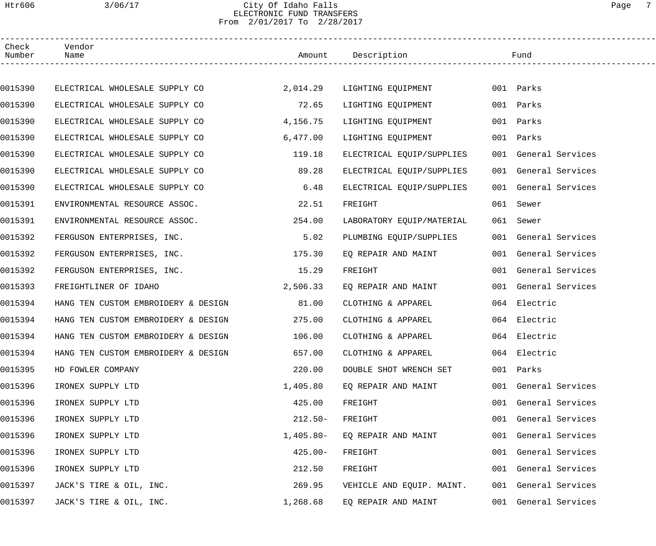### Htr606 3/06/17 City Of Idaho Falls Page 7 ELECTRONIC FUND TRANSFERS From 2/01/2017 To 2/28/2017

| Check<br>Number | Vendor<br>Name                      |             | Amount Description        | Fund                 |  |
|-----------------|-------------------------------------|-------------|---------------------------|----------------------|--|
|                 |                                     |             |                           |                      |  |
| 0015390         | ELECTRICAL WHOLESALE SUPPLY CO      | 2,014.29    | LIGHTING EQUIPMENT        | 001 Parks            |  |
| 0015390         | ELECTRICAL WHOLESALE SUPPLY CO      | 72.65       | LIGHTING EQUIPMENT        | 001 Parks            |  |
| 0015390         | ELECTRICAL WHOLESALE SUPPLY CO      | 4,156.75    | LIGHTING EQUIPMENT        | 001 Parks            |  |
| 0015390         | ELECTRICAL WHOLESALE SUPPLY CO      | 6,477.00    | LIGHTING EQUIPMENT        | 001 Parks            |  |
| 0015390         | ELECTRICAL WHOLESALE SUPPLY CO      | 119.18      | ELECTRICAL EQUIP/SUPPLIES | 001 General Services |  |
| 0015390         | ELECTRICAL WHOLESALE SUPPLY CO      | 89.28       | ELECTRICAL EQUIP/SUPPLIES | 001 General Services |  |
| 0015390         | ELECTRICAL WHOLESALE SUPPLY CO      | 6.48        | ELECTRICAL EQUIP/SUPPLIES | 001 General Services |  |
| 0015391         | ENVIRONMENTAL RESOURCE ASSOC.       | 22.51       | FREIGHT                   | 061 Sewer            |  |
| 0015391         | ENVIRONMENTAL RESOURCE ASSOC.       | 254.00      | LABORATORY EQUIP/MATERIAL | 061 Sewer            |  |
| 0015392         | FERGUSON ENTERPRISES, INC.          | 5.02        | PLUMBING EQUIP/SUPPLIES   | 001 General Services |  |
| 0015392         | FERGUSON ENTERPRISES, INC.          | 175.30      | EQ REPAIR AND MAINT       | 001 General Services |  |
| 0015392         | FERGUSON ENTERPRISES, INC.          | 15.29       | FREIGHT                   | 001 General Services |  |
| 0015393         | FREIGHTLINER OF IDAHO               | 2,506.33    | EQ REPAIR AND MAINT       | 001 General Services |  |
| 0015394         | HANG TEN CUSTOM EMBROIDERY & DESIGN | 81.00       | CLOTHING & APPAREL        | 064 Electric         |  |
| 0015394         | HANG TEN CUSTOM EMBROIDERY & DESIGN | 275.00      | CLOTHING & APPAREL        | 064 Electric         |  |
| 0015394         | HANG TEN CUSTOM EMBROIDERY & DESIGN | 106.00      | CLOTHING & APPAREL        | 064 Electric         |  |
| 0015394         | HANG TEN CUSTOM EMBROIDERY & DESIGN | 657.00      | CLOTHING & APPAREL        | 064 Electric         |  |
| 0015395         | HD FOWLER COMPANY                   | 220.00      | DOUBLE SHOT WRENCH SET    | 001 Parks            |  |
| 0015396         | IRONEX SUPPLY LTD                   | 1,405.80    | EQ REPAIR AND MAINT       | 001 General Services |  |
| 0015396         | IRONEX SUPPLY LTD                   | 425.00      | FREIGHT                   | 001 General Services |  |
| 0015396         | IRONEX SUPPLY LTD                   | $212.50-$   | FREIGHT                   | 001 General Services |  |
| 0015396         | IRONEX SUPPLY LTD                   | $1,405.80-$ | EQ REPAIR AND MAINT       | 001 General Services |  |
| 0015396         | IRONEX SUPPLY LTD                   | $425.00 -$  | FREIGHT                   | 001 General Services |  |
| 0015396         | IRONEX SUPPLY LTD                   | 212.50      | FREIGHT                   | 001 General Services |  |
| 0015397         | JACK'S TIRE & OIL, INC.             | 269.95      | VEHICLE AND EQUIP. MAINT. | 001 General Services |  |
| 0015397         | JACK'S TIRE & OIL, INC.             | 1,268.68    | EQ REPAIR AND MAINT       | 001 General Services |  |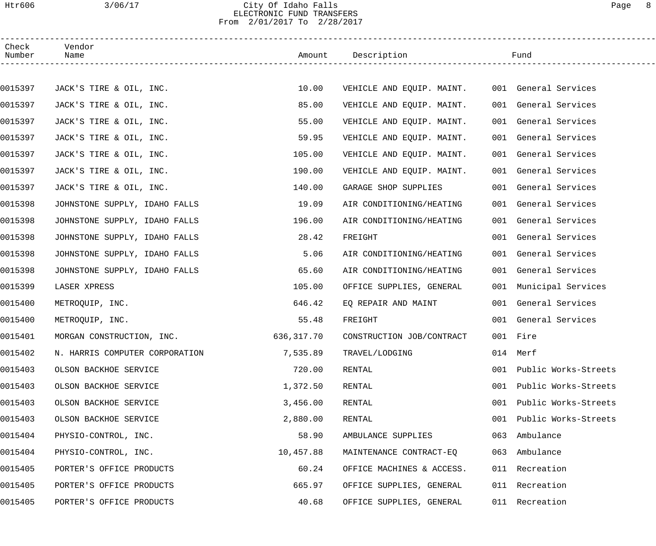# Htr606 3/06/17 City Of Idaho Falls Page 8 ELECTRONIC FUND TRANSFERS From 2/01/2017 To 2/28/2017

| Check<br>Number | Vendor<br>Name                 |            | Amount Description        |     | Fund                   |  |
|-----------------|--------------------------------|------------|---------------------------|-----|------------------------|--|
|                 |                                |            |                           |     |                        |  |
| 0015397         | JACK'S TIRE & OIL, INC.        | 10.00      | VEHICLE AND EQUIP. MAINT. |     | 001 General Services   |  |
| 0015397         | JACK'S TIRE & OIL, INC.        | 85.00      | VEHICLE AND EQUIP. MAINT. |     | 001 General Services   |  |
| 0015397         | JACK'S TIRE & OIL, INC.        | 55.00      | VEHICLE AND EQUIP. MAINT. |     | 001 General Services   |  |
| 0015397         | JACK'S TIRE & OIL, INC.        | 59.95      | VEHICLE AND EQUIP. MAINT. |     | 001 General Services   |  |
| 0015397         | JACK'S TIRE & OIL, INC.        | 105.00     | VEHICLE AND EQUIP. MAINT. |     | 001 General Services   |  |
| 0015397         | JACK'S TIRE & OIL, INC.        | 190.00     | VEHICLE AND EQUIP. MAINT. |     | 001 General Services   |  |
| 0015397         | JACK'S TIRE & OIL, INC.        | 140.00     | GARAGE SHOP SUPPLIES      |     | 001 General Services   |  |
| 0015398         | JOHNSTONE SUPPLY, IDAHO FALLS  | 19.09      | AIR CONDITIONING/HEATING  |     | 001 General Services   |  |
| 0015398         | JOHNSTONE SUPPLY, IDAHO FALLS  | 196.00     | AIR CONDITIONING/HEATING  |     | 001 General Services   |  |
| 0015398         | JOHNSTONE SUPPLY, IDAHO FALLS  | 28.42      | FREIGHT                   |     | 001 General Services   |  |
| 0015398         | JOHNSTONE SUPPLY, IDAHO FALLS  | 5.06       | AIR CONDITIONING/HEATING  |     | 001 General Services   |  |
| 0015398         | JOHNSTONE SUPPLY, IDAHO FALLS  | 65.60      | AIR CONDITIONING/HEATING  |     | 001 General Services   |  |
| 0015399         | LASER XPRESS                   | 105.00     | OFFICE SUPPLIES, GENERAL  |     | 001 Municipal Services |  |
| 0015400         | METROQUIP, INC.                | 646.42     | EQ REPAIR AND MAINT       |     | 001 General Services   |  |
| 0015400         | METROQUIP, INC.                | 55.48      | FREIGHT                   |     | 001 General Services   |  |
| 0015401         | MORGAN CONSTRUCTION, INC.      | 636,317.70 | CONSTRUCTION JOB/CONTRACT |     | 001 Fire               |  |
| 0015402         | N. HARRIS COMPUTER CORPORATION | 7,535.89   | TRAVEL/LODGING            |     | 014 Merf               |  |
| 0015403         | OLSON BACKHOE SERVICE          | 720.00     | RENTAL                    | 001 | Public Works-Streets   |  |
| 0015403         | OLSON BACKHOE SERVICE          | 1,372.50   | RENTAL                    | 001 | Public Works-Streets   |  |
| 0015403         | OLSON BACKHOE SERVICE          | 3,456.00   | RENTAL                    | 001 | Public Works-Streets   |  |
| 0015403         | OLSON BACKHOE SERVICE          | 2,880.00   | RENTAL                    | 001 | Public Works-Streets   |  |
| 0015404         | PHYSIO-CONTROL, INC.           | 58.90      | AMBULANCE SUPPLIES        | 063 | Ambulance              |  |
| 0015404         | PHYSIO-CONTROL, INC.           | 10,457.88  | MAINTENANCE CONTRACT-EQ   | 063 | Ambulance              |  |
| 0015405         | PORTER'S OFFICE PRODUCTS       | 60.24      | OFFICE MACHINES & ACCESS. | 011 | Recreation             |  |
| 0015405         | PORTER'S OFFICE PRODUCTS       | 665.97     | OFFICE SUPPLIES, GENERAL  |     | 011 Recreation         |  |
| 0015405         | PORTER'S OFFICE PRODUCTS       | 40.68      | OFFICE SUPPLIES, GENERAL  |     | 011 Recreation         |  |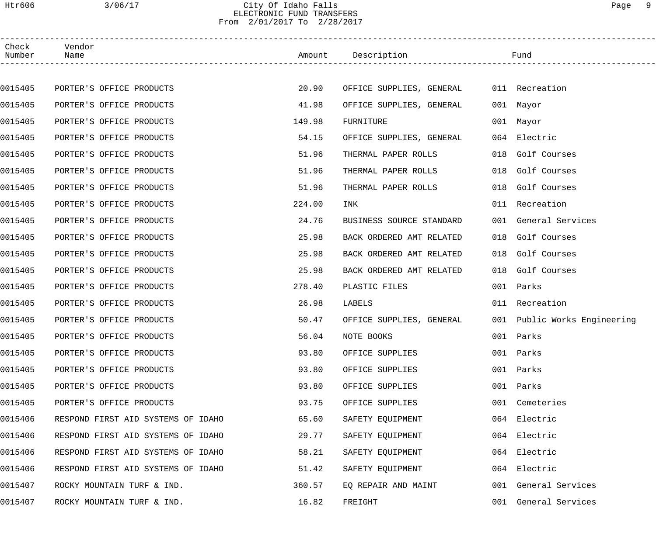# Htr606 3/06/17 City Of Idaho Falls Page 9 ELECTRONIC FUND TRANSFERS From 2/01/2017 To 2/28/2017

| Check<br>Number | Vendor<br>Name                     |        | Amount Description                      |     | Fund                         |
|-----------------|------------------------------------|--------|-----------------------------------------|-----|------------------------------|
|                 |                                    |        |                                         |     |                              |
| 0015405         | PORTER'S OFFICE PRODUCTS           | 20.90  | OFFICE SUPPLIES, GENERAL 011 Recreation |     |                              |
| 0015405         | PORTER'S OFFICE PRODUCTS           | 41.98  | OFFICE SUPPLIES, GENERAL                |     | 001 Mayor                    |
| 0015405         | PORTER'S OFFICE PRODUCTS           | 149.98 | FURNITURE                               |     | 001 Mayor                    |
| 0015405         | PORTER'S OFFICE PRODUCTS           | 54.15  | OFFICE SUPPLIES, GENERAL                |     | 064 Electric                 |
| 0015405         | PORTER'S OFFICE PRODUCTS           | 51.96  | THERMAL PAPER ROLLS                     | 018 | Golf Courses                 |
| 0015405         | PORTER'S OFFICE PRODUCTS           | 51.96  | THERMAL PAPER ROLLS                     | 018 | Golf Courses                 |
| 0015405         | PORTER'S OFFICE PRODUCTS           | 51.96  | THERMAL PAPER ROLLS                     | 018 | Golf Courses                 |
| 0015405         | PORTER'S OFFICE PRODUCTS           | 224.00 | INK                                     |     | 011 Recreation               |
| 0015405         | PORTER'S OFFICE PRODUCTS           | 24.76  | BUSINESS SOURCE STANDARD                |     | 001 General Services         |
| 0015405         | PORTER'S OFFICE PRODUCTS           | 25.98  | BACK ORDERED AMT RELATED                | 018 | Golf Courses                 |
| 0015405         | PORTER'S OFFICE PRODUCTS           | 25.98  | BACK ORDERED AMT RELATED                | 018 | Golf Courses                 |
| 0015405         | PORTER'S OFFICE PRODUCTS           | 25.98  | BACK ORDERED AMT RELATED                | 018 | Golf Courses                 |
| 0015405         | PORTER'S OFFICE PRODUCTS           | 278.40 | PLASTIC FILES                           |     | 001 Parks                    |
| 0015405         | PORTER'S OFFICE PRODUCTS           | 26.98  | LABELS                                  |     | 011 Recreation               |
| 0015405         | PORTER'S OFFICE PRODUCTS           | 50.47  | OFFICE SUPPLIES, GENERAL                |     | 001 Public Works Engineering |
| 0015405         | PORTER'S OFFICE PRODUCTS           | 56.04  | NOTE BOOKS                              |     | 001 Parks                    |
| 0015405         | PORTER'S OFFICE PRODUCTS           | 93.80  | OFFICE SUPPLIES                         |     | 001 Parks                    |
| 0015405         | PORTER'S OFFICE PRODUCTS           | 93.80  | OFFICE SUPPLIES                         |     | 001 Parks                    |
| 0015405         | PORTER'S OFFICE PRODUCTS           | 93.80  | OFFICE SUPPLIES                         | 001 | Parks                        |
| 0015405         | PORTER'S OFFICE PRODUCTS           | 93.75  | OFFICE SUPPLIES                         |     | 001 Cemeteries               |
| 0015406         | RESPOND FIRST AID SYSTEMS OF IDAHO | 65.60  | SAFETY EQUIPMENT                        |     | 064 Electric                 |
| 0015406         | RESPOND FIRST AID SYSTEMS OF IDAHO | 29.77  | SAFETY EQUIPMENT                        |     | 064 Electric                 |
| 0015406         | RESPOND FIRST AID SYSTEMS OF IDAHO | 58.21  | SAFETY EQUIPMENT                        |     | 064 Electric                 |
| 0015406         | RESPOND FIRST AID SYSTEMS OF IDAHO | 51.42  | SAFETY EQUIPMENT                        |     | 064 Electric                 |
| 0015407         | ROCKY MOUNTAIN TURF & IND.         | 360.57 | EQ REPAIR AND MAINT                     |     | 001 General Services         |
| 0015407         | ROCKY MOUNTAIN TURF & IND.         | 16.82  | FREIGHT                                 |     | 001 General Services         |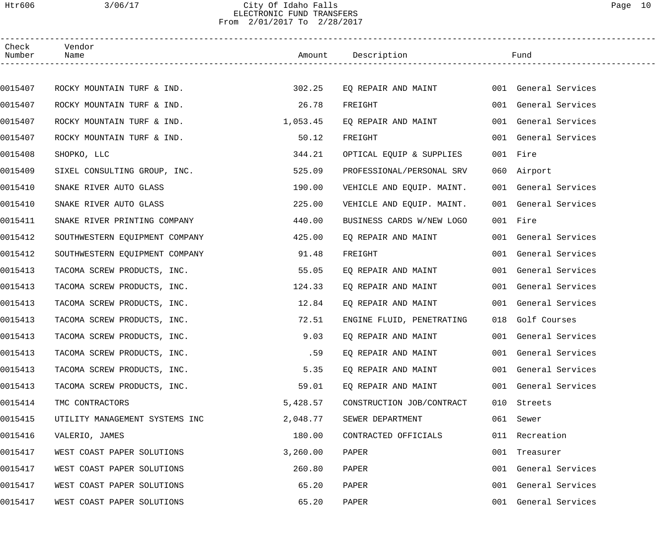### Htr606 3/06/17 City Of Idaho Falls Page 10 ELECTRONIC FUND TRANSFERS From 2/01/2017 To 2/28/2017

| Check<br>Number | Vendor<br>Name                 |          | Amount Description        |     | Fund                 |
|-----------------|--------------------------------|----------|---------------------------|-----|----------------------|
|                 |                                |          |                           |     |                      |
| 0015407         | ROCKY MOUNTAIN TURF & IND.     | 302.25   | EQ REPAIR AND MAINT       |     | 001 General Services |
| 0015407         | ROCKY MOUNTAIN TURF & IND.     | 26.78    | FREIGHT                   |     | 001 General Services |
| 0015407         | ROCKY MOUNTAIN TURF & IND.     | 1,053.45 | EQ REPAIR AND MAINT       |     | 001 General Services |
| 0015407         | ROCKY MOUNTAIN TURF & IND.     | 50.12    | FREIGHT                   |     | 001 General Services |
| 0015408         | SHOPKO, LLC                    | 344.21   | OPTICAL EQUIP & SUPPLIES  |     | 001 Fire             |
| 0015409         | SIXEL CONSULTING GROUP, INC.   | 525.09   | PROFESSIONAL/PERSONAL SRV |     | 060 Airport          |
| 0015410         | SNAKE RIVER AUTO GLASS         | 190.00   | VEHICLE AND EQUIP. MAINT. |     | 001 General Services |
| 0015410         | SNAKE RIVER AUTO GLASS         | 225.00   | VEHICLE AND EQUIP. MAINT. |     | 001 General Services |
| 0015411         | SNAKE RIVER PRINTING COMPANY   | 440.00   | BUSINESS CARDS W/NEW LOGO |     | 001 Fire             |
| 0015412         | SOUTHWESTERN EQUIPMENT COMPANY | 425.00   | EQ REPAIR AND MAINT       |     | 001 General Services |
| 0015412         | SOUTHWESTERN EQUIPMENT COMPANY | 91.48    | FREIGHT                   |     | 001 General Services |
| 0015413         | TACOMA SCREW PRODUCTS, INC.    | 55.05    | EQ REPAIR AND MAINT       |     | 001 General Services |
| 0015413         | TACOMA SCREW PRODUCTS, INC.    | 124.33   | EQ REPAIR AND MAINT       |     | 001 General Services |
| 0015413         | TACOMA SCREW PRODUCTS, INC.    | 12.84    | EO REPAIR AND MAINT       |     | 001 General Services |
| 0015413         | TACOMA SCREW PRODUCTS, INC.    | 72.51    | ENGINE FLUID, PENETRATING |     | 018 Golf Courses     |
| 0015413         | TACOMA SCREW PRODUCTS, INC.    | 9.03     | EQ REPAIR AND MAINT       |     | 001 General Services |
| 0015413         | TACOMA SCREW PRODUCTS, INC.    | .59      | EQ REPAIR AND MAINT       |     | 001 General Services |
| 0015413         | TACOMA SCREW PRODUCTS, INC.    | 5.35     | EQ REPAIR AND MAINT       |     | 001 General Services |
| 0015413         | TACOMA SCREW PRODUCTS, INC.    | 59.01    | EQ REPAIR AND MAINT       |     | 001 General Services |
| 0015414         | TMC CONTRACTORS                | 5,428.57 | CONSTRUCTION JOB/CONTRACT |     | 010 Streets          |
| 0015415         | UTILITY MANAGEMENT SYSTEMS INC | 2,048.77 | SEWER DEPARTMENT          |     | 061 Sewer            |
| 0015416         | VALERIO, JAMES                 | 180.00   | CONTRACTED OFFICIALS      |     | 011 Recreation       |
| 0015417         | WEST COAST PAPER SOLUTIONS     | 3,260.00 | PAPER                     |     | 001 Treasurer        |
| 0015417         | WEST COAST PAPER SOLUTIONS     | 260.80   | PAPER                     |     | 001 General Services |
| 0015417         | WEST COAST PAPER SOLUTIONS     | 65.20    | PAPER                     |     | 001 General Services |
| 0015417         | WEST COAST PAPER SOLUTIONS     | 65.20    | PAPER                     | 001 | General Services     |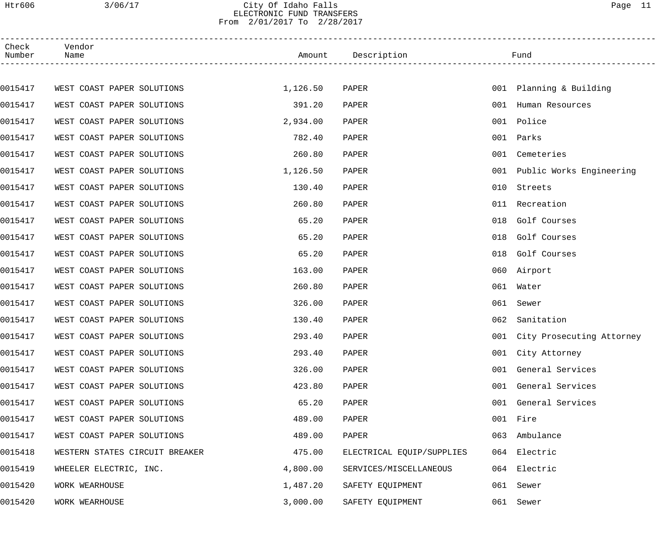### Htr606 3/06/17 City Of Idaho Falls Page 11 ELECTRONIC FUND TRANSFERS From 2/01/2017 To 2/28/2017

| Check<br>Number | Vendor<br>Name                 |          | Amount Description        |     | Fund                          |
|-----------------|--------------------------------|----------|---------------------------|-----|-------------------------------|
|                 |                                |          |                           |     |                               |
| 0015417         | WEST COAST PAPER SOLUTIONS     | 1,126.50 | PAPER                     |     | 001 Planning & Building       |
| 0015417         | WEST COAST PAPER SOLUTIONS     | 391.20   | PAPER                     | 001 | Human Resources               |
| 0015417         | WEST COAST PAPER SOLUTIONS     | 2,934.00 | PAPER                     | 001 | Police                        |
| 0015417         | WEST COAST PAPER SOLUTIONS     | 782.40   | PAPER                     | 001 | Parks                         |
| 0015417         | WEST COAST PAPER SOLUTIONS     | 260.80   | PAPER                     | 001 | Cemeteries                    |
| 0015417         | WEST COAST PAPER SOLUTIONS     | 1,126.50 | PAPER                     | 001 | Public Works Engineering      |
| 0015417         | WEST COAST PAPER SOLUTIONS     | 130.40   | PAPER                     | 010 | Streets                       |
| 0015417         | WEST COAST PAPER SOLUTIONS     | 260.80   | PAPER                     | 011 | Recreation                    |
| 0015417         | WEST COAST PAPER SOLUTIONS     | 65.20    | PAPER                     | 018 | Golf Courses                  |
| 0015417         | WEST COAST PAPER SOLUTIONS     | 65.20    | PAPER                     | 018 | Golf Courses                  |
| 0015417         | WEST COAST PAPER SOLUTIONS     | 65.20    | PAPER                     | 018 | Golf Courses                  |
| 0015417         | WEST COAST PAPER SOLUTIONS     | 163.00   | PAPER                     | 060 | Airport                       |
| 0015417         | WEST COAST PAPER SOLUTIONS     | 260.80   | PAPER                     | 061 | Water                         |
| 0015417         | WEST COAST PAPER SOLUTIONS     | 326.00   | PAPER                     | 061 | Sewer                         |
| 0015417         | WEST COAST PAPER SOLUTIONS     | 130.40   | PAPER                     | 062 | Sanitation                    |
| 0015417         | WEST COAST PAPER SOLUTIONS     | 293.40   | PAPER                     |     | 001 City Prosecuting Attorney |
| 0015417         | WEST COAST PAPER SOLUTIONS     | 293.40   | PAPER                     |     | 001 City Attorney             |
| 0015417         | WEST COAST PAPER SOLUTIONS     | 326.00   | PAPER                     | 001 | General Services              |
| 0015417         | WEST COAST PAPER SOLUTIONS     | 423.80   | PAPER                     | 001 | General Services              |
| 0015417         | WEST COAST PAPER SOLUTIONS     | 65.20    | PAPER                     | 001 | General Services              |
| 0015417         | WEST COAST PAPER SOLUTIONS     | 489.00   | PAPER                     |     | 001 Fire                      |
| 0015417         | WEST COAST PAPER SOLUTIONS     | 489.00   | PAPER                     | 063 | Ambulance                     |
| 0015418         | WESTERN STATES CIRCUIT BREAKER | 475.00   | ELECTRICAL EQUIP/SUPPLIES |     | 064 Electric                  |
| 0015419         | WHEELER ELECTRIC, INC.         | 4,800.00 | SERVICES/MISCELLANEOUS    |     | 064 Electric                  |
| 0015420         | WORK WEARHOUSE                 | 1,487.20 | SAFETY EQUIPMENT          | 061 | Sewer                         |
| 0015420         | WORK WEARHOUSE                 | 3,000.00 | SAFETY EQUIPMENT          | 061 | Sewer                         |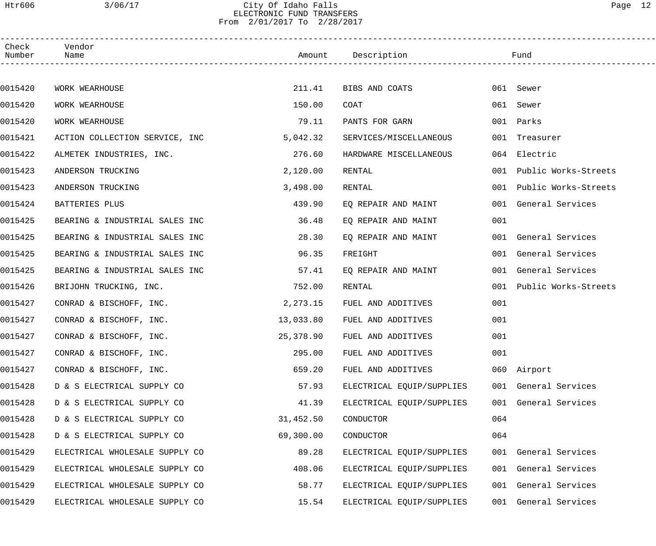### Htr606 3/06/17 City Of Idaho Falls Page 12 ELECTRONIC FUND TRANSFERS From 2/01/2017 To 2/28/2017

| Check<br>Number | Vendor<br>Name                 |           | Amount Description        |     | Fund                     |  |
|-----------------|--------------------------------|-----------|---------------------------|-----|--------------------------|--|
|                 |                                |           |                           |     |                          |  |
| 0015420         | WORK WEARHOUSE                 | 211.41    | BIBS AND COATS            |     | 061 Sewer                |  |
| 0015420         | WORK WEARHOUSE                 | 150.00    | COAT                      |     | 061 Sewer                |  |
| 0015420         | WORK WEARHOUSE                 | 79.11     | PANTS FOR GARN            |     | 001 Parks                |  |
| 0015421         | ACTION COLLECTION SERVICE, INC | 5,042.32  | SERVICES/MISCELLANEOUS    | 001 | Treasurer                |  |
| 0015422         | ALMETEK INDUSTRIES, INC.       | 276.60    | HARDWARE MISCELLANEOUS    | 064 | Electric                 |  |
| 0015423         | ANDERSON TRUCKING              | 2,120.00  | RENTAL                    | 001 | Public Works-Streets     |  |
| 0015423         | ANDERSON TRUCKING              | 3,498.00  | RENTAL                    |     | 001 Public Works-Streets |  |
| 0015424         | BATTERIES PLUS                 | 439.90    | EQ REPAIR AND MAINT       |     | 001 General Services     |  |
| 0015425         | BEARING & INDUSTRIAL SALES INC | 36.48     | EO REPAIR AND MAINT       | 001 |                          |  |
| 0015425         | BEARING & INDUSTRIAL SALES INC | 28.30     | EQ REPAIR AND MAINT       |     | 001 General Services     |  |
| 0015425         | BEARING & INDUSTRIAL SALES INC | 96.35     | FREIGHT                   |     | 001 General Services     |  |
| 0015425         | BEARING & INDUSTRIAL SALES INC | 57.41     | EQ REPAIR AND MAINT       |     | 001 General Services     |  |
| 0015426         | BRIJOHN TRUCKING, INC.         | 752.00    | RENTAL                    | 001 | Public Works-Streets     |  |
| 0015427         | CONRAD & BISCHOFF, INC.        | 2,273.15  | FUEL AND ADDITIVES        | 001 |                          |  |
| 0015427         | CONRAD & BISCHOFF, INC.        | 13,033.80 | FUEL AND ADDITIVES        | 001 |                          |  |
| 0015427         | CONRAD & BISCHOFF, INC.        | 25,378.90 | FUEL AND ADDITIVES        | 001 |                          |  |
| 0015427         | CONRAD & BISCHOFF, INC.        | 295.00    | FUEL AND ADDITIVES        | 001 |                          |  |
| 0015427         | CONRAD & BISCHOFF, INC.        | 659.20    | FUEL AND ADDITIVES        |     | 060 Airport              |  |
| 0015428         | D & S ELECTRICAL SUPPLY CO     | 57.93     | ELECTRICAL EQUIP/SUPPLIES |     | 001 General Services     |  |
| 0015428         | D & S ELECTRICAL SUPPLY CO     | 41.39     | ELECTRICAL EQUIP/SUPPLIES |     | 001 General Services     |  |
| 0015428         | D & S ELECTRICAL SUPPLY CO     | 31,452.50 | CONDUCTOR                 | 064 |                          |  |
| 0015428         | D & S ELECTRICAL SUPPLY CO     | 69,300.00 | CONDUCTOR                 | 064 |                          |  |
| 0015429         | ELECTRICAL WHOLESALE SUPPLY CO | 89.28     | ELECTRICAL EQUIP/SUPPLIES |     | 001 General Services     |  |
| 0015429         | ELECTRICAL WHOLESALE SUPPLY CO | 408.06    | ELECTRICAL EQUIP/SUPPLIES |     | 001 General Services     |  |
| 0015429         | ELECTRICAL WHOLESALE SUPPLY CO | 58.77     | ELECTRICAL EQUIP/SUPPLIES |     | 001 General Services     |  |
| 0015429         | ELECTRICAL WHOLESALE SUPPLY CO | 15.54     | ELECTRICAL EQUIP/SUPPLIES |     | 001 General Services     |  |
|                 |                                |           |                           |     |                          |  |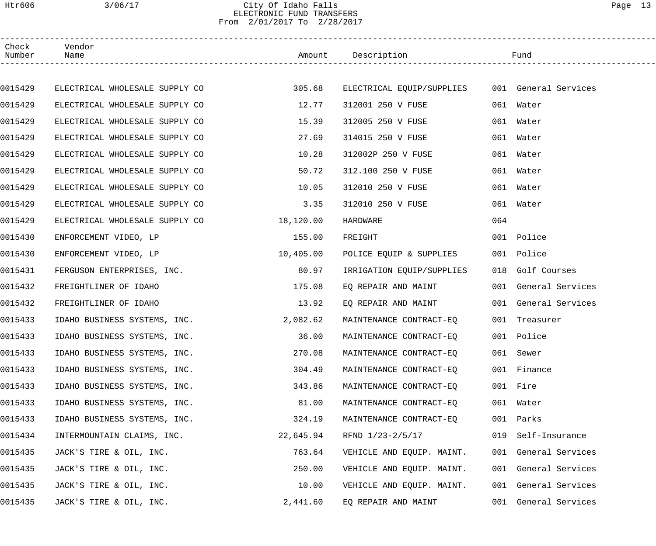# Htr606 3/06/17 City Of Idaho Falls Page 13 ELECTRONIC FUND TRANSFERS From 2/01/2017 To 2/28/2017

| Check<br>Number | Vendor<br>Name                 |           | Amount Description                             |     | Fund                 |
|-----------------|--------------------------------|-----------|------------------------------------------------|-----|----------------------|
|                 |                                |           |                                                |     |                      |
| 0015429         | ELECTRICAL WHOLESALE SUPPLY CO | 305.68    | ELECTRICAL EQUIP/SUPPLIES 001 General Services |     |                      |
| 0015429         | ELECTRICAL WHOLESALE SUPPLY CO | 12.77     | 312001 250 V FUSE                              |     | 061 Water            |
| 0015429         | ELECTRICAL WHOLESALE SUPPLY CO | 15.39     | 312005 250 V FUSE                              |     | 061 Water            |
| 0015429         | ELECTRICAL WHOLESALE SUPPLY CO | 27.69     | 314015 250 V FUSE                              |     | 061 Water            |
| 0015429         | ELECTRICAL WHOLESALE SUPPLY CO | 10.28     | 312002P 250 V FUSE                             |     | 061 Water            |
| 0015429         | ELECTRICAL WHOLESALE SUPPLY CO | 50.72     | 312.100 250 V FUSE                             |     | 061 Water            |
| 0015429         | ELECTRICAL WHOLESALE SUPPLY CO | 10.05     | 312010 250 V FUSE                              |     | 061 Water            |
| 0015429         | ELECTRICAL WHOLESALE SUPPLY CO | 3.35      | 312010 250 V FUSE                              |     | 061 Water            |
| 0015429         | ELECTRICAL WHOLESALE SUPPLY CO | 18,120.00 | HARDWARE                                       | 064 |                      |
| 0015430         | ENFORCEMENT VIDEO, LP          | 155.00    | FREIGHT                                        |     | 001 Police           |
| 0015430         | ENFORCEMENT VIDEO, LP          | 10,405.00 | POLICE EQUIP & SUPPLIES                        |     | 001 Police           |
| 0015431         | FERGUSON ENTERPRISES, INC.     | 80.97     | IRRIGATION EQUIP/SUPPLIES                      |     | 018 Golf Courses     |
| 0015432         | FREIGHTLINER OF IDAHO          | 175.08    | EQ REPAIR AND MAINT                            |     | 001 General Services |
| 0015432         | FREIGHTLINER OF IDAHO          | 13.92     | EO REPAIR AND MAINT                            |     | 001 General Services |
| 0015433         | IDAHO BUSINESS SYSTEMS, INC.   | 2,082.62  | MAINTENANCE CONTRACT-EQ                        |     | 001 Treasurer        |
| 0015433         | IDAHO BUSINESS SYSTEMS, INC.   | 36.00     | MAINTENANCE CONTRACT-EQ                        |     | 001 Police           |
| 0015433         | IDAHO BUSINESS SYSTEMS, INC.   | 270.08    | MAINTENANCE CONTRACT-EO                        |     | 061 Sewer            |
| 0015433         | IDAHO BUSINESS SYSTEMS, INC.   | 304.49    | MAINTENANCE CONTRACT-EO                        |     | 001 Finance          |
| 0015433         | IDAHO BUSINESS SYSTEMS, INC.   | 343.86    | MAINTENANCE CONTRACT-EO                        |     | 001 Fire             |
| 0015433         | IDAHO BUSINESS SYSTEMS, INC.   | 81.00     | MAINTENANCE CONTRACT-EO                        |     | 061 Water            |
| 0015433         | IDAHO BUSINESS SYSTEMS, INC.   | 324.19    | MAINTENANCE CONTRACT-EQ                        |     | 001 Parks            |
| 0015434         | INTERMOUNTAIN CLAIMS, INC.     | 22,645.94 | RFND 1/23-2/5/17                               |     | 019 Self-Insurance   |
| 0015435         | JACK'S TIRE & OIL, INC.        | 763.64    | VEHICLE AND EQUIP. MAINT.                      |     | 001 General Services |
| 0015435         | JACK'S TIRE & OIL, INC.        | 250.00    | VEHICLE AND EQUIP. MAINT.                      |     | 001 General Services |
| 0015435         | JACK'S TIRE & OIL, INC.        | 10.00     | VEHICLE AND EQUIP. MAINT.                      |     | 001 General Services |
| 0015435         | JACK'S TIRE & OIL, INC.        | 2,441.60  | EQ REPAIR AND MAINT                            |     | 001 General Services |
|                 |                                |           |                                                |     |                      |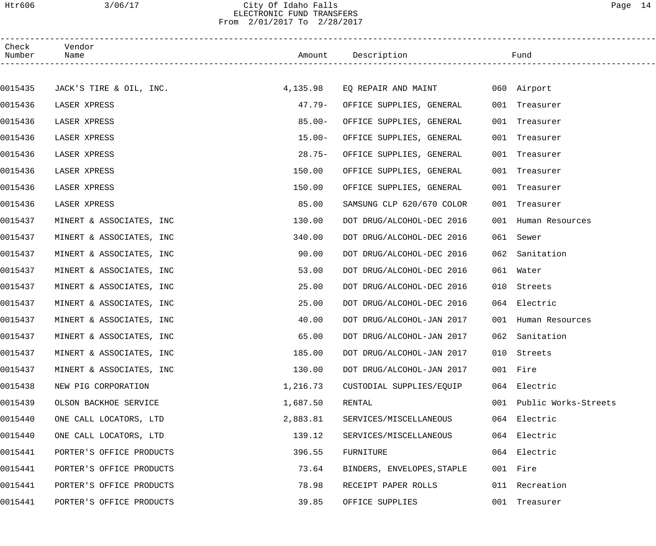### Htr606 3/06/17 City Of Idaho Falls Page 14 ELECTRONIC FUND TRANSFERS From 2/01/2017 To 2/28/2017

| Check<br>Number | Vendor                   |           |                                 |                          |
|-----------------|--------------------------|-----------|---------------------------------|--------------------------|
|                 |                          |           |                                 |                          |
| 0015435         | JACK'S TIRE & OIL, INC.  | 4,135.98  | EQ REPAIR AND MAINT 600 Airport |                          |
| 0015436         | LASER XPRESS             | $47.79 -$ | OFFICE SUPPLIES, GENERAL        | 001 Treasurer            |
| 0015436         | LASER XPRESS             | $85.00 -$ | OFFICE SUPPLIES, GENERAL        | 001 Treasurer            |
| 0015436         | LASER XPRESS             | $15.00 -$ | OFFICE SUPPLIES, GENERAL        | 001 Treasurer            |
| 0015436         | LASER XPRESS             | $28.75-$  | OFFICE SUPPLIES, GENERAL        | 001 Treasurer            |
| 0015436         | LASER XPRESS             | 150.00    | OFFICE SUPPLIES, GENERAL        | 001 Treasurer            |
| 0015436         | LASER XPRESS             | 150.00    | OFFICE SUPPLIES, GENERAL        | 001 Treasurer            |
| 0015436         | LASER XPRESS             | 85.00     | SAMSUNG CLP 620/670 COLOR       | 001 Treasurer            |
| 0015437         | MINERT & ASSOCIATES, INC | 130.00    | DOT DRUG/ALCOHOL-DEC 2016       | 001 Human Resources      |
| 0015437         | MINERT & ASSOCIATES, INC | 340.00    | DOT DRUG/ALCOHOL-DEC 2016       | 061 Sewer                |
| 0015437         | MINERT & ASSOCIATES, INC | 90.00     | DOT DRUG/ALCOHOL-DEC 2016       | 062 Sanitation           |
| 0015437         | MINERT & ASSOCIATES, INC | 53.00     | DOT DRUG/ALCOHOL-DEC 2016       | 061 Water                |
| 0015437         | MINERT & ASSOCIATES, INC | 25.00     | DOT DRUG/ALCOHOL-DEC 2016       | 010 Streets              |
| 0015437         | MINERT & ASSOCIATES, INC | 25.00     | DOT DRUG/ALCOHOL-DEC 2016       | 064 Electric             |
| 0015437         | MINERT & ASSOCIATES, INC | 40.00     | DOT DRUG/ALCOHOL-JAN 2017       | 001 Human Resources      |
| 0015437         | MINERT & ASSOCIATES, INC | 65.00     | DOT DRUG/ALCOHOL-JAN 2017       | 062 Sanitation           |
| 0015437         | MINERT & ASSOCIATES, INC | 185.00    | DOT DRUG/ALCOHOL-JAN 2017       | 010 Streets              |
| 0015437         | MINERT & ASSOCIATES, INC | 130.00    | DOT DRUG/ALCOHOL-JAN 2017       | 001 Fire                 |
| 0015438         | NEW PIG CORPORATION      | 1,216.73  | CUSTODIAL SUPPLIES/EQUIP        | 064 Electric             |
| 0015439         | OLSON BACKHOE SERVICE    | 1,687.50  | RENTAL                          | 001 Public Works-Streets |
| 0015440         | ONE CALL LOCATORS, LTD   | 2,883.81  | SERVICES/MISCELLANEOUS          | 064 Electric             |
| 0015440         | ONE CALL LOCATORS, LTD   | 139.12    | SERVICES/MISCELLANEOUS          | 064 Electric             |
| 0015441         | PORTER'S OFFICE PRODUCTS | 396.55    | FURNITURE                       | 064 Electric             |
| 0015441         | PORTER'S OFFICE PRODUCTS | 73.64     | BINDERS, ENVELOPES, STAPLE      | 001 Fire                 |
| 0015441         | PORTER'S OFFICE PRODUCTS | 78.98     | RECEIPT PAPER ROLLS             | 011 Recreation           |
| 0015441         | PORTER'S OFFICE PRODUCTS | 39.85     | OFFICE SUPPLIES                 | 001 Treasurer            |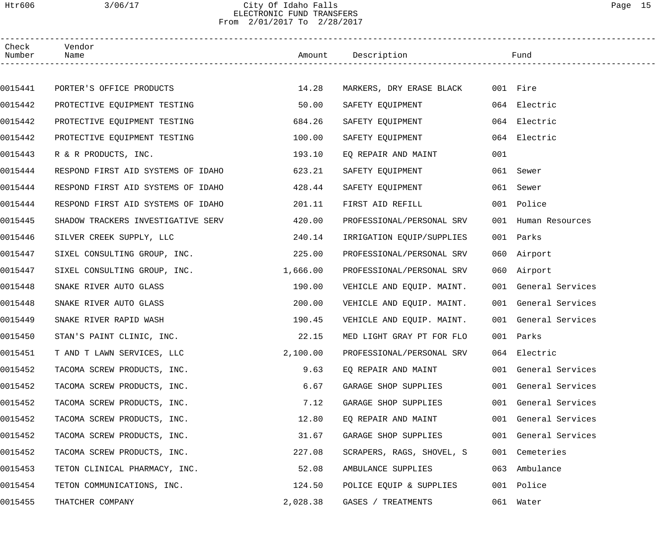### Htr606 3/06/17 City Of Idaho Falls Page 15 ELECTRONIC FUND TRANSFERS From 2/01/2017 To 2/28/2017

| Check<br>Number | Vendor<br>Name                     |          | Amount Description        |     | Fund                 |  |
|-----------------|------------------------------------|----------|---------------------------|-----|----------------------|--|
|                 |                                    |          |                           |     |                      |  |
| 0015441         | PORTER'S OFFICE PRODUCTS           | 14.28    | MARKERS, DRY ERASE BLACK  |     | 001 Fire             |  |
| 0015442         | PROTECTIVE EQUIPMENT TESTING       | 50.00    | SAFETY EQUIPMENT          |     | 064 Electric         |  |
| 0015442         | PROTECTIVE EQUIPMENT TESTING       | 684.26   | SAFETY EQUIPMENT          |     | 064 Electric         |  |
| 0015442         | PROTECTIVE EQUIPMENT TESTING       | 100.00   | SAFETY EQUIPMENT          |     | 064 Electric         |  |
| 0015443         | R & R PRODUCTS, INC.               | 193.10   | EQ REPAIR AND MAINT       | 001 |                      |  |
| 0015444         | RESPOND FIRST AID SYSTEMS OF IDAHO | 623.21   | SAFETY EQUIPMENT          |     | 061 Sewer            |  |
| 0015444         | RESPOND FIRST AID SYSTEMS OF IDAHO | 428.44   | SAFETY EQUIPMENT          |     | 061 Sewer            |  |
| 0015444         | RESPOND FIRST AID SYSTEMS OF IDAHO | 201.11   | FIRST AID REFILL          |     | 001 Police           |  |
| 0015445         | SHADOW TRACKERS INVESTIGATIVE SERV | 420.00   | PROFESSIONAL/PERSONAL SRV | 001 | Human Resources      |  |
| 0015446         | SILVER CREEK SUPPLY, LLC           | 240.14   | IRRIGATION EQUIP/SUPPLIES |     | 001 Parks            |  |
| 0015447         | SIXEL CONSULTING GROUP, INC.       | 225.00   | PROFESSIONAL/PERSONAL SRV |     | 060 Airport          |  |
| 0015447         | SIXEL CONSULTING GROUP, INC.       | 1,666.00 | PROFESSIONAL/PERSONAL SRV |     | 060 Airport          |  |
| 0015448         | SNAKE RIVER AUTO GLASS             | 190.00   | VEHICLE AND EQUIP. MAINT. |     | 001 General Services |  |
| 0015448         | SNAKE RIVER AUTO GLASS             | 200.00   | VEHICLE AND EQUIP. MAINT. |     | 001 General Services |  |
| 0015449         | SNAKE RIVER RAPID WASH             | 190.45   | VEHICLE AND EQUIP. MAINT. |     | 001 General Services |  |
| 0015450         | STAN'S PAINT CLINIC, INC.          | 22.15    | MED LIGHT GRAY PT FOR FLO |     | 001 Parks            |  |
| 0015451         | T AND T LAWN SERVICES, LLC         | 2,100.00 | PROFESSIONAL/PERSONAL SRV |     | 064 Electric         |  |
| 0015452         | TACOMA SCREW PRODUCTS, INC.        | 9.63     | EO REPAIR AND MAINT       |     | 001 General Services |  |
| 0015452         | TACOMA SCREW PRODUCTS, INC.        | 6.67     | GARAGE SHOP SUPPLIES      |     | 001 General Services |  |
| 0015452         | TACOMA SCREW PRODUCTS, INC.        | 7.12     | GARAGE SHOP SUPPLIES      |     | 001 General Services |  |
| 0015452         | TACOMA SCREW PRODUCTS, INC.        | 12.80    | EQ REPAIR AND MAINT       |     | 001 General Services |  |
| 0015452         | TACOMA SCREW PRODUCTS, INC.        | 31.67    | GARAGE SHOP SUPPLIES      |     | 001 General Services |  |
| 0015452         | TACOMA SCREW PRODUCTS, INC.        | 227.08   | SCRAPERS, RAGS, SHOVEL, S |     | 001 Cemeteries       |  |
| 0015453         | TETON CLINICAL PHARMACY, INC.      | 52.08    | AMBULANCE SUPPLIES        | 063 | Ambulance            |  |
| 0015454         | TETON COMMUNICATIONS, INC.         | 124.50   | POLICE EQUIP & SUPPLIES   |     | 001 Police           |  |
| 0015455         | THATCHER COMPANY                   | 2,028.38 | GASES / TREATMENTS        |     | 061 Water            |  |
|                 |                                    |          |                           |     |                      |  |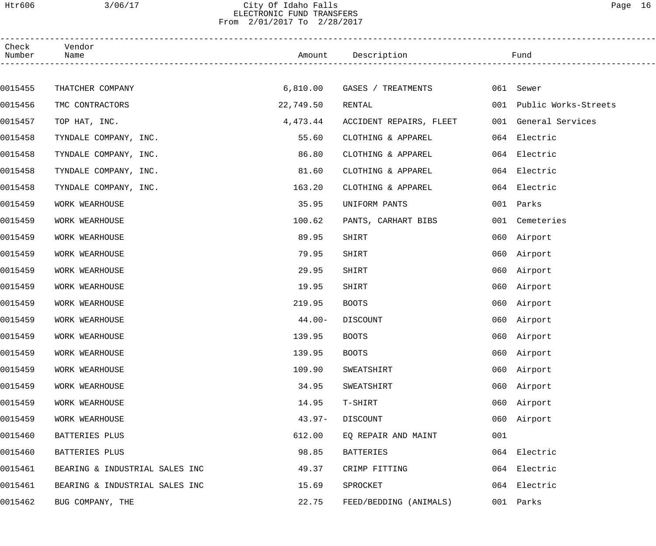### Htr606 3/06/17 City Of Idaho Falls Page 16 ELECTRONIC FUND TRANSFERS From 2/01/2017 To 2/28/2017

| Check<br>Number | Vendor<br>Name                 |           | Amount Description      |     | Fund                     |  |
|-----------------|--------------------------------|-----------|-------------------------|-----|--------------------------|--|
|                 |                                |           |                         |     |                          |  |
| 0015455         | THATCHER COMPANY               | 6,810.00  | GASES / TREATMENTS      |     | 061 Sewer                |  |
| 0015456         | TMC CONTRACTORS                | 22,749.50 | RENTAL                  |     | 001 Public Works-Streets |  |
| 0015457         | TOP HAT, INC.                  | 4,473.44  | ACCIDENT REPAIRS, FLEET |     | 001 General Services     |  |
| 0015458         | TYNDALE COMPANY, INC.          | 55.60     | CLOTHING & APPAREL      |     | 064 Electric             |  |
| 0015458         | TYNDALE COMPANY, INC.          | 86.80     | CLOTHING & APPAREL      |     | 064 Electric             |  |
| 0015458         | TYNDALE COMPANY, INC.          | 81.60     | CLOTHING & APPAREL      |     | 064 Electric             |  |
| 0015458         | TYNDALE COMPANY, INC.          | 163.20    | CLOTHING & APPAREL      |     | 064 Electric             |  |
| 0015459         | WORK WEARHOUSE                 | 35.95     | UNIFORM PANTS           |     | 001 Parks                |  |
| 0015459         | WORK WEARHOUSE                 | 100.62    | PANTS, CARHART BIBS     | 001 | Cemeteries               |  |
| 0015459         | WORK WEARHOUSE                 | 89.95     | SHIRT                   |     | 060 Airport              |  |
| 0015459         | WORK WEARHOUSE                 | 79.95     | SHIRT                   |     | 060 Airport              |  |
| 0015459         | WORK WEARHOUSE                 | 29.95     | SHIRT                   | 060 | Airport                  |  |
| 0015459         | WORK WEARHOUSE                 | 19.95     | SHIRT                   |     | 060 Airport              |  |
| 0015459         | WORK WEARHOUSE                 | 219.95    | <b>BOOTS</b>            |     | 060 Airport              |  |
| 0015459         | WORK WEARHOUSE                 | $44.00 -$ | DISCOUNT                |     | 060 Airport              |  |
| 0015459         | WORK WEARHOUSE                 | 139.95    | <b>BOOTS</b>            |     | 060 Airport              |  |
| 0015459         | WORK WEARHOUSE                 | 139.95    | <b>BOOTS</b>            |     | 060 Airport              |  |
| 0015459         | WORK WEARHOUSE                 | 109.90    | SWEATSHIRT              |     | 060 Airport              |  |
| 0015459         | WORK WEARHOUSE                 | 34.95     | SWEATSHIRT              |     | 060 Airport              |  |
| 0015459         | WORK WEARHOUSE                 | 14.95     | T-SHIRT                 |     | 060 Airport              |  |
| 0015459         | WORK WEARHOUSE                 | $43.97-$  | DISCOUNT                | 060 | Airport                  |  |
| 0015460         | BATTERIES PLUS                 | 612.00    | EQ REPAIR AND MAINT     | 001 |                          |  |
| 0015460         | BATTERIES PLUS                 | 98.85     | BATTERIES               |     | 064 Electric             |  |
| 0015461         | BEARING & INDUSTRIAL SALES INC | 49.37     | CRIMP FITTING           |     | 064 Electric             |  |
| 0015461         | BEARING & INDUSTRIAL SALES INC | 15.69     | SPROCKET                |     | 064 Electric             |  |
| 0015462         | BUG COMPANY, THE               | 22.75     | FEED/BEDDING (ANIMALS)  |     | 001 Parks                |  |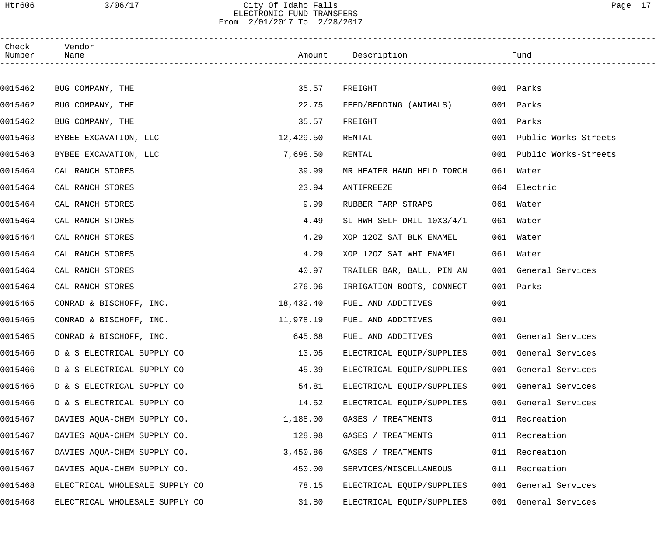### Htr606 3/06/17 City Of Idaho Falls Page 17 ELECTRONIC FUND TRANSFERS From 2/01/2017 To 2/28/2017

| Check<br>Number | Vendor<br>Name                 |           | Amount Description        |     | Fund                 |  |
|-----------------|--------------------------------|-----------|---------------------------|-----|----------------------|--|
|                 |                                |           |                           |     |                      |  |
| 0015462         | BUG COMPANY, THE               | 35.57     | FREIGHT                   |     | 001 Parks            |  |
| 0015462         | BUG COMPANY, THE               | 22.75     | FEED/BEDDING (ANIMALS)    | 001 | Parks                |  |
| 0015462         | BUG COMPANY, THE               | 35.57     | FREIGHT                   | 001 | Parks                |  |
| 0015463         | BYBEE EXCAVATION, LLC          | 12,429.50 | RENTAL                    | 001 | Public Works-Streets |  |
| 0015463         | BYBEE EXCAVATION, LLC          | 7,698.50  | RENTAL                    | 001 | Public Works-Streets |  |
| 0015464         | CAL RANCH STORES               | 39.99     | MR HEATER HAND HELD TORCH | 061 | Water                |  |
| 0015464         | CAL RANCH STORES               | 23.94     | ANTIFREEZE                |     | 064 Electric         |  |
| 0015464         | CAL RANCH STORES               | 9.99      | RUBBER TARP STRAPS        |     | 061 Water            |  |
| 0015464         | CAL RANCH STORES               | 4.49      | SL HWH SELF DRIL 10X3/4/1 |     | 061 Water            |  |
| 0015464         | CAL RANCH STORES               | 4.29      | XOP 120Z SAT BLK ENAMEL   |     | 061 Water            |  |
| 0015464         | CAL RANCH STORES               | 4.29      | XOP 120Z SAT WHT ENAMEL   |     | 061 Water            |  |
| 0015464         | CAL RANCH STORES               | 40.97     | TRAILER BAR, BALL, PIN AN |     | 001 General Services |  |
| 0015464         | CAL RANCH STORES               | 276.96    | IRRIGATION BOOTS, CONNECT |     | 001 Parks            |  |
| 0015465         | CONRAD & BISCHOFF, INC.        | 18,432.40 | FUEL AND ADDITIVES        | 001 |                      |  |
| 0015465         | CONRAD & BISCHOFF, INC.        | 11,978.19 | FUEL AND ADDITIVES        | 001 |                      |  |
| 0015465         | CONRAD & BISCHOFF, INC.        | 645.68    | FUEL AND ADDITIVES        |     | 001 General Services |  |
| 0015466         | D & S ELECTRICAL SUPPLY CO     | 13.05     | ELECTRICAL EQUIP/SUPPLIES |     | 001 General Services |  |
| 0015466         | D & S ELECTRICAL SUPPLY CO     | 45.39     | ELECTRICAL EQUIP/SUPPLIES |     | 001 General Services |  |
| 0015466         | D & S ELECTRICAL SUPPLY CO     | 54.81     | ELECTRICAL EQUIP/SUPPLIES |     | 001 General Services |  |
| 0015466         | D & S ELECTRICAL SUPPLY CO     | 14.52     | ELECTRICAL EQUIP/SUPPLIES |     | 001 General Services |  |
| 0015467         | DAVIES AQUA-CHEM SUPPLY CO.    | 1,188.00  | GASES / TREATMENTS        |     | 011 Recreation       |  |
| 0015467         | DAVIES AQUA-CHEM SUPPLY CO.    | 128.98    | GASES / TREATMENTS        |     | 011 Recreation       |  |
| 0015467         | DAVIES AQUA-CHEM SUPPLY CO.    | 3,450.86  | GASES / TREATMENTS        |     | 011 Recreation       |  |
| 0015467         | DAVIES AQUA-CHEM SUPPLY CO.    | 450.00    | SERVICES/MISCELLANEOUS    |     | 011 Recreation       |  |
| 0015468         | ELECTRICAL WHOLESALE SUPPLY CO | 78.15     | ELECTRICAL EQUIP/SUPPLIES |     | 001 General Services |  |
| 0015468         | ELECTRICAL WHOLESALE SUPPLY CO | 31.80     | ELECTRICAL EQUIP/SUPPLIES |     | 001 General Services |  |
|                 |                                |           |                           |     |                      |  |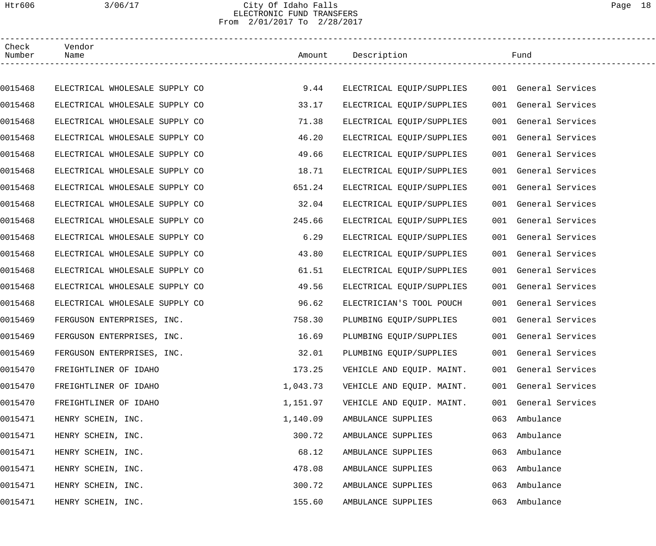# Htr606 3/06/17 City Of Idaho Falls Page 18 ELECTRONIC FUND TRANSFERS From 2/01/2017 To 2/28/2017

| Check<br>Number | Vendor<br>Name                 |          | Amount Description        |     | Fund                 |  |
|-----------------|--------------------------------|----------|---------------------------|-----|----------------------|--|
|                 |                                |          |                           |     |                      |  |
| 0015468         | ELECTRICAL WHOLESALE SUPPLY CO | 9.44     | ELECTRICAL EQUIP/SUPPLIES |     | 001 General Services |  |
| 0015468         | ELECTRICAL WHOLESALE SUPPLY CO | 33.17    | ELECTRICAL EQUIP/SUPPLIES |     | 001 General Services |  |
| 0015468         | ELECTRICAL WHOLESALE SUPPLY CO | 71.38    | ELECTRICAL EQUIP/SUPPLIES |     | 001 General Services |  |
| 0015468         | ELECTRICAL WHOLESALE SUPPLY CO | 46.20    | ELECTRICAL EQUIP/SUPPLIES |     | 001 General Services |  |
| 0015468         | ELECTRICAL WHOLESALE SUPPLY CO | 49.66    | ELECTRICAL EQUIP/SUPPLIES |     | 001 General Services |  |
| 0015468         | ELECTRICAL WHOLESALE SUPPLY CO | 18.71    | ELECTRICAL EQUIP/SUPPLIES |     | 001 General Services |  |
| 0015468         | ELECTRICAL WHOLESALE SUPPLY CO | 651.24   | ELECTRICAL EQUIP/SUPPLIES |     | 001 General Services |  |
| 0015468         | ELECTRICAL WHOLESALE SUPPLY CO | 32.04    | ELECTRICAL EQUIP/SUPPLIES |     | 001 General Services |  |
| 0015468         | ELECTRICAL WHOLESALE SUPPLY CO | 245.66   | ELECTRICAL EQUIP/SUPPLIES |     | 001 General Services |  |
| 0015468         | ELECTRICAL WHOLESALE SUPPLY CO | 6.29     | ELECTRICAL EQUIP/SUPPLIES |     | 001 General Services |  |
| 0015468         | ELECTRICAL WHOLESALE SUPPLY CO | 43.80    | ELECTRICAL EQUIP/SUPPLIES |     | 001 General Services |  |
| 0015468         | ELECTRICAL WHOLESALE SUPPLY CO | 61.51    | ELECTRICAL EQUIP/SUPPLIES |     | 001 General Services |  |
| 0015468         | ELECTRICAL WHOLESALE SUPPLY CO | 49.56    | ELECTRICAL EQUIP/SUPPLIES |     | 001 General Services |  |
| 0015468         | ELECTRICAL WHOLESALE SUPPLY CO | 96.62    | ELECTRICIAN'S TOOL POUCH  |     | 001 General Services |  |
| 0015469         | FERGUSON ENTERPRISES, INC.     | 758.30   | PLUMBING EQUIP/SUPPLIES   |     | 001 General Services |  |
| 0015469         | FERGUSON ENTERPRISES, INC.     | 16.69    | PLUMBING EQUIP/SUPPLIES   |     | 001 General Services |  |
| 0015469         | FERGUSON ENTERPRISES, INC.     | 32.01    | PLUMBING EQUIP/SUPPLIES   |     | 001 General Services |  |
| 0015470         | FREIGHTLINER OF IDAHO          | 173.25   | VEHICLE AND EQUIP. MAINT. |     | 001 General Services |  |
| 0015470         | FREIGHTLINER OF IDAHO          | 1,043.73 | VEHICLE AND EQUIP. MAINT. |     | 001 General Services |  |
| 0015470         | FREIGHTLINER OF IDAHO          | 1,151.97 | VEHICLE AND EQUIP. MAINT. |     | 001 General Services |  |
| 0015471         | HENRY SCHEIN, INC.             | 1,140.09 | AMBULANCE SUPPLIES        | 063 | Ambulance            |  |
| 0015471         | HENRY SCHEIN, INC.             | 300.72   | AMBULANCE SUPPLIES        | 063 | Ambulance            |  |
| 0015471         | HENRY SCHEIN, INC.             | 68.12    | AMBULANCE SUPPLIES        | 063 | Ambulance            |  |
| 0015471         | HENRY SCHEIN, INC.             | 478.08   | AMBULANCE SUPPLIES        | 063 | Ambulance            |  |
| 0015471         | HENRY SCHEIN, INC.             | 300.72   | AMBULANCE SUPPLIES        | 063 | Ambulance            |  |
| 0015471         | HENRY SCHEIN, INC.             | 155.60   | AMBULANCE SUPPLIES        | 063 | Ambulance            |  |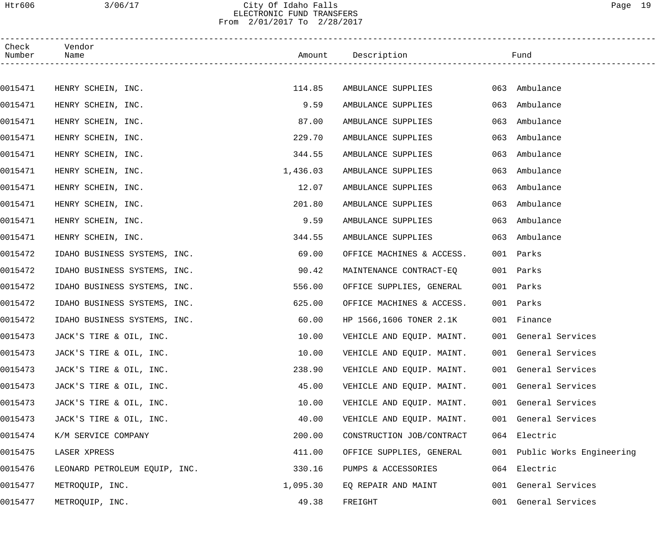# Htr606 3/06/17 City Of Idaho Falls Page 19 ELECTRONIC FUND TRANSFERS From 2/01/2017 To 2/28/2017

| Check<br>Number | Vendor<br>Name                |                              |          | Amount Description        |     | Fund                         |
|-----------------|-------------------------------|------------------------------|----------|---------------------------|-----|------------------------------|
|                 |                               |                              |          |                           |     |                              |
| 0015471         | HENRY SCHEIN, INC.            |                              | 114.85   | AMBULANCE SUPPLIES        |     | 063 Ambulance                |
| 0015471         | HENRY SCHEIN, INC.            |                              | 9.59     | AMBULANCE SUPPLIES        |     | 063 Ambulance                |
| 0015471         | HENRY SCHEIN, INC.            |                              | 87.00    | AMBULANCE SUPPLIES        | 063 | Ambulance                    |
| 0015471         | HENRY SCHEIN, INC.            |                              | 229.70   | AMBULANCE SUPPLIES        | 063 | Ambulance                    |
| 0015471         | HENRY SCHEIN, INC.            |                              | 344.55   | AMBULANCE SUPPLIES        | 063 | Ambulance                    |
| 0015471         | HENRY SCHEIN, INC.            |                              | 1,436.03 | AMBULANCE SUPPLIES        | 063 | Ambulance                    |
| 0015471         | HENRY SCHEIN, INC.            |                              | 12.07    | AMBULANCE SUPPLIES        | 063 | Ambulance                    |
| 0015471         | HENRY SCHEIN, INC.            |                              | 201.80   | AMBULANCE SUPPLIES        | 063 | Ambulance                    |
| 0015471         | HENRY SCHEIN, INC.            |                              | 9.59     | AMBULANCE SUPPLIES        | 063 | Ambulance                    |
| 0015471         | HENRY SCHEIN, INC.            |                              | 344.55   | AMBULANCE SUPPLIES        | 063 | Ambulance                    |
| 0015472         |                               | IDAHO BUSINESS SYSTEMS, INC. | 69.00    | OFFICE MACHINES & ACCESS. |     | 001 Parks                    |
| 0015472         |                               | IDAHO BUSINESS SYSTEMS, INC. | 90.42    | MAINTENANCE CONTRACT-EQ   |     | 001 Parks                    |
| 0015472         |                               | IDAHO BUSINESS SYSTEMS, INC. | 556.00   | OFFICE SUPPLIES, GENERAL  |     | 001 Parks                    |
| 0015472         |                               | IDAHO BUSINESS SYSTEMS, INC. | 625.00   | OFFICE MACHINES & ACCESS. |     | 001 Parks                    |
| 0015472         |                               | IDAHO BUSINESS SYSTEMS, INC. | 60.00    | HP 1566,1606 TONER 2.1K   |     | 001 Finance                  |
| 0015473         | JACK'S TIRE & OIL, INC.       |                              | 10.00    | VEHICLE AND EQUIP. MAINT. |     | 001 General Services         |
| 0015473         | JACK'S TIRE & OIL, INC.       |                              | 10.00    | VEHICLE AND EQUIP. MAINT. |     | 001 General Services         |
| 0015473         | JACK'S TIRE & OIL, INC.       |                              | 238.90   | VEHICLE AND EQUIP. MAINT. |     | 001 General Services         |
| 0015473         | JACK'S TIRE & OIL, INC.       |                              | 45.00    | VEHICLE AND EQUIP. MAINT. |     | 001 General Services         |
| 0015473         | JACK'S TIRE & OIL, INC.       |                              | 10.00    | VEHICLE AND EQUIP. MAINT. |     | 001 General Services         |
| 0015473         | JACK'S TIRE & OIL, INC.       |                              | 40.00    | VEHICLE AND EQUIP. MAINT. |     | 001 General Services         |
| 0015474         | K/M SERVICE COMPANY           |                              | 200.00   | CONSTRUCTION JOB/CONTRACT |     | 064 Electric                 |
| 0015475         | LASER XPRESS                  |                              | 411.00   | OFFICE SUPPLIES, GENERAL  |     | 001 Public Works Engineering |
| 0015476         | LEONARD PETROLEUM EQUIP, INC. |                              | 330.16   | PUMPS & ACCESSORIES       |     | 064 Electric                 |
| 0015477         | METROQUIP, INC.               |                              | 1,095.30 | EQ REPAIR AND MAINT       |     | 001 General Services         |
| 0015477         | METROQUIP, INC.               |                              | 49.38    | FREIGHT                   |     | 001 General Services         |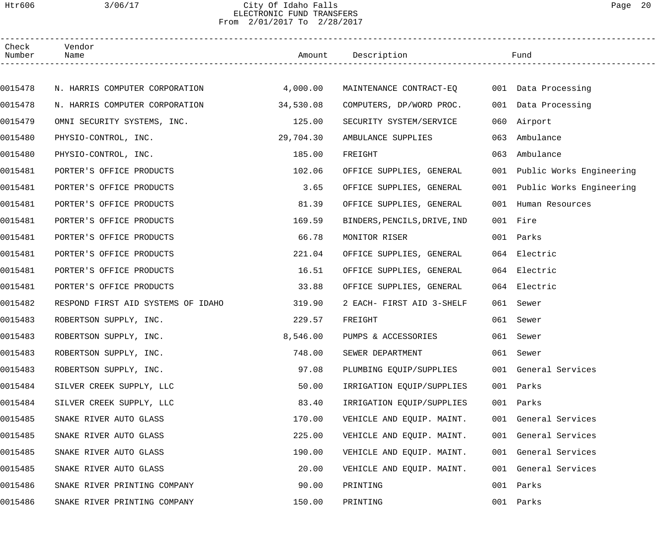# Htr606 3/06/17 City Of Idaho Falls Page 20 ELECTRONIC FUND TRANSFERS From 2/01/2017 To 2/28/2017

| Check<br>Number | Vendor<br>Name                     |           | Amount Description                          |     | Fund                         |
|-----------------|------------------------------------|-----------|---------------------------------------------|-----|------------------------------|
|                 |                                    |           |                                             |     |                              |
| 0015478         | N. HARRIS COMPUTER CORPORATION     | 4,000.00  | MAINTENANCE CONTRACT-EQ 001 Data Processing |     |                              |
| 0015478         | N. HARRIS COMPUTER CORPORATION     | 34,530.08 | COMPUTERS, DP/WORD PROC.                    |     | 001 Data Processing          |
| 0015479         | OMNI SECURITY SYSTEMS, INC.        | 125.00    | SECURITY SYSTEM/SERVICE                     |     | 060 Airport                  |
| 0015480         | PHYSIO-CONTROL, INC.               | 29,704.30 | AMBULANCE SUPPLIES                          | 063 | Ambulance                    |
| 0015480         | PHYSIO-CONTROL, INC.               | 185.00    | FREIGHT                                     | 063 | Ambulance                    |
| 0015481         | PORTER'S OFFICE PRODUCTS           | 102.06    | OFFICE SUPPLIES, GENERAL                    |     | 001 Public Works Engineering |
| 0015481         | PORTER'S OFFICE PRODUCTS           | 3.65      | OFFICE SUPPLIES, GENERAL                    |     | 001 Public Works Engineering |
| 0015481         | PORTER'S OFFICE PRODUCTS           | 81.39     | OFFICE SUPPLIES, GENERAL                    |     | 001 Human Resources          |
| 0015481         | PORTER'S OFFICE PRODUCTS           | 169.59    | BINDERS, PENCILS, DRIVE, IND                |     | 001 Fire                     |
| 0015481         | PORTER'S OFFICE PRODUCTS           | 66.78     | MONITOR RISER                               |     | 001 Parks                    |
| 0015481         | PORTER'S OFFICE PRODUCTS           | 221.04    | OFFICE SUPPLIES, GENERAL                    |     | 064 Electric                 |
| 0015481         | PORTER'S OFFICE PRODUCTS           | 16.51     | OFFICE SUPPLIES, GENERAL                    |     | 064 Electric                 |
| 0015481         | PORTER'S OFFICE PRODUCTS           | 33.88     | OFFICE SUPPLIES, GENERAL                    |     | 064 Electric                 |
| 0015482         | RESPOND FIRST AID SYSTEMS OF IDAHO | 319.90    | 2 EACH- FIRST AID 3-SHELF                   |     | 061 Sewer                    |
| 0015483         | ROBERTSON SUPPLY, INC.             | 229.57    | FREIGHT                                     |     | 061 Sewer                    |
| 0015483         | ROBERTSON SUPPLY, INC.             | 8,546.00  | PUMPS & ACCESSORIES                         |     | 061 Sewer                    |
| 0015483         | ROBERTSON SUPPLY, INC.             | 748.00    | SEWER DEPARTMENT                            |     | 061 Sewer                    |
| 0015483         | ROBERTSON SUPPLY, INC.             | 97.08     | PLUMBING EQUIP/SUPPLIES                     |     | 001 General Services         |
| 0015484         | SILVER CREEK SUPPLY, LLC           | 50.00     | IRRIGATION EQUIP/SUPPLIES                   |     | 001 Parks                    |
| 0015484         | SILVER CREEK SUPPLY, LLC           | 83.40     | IRRIGATION EQUIP/SUPPLIES                   |     | 001 Parks                    |
| 0015485         | SNAKE RIVER AUTO GLASS             | 170.00    | VEHICLE AND EQUIP. MAINT.                   |     | 001 General Services         |
| 0015485         | SNAKE RIVER AUTO GLASS             | 225.00    | VEHICLE AND EQUIP. MAINT.                   |     | 001 General Services         |
| 0015485         | SNAKE RIVER AUTO GLASS             | 190.00    | VEHICLE AND EQUIP. MAINT.                   |     | 001 General Services         |
| 0015485         | SNAKE RIVER AUTO GLASS             | 20.00     | VEHICLE AND EQUIP. MAINT.                   |     | 001 General Services         |
| 0015486         | SNAKE RIVER PRINTING COMPANY       | 90.00     | PRINTING                                    | 001 | Parks                        |
| 0015486         | SNAKE RIVER PRINTING COMPANY       | 150.00    | PRINTING                                    | 001 | Parks                        |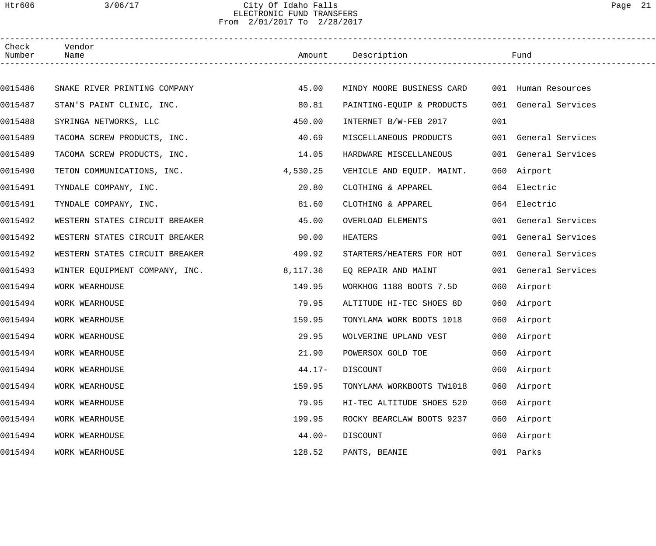# Htr606 3/06/17 City Of Idaho Falls Page 21 ELECTRONIC FUND TRANSFERS From 2/01/2017 To 2/28/2017

| Check<br>Number | Vendor<br>Name                 |           | Amount Description        |     | Fund                 |
|-----------------|--------------------------------|-----------|---------------------------|-----|----------------------|
|                 |                                |           |                           |     |                      |
| 0015486         | SNAKE RIVER PRINTING COMPANY   | 45.00     | MINDY MOORE BUSINESS CARD |     | 001 Human Resources  |
| 0015487         | STAN'S PAINT CLINIC, INC.      | 80.81     | PAINTING-EQUIP & PRODUCTS |     | 001 General Services |
| 0015488         | SYRINGA NETWORKS, LLC          | 450.00    | INTERNET B/W-FEB 2017     | 001 |                      |
| 0015489         | TACOMA SCREW PRODUCTS, INC.    | 40.69     | MISCELLANEOUS PRODUCTS    |     | 001 General Services |
| 0015489         | TACOMA SCREW PRODUCTS, INC.    | 14.05     | HARDWARE MISCELLANEOUS    |     | 001 General Services |
| 0015490         | TETON COMMUNICATIONS, INC.     | 4,530.25  | VEHICLE AND EQUIP. MAINT. |     | 060 Airport          |
| 0015491         | TYNDALE COMPANY, INC.          | 20.80     | CLOTHING & APPAREL        |     | 064 Electric         |
| 0015491         | TYNDALE COMPANY, INC.          | 81.60     | CLOTHING & APPAREL        |     | 064 Electric         |
| 0015492         | WESTERN STATES CIRCUIT BREAKER | 45.00     | OVERLOAD ELEMENTS         |     | 001 General Services |
| 0015492         | WESTERN STATES CIRCUIT BREAKER | 90.00     | HEATERS                   |     | 001 General Services |
| 0015492         | WESTERN STATES CIRCUIT BREAKER | 499.92    | STARTERS/HEATERS FOR HOT  |     | 001 General Services |
| 0015493         | WINTER EQUIPMENT COMPANY, INC. | 8,117.36  | EQ REPAIR AND MAINT       |     | 001 General Services |
| 0015494         | WORK WEARHOUSE                 | 149.95    | WORKHOG 1188 BOOTS 7.5D   |     | 060 Airport          |
| 0015494         | WORK WEARHOUSE                 | 79.95     | ALTITUDE HI-TEC SHOES 8D  |     | 060 Airport          |
| 0015494         | WORK WEARHOUSE                 | 159.95    | TONYLAMA WORK BOOTS 1018  |     | 060 Airport          |
| 0015494         | WORK WEARHOUSE                 | 29.95     | WOLVERINE UPLAND VEST     |     | 060 Airport          |
| 0015494         | WORK WEARHOUSE                 | 21.90     | POWERSOX GOLD TOE         |     | 060 Airport          |
| 0015494         | WORK WEARHOUSE                 | $44.17-$  | DISCOUNT                  |     | 060 Airport          |
| 0015494         | WORK WEARHOUSE                 | 159.95    | TONYLAMA WORKBOOTS TW1018 |     | 060 Airport          |
| 0015494         | WORK WEARHOUSE                 | 79.95     | HI-TEC ALTITUDE SHOES 520 |     | 060 Airport          |
| 0015494         | WORK WEARHOUSE                 | 199.95    | ROCKY BEARCLAW BOOTS 9237 |     | 060 Airport          |
| 0015494         | WORK WEARHOUSE                 | $44.00 -$ | DISCOUNT                  |     | 060 Airport          |
| 0015494         | WORK WEARHOUSE                 | 128.52    | PANTS, BEANIE             |     | 001 Parks            |
|                 |                                |           |                           |     |                      |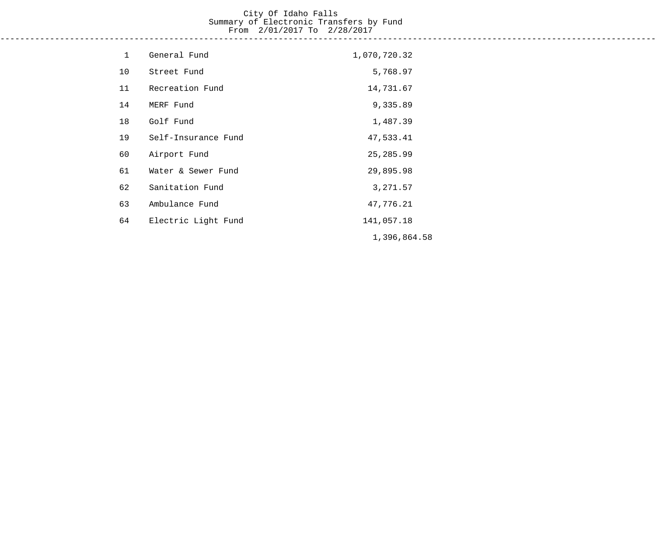#### City Of Idaho Falls Summary of Electronic Transfers by Fund From 2/01/2017 To 2/28/2017 ------------------------------------------------------------------------------------------------------------------------------------

| $\mathbf{1}$ | General Fund        | 1,070,720.32 |
|--------------|---------------------|--------------|
| 10           | Street Fund         | 5,768.97     |
| 11           | Recreation Fund     | 14,731.67    |
| 14           | MERF Fund           | 9,335.89     |
| 18           | Golf Fund           | 1,487.39     |
| 19           | Self-Insurance Fund | 47,533.41    |
| 60           | Airport Fund        | 25, 285.99   |
| 61           | Water & Sewer Fund  | 29,895.98    |
| 62           | Sanitation Fund     | 3, 271.57    |
| 63           | Ambulance Fund      | 47,776.21    |
| 64           | Electric Light Fund | 141,057.18   |
|              |                     | 1,396,864.58 |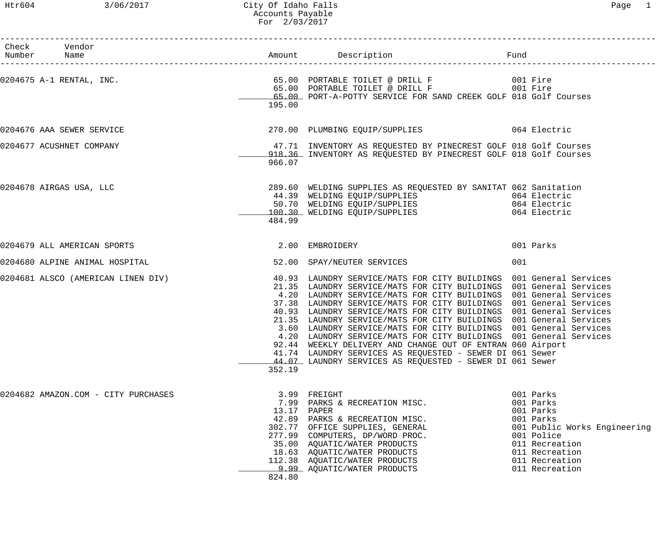### Htr604 3/06/2017 City Of Idaho Falls Page 1 Accounts Payable For 2/03/2017

| Check Vendor<br>Number Name         |                       |                                                                                                                                                                                                                                                                                                                                                                                                                                                                                                                                                                                                                                                                                                                                                                                                    |                                                                                                                                                                        |
|-------------------------------------|-----------------------|----------------------------------------------------------------------------------------------------------------------------------------------------------------------------------------------------------------------------------------------------------------------------------------------------------------------------------------------------------------------------------------------------------------------------------------------------------------------------------------------------------------------------------------------------------------------------------------------------------------------------------------------------------------------------------------------------------------------------------------------------------------------------------------------------|------------------------------------------------------------------------------------------------------------------------------------------------------------------------|
|                                     | 195.00                | 65.00 PORT-A-POTTY SERVICE FOR SAND CREEK GOLF 018 Golf Courses                                                                                                                                                                                                                                                                                                                                                                                                                                                                                                                                                                                                                                                                                                                                    |                                                                                                                                                                        |
| 0204676 AAA SEWER SERVICE           |                       | 270.00 PLUMBING EQUIP/SUPPLIES 064 Electric                                                                                                                                                                                                                                                                                                                                                                                                                                                                                                                                                                                                                                                                                                                                                        |                                                                                                                                                                        |
| 0204677 ACUSHNET COMPANY            | 966.07                | 47.71 INVENTORY AS REQUESTED BY PINECREST GOLF 018 Golf Courses<br>918.36 INVENTORY AS REQUESTED BY PINECREST GOLF 018 Golf Courses                                                                                                                                                                                                                                                                                                                                                                                                                                                                                                                                                                                                                                                                |                                                                                                                                                                        |
| 0204678 AIRGAS USA, LLC             | 484.99                | 289.60 WELDING SUPPLIES AS REQUESTED BY SANITAT 062 Sanitation<br>44.39 WELDING EQUIP/SUPPLIES<br>50.70 WELDING EQUIP/SUPPLIES 064 Electric<br>100.30 WELDING EQUIP/SUPPLIES 064 Electric                                                                                                                                                                                                                                                                                                                                                                                                                                                                                                                                                                                                          |                                                                                                                                                                        |
| 0204679 ALL AMERICAN SPORTS         |                       | 2.00 EMBROIDERY                                                                                                                                                                                                                                                                                                                                                                                                                                                                                                                                                                                                                                                                                                                                                                                    | 001 Parks                                                                                                                                                              |
| 0204680 ALPINE ANIMAL HOSPITAL      |                       | 52.00 SPAY/NEUTER SERVICES                                                                                                                                                                                                                                                                                                                                                                                                                                                                                                                                                                                                                                                                                                                                                                         | 001                                                                                                                                                                    |
|                                     | 352.19                | 0204681 ALSCO (AMERICAN LINEN DIV) 40.93 LAUNDRY SERVICE/MATS FOR CITY BUILDINGS 001 General Services<br>21.35 LAUNDRY SERVICE/MATS FOR CITY BUILDINGS 001 General Services<br>4.20 LAUNDRY SERVICE/MATS FOR CITY BUILDINGS 001 General Services<br>37.38 LAUNDRY SERVICE/MATS FOR CITY BUILDINGS 001 General Services<br>40.93 LAUNDRY SERVICE/MATS FOR CITY BUILDINGS 001 General Services<br>21.35 LAUNDRY SERVICE/MATS FOR CITY BUILDINGS 001 General Services<br>3.60 LAUNDRY SERVICE/MATS FOR CITY BUILDINGS 001 General Services<br>4.20 LAUNDRY SERVICE/MATS FOR CITY BUILDINGS 001 General Services<br>92.44 WEEKLY DELIVERY AND CHANGE OUT OF ENTRAN 060 Airport<br>41.74 LAUNDRY SERVICES AS REQUESTED - SEWER DI 061 Sewer<br>44.07 LAUNDRY SERVICES AS REQUESTED - SEWER DI 061 Sewer |                                                                                                                                                                        |
| 0204682 AMAZON.COM - CITY PURCHASES | 13.17 PAPER<br>824.80 | 3.99 FREIGHT<br>7.99 PARKS & RECREATION MISC.<br>42.89 PARKS & RECREATION MISC.<br>302.77 OFFICE SUPPLIES, GENERAL<br>277.99 COMPUTERS, DP/WORD PROC.<br>35.00 AQUATIC/WATER PRODUCTS<br>18.63 AQUATIC/WATER PRODUCTS<br>112.38 AQUATIC/WATER PRODUCTS<br>9.99 AQUATIC/WATER PRODUCTS                                                                                                                                                                                                                                                                                                                                                                                                                                                                                                              | 001 Parks<br>001 Parks<br>001 Parks<br>001 Parks<br>001 Public Works Engineering<br>001 Police<br>011 Recreation<br>011 Recreation<br>011 Recreation<br>011 Recreation |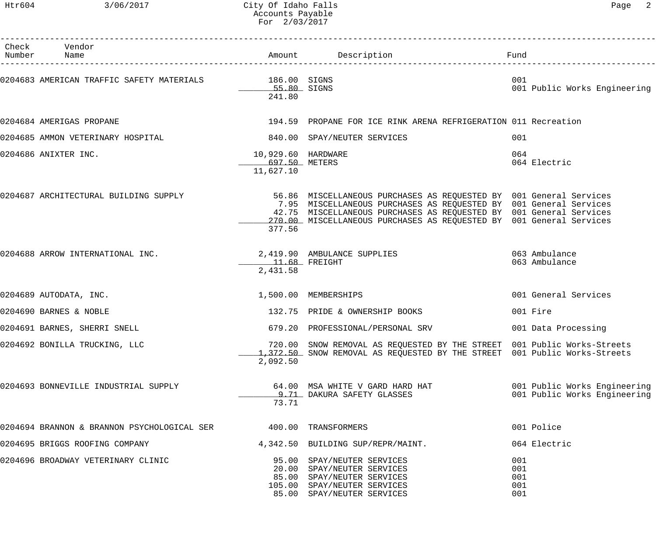# Htr604 3/06/2017 City Of Idaho Falls Page 2 Accounts Payable For 2/03/2017

| Number | Check Vendor<br>Name                                     |                                                  | Amount Description<br>_____________________                                                                                                                                                                                                                                          | Fund                                                         |
|--------|----------------------------------------------------------|--------------------------------------------------|--------------------------------------------------------------------------------------------------------------------------------------------------------------------------------------------------------------------------------------------------------------------------------------|--------------------------------------------------------------|
|        | 0204683 AMERICAN TRAFFIC SAFETY MATERIALS 6 186.00 SIGNS | 55.80 SIGNS<br>241.80                            |                                                                                                                                                                                                                                                                                      | 001<br>001 Public Works Engineering                          |
|        | 0204684 AMERIGAS PROPANE                                 |                                                  | 194.59 PROPANE FOR ICE RINK ARENA REFRIGERATION 011 Recreation                                                                                                                                                                                                                       |                                                              |
|        | 0204685 AMMON VETERINARY HOSPITAL                        |                                                  | 840.00 SPAY/NEUTER SERVICES                                                                                                                                                                                                                                                          | 001                                                          |
|        | 0204686 ANIXTER INC.                                     | 10,929.60 HARDWARE<br>697.50 METERS<br>11,627.10 |                                                                                                                                                                                                                                                                                      | 064<br>064 Electric                                          |
|        | 0204687 ARCHITECTURAL BUILDING SUPPLY                    | 377.56                                           | 56.86 MISCELLANEOUS PURCHASES AS REQUESTED BY 001 General Services<br>7.95 MISCELLANEOUS PURCHASES AS REQUESTED BY 001 General Services<br>42.75 MISCELLANEOUS PURCHASES AS REQUESTED BY 001 General Services<br>270.00 MISCELLANEOUS PURCHASES AS REQUESTED BY 001 General Services |                                                              |
|        | 0204688 ARROW INTERNATIONAL INC.                         | $11.68$ FREIGHT<br>2,431.58                      | 2,419.90 AMBULANCE SUPPLIES                                                                                                                                                                                                                                                          | 063 Ambulance<br>063 Ambulance                               |
|        | 0204689 AUTODATA, INC.                                   |                                                  | 1,500.00 MEMBERSHIPS                                                                                                                                                                                                                                                                 | 001 General Services                                         |
|        | 0204690 BARNES & NOBLE                                   |                                                  | 132.75 PRIDE & OWNERSHIP BOOKS                                                                                                                                                                                                                                                       | 001 Fire                                                     |
|        | 0204691 BARNES, SHERRI SNELL                             |                                                  | 679.20 PROFESSIONAL/PERSONAL SRV                                                                                                                                                                                                                                                     | 001 Data Processing                                          |
|        | 0204692 BONILLA TRUCKING, LLC                            | 2,092.50                                         | 720.00 SNOW REMOVAL AS REQUESTED BY THE STREET 001 Public Works-Streets<br>1,372.50 SNOW REMOVAL AS REQUESTED BY THE STREET 001 Public Works-Streets                                                                                                                                 |                                                              |
|        | 0204693 BONNEVILLE INDUSTRIAL SUPPLY                     | 73.71                                            | 64.00 MSA WHITE V GARD HARD HAT<br>9.71 DAKURA SAFETY GLASSES                                                                                                                                                                                                                        | 001 Public Works Engineering<br>001 Public Works Engineering |
|        | 0204694 BRANNON & BRANNON PSYCHOLOGICAL SER              | 400.00                                           | TRANSFORMERS                                                                                                                                                                                                                                                                         | 001 Police                                                   |
|        | 0204695 BRIGGS ROOFING COMPANY                           |                                                  | 4,342.50 BUILDING SUP/REPR/MAINT.                                                                                                                                                                                                                                                    | 064 Electric                                                 |
|        | 0204696 BROADWAY VETERINARY CLINIC                       |                                                  | 95.00 SPAY/NEUTER SERVICES<br>20.00 SPAY/NEUTER SERVICES<br>85.00 SPAY/NEUTER SERVICES<br>105.00 SPAY/NEUTER SERVICES<br>85.00 SPAY/NEUTER SERVICES                                                                                                                                  | 001<br>001<br>001<br>001<br>001                              |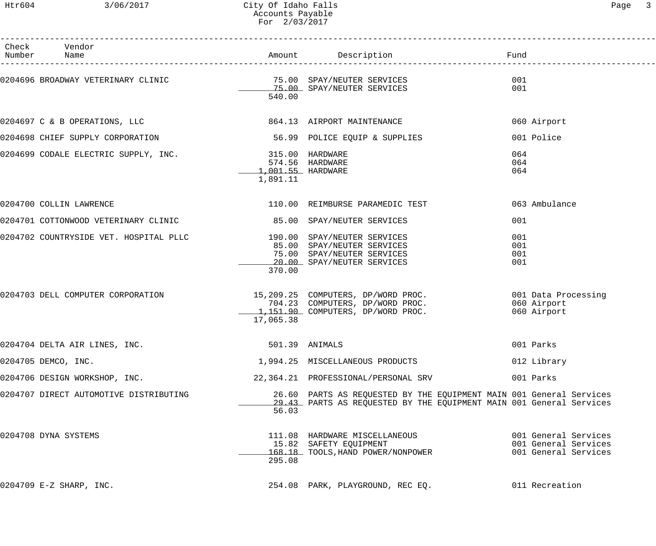| Check<br>Number | Vendor<br>Name                                                     |                                                  | Amount Description                                                                                                                         | Fund                                                                 |
|-----------------|--------------------------------------------------------------------|--------------------------------------------------|--------------------------------------------------------------------------------------------------------------------------------------------|----------------------------------------------------------------------|
|                 | 0204696 BROADWAY VETERINARY CLINIC 75.00 SPAY/NEUTER SERVICES      | 540.00                                           | 75.00 SPAY/NEUTER SERVICES                                                                                                                 | 001<br>001                                                           |
|                 | 0204697 C & B OPERATIONS, LLC                                      |                                                  | 864.13 AIRPORT MAINTENANCE                                                                                                                 | 060 Airport                                                          |
|                 | 0204698 CHIEF SUPPLY CORPORATION                                   |                                                  | 56.99 POLICE EQUIP & SUPPLIES                                                                                                              | 001 Police                                                           |
|                 | 0204699 CODALE ELECTRIC SUPPLY, INC.                               | 315.00 HARDWARE<br>1,001.55 HARDWARE<br>1,891.11 | 574.56 HARDWARE                                                                                                                            | 064<br>064<br>064                                                    |
|                 | 0204700 COLLIN LAWRENCE                                            |                                                  | 110.00 REIMBURSE PARAMEDIC TEST                                                                                                            | 063 Ambulance                                                        |
|                 | 0204701 COTTONWOOD VETERINARY CLINIC 65.00 SPAY/NEUTER SERVICES    |                                                  |                                                                                                                                            | 001                                                                  |
|                 | 0204702 COUNTRYSIDE VET. HOSPITAL PLLC 190.00 SPAY/NEUTER SERVICES | 370.00                                           | 85.00 SPAY/NEUTER SERVICES<br>75.00 SPAY/NEUTER SERVICES<br>20.00 SPAY/NEUTER SERVICES                                                     | 001<br>001<br>001<br>001                                             |
|                 | 0204703 DELL COMPUTER CORPORATION                                  | 17,065.38                                        | 15,209.25 COMPUTERS, DP/WORD PROC.<br>704.23 COMPUTERS, DP/WORD PROC.<br>1,151.90 COMPUTERS, DP/WORD PROC.                                 | 001 Data Processing<br>060 Airport<br>060 Airport                    |
|                 | 0204704 DELTA AIR LINES, INC.                                      |                                                  | 501.39 ANIMALS                                                                                                                             | 001 Parks                                                            |
|                 | 0204705 DEMCO, INC.                                                |                                                  | 1,994.25 MISCELLANEOUS PRODUCTS                                                                                                            | 012 Library                                                          |
|                 | 0204706 DESIGN WORKSHOP, INC.                                      |                                                  | 22,364.21 PROFESSIONAL/PERSONAL SRV                                                                                                        | 001 Parks                                                            |
|                 | 0204707 DIRECT AUTOMOTIVE DISTRIBUTING                             | 56.03                                            | 26.60 PARTS AS REQUESTED BY THE EQUIPMENT MAIN 001 General Services<br>29.43 PARTS AS REQUESTED BY THE EQUIPMENT MAIN 001 General Services |                                                                      |
|                 | 0204708 DYNA SYSTEMS                                               | 295.08                                           | 111.08 HARDWARE MISCELLANEOUS<br>15.82 SAFETY EQUIPMENT<br>168.18_ TOOLS,HAND POWER/NONPOWER                                               | 001 General Services<br>001 General Services<br>001 General Services |
|                 | 0204709 E-Z SHARP, INC.                                            |                                                  | 254.08 PARK, PLAYGROUND, REC EQ.                                                                                                           | 011 Recreation                                                       |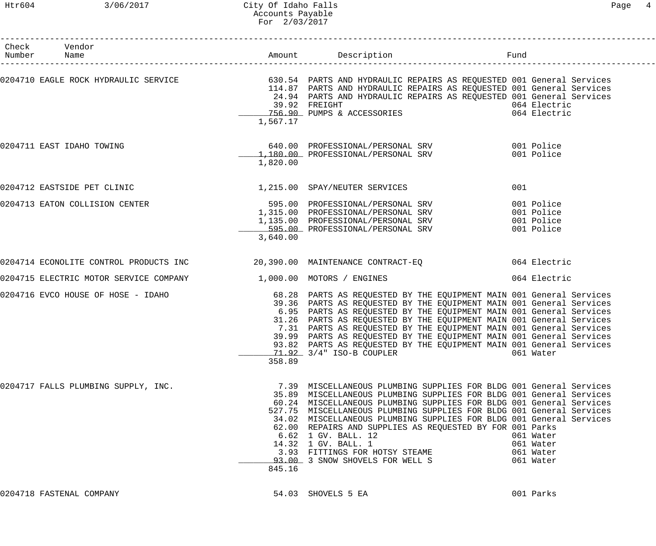## Htr604 3/06/2017 City Of Idaho Falls Page 4 Accounts Payable For 2/03/2017

| Check Vendor<br>Number Name                                      |          |                                                                                                                                                                                                                                                                                                                                                                                                                                                                                                                                                                            |                                                  |
|------------------------------------------------------------------|----------|----------------------------------------------------------------------------------------------------------------------------------------------------------------------------------------------------------------------------------------------------------------------------------------------------------------------------------------------------------------------------------------------------------------------------------------------------------------------------------------------------------------------------------------------------------------------------|--------------------------------------------------|
|                                                                  | 1,567.17 | 0204710 EAGLE ROCK HYDRAULIC SERVICE 630.54 PARTS AND HYDRAULIC REPAIRS AS REQUESTED 001 General Services<br>114.87 PARTS AND HYDRAULIC REPAIRS AS REQUESTED 001 General Services<br>24.94 PARTS AND HYDRAULIC REPAIRS AS REQUESTED 001 General Services<br>39.92 FREIGHT<br>39.92    FREIGHT<br>_____756.90___PUMPS_&_ACCESSORIES                                                                                                                                                                                                                                         | 064 Electric<br>064 Electric                     |
| 0204711 EAST IDAHO TOWING                                        | 1,820.00 | 640.00 PROFESSIONAL/PERSONAL SRV 001 Police<br>1,180.00 PROFESSIONAL/PERSONAL SRV                                                                                                                                                                                                                                                                                                                                                                                                                                                                                          | 001 Police                                       |
| 0204712 EASTSIDE PET CLINIC                                      |          | 1,215.00 SPAY/NEUTER SERVICES                                                                                                                                                                                                                                                                                                                                                                                                                                                                                                                                              | 001                                              |
| 0204713 EATON COLLISION CENTER                                   | 3,640.00 | 595.00 PROFESSIONAL/PERSONAL SRV 001 Police<br>1,315.00 PROFESSIONAL/PERSONAL SRV 001 Police<br>1,135.00 PROFESSIONAL/PERSONAL SRV 001 Police<br>595.00 PROFESSIONAL/PERSONAL SRV 001 Police                                                                                                                                                                                                                                                                                                                                                                               |                                                  |
|                                                                  |          | 0204714 ECONOLITE CONTROL PRODUCTS INC 30,390.00 MAINTENANCE CONTRACT-EQ 664 Electric                                                                                                                                                                                                                                                                                                                                                                                                                                                                                      |                                                  |
| 0204715 ELECTRIC MOTOR SERVICE COMPANY 1,000.00 MOTORS / ENGINES |          |                                                                                                                                                                                                                                                                                                                                                                                                                                                                                                                                                                            | 064 Electric                                     |
|                                                                  | 358.89   | 0204716 EVCO HOUSE OF HOSE - IDAHO 68.28 PARTS AS REQUESTED BY THE EQUIPMENT MAIN 001 General Services<br>39.36 PARTS AS REQUESTED BY THE EQUIPMENT MAIN 001 General Services<br>6.95 PARTS AS REQUESTED BY THE EQUIPMENT MAIN 001 General Services<br>31.26 PARTS AS REQUESTED BY THE EQUIPMENT MAIN 001 General Services<br>7.31 PARTS AS REQUESTED BY THE EQUIPMENT MAIN 001 General Services<br>39.99 PARTS AS REQUESTED BY THE EQUIPMENT MAIN 001 General Services<br>93.82 PARTS AS REQUESTED BY THE EQUIPMENT MAIN 001 General Services<br>71.92 3/4" ISO-B COUPLER | 061 Water                                        |
| 0204717 FALLS PLUMBING SUPPLY, INC.                              | 845.16   | 7.39 MISCELLANEOUS PLUMBING SUPPLIES FOR BLDG 001 General Services<br>35.89 MISCELLANEOUS PLUMBING SUPPLIES FOR BLDG 001 General Services<br>60.24 MISCELLANEOUS PLUMBING SUPPLIES FOR BLDG 001 General Services<br>527.75 MISCELLANEOUS PLUMBING SUPPLIES FOR BLDG 001 General Services<br>34.02 MISCELLANEOUS PLUMBING SUPPLIES FOR BLDG 001 General Services<br>62.00 REPAIRS AND SUPPLIES AS REQUESTED BY FOR 001 Parks<br>6.62 1 GV. BALL. 12<br>14.32 1 GV. BALL. 1<br>3.93 FITTINGS FOR HOTSY STEAME<br>93.00 3 SNOW SHOVELS FOR WELL S                             | 061 Water<br>061 Water<br>061 Water<br>061 Water |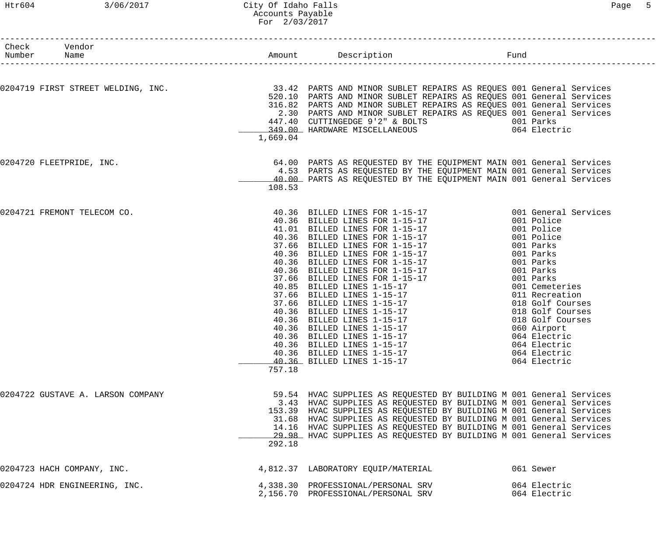## Htr604 3/06/2017 City Of Idaho Falls Page 5 Accounts Payable For 2/03/2017

| Check Vendor<br>Number Name                                                                                                                          |          |                                                                                                                                                                                                                                              |            |                  |
|------------------------------------------------------------------------------------------------------------------------------------------------------|----------|----------------------------------------------------------------------------------------------------------------------------------------------------------------------------------------------------------------------------------------------|------------|------------------|
|                                                                                                                                                      |          |                                                                                                                                                                                                                                              |            |                  |
| 0204719 FIRST STREET WELDING, INC. <sup>33.42</sup> PARTS AND MINOR SUBLET REPAIRS AS REQUES 001 General Services 0204719 FIRST STREET WELDING, INC. |          |                                                                                                                                                                                                                                              |            |                  |
|                                                                                                                                                      |          | 520.10 PARTS AND MINOR SUBLET REPAIRS AS REQUES 001 General Services                                                                                                                                                                         |            |                  |
|                                                                                                                                                      |          | 316.82 PARTS AND MINOR SUBLET REPAIRS AS REQUES 001 General Services                                                                                                                                                                         |            |                  |
|                                                                                                                                                      |          | 2.30 PARTS AND MINOR SUBLET REPAIRS AS REQUES 001 General Services                                                                                                                                                                           |            |                  |
|                                                                                                                                                      |          | 447.40 CUTTINGEDGE 9'2" & BOLTS 6001 Parks 001 Parks 6001 Parks 6001 Parks 6001 Parks 6001 Parks 600                                                                                                                                         |            |                  |
|                                                                                                                                                      |          |                                                                                                                                                                                                                                              |            |                  |
|                                                                                                                                                      | 1,669.04 |                                                                                                                                                                                                                                              |            |                  |
| 0204720 FLEETPRIDE, INC.                                                                                                                             |          | 64.00 PARTS AS REQUESTED BY THE EQUIPMENT MAIN 001 General Services                                                                                                                                                                          |            |                  |
|                                                                                                                                                      |          | 4.53 PARTS AS REQUESTED BY THE EQUIPMENT MAIN 001 General Services                                                                                                                                                                           |            |                  |
|                                                                                                                                                      |          | 40.00 PARTS AS REQUESTED BY THE EQUIPMENT MAIN 001 General Services                                                                                                                                                                          |            |                  |
|                                                                                                                                                      | 108.53   |                                                                                                                                                                                                                                              |            |                  |
| 0204721 FREMONT TELECOM CO.                                                                                                                          |          | 40.36 BILLED LINES FOR 1-15-17 001 General Services                                                                                                                                                                                          |            |                  |
|                                                                                                                                                      |          | 40.36 BILLED LINES FOR 1-15-17                                                                                                                                                                                                               | 001 Police |                  |
|                                                                                                                                                      |          |                                                                                                                                                                                                                                              | 001 Police |                  |
|                                                                                                                                                      |          | 41.01 BILLED LINES FOR 1-15-17<br>40.36 BILLED LINES FOR 1-15-17                                                                                                                                                                             | 001 Police |                  |
|                                                                                                                                                      |          |                                                                                                                                                                                                                                              | 001 Parks  |                  |
|                                                                                                                                                      |          | 37.66 BILLED LINES FOR 1-15-17                                                                                                                                                                                                               | 001 Parks  |                  |
|                                                                                                                                                      |          | 40.36 BILLED LINES FOR 1-15-17<br>40.36 BILLED LINES FOR 1-15-17                                                                                                                                                                             | 001 Parks  |                  |
|                                                                                                                                                      |          | 40.36 BILLED LINES FOR 1-15-17                                                                                                                                                                                                               | 001 Parks  |                  |
|                                                                                                                                                      |          | 37.66 BILLED LINES FOR 1-15-17                                                                                                                                                                                                               | 001 Parks  |                  |
|                                                                                                                                                      |          |                                                                                                                                                                                                                                              |            | 001 Cemeteries   |
|                                                                                                                                                      |          |                                                                                                                                                                                                                                              |            | 011 Recreation   |
|                                                                                                                                                      |          |                                                                                                                                                                                                                                              |            | 018 Golf Courses |
|                                                                                                                                                      |          |                                                                                                                                                                                                                                              |            | 018 Golf Courses |
|                                                                                                                                                      |          | 37.00 BILLED LINES FOR 1 15 17<br>40.85 BILLED LINES 1-15-17<br>37.66 BILLED LINES 1-15-17<br>40.36 BILLED LINES 1-15-17<br>40.36 BILLED LINES 1-15-17<br>40.36 BILLED LINES 1-15-17<br>40.36 BILLED LINES 1-15-17<br>40.36 BILLED LINES 1-1 |            | 018 Golf Courses |
|                                                                                                                                                      |          |                                                                                                                                                                                                                                              |            | 060 Airport      |
|                                                                                                                                                      |          |                                                                                                                                                                                                                                              |            | 064 Electric     |
|                                                                                                                                                      |          | 40.36 BILLED LINES 1-15-17                                                                                                                                                                                                                   |            | 064 Electric     |
|                                                                                                                                                      |          | 40.36 BILLED LINES 1-15-17                                                                                                                                                                                                                   |            | 064 Electric     |
|                                                                                                                                                      |          | 40.36 BILLED LINES 1-15-17                                                                                                                                                                                                                   |            | 064 Electric     |
|                                                                                                                                                      | 757.18   |                                                                                                                                                                                                                                              |            |                  |
| 0204722 GUSTAVE A. LARSON COMPANY                                                                                                                    |          | 59.54 HVAC SUPPLIES AS REQUESTED BY BUILDING M 001 General Services                                                                                                                                                                          |            |                  |
|                                                                                                                                                      |          | 3.43 HVAC SUPPLIES AS REQUESTED BY BUILDING M 001 General Services                                                                                                                                                                           |            |                  |
|                                                                                                                                                      |          | 153.39 HVAC SUPPLIES AS REQUESTED BY BUILDING M 001 General Services                                                                                                                                                                         |            |                  |
|                                                                                                                                                      |          | 31.68 HVAC SUPPLIES AS REQUESTED BY BUILDING M 001 General Services                                                                                                                                                                          |            |                  |
|                                                                                                                                                      |          | 14.16 HVAC SUPPLIES AS REQUESTED BY BUILDING M 001 General Services                                                                                                                                                                          |            |                  |
|                                                                                                                                                      |          | 29.98 HVAC SUPPLIES AS REQUESTED BY BUILDING M 001 General Services                                                                                                                                                                          |            |                  |
|                                                                                                                                                      | 292.18   |                                                                                                                                                                                                                                              |            |                  |
| 0204723 HACH COMPANY, INC.                                                                                                                           |          | 4,812.37 LABORATORY EQUIP/MATERIAL                                                                                                                                                                                                           | 061 Sewer  |                  |
|                                                                                                                                                      |          |                                                                                                                                                                                                                                              |            |                  |
| 0204724 HDR ENGINEERING, INC.                                                                                                                        |          | 4,338.30 PROFESSIONAL/PERSONAL SRV                                                                                                                                                                                                           |            | 064 Electric     |
|                                                                                                                                                      |          | 2,156.70 PROFESSIONAL/PERSONAL SRV                                                                                                                                                                                                           |            | 064 Electric     |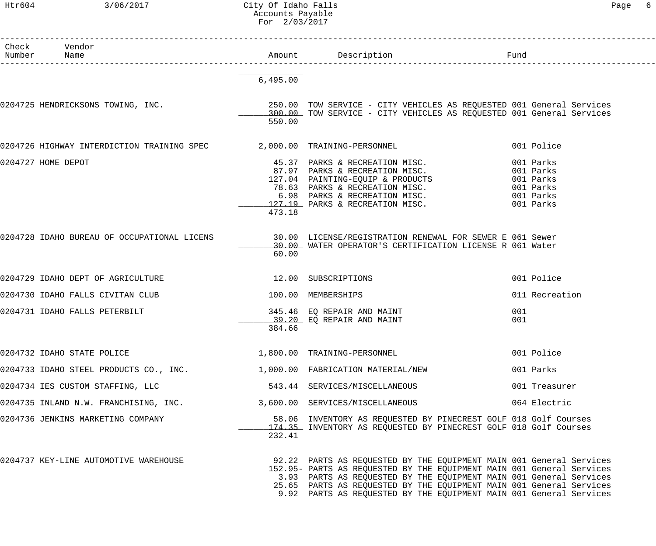## Htr604 3/06/2017 City Of Idaho Falls Page 6 Accounts Payable For 2/03/2017

| Check Vendor<br>Number Name                                                                          |          | Amount Description<br>Fund                                                                                                                                                                                                                                                                                                                                      |                                                                            |
|------------------------------------------------------------------------------------------------------|----------|-----------------------------------------------------------------------------------------------------------------------------------------------------------------------------------------------------------------------------------------------------------------------------------------------------------------------------------------------------------------|----------------------------------------------------------------------------|
|                                                                                                      | 6,495.00 |                                                                                                                                                                                                                                                                                                                                                                 |                                                                            |
| 0204725 HENDRICKSONS TOWING, INC.                                                                    | 550.00   | 250.00 TOW SERVICE - CITY VEHICLES AS REQUESTED 001 General Services<br>300.00 TOW SERVICE - CITY VEHICLES AS REQUESTED 001 General Services                                                                                                                                                                                                                    |                                                                            |
| 0204726 HIGHWAY INTERDICTION TRAINING SPEC 2,000.00 TRAINING-PERSONNEL                               |          |                                                                                                                                                                                                                                                                                                                                                                 | 001 Police                                                                 |
| 0204727 HOME DEPOT                                                                                   | 473.18   | 45.37 PARKS & RECREATION MISC.<br>87.97 PARKS & RECREATION MISC.<br>127.04 PAINTING-EQUIP & PRODUCTS<br>78.63 PARKS & RECREATION MISC.<br>6.98 PARKS & RECREATION MISC.<br>127.19 PARKS & RECREATION MISC.                                                                                                                                                      | 001 Parks<br>001 Parks<br>001 Parks<br>001 Parks<br>001 Parks<br>001 Parks |
| 0204728 IDAHO BUREAU OF OCCUPATIONAL LICENS 30.00 LICENSE/REGISTRATION RENEWAL FOR SEWER E 061 Sewer | 60.00    | 30.00 WATER OPERATOR'S CERTIFICATION LICENSE R 061 Water                                                                                                                                                                                                                                                                                                        |                                                                            |
| 0204729 IDAHO DEPT OF AGRICULTURE                                                                    |          | 12.00 SUBSCRIPTIONS                                                                                                                                                                                                                                                                                                                                             | 001 Police                                                                 |
| 0204730 IDAHO FALLS CIVITAN CLUB                                                                     |          | 100.00 MEMBERSHIPS                                                                                                                                                                                                                                                                                                                                              | 011 Recreation                                                             |
| 0204731 IDAHO FALLS PETERBILT                                                                        | 384.66   | 345.46 EQ REPAIR AND MAINT<br>39.20 EQ REPAIR AND MAINT                                                                                                                                                                                                                                                                                                         | 001<br>001                                                                 |
| 0204732 IDAHO STATE POLICE                                                                           |          | 1,800.00 TRAINING-PERSONNEL                                                                                                                                                                                                                                                                                                                                     | 001 Police                                                                 |
| 0204733 IDAHO STEEL PRODUCTS CO., INC. $1,000.00$ FABRICATION MATERIAL/NEW                           |          |                                                                                                                                                                                                                                                                                                                                                                 | 001 Parks                                                                  |
| 0204734 IES CUSTOM STAFFING, LLC                                                                     |          | 543.44 SERVICES/MISCELLANEOUS                                                                                                                                                                                                                                                                                                                                   | 001 Treasurer                                                              |
| 0204735 INLAND N.W. FRANCHISING, INC.                                                                |          | 3,600.00 SERVICES/MISCELLANEOUS                                                                                                                                                                                                                                                                                                                                 | 064 Electric                                                               |
| 0204736 JENKINS MARKETING COMPANY                                                                    | 232.41   | 58.06 INVENTORY AS REQUESTED BY PINECREST GOLF 018 Golf Courses<br>174.35 INVENTORY AS REQUESTED BY PINECREST GOLF 018 Golf Courses                                                                                                                                                                                                                             |                                                                            |
| 0204737 KEY-LINE AUTOMOTIVE WAREHOUSE                                                                |          | 92.22 PARTS AS REQUESTED BY THE EQUIPMENT MAIN 001 General Services<br>152.95- PARTS AS REQUESTED BY THE EQUIPMENT MAIN 001 General Services<br>3.93 PARTS AS REQUESTED BY THE EQUIPMENT MAIN 001 General Services<br>25.65 PARTS AS REQUESTED BY THE EQUIPMENT MAIN 001 General Services<br>9.92 PARTS AS REQUESTED BY THE EQUIPMENT MAIN 001 General Services |                                                                            |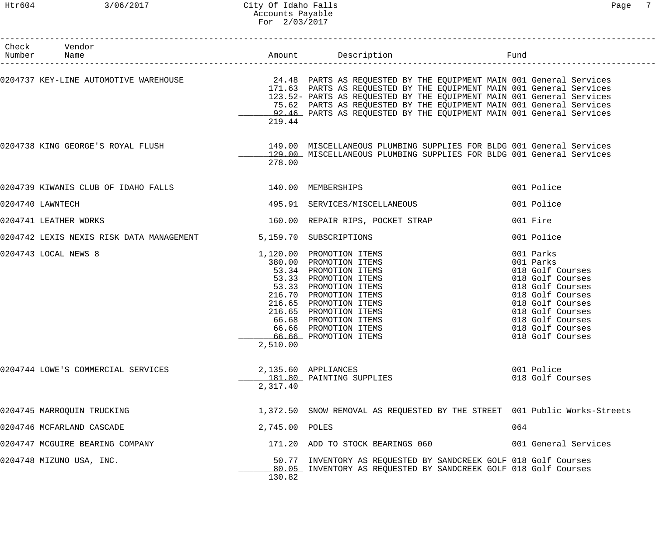| Check | Vendor<br>Number Name                                                                                                                                                                                           |                |                                                                                                                                                                                                                                                           | Fund                                                                                                                                                                                                       |
|-------|-----------------------------------------------------------------------------------------------------------------------------------------------------------------------------------------------------------------|----------------|-----------------------------------------------------------------------------------------------------------------------------------------------------------------------------------------------------------------------------------------------------------|------------------------------------------------------------------------------------------------------------------------------------------------------------------------------------------------------------|
|       | 0204737 KEY-LINE AUTOMOTIVE WAREHOUSE                               24.48 PARTS AS REQUESTED BY THE EQUIPMENT MAIN 001 General Services<br>171.63 PARTS AS REQUESTED BY THE EQUIPMENT MAIN 001 General Services | 219.44         | 123.52- PARTS AS REQUESTED BY THE EQUIPMENT MAIN 001 General Services<br>75.62 PARTS AS REQUESTED BY THE EQUIPMENT MAIN 001 General Services<br>92.46 PARTS AS REQUESTED BY THE EQUIPMENT MAIN 001 General Services                                       |                                                                                                                                                                                                            |
|       | 0204738 KING GEORGE'S ROYAL FLUSH                           149.00 MISCELLANEOUS PLUMBING SUPPLIES FOR BLDG 001 General Services<br>129.00 MISCELLANEOUS PLUMBING SUPPLIES FOR BLDG 001 General Services        | 278.00         |                                                                                                                                                                                                                                                           |                                                                                                                                                                                                            |
|       | 0204739 KIWANIS CLUB OF IDAHO FALLS 140.00 MEMBERSHIPS                                                                                                                                                          |                |                                                                                                                                                                                                                                                           | 001 Police                                                                                                                                                                                                 |
|       | 0204740 LAWNTECH                                                                                                                                                                                                |                | 495.91 SERVICES/MISCELLANEOUS                                                                                                                                                                                                                             | 001 Police                                                                                                                                                                                                 |
|       | 0204741 LEATHER WORKS                                                                                                                                                                                           |                | 160.00 REPAIR RIPS, POCKET STRAP                                                                                                                                                                                                                          | 001 Fire                                                                                                                                                                                                   |
|       | 0204742 LEXIS NEXIS RISK DATA MANAGEMENT 5,159.70 SUBSCRIPTIONS                                                                                                                                                 |                |                                                                                                                                                                                                                                                           | 001 Police                                                                                                                                                                                                 |
|       | 0204743 LOCAL NEWS 8                                                                                                                                                                                            | 2,510.00       | 1,120.00 PROMOTION ITEMS<br>380.00 PROMOTION ITEMS<br>53.34 PROMOTION ITEMS<br>53.33 PROMOTION ITEMS<br>53.33 PROMOTION ITEMS<br>216.70 PROMOTION ITEMS<br>216.65 PROMOTION ITEMS<br>66.68 PROMOTION ITEMS<br>66.66 PROMOTION ITEMS<br>66.66 PROMOTION IT | 001 Parks<br>001 Parks<br>018 Golf Courses<br>018 Golf Courses<br>018 Golf Courses<br>018 Golf Courses<br>018 Golf Courses<br>018 Golf Courses<br>018 Golf Courses<br>018 Golf Courses<br>018 Golf Courses |
|       | 0204744 LOWE'S COMMERCIAL SERVICES                                                                                                                                                                              | 2,317.40       | 2,135.60 APPLIANCES<br>181.80 PAINTING SUPPLIES                                                                                                                                                                                                           | 001 Police<br>018 Golf Courses                                                                                                                                                                             |
|       | 0204745 MARROQUIN TRUCKING                                                                                                                                                                                      |                | 1,372.50 SNOW REMOVAL AS REQUESTED BY THE STREET 001 Public Works-Streets                                                                                                                                                                                 |                                                                                                                                                                                                            |
|       | 0204746 MCFARLAND CASCADE                                                                                                                                                                                       | 2,745.00 POLES |                                                                                                                                                                                                                                                           | 064                                                                                                                                                                                                        |
|       | 0204747 MCGUIRE BEARING COMPANY                                                                                                                                                                                 |                | 171.20 ADD TO STOCK BEARINGS 060                                                                                                                                                                                                                          | 001 General Services                                                                                                                                                                                       |
|       | 0204748 MIZUNO USA, INC.                                                                                                                                                                                        | 130.82         | 50.77 INVENTORY AS REQUESTED BY SANDCREEK GOLF 018 Golf Courses<br>80.05 INVENTORY AS REQUESTED BY SANDCREEK GOLF 018 Golf Courses                                                                                                                        |                                                                                                                                                                                                            |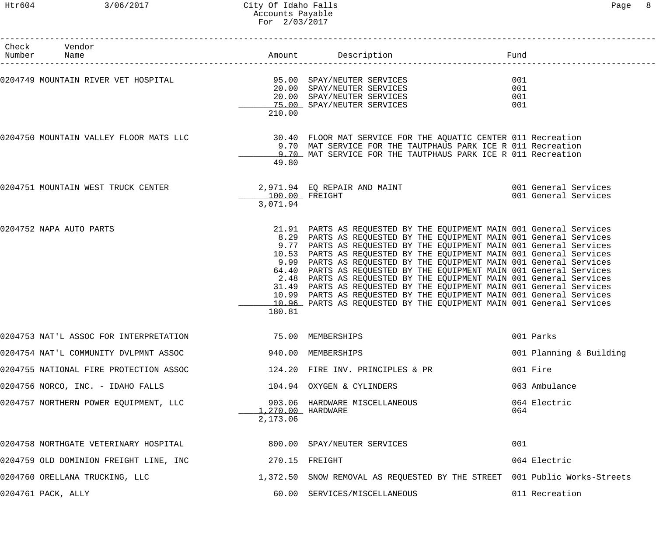## Htr604 3/06/2017 City Of Idaho Falls Page 8 Accounts Payable For 2/03/2017

| Check<br>Number | Vendor<br>Name                                                   |                               | Amount Description                                                                                                                                                                                                                                                                                                                                                                                                                                                                                                                                                                                                                                                                                                             | Fund                                         |
|-----------------|------------------------------------------------------------------|-------------------------------|--------------------------------------------------------------------------------------------------------------------------------------------------------------------------------------------------------------------------------------------------------------------------------------------------------------------------------------------------------------------------------------------------------------------------------------------------------------------------------------------------------------------------------------------------------------------------------------------------------------------------------------------------------------------------------------------------------------------------------|----------------------------------------------|
|                 | 0204749 MOUNTAIN RIVER VET HOSPITAL 600 600 SPAY/NEUTER SERVICES | 210.00                        | 20.00 SPAY/NEUTER SERVICES<br>20.00 SPAY/NEUTER SERVICES<br>75.00 SPAY/NEUTER SERVICES                                                                                                                                                                                                                                                                                                                                                                                                                                                                                                                                                                                                                                         | 001<br>001<br>001<br>001                     |
|                 | 0204750 MOUNTAIN VALLEY FLOOR MATS LLC                           | 49.80                         | 30.40 FLOOR MAT SERVICE FOR THE AQUATIC CENTER 011 Recreation<br>9.70 MAT SERVICE FOR THE TAUTPHAUS PARK ICE R 011 Recreation<br>9.70 MAT SERVICE FOR THE TAUTPHAUS PARK ICE R 011 Recreation                                                                                                                                                                                                                                                                                                                                                                                                                                                                                                                                  |                                              |
|                 | 0204751 MOUNTAIN WEST TRUCK CENTER                               | $100.00$ FREIGHT<br>3,071.94  | 2,971.94 EQ REPAIR AND MAINT                                                                                                                                                                                                                                                                                                                                                                                                                                                                                                                                                                                                                                                                                                   | 001 General Services<br>001 General Services |
|                 | 0204752 NAPA AUTO PARTS                                          | 180.81                        | 21.91 PARTS AS REQUESTED BY THE EQUIPMENT MAIN 001 General Services<br>8.29 PARTS AS REQUESTED BY THE EQUIPMENT MAIN 001 General Services<br>9.77 PARTS AS REQUESTED BY THE EQUIPMENT MAIN 001 General Services<br>10.53 PARTS AS REQUESTED BY THE EQUIPMENT MAIN 001 General Services<br>9.99 PARTS AS REQUESTED BY THE EQUIPMENT MAIN 001 General Services<br>64.40 PARTS AS REQUESTED BY THE EQUIPMENT MAIN 001 General Services<br>2.48 PARTS AS REQUESTED BY THE EQUIPMENT MAIN 001 General Services<br>31.49 PARTS AS REQUESTED BY THE EQUIPMENT MAIN 001 General Services<br>10.99 PARTS AS REQUESTED BY THE EQUIPMENT MAIN 001 General Services<br>10.96 PARTS AS REQUESTED BY THE EQUIPMENT MAIN 001 General Services |                                              |
|                 | 0204753 NAT'L ASSOC FOR INTERPRETATION                           | 75.00 MEMBERSHIPS             |                                                                                                                                                                                                                                                                                                                                                                                                                                                                                                                                                                                                                                                                                                                                | 001 Parks                                    |
|                 | 0204754 NAT'L COMMUNITY DVLPMNT ASSOC                            |                               | 940.00 MEMBERSHIPS                                                                                                                                                                                                                                                                                                                                                                                                                                                                                                                                                                                                                                                                                                             | 001 Planning & Building                      |
|                 | 0204755 NATIONAL FIRE PROTECTION ASSOC                           |                               | 124.20 FIRE INV. PRINCIPLES & PR                                                                                                                                                                                                                                                                                                                                                                                                                                                                                                                                                                                                                                                                                               | 001 Fire                                     |
|                 | 0204756 NORCO, INC. - IDAHO FALLS                                |                               | 104.94 OXYGEN & CYLINDERS                                                                                                                                                                                                                                                                                                                                                                                                                                                                                                                                                                                                                                                                                                      | 063 Ambulance                                |
|                 | 0204757 NORTHERN POWER EQUIPMENT, LLC                            | 1,270.00 HARDWARE<br>2,173.06 | 903.06 HARDWARE MISCELLANEOUS                                                                                                                                                                                                                                                                                                                                                                                                                                                                                                                                                                                                                                                                                                  | 064 Electric<br>064                          |
|                 | 0204758 NORTHGATE VETERINARY HOSPITAL                            |                               | 800.00 SPAY/NEUTER SERVICES                                                                                                                                                                                                                                                                                                                                                                                                                                                                                                                                                                                                                                                                                                    | 001                                          |
|                 | 0204759 OLD DOMINION FREIGHT LINE, INC                           | 270.15                        | FREIGHT                                                                                                                                                                                                                                                                                                                                                                                                                                                                                                                                                                                                                                                                                                                        | 064 Electric                                 |
|                 | 0204760 ORELLANA TRUCKING, LLC                                   |                               | 1,372.50 SNOW REMOVAL AS REQUESTED BY THE STREET 001 Public Works-Streets                                                                                                                                                                                                                                                                                                                                                                                                                                                                                                                                                                                                                                                      |                                              |
|                 | 0204761 PACK, ALLY                                               |                               | 60.00 SERVICES/MISCELLANEOUS                                                                                                                                                                                                                                                                                                                                                                                                                                                                                                                                                                                                                                                                                                   | 011 Recreation                               |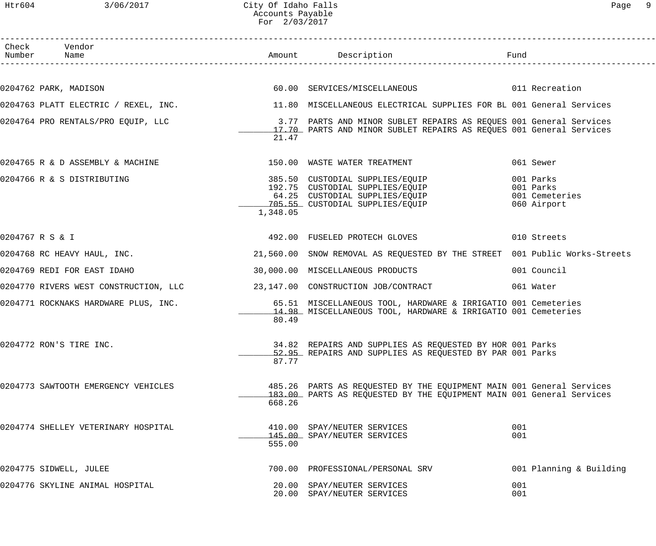| Check Vendor<br>Number Name                                                                         |          |                                                                                                                                              |                                                         |
|-----------------------------------------------------------------------------------------------------|----------|----------------------------------------------------------------------------------------------------------------------------------------------|---------------------------------------------------------|
|                                                                                                     |          |                                                                                                                                              |                                                         |
|                                                                                                     |          | 0204762 PARK, MADISON 60.00 SERVICES/MISCELLANEOUS 011 Recreation                                                                            |                                                         |
|                                                                                                     |          | 0204763 PLATT ELECTRIC / REXEL, INC. 11.80 MISCELLANEOUS ELECTRICAL SUPPLIES FOR BL 001 General Services                                     |                                                         |
|                                                                                                     | 21.47    | 17.70 PARTS AND MINOR SUBLET REPAIRS AS REQUES 001 General Services                                                                          |                                                         |
| 0204765 R & D ASSEMBLY & MACHINE<br>0204765 R & D ASSEMBLY & MACHINE $150.00$ WASTE WATER TREATMENT |          |                                                                                                                                              | 061 Sewer                                               |
| 0204766 R & S DISTRIBUTING                                                                          | 1,348.05 | 385.50 CUSTODIAL SUPPLIES/EQUIP<br>192.75 CUSTODIAL SUPPLIES/EQUIP<br>64.25 CUSTODIAL SUPPLIES/EQUIP<br>705.55 CUSTODIAL SUPPLIES/EQUIP      | 001 Parks<br>001 Parks<br>001 Cemeteries<br>060 Airport |
| 0204767 R S & I                                                                                     |          | 492.00 FUSELED PROTECH GLOVES THE SAME ON Streets                                                                                            |                                                         |
| 0204768 RC HEAVY HAUL, INC.                                                                         |          | 21,560.00 SNOW REMOVAL AS REQUESTED BY THE STREET 001 Public Works-Streets                                                                   |                                                         |
| 0204769 REDI FOR EAST IDAHO                                                                         |          | 30,000.00 MISCELLANEOUS PRODUCTS                                                                                                             | 001 Council                                             |
|                                                                                                     |          | 0204770 RIVERS WEST CONSTRUCTION, LLC        23,147.00 CONSTRUCTION JOB/CONTRACT         061 Water                                           |                                                         |
| 0204771 ROCKNAKS HARDWARE PLUS, INC.                                                                | 80.49    | 65.51 MISCELLANEOUS TOOL, HARDWARE & IRRIGATIO 001 Cemeteries<br>14.98 MISCELLANEOUS TOOL, HARDWARE & IRRIGATIO 001 Cemeteries               |                                                         |
| 0204772 RON'S TIRE INC.                                                                             | 87.77    | 34.82 REPAIRS AND SUPPLIES AS REQUESTED BY HOR 001 Parks<br>52.95 REPAIRS AND SUPPLIES AS REQUESTED BY PAR 001 Parks                         |                                                         |
| 0204773 SAWTOOTH EMERGENCY VEHICLES                                                                 | 668.26   | 485.26 PARTS AS REQUESTED BY THE EQUIPMENT MAIN 001 General Services<br>183.00 PARTS AS REQUESTED BY THE EQUIPMENT MAIN 001 General Services |                                                         |
| 0204774 SHELLEY VETERINARY HOSPITAL                                                                 | 555.00   | 410.00 SPAY/NEUTER SERVICES<br>145.00 SPAY/NEUTER SERVICES                                                                                   | 001<br>001                                              |
| 0204775 SIDWELL, JULEE                                                                              |          | 700.00 PROFESSIONAL/PERSONAL SRV                                                                                                             | 001 Planning & Building                                 |
| 0204776 SKYLINE ANIMAL HOSPITAL                                                                     |          | 20.00 SPAY/NEUTER SERVICES<br>20.00 SPAY/NEUTER SERVICES                                                                                     | 001<br>001                                              |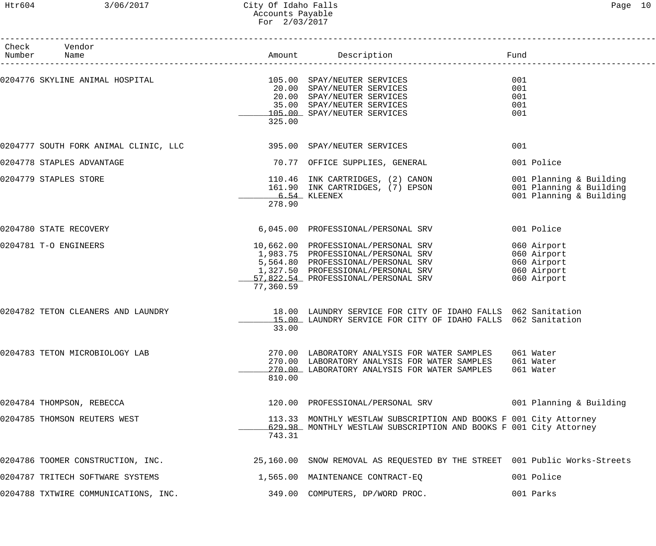| Check Vendor<br>Number Name           |           |                                                                                                                                                                                              |                                                                               |
|---------------------------------------|-----------|----------------------------------------------------------------------------------------------------------------------------------------------------------------------------------------------|-------------------------------------------------------------------------------|
| 0204776 SKYLINE ANIMAL HOSPITAL       | 325.00    | 105.00 SPAY/NEUTER SERVICES<br>20.00 SPAY/NEUTER SERVICES<br>20.00 SPAY/NEUTER SERVICES<br>35.00 SPAY/NEUTER SERVICES<br>105.00 SPAY/NEUTER SERVICES                                         | 001<br>001<br>001<br>001<br>001                                               |
| 0204777 SOUTH FORK ANIMAL CLINIC, LLC |           | 395.00 SPAY/NEUTER SERVICES                                                                                                                                                                  | 001                                                                           |
| 0204778 STAPLES ADVANTAGE             |           | 70.77 OFFICE SUPPLIES, GENERAL                                                                                                                                                               | 001 Police                                                                    |
| 0204779 STAPLES STORE                 | 278.90    | 110.46 INK CARTRIDGES, (2) CANON<br>161.90 INK CARTRIDGES, (7) EPSON<br>$6.54$ KLEENEX                                                                                                       | 001 Planning & Building<br>001 Planning & Building<br>001 Planning & Building |
| 0204780 STATE RECOVERY                |           | 6,045.00 PROFESSIONAL/PERSONAL SRV                                                                                                                                                           | 001 Police                                                                    |
| 0204781 T-O ENGINEERS                 | 77,360.59 | 10,662.00 PROFESSIONAL/PERSONAL SRV<br>1,983.75 PROFESSIONAL/PERSONAL SRV<br>5,564.80 PROFESSIONAL/PERSONAL SRV<br>1,327.50 PROFESSIONAL/PERSONAL SRV<br>57,822.54 PROFESSIONAL/PERSONAL SRV | 060 Airport<br>060 Airport<br>060 Airport<br>060 Airport<br>060 Airport       |
| 0204782 TETON CLEANERS AND LAUNDRY    | 33.00     | 18.00 LAUNDRY SERVICE FOR CITY OF IDAHO FALLS 062 Sanitation<br>15.00 LAUNDRY SERVICE FOR CITY OF IDAHO FALLS 062 Sanitation                                                                 |                                                                               |
| 0204783 TETON MICROBIOLOGY LAB        | 810.00    | 270.00 LABORATORY ANALYSIS FOR WATER SAMPLES<br>270.00 LABORATORY ANALYSIS FOR WATER SAMPLES<br>270.00 LABORATORY ANALYSIS FOR WATER SAMPLES                                                 | 061 Water<br>061 Water<br>061 Water                                           |
| 0204784 THOMPSON, REBECCA             |           | 120.00 PROFESSIONAL/PERSONAL SRV 001 Planning & Building                                                                                                                                     |                                                                               |
| 0204785 THOMSON REUTERS WEST          | 743.31    | 113.33 MONTHLY WESTLAW SUBSCRIPTION AND BOOKS F 001 City Attorney<br>629.98 MONTHLY WESTLAW SUBSCRIPTION AND BOOKS F 001 City Attorney                                                       |                                                                               |
| 0204786 TOOMER CONSTRUCTION, INC.     |           | 25,160.00 SNOW REMOVAL AS REQUESTED BY THE STREET 001 Public Works-Streets                                                                                                                   |                                                                               |
| 0204787 TRITECH SOFTWARE SYSTEMS      |           | 1,565.00 MAINTENANCE CONTRACT-EQ                                                                                                                                                             | 001 Police                                                                    |
| 0204788 TXTWIRE COMMUNICATIONS, INC.  |           | 349.00 COMPUTERS, DP/WORD PROC.                                                                                                                                                              | 001 Parks                                                                     |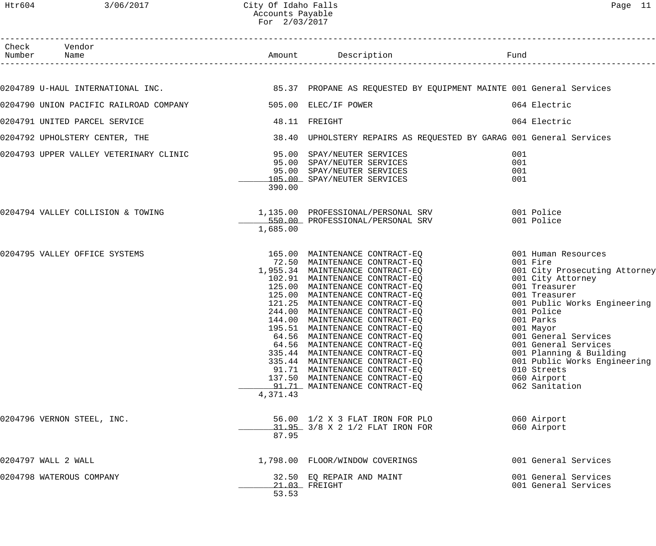| $\sigma$<br><u>.</u> |  |
|----------------------|--|
|                      |  |

| Check<br>Number | Vendor                                                                                                                  |               |                                                                                                                                                                                                                                                                                                                                                                                                                                                                                                                                                                                             |                                                                                                                                                                                                                                                                                                                                                            |
|-----------------|-------------------------------------------------------------------------------------------------------------------------|---------------|---------------------------------------------------------------------------------------------------------------------------------------------------------------------------------------------------------------------------------------------------------------------------------------------------------------------------------------------------------------------------------------------------------------------------------------------------------------------------------------------------------------------------------------------------------------------------------------------|------------------------------------------------------------------------------------------------------------------------------------------------------------------------------------------------------------------------------------------------------------------------------------------------------------------------------------------------------------|
|                 |                                                                                                                         |               |                                                                                                                                                                                                                                                                                                                                                                                                                                                                                                                                                                                             |                                                                                                                                                                                                                                                                                                                                                            |
|                 | 0204789 U-HAUL INTERNATIONAL INC.                   85.37 PROPANE AS REQUESTED BY EQUIPMENT MAINTE 001 General Services |               |                                                                                                                                                                                                                                                                                                                                                                                                                                                                                                                                                                                             |                                                                                                                                                                                                                                                                                                                                                            |
|                 |                                                                                                                         |               |                                                                                                                                                                                                                                                                                                                                                                                                                                                                                                                                                                                             | 064 Electric                                                                                                                                                                                                                                                                                                                                               |
|                 | 0204791 UNITED PARCEL SERVICE                                                                                           | 48.11 FREIGHT |                                                                                                                                                                                                                                                                                                                                                                                                                                                                                                                                                                                             | 064 Electric                                                                                                                                                                                                                                                                                                                                               |
|                 | 0204792 UPHOLSTERY CENTER, THE                                                                                          |               |                                                                                                                                                                                                                                                                                                                                                                                                                                                                                                                                                                                             | 38.40 UPHOLSTERY REPAIRS AS REQUESTED BY GARAG 001 General Services                                                                                                                                                                                                                                                                                        |
|                 | 0204793 UPPER VALLEY VETERINARY CLINIC                                                                                  | 390.00        | 95.00 SPAY/NEUTER SERVICES<br>95.00 SPAY/NEUTER SERVICES<br>95.00 SPAY/NEUTER SERVICES<br>105.00 SPAY/NEUTER SERVICES                                                                                                                                                                                                                                                                                                                                                                                                                                                                       | 001<br>001<br>001<br>001                                                                                                                                                                                                                                                                                                                                   |
|                 | 0204794 VALLEY COLLISION & TOWING                                                                                       | 1,685.00      | 1,135.00 PROFESSIONAL/PERSONAL SRV 001 Police<br>550.00 PROFESSIONAL/PERSONAL SRV 001 Police                                                                                                                                                                                                                                                                                                                                                                                                                                                                                                |                                                                                                                                                                                                                                                                                                                                                            |
|                 | 0204795 VALLEY OFFICE SYSTEMS                                                                                           | 4,371.43      | 165.00 MAINTENANCE CONTRACT-EQ<br>72.50 MAINTENANCE CONTRACT-EQ<br>1,955.34 MAINTENANCE CONTRACT-EQ<br>102.91 MAINTENANCE CONTRACT-EQ<br>125.00 MAINTENANCE CONTRACT-EQ<br>125.00 MAINTENANCE CONTRACT-EQ<br>121.25 MAINTENANCE CONTRACT-EQ<br>244.00 MAINTENANCE CONTRACT-EQ<br>144.00 MAINTENANCE CONTRACT-EQ<br>195.51 MAINTENANCE CONTRACT-EQ<br>64.56 MAINTENANCE CONTRACT-EQ<br>64.56 MAINTENANCE CONTRACT-EO<br>335.44 MAINTENANCE CONTRACT-EQ<br>335.44 MAINTENANCE CONTRACT-EQ<br>91.71 MAINTENANCE CONTRACT-EQ<br>137.50 MAINTENANCE CONTRACT-EQ<br>91.71 MAINTENANCE CONTRACT-EQ | 001 Human Resources<br>001 Fire<br>001 City Prosecuting Attorney<br>001 City Attorney<br>001 Treasurer<br>001 Treasurer<br>001 Public Works Engineering<br>001 Police<br>001 Parks<br>001 Mayor<br>001 General Services<br>001 General Services<br>001 Planning & Building<br>001 Public Works Engineering<br>010 Streets<br>060 Airport<br>062 Sanitation |
|                 | 0204796 VERNON STEEL, INC.                                                                                              | 87.95         | 56.00 1/2 X 3 FLAT IRON FOR PLO<br>31.95 3/8 X 2 1/2 FLAT IRON FOR                                                                                                                                                                                                                                                                                                                                                                                                                                                                                                                          | 060 Airport<br>060 Airport                                                                                                                                                                                                                                                                                                                                 |
|                 | 0204797 WALL 2 WALL                                                                                                     |               | 1,798.00 FLOOR/WINDOW COVERINGS                                                                                                                                                                                                                                                                                                                                                                                                                                                                                                                                                             | 001 General Services                                                                                                                                                                                                                                                                                                                                       |
|                 | 0204798 WATEROUS COMPANY                                                                                                | 53.53         | 32.50 EQ REPAIR AND MAINT<br>21.03 FREIGHT                                                                                                                                                                                                                                                                                                                                                                                                                                                                                                                                                  | 001 General Services<br>001 General Services                                                                                                                                                                                                                                                                                                               |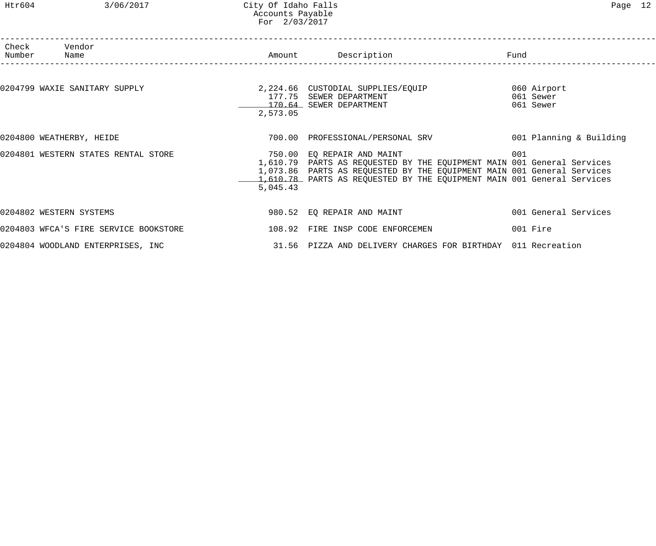## Htr604 3/06/2017 City Of Idaho Falls Page 12 Accounts Payable For 2/03/2017

| Check Vendor<br>Number Name |                                       |          | Amount Description                                                                                                                                                                                                                                       | Fund                                  |
|-----------------------------|---------------------------------------|----------|----------------------------------------------------------------------------------------------------------------------------------------------------------------------------------------------------------------------------------------------------------|---------------------------------------|
|                             | 0204799 WAXIE SANITARY SUPPLY         | 2,573.05 | 2,224.66 CUSTODIAL SUPPLIES/EQUIP<br>177.75 SEWER DEPARTMENT<br>170.64 SEWER DEPARTMENT                                                                                                                                                                  | 060 Airport<br>061 Sewer<br>061 Sewer |
|                             | 0204800 WEATHERBY, HEIDE              |          | 700.00 PROFESSIONAL/PERSONAL SRV                                                                                                                                                                                                                         | 001 Planning & Building               |
|                             | 0204801 WESTERN STATES RENTAL STORE   | 5,045.43 | 750.00 EQ REPAIR AND MAINT<br>1,610.79 PARTS AS REQUESTED BY THE EQUIPMENT MAIN 001 General Services<br>1,073.86 PARTS AS REQUESTED BY THE EQUIPMENT MAIN 001 General Services<br>1,610.78 PARTS AS REQUESTED BY THE EQUIPMENT MAIN 001 General Services | 001                                   |
| 0204802 WESTERN SYSTEMS     |                                       |          | 980.52 EQ REPAIR AND MAINT                                                                                                                                                                                                                               | 001 General Services                  |
|                             | 0204803 WFCA'S FIRE SERVICE BOOKSTORE |          | 108.92 FIRE INSP CODE ENFORCEMEN                                                                                                                                                                                                                         | 001 Fire                              |
|                             | 0204804 WOODLAND ENTERPRISES, INC     |          | 31.56 PIZZA AND DELIVERY CHARGES FOR BIRTHDAY 011 Recreation                                                                                                                                                                                             |                                       |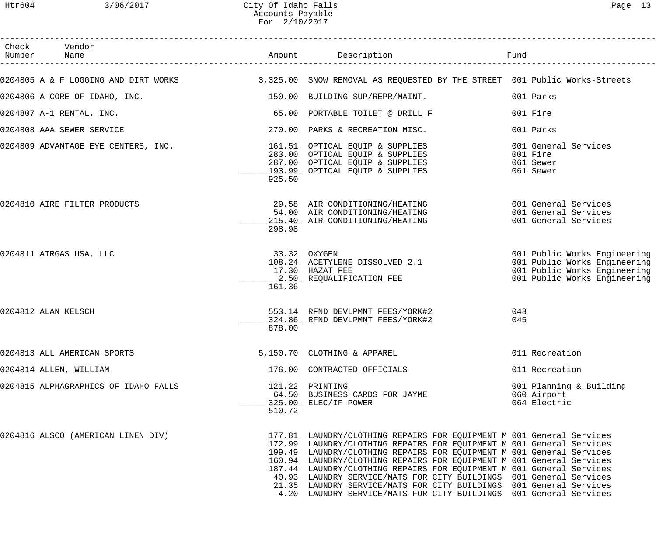| ∵۳۰.<br>-11 |
|-------------|
|-------------|

| Check Vendor<br>Number Name          |        | Amount Description                                                                                                                                                                                                                                                                                                                                                                                                                                                                                                                                                                    |                                                                                                                              |
|--------------------------------------|--------|---------------------------------------------------------------------------------------------------------------------------------------------------------------------------------------------------------------------------------------------------------------------------------------------------------------------------------------------------------------------------------------------------------------------------------------------------------------------------------------------------------------------------------------------------------------------------------------|------------------------------------------------------------------------------------------------------------------------------|
|                                      |        | 0204805 A & F LOGGING AND DIRT WORKS 3,325.00 SNOW REMOVAL AS REQUESTED BY THE STREET 001 Public Works-Streets                                                                                                                                                                                                                                                                                                                                                                                                                                                                        |                                                                                                                              |
| 0204806 A-CORE OF IDAHO, INC.        |        | 150.00 BUILDING SUP/REPR/MAINT.                                                                                                                                                                                                                                                                                                                                                                                                                                                                                                                                                       | 001 Parks                                                                                                                    |
| 0204807 A-1 RENTAL, INC.             |        | 65.00 PORTABLE TOILET @ DRILL F                                                                                                                                                                                                                                                                                                                                                                                                                                                                                                                                                       | 001 Fire                                                                                                                     |
| 0204808 AAA SEWER SERVICE            |        | 270.00 PARKS & RECREATION MISC.                                                                                                                                                                                                                                                                                                                                                                                                                                                                                                                                                       | 001 Parks                                                                                                                    |
| 0204809 ADVANTAGE EYE CENTERS, INC.  | 925.50 | 161.51 OPTICAL EQUIP & SUPPLIES<br>283.00 OPTICAL EQUIP & SUPPLIES<br>287.00 OPTICAL EQUIP & SUPPLIES<br>193.99 OPTICAL EQUIP & SUPPLIES                                                                                                                                                                                                                                                                                                                                                                                                                                              | 001 General Services<br>001 Fire<br>061 Sewer<br>061 Sewer                                                                   |
| 0204810 AIRE FILTER PRODUCTS         | 298.98 | 29.58 AIR CONDITIONING/HEATING 601 General Services<br>54.00 AIR CONDITIONING/HEATING<br>215.40 AIR CONDITIONING/HEATING                                                                                                                                                                                                                                                                                                                                                                                                                                                              | 001 General Services<br>001 General Services                                                                                 |
| 0204811 AIRGAS USA, LLC              | 161.36 | 33.32 OXYGEN<br>108.24 ACETYLENE DISSOLVED 2.1<br>17.30 HAZAT FEE<br>17.30 HAZAT FEE<br>2.50 REQUALIFICATION FEE                                                                                                                                                                                                                                                                                                                                                                                                                                                                      | 001 Public Works Engineering<br>001 Public Works Engineering<br>001 Public Works Engineering<br>001 Public Works Engineering |
| 0204812 ALAN KELSCH                  | 878.00 | 553.14 RFND DEVLPMNT FEES/YORK#2<br>324.86 RFND DEVLPMNT FEES/YORK#2                                                                                                                                                                                                                                                                                                                                                                                                                                                                                                                  | 043<br>045                                                                                                                   |
| 0204813 ALL AMERICAN SPORTS          |        | 5,150.70 CLOTHING & APPAREL                                                                                                                                                                                                                                                                                                                                                                                                                                                                                                                                                           | 011 Recreation                                                                                                               |
| 0204814 ALLEN, WILLIAM               |        | 176.00 CONTRACTED OFFICIALS                                                                                                                                                                                                                                                                                                                                                                                                                                                                                                                                                           | 011 Recreation                                                                                                               |
| 0204815 ALPHAGRAPHICS OF IDAHO FALLS | 510.72 | 121.22 PRINTING<br>64.50 BUSINESS CARDS FOR JAYME<br>325.00 ELEC/IF POWER                                                                                                                                                                                                                                                                                                                                                                                                                                                                                                             | 001 Planning & Building<br>060 Airport<br>064 Electric                                                                       |
| 0204816 ALSCO (AMERICAN LINEN DIV)   |        | 177.81 LAUNDRY/CLOTHING REPAIRS FOR EQUIPMENT M 001 General Services<br>172.99 LAUNDRY/CLOTHING REPAIRS FOR EQUIPMENT M 001 General Services<br>199.49 LAUNDRY/CLOTHING REPAIRS FOR EQUIPMENT M 001 General Services<br>160.94 LAUNDRY/CLOTHING REPAIRS FOR EQUIPMENT M 001 General Services<br>187.44 LAUNDRY/CLOTHING REPAIRS FOR EQUIPMENT M 001 General Services<br>40.93 LAUNDRY SERVICE/MATS FOR CITY BUILDINGS 001 General Services<br>21.35 LAUNDRY SERVICE/MATS FOR CITY BUILDINGS 001 General Services<br>4.20 LAUNDRY SERVICE/MATS FOR CITY BUILDINGS 001 General Services |                                                                                                                              |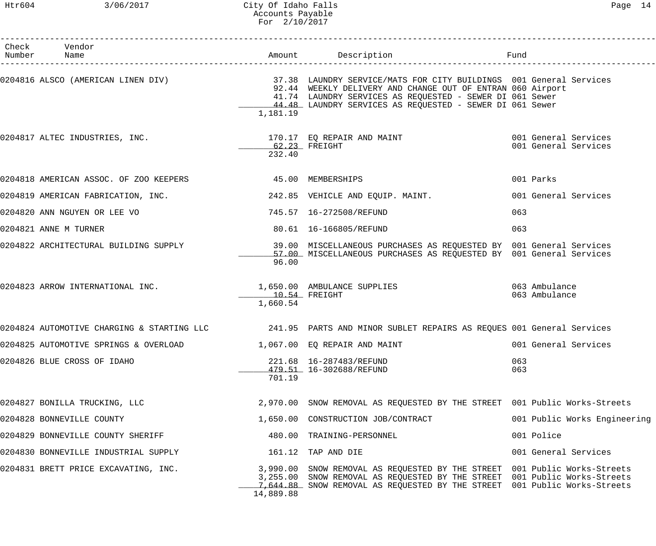| Check Vendor<br>Number Name                                                            |                           | Amount Description Destriction Fund                                                                                                                                                                                                                                                         |                                              |
|----------------------------------------------------------------------------------------|---------------------------|---------------------------------------------------------------------------------------------------------------------------------------------------------------------------------------------------------------------------------------------------------------------------------------------|----------------------------------------------|
|                                                                                        | 1,181.19                  | 0204816 ALSCO (AMERICAN LINEN DIV) 37.38 LAUNDRY SERVICE/MATS FOR CITY BUILDINGS 001 General Services<br>92.44 WEEKLY DELIVERY AND CHANGE OUT OF ENTRAN 060 Airport<br>41.74 LAUNDRY SERVICES AS REQUESTED - SEWER DI 061 Sewer<br>44.48 LAUNDRY SERVICES AS REQUESTED - SEWER DI 061 Sewer |                                              |
| 0204817 ALTEC INDUSTRIES, INC. The matrix of the set of the 170.17 EQ REPAIR AND MAINT | $62.23$ FREIGHT<br>232.40 |                                                                                                                                                                                                                                                                                             | 001 General Services<br>001 General Services |
| 0204818 AMERICAN ASSOC. OF ZOO KEEPERS THE RESOLUTE 45.00 MEMBERSHIPS                  |                           |                                                                                                                                                                                                                                                                                             | 001 Parks                                    |
| 0204819 AMERICAN FABRICATION, INC.                                                     |                           | 242.85 VEHICLE AND EQUIP. MAINT.                                                                                                                                                                                                                                                            | 001 General Services                         |
| 0204820 ANN NGUYEN OR LEE VO                                                           |                           | 745.57    16-272508/REFUND                                                                                                                                                                                                                                                                  | 063                                          |
| 0204821 ANNE M TURNER                                                                  |                           | 80.61  16-166805/REFUND                                                                                                                                                                                                                                                                     | 063                                          |
|                                                                                        | 96.00                     | 0204822 ARCHITECTURAL BUILDING SUPPLY 39.00 MISCELLANEOUS PURCHASES AS REQUESTED BY 001 General Services<br>57.00 MISCELLANEOUS PURCHASES AS REQUESTED BY 001 General Services                                                                                                              |                                              |
| 0204823 ARROW INTERNATIONAL INC.                                                       | 10.54 FREIGHT<br>1,660.54 | 1,650.00 AMBULANCE SUPPLIES                                                                                                                                                                                                                                                                 | 063 Ambulance<br>063 Ambulance               |
|                                                                                        |                           | 0204824 AUTOMOTIVE CHARGING & STARTING LLC 241.95 PARTS AND MINOR SUBLET REPAIRS AS REQUES 001 General Services                                                                                                                                                                             |                                              |
| 0204825 AUTOMOTIVE SPRINGS & OVERLOAD $1,067.00$ EQ REPAIR AND MAINT                   |                           |                                                                                                                                                                                                                                                                                             | 001 General Services                         |
| 0204826 BLUE CROSS OF IDAHO                                                            | 701.19                    | 221.68  16-287483/REFUND<br>479.51 16-302688/REFUND                                                                                                                                                                                                                                         | 063<br>063                                   |
| 0204827 BONILLA TRUCKING, LLC                                                          |                           | 2,970.00 SNOW REMOVAL AS REQUESTED BY THE STREET 001 Public Works-Streets                                                                                                                                                                                                                   |                                              |
| 0204828 BONNEVILLE COUNTY                                                              |                           | 1,650.00 CONSTRUCTION JOB/CONTRACT                                                                                                                                                                                                                                                          | 001 Public Works Engineering                 |
| 0204829 BONNEVILLE COUNTY SHERIFF                                                      | 480.00                    | TRAINING-PERSONNEL                                                                                                                                                                                                                                                                          | 001 Police                                   |
| 0204830 BONNEVILLE INDUSTRIAL SUPPLY                                                   |                           | 161.12 TAP AND DIE                                                                                                                                                                                                                                                                          | 001 General Services                         |
| 0204831 BRETT PRICE EXCAVATING, INC.                                                   | 14,889.88                 | 3,990.00 SNOW REMOVAL AS REQUESTED BY THE STREET 001 Public Works-Streets<br>3,255.00 SNOW REMOVAL AS REQUESTED BY THE STREET 001 Public Works-Streets<br>7,644.88 SNOW REMOVAL AS REQUESTED BY THE STREET 001 Public Works-Streets                                                         |                                              |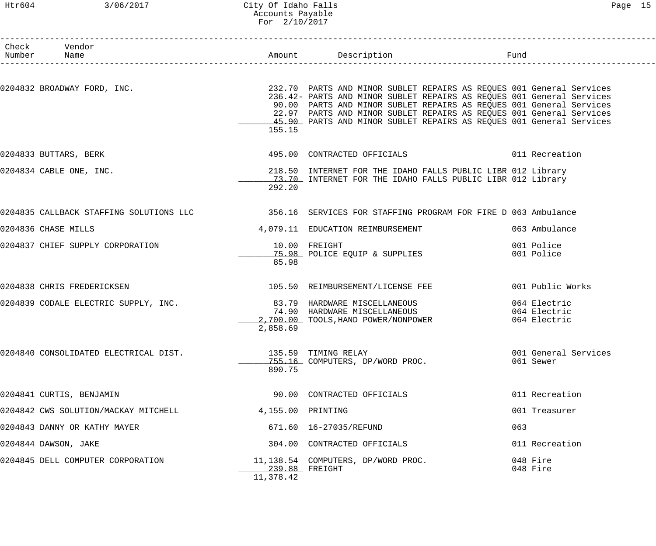## Htr604 3/06/2017 City Of Idaho Falls Page 15 Accounts Payable For 2/10/2017

| Check Vendor<br>Number Name           |                             |                                                                                                                                                                                                                                                                                                                                                                                                                      |                                   |
|---------------------------------------|-----------------------------|----------------------------------------------------------------------------------------------------------------------------------------------------------------------------------------------------------------------------------------------------------------------------------------------------------------------------------------------------------------------------------------------------------------------|-----------------------------------|
|                                       | 155.15                      | 0204832 BROADWAY FORD, INC. THE SAME SERVICE SERVICE SERVICE SOLUTION OF SUBLET REPAIRS AS REQUES 001 General Services<br>236.42- PARTS AND MINOR SUBLET REPAIRS AS REQUES 001 General Services<br>90.00 PARTS AND MINOR SUBLET REPAIRS AS REQUES 001 General Services<br>22.97 PARTS AND MINOR SUBLET REPAIRS AS REQUES 001 General Services<br>45.90 PARTS AND MINOR SUBLET REPAIRS AS REQUES 001 General Services |                                   |
| 0204833 BUTTARS, BERK                 |                             | 495.00 CONTRACTED OFFICIALS 6011 Recreation                                                                                                                                                                                                                                                                                                                                                                          |                                   |
| 0204834 CABLE ONE, INC.               | 292.20                      | 218.50 INTERNET FOR THE IDAHO FALLS PUBLIC LIBR 012 Library<br>73.70 INTERNET FOR THE IDAHO FALLS PUBLIC LIBR 012 Library                                                                                                                                                                                                                                                                                            |                                   |
|                                       |                             | 0204835 CALLBACK STAFFING SOLUTIONS LLC 356.16 SERVICES FOR STAFFING PROGRAM FOR FIRE D 063 Ambulance                                                                                                                                                                                                                                                                                                                |                                   |
| 0204836 CHASE MILLS                   |                             | 4,079.11 EDUCATION REIMBURSEMENT 6063 Ambulance                                                                                                                                                                                                                                                                                                                                                                      |                                   |
| 0204837 CHIEF SUPPLY CORPORATION      | 85.98                       |                                                                                                                                                                                                                                                                                                                                                                                                                      | 001 Police                        |
| 0204838 CHRIS FREDERICKSEN            |                             | 105.50 REIMBURSEMENT/LICENSE FEE 6001 Public Works                                                                                                                                                                                                                                                                                                                                                                   |                                   |
|                                       | 2,858.69                    | 0204839 CODALE ELECTRIC SUPPLY, INC. 83.79 HARDWARE MISCELLANEOUS 64 Electric<br>74.90 HARDWARE MISCELLANEOUS 064 Electric<br>2,700.00 TOOLS, HAND POWER/NONPOWER 064 Electric                                                                                                                                                                                                                                       |                                   |
| 0204840 CONSOLIDATED ELECTRICAL DIST. | 890.75                      | 135.59 TIMING RELAY<br>155.57 11MING REDAY<br>155.16 COMPUTERS, DP/WORD PROC.                                                                                                                                                                                                                                                                                                                                        | 001 General Services<br>061 Sewer |
| 0204841 CURTIS, BENJAMIN              |                             | 90.00 CONTRACTED OFFICIALS                                                                                                                                                                                                                                                                                                                                                                                           | 011 Recreation                    |
| 0204842 CWS SOLUTION/MACKAY MITCHELL  | 4,155.00 PRINTING           |                                                                                                                                                                                                                                                                                                                                                                                                                      | 001 Treasurer                     |
| 0204843 DANNY OR KATHY MAYER          |                             | 671.60  16-27035/REFUND                                                                                                                                                                                                                                                                                                                                                                                              | 063                               |
| 0204844 DAWSON, JAKE                  |                             | 304.00 CONTRACTED OFFICIALS                                                                                                                                                                                                                                                                                                                                                                                          | 011 Recreation                    |
| 0204845 DELL COMPUTER CORPORATION     | 239.88 FREIGHT<br>11,378.42 | 11,138.54 COMPUTERS, DP/WORD PROC.                                                                                                                                                                                                                                                                                                                                                                                   | 048 Fire<br>048 Fire              |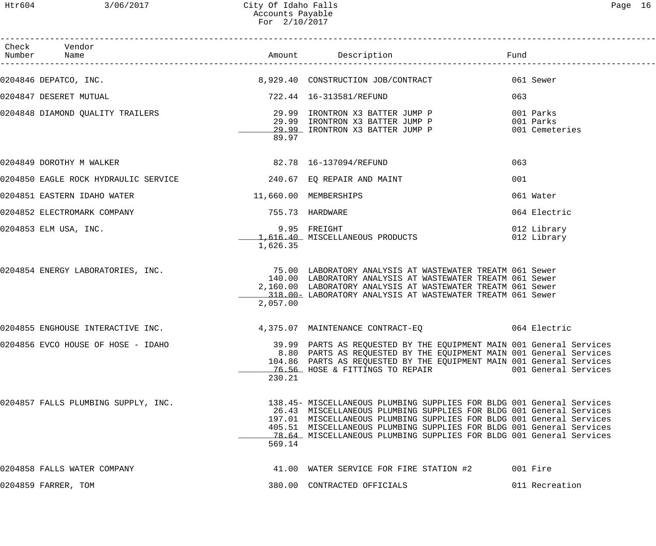| Check Vendor<br>Number Name                                       |                       |                                                                                                                                                                                                                                                                                                                                                                     | Fund                                     |
|-------------------------------------------------------------------|-----------------------|---------------------------------------------------------------------------------------------------------------------------------------------------------------------------------------------------------------------------------------------------------------------------------------------------------------------------------------------------------------------|------------------------------------------|
|                                                                   |                       | 0204846 DEPATCO, INC. 2001 2012 10:30 2014 10:40 2015 8,929.40 2015 2017 2018 2014 108/CONTRACT                                                                                                                                                                                                                                                                     |                                          |
| 0204847 DESERET MUTUAL                                            |                       | 722.44    16-313581/REFUND                                                                                                                                                                                                                                                                                                                                          | 063                                      |
|                                                                   | 89.97                 | 0204848 DIAMOND QUALITY TRAILERS              29.99 IRONTRON X3 BATTER JUMP P<br>29.99 IRONTRON X3 BATTER JUMP P<br>29.99 IRONTRON X3 BATTER JUMP P                                                                                                                                                                                                                 | 001 Parks<br>001 Parks<br>001 Cemeteries |
| 0204849 DOROTHY M WALKER                                          |                       | 82.78  16-137094/REFUND                                                                                                                                                                                                                                                                                                                                             | 063                                      |
| 0204850 EAGLE ROCK HYDRAULIC SERVICE $240.67$ EQ REPAIR AND MAINT |                       |                                                                                                                                                                                                                                                                                                                                                                     | 001                                      |
| 0204851 EASTERN IDAHO WATER                                       | 11,660.00 MEMBERSHIPS |                                                                                                                                                                                                                                                                                                                                                                     | 061 Water                                |
| 0204852 ELECTROMARK COMPANY                                       |                       | 755.73 HARDWARE                                                                                                                                                                                                                                                                                                                                                     | 064 Electric                             |
| 0204853 ELM USA, INC.                                             | 1,626.35              | 9.95 FREIGHT<br>1,616.40 MISCELLANEOUS PRODUCTS                                                                                                                                                                                                                                                                                                                     | 012 Library<br>012 Library               |
| 0204854 ENERGY LABORATORIES, INC.                                 | 2,057.00              | 75.00 LABORATORY ANALYSIS AT WASTEWATER TREATM 061 Sewer<br>140.00 LABORATORY ANALYSIS AT WASTEWATER TREATM 061 Sewer<br>2,160.00 LABORATORY ANALYSIS AT WASTEWATER TREATM 061 Sewer<br>318.00- LABORATORY ANALYSIS AT WASTEWATER TREATM 061 Sewer                                                                                                                  |                                          |
|                                                                   |                       | 0204855 ENGHOUSE INTERACTIVE INC. 4,375.07 MAINTENANCE CONTRACT-EQ 664 Electric                                                                                                                                                                                                                                                                                     |                                          |
| 0204856 EVCO HOUSE OF HOSE - IDAHO                                | 230.21                | 39.99 PARTS AS REQUESTED BY THE EQUIPMENT MAIN 001 General Services<br>8.80 PARTS AS REQUESTED BY THE EQUIPMENT MAIN 001 General Services<br>104.86 PARTS AS REQUESTED BY THE EQUIPMENT MAIN 001 General Services<br>76.56 HOSE & FITTINGS TO REPAIR                                                                                                                | 001 General Services                     |
| 0204857 FALLS PLUMBING SUPPLY, INC.                               | 569.14                | 138.45- MISCELLANEOUS PLUMBING SUPPLIES FOR BLDG 001 General Services<br>26.43 MISCELLANEOUS PLUMBING SUPPLIES FOR BLDG 001 General Services<br>197.01 MISCELLANEOUS PLUMBING SUPPLIES FOR BLDG 001 General Services<br>405.51 MISCELLANEOUS PLUMBING SUPPLIES FOR BLDG 001 General Services<br>78.64 MISCELLANEOUS PLUMBING SUPPLIES FOR BLDG 001 General Services |                                          |
| 0204858 FALLS WATER COMPANY                                       |                       | 41.00 WATER SERVICE FOR FIRE STATION #2                                                                                                                                                                                                                                                                                                                             | 001 Fire                                 |
| 0204859 FARRER, TOM                                               |                       | 380.00 CONTRACTED OFFICIALS                                                                                                                                                                                                                                                                                                                                         | 011 Recreation                           |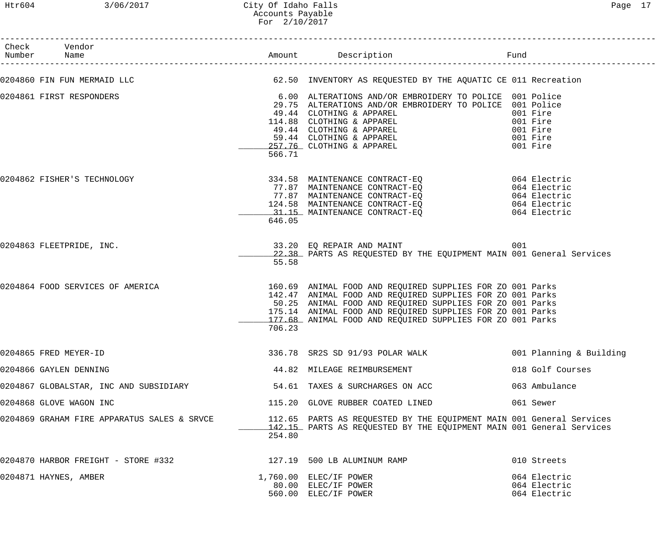## Htr604 3/06/2017 City Of Idaho Falls Page 17 Accounts Payable For 2/10/2017

| Check Vendor<br>Number Name<br>._____________________           |        |                                                                                                                                                                                                                                                                                                              | Fund                                                     |
|-----------------------------------------------------------------|--------|--------------------------------------------------------------------------------------------------------------------------------------------------------------------------------------------------------------------------------------------------------------------------------------------------------------|----------------------------------------------------------|
|                                                                 |        | 0204860 FIN FUN MERMAID LLC <b>An East Constant Constant Constant Constant Constant Constant Constant Constant Co</b>                                                                                                                                                                                        |                                                          |
| 0204861 FIRST RESPONDERS                                        | 566.71 | 6.00 ALTERATIONS AND/OR EMBROIDERY TO POLICE 001 Police<br>29.75 ALTERATIONS AND/OR EMBROIDERY TO POLICE 001 Police<br>49.44 CLOTHING & APPAREL<br>114.88 CLOTHING & APPAREL<br>49.44 CLOTHING & APPAREL<br>59.44 CLOTHING & APPAREL<br>257.76 CLOTHING & APPAREL                                            | 001 Fire<br>001 Fire<br>001 Fire<br>001 Fire<br>001 Fire |
| 0204862 FISHER'S TECHNOLOGY                                     | 646.05 | 334.58 MAINTENANCE CONTRACT-EQ<br>77.87 MAINTENANCE CONTRACT-EQ<br>77.87 MAINTENANCE CONTRACT-EQ<br>124.58 MAINTENANCE CONTRACT-EQ<br>31.15 MAINTENANCE CONTRACT-EQ<br>31.15 MAINTENANCE CONTRACT-EQ<br>064 Electric                                                                                         |                                                          |
| 0204863 FLEETPRIDE, INC.                                        | 55.58  | 33.20 EQ REPAIR AND MAINT 001<br>22.38 PARTS AS REQUESTED BY THE EQUIPMENT MAIN 001 General Services                                                                                                                                                                                                         |                                                          |
| 0204864 FOOD SERVICES OF AMERICA                                | 706.23 | 160.69 ANIMAL FOOD AND REQUIRED SUPPLIES FOR ZO 001 Parks<br>142.47 ANIMAL FOOD AND REQUIRED SUPPLIES FOR ZO 001 Parks<br>50.25 ANIMAL FOOD AND REQUIRED SUPPLIES FOR ZO 001 Parks<br>175.14 ANIMAL FOOD AND REQUIRED SUPPLIES FOR ZO 001 Parks<br>177.68 ANIMAL FOOD AND REQUIRED SUPPLIES FOR ZO 001 Parks |                                                          |
| 0204865 FRED MEYER-ID                                           |        | 336.78 SR2S SD 91/93 POLAR WALK                                                                                                                                                                                                                                                                              | 001 Planning & Building                                  |
| 0204866 GAYLEN DENNING                                          |        | 44.82 MILEAGE REIMBURSEMENT                                                                                                                                                                                                                                                                                  | 018 Golf Courses                                         |
| 0204867 GLOBALSTAR, INC AND SUBSIDIARY                          |        | 54.61 TAXES & SURCHARGES ON ACC                                                                                                                                                                                                                                                                              | 063 Ambulance                                            |
| 0204868 GLOVE WAGON INC                                         |        | 115.20 GLOVE RUBBER COATED LINED                                                                                                                                                                                                                                                                             | 061 Sewer                                                |
| 0204869 GRAHAM FIRE APPARATUS SALES & SRVCE                     | 254.80 | 112.65 PARTS AS REQUESTED BY THE EQUIPMENT MAIN 001 General Services<br>142.15 PARTS AS REQUESTED BY THE EQUIPMENT MAIN 001 General Services                                                                                                                                                                 |                                                          |
| 0204870 HARBOR FREIGHT - STORE #332 127.19 500 LB ALUMINUM RAMP |        |                                                                                                                                                                                                                                                                                                              | 010 Streets                                              |
| 0204871 HAYNES, AMBER                                           |        | 1,760.00 ELEC/IF POWER<br>80.00 ELEC/IF POWER<br>560.00 ELEC/IF POWER                                                                                                                                                                                                                                        | 064 Electric<br>064 Electric<br>064 Electric             |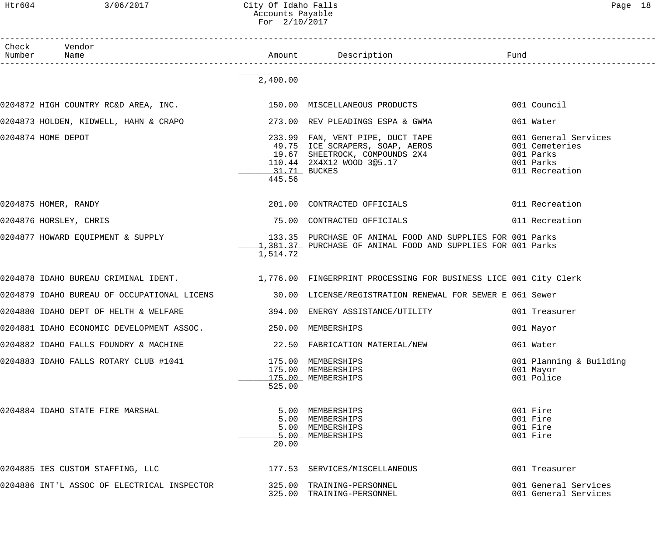## Htr604 3/06/2017 City Of Idaho Falls Page 18 Accounts Payable For 2/10/2017

| Check<br>Number | Vendor<br>Name                                                                                  |                        |                                                                                                                                                    | Fund                                                                               |
|-----------------|-------------------------------------------------------------------------------------------------|------------------------|----------------------------------------------------------------------------------------------------------------------------------------------------|------------------------------------------------------------------------------------|
|                 |                                                                                                 | 2,400.00               |                                                                                                                                                    |                                                                                    |
|                 | 0204872 HIGH COUNTRY RC&D AREA, INC. 450.00 MISCELLANEOUS PRODUCTS                              |                        |                                                                                                                                                    | 001 Council                                                                        |
|                 | 0204873 HOLDEN, KIDWELL, HAHN & CRAPO                         273.00  REV PLEADINGS ESPA & GWMA |                        |                                                                                                                                                    | 061 Water                                                                          |
|                 | 0204874 HOME DEPOT                                                                              | 31.71 BUCKES<br>445.56 | 233.99 FAN, VENT PIPE, DUCT TAPE<br>49.75 ICE SCRAPERS, SOAP, AEROS<br>19.67 SHEETROCK, COMPOUNDS 2X4<br>110.44 2X4X12 WOOD 3@5.17<br>31.71 BUCKES | 001 General Services<br>001 Cemeteries<br>001 Parks<br>001 Parks<br>011 Recreation |
|                 | 0204875 HOMER, RANDY                                                                            |                        | 201.00 CONTRACTED OFFICIALS                                                                                                                        | 011 Recreation                                                                     |
|                 | 0204876 HORSLEY, CHRIS                                                                          |                        | 75.00 CONTRACTED OFFICIALS                                                                                                                         | 011 Recreation                                                                     |
|                 | 0204877 HOWARD EQUIPMENT & SUPPLY                                                               | 1,514.72               | 133.35 PURCHASE OF ANIMAL FOOD AND SUPPLIES FOR 001 Parks<br>1,381.37 PURCHASE OF ANIMAL FOOD AND SUPPLIES FOR 001 Parks                           |                                                                                    |
|                 |                                                                                                 |                        | 0204878 IDAHO BUREAU CRIMINAL IDENT. 1,776.00 FINGERPRINT PROCESSING FOR BUSINESS LICE 001 City Clerk                                              |                                                                                    |
|                 |                                                                                                 |                        | 0204879 IDAHO BUREAU OF OCCUPATIONAL LICENS 30.00 LICENSE/REGISTRATION RENEWAL FOR SEWER E 061 Sewer                                               |                                                                                    |
|                 |                                                                                                 |                        | 0204880 IDAHO DEPT OF HELTH & WELFARE 394.00 ENERGY ASSISTANCE/UTILITY                                                                             | 001 Treasurer                                                                      |
|                 | 0204881 IDAHO ECONOMIC DEVELOPMENT ASSOC. 250.00 MEMBERSHIPS                                    |                        |                                                                                                                                                    | 001 Mayor                                                                          |
|                 | 0204882 IDAHO FALLS FOUNDRY & MACHINE                                                           |                        | 22.50 FABRICATION MATERIAL/NEW                                                                                                                     | 061 Water                                                                          |
|                 | 0204883 IDAHO FALLS ROTARY CLUB #1041                                                           | 525.00                 | 175.00 MEMBERSHIPS<br>175.00 MEMBERSHIPS<br>175.00 MEMBERSHIPS                                                                                     | 001 Planning & Building<br>001 Mayor<br>001 Police                                 |
|                 | 0204884 IDAHO STATE FIRE MARSHAL                                                                | 20.00                  | 5.00 MEMBERSHIPS<br>5.00 MEMBERSHIPS<br>5.00 MEMBERSHIPS<br>5.00 MEMBERSHIPS                                                                       | 001 Fire<br>001 Fire<br>001 Fire<br>001 Fire                                       |
|                 | 0204885 IES CUSTOM STAFFING, LLC                                                                |                        | 177.53 SERVICES/MISCELLANEOUS                                                                                                                      | 001 Treasurer                                                                      |
|                 | 0204886 INT'L ASSOC OF ELECTRICAL INSPECTOR                                                     |                        | 325.00 TRAINING-PERSONNEL<br>325.00 TRAINING-PERSONNEL                                                                                             | 001 General Services<br>001 General Services                                       |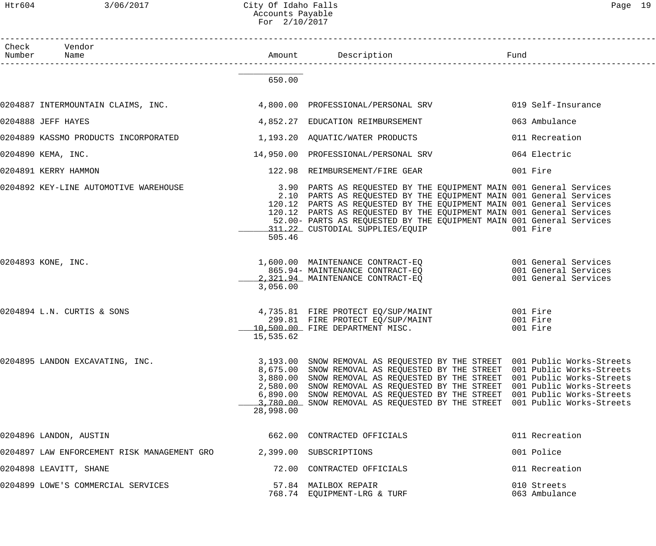Htr604 3/06/2017 City Of Idaho Falls Page 19 Accounts Payable For 2/10/2017

| Check Vendor<br>Number Name                                          |           |                                                                                                                                                                                                                                                                                                                                                                                                                                                                            |                              |
|----------------------------------------------------------------------|-----------|----------------------------------------------------------------------------------------------------------------------------------------------------------------------------------------------------------------------------------------------------------------------------------------------------------------------------------------------------------------------------------------------------------------------------------------------------------------------------|------------------------------|
|                                                                      | 650.00    |                                                                                                                                                                                                                                                                                                                                                                                                                                                                            |                              |
|                                                                      |           | 0204887 INTERMOUNTAIN CLAIMS, INC.          4,800.00 PROFESSIONAL/PERSONAL SRV         019 Self-Insurance                                                                                                                                                                                                                                                                                                                                                                  |                              |
| 0204888 JEFF HAYES                                                   |           | 4,852.27 EDUCATION REIMBURSEMENT                                                                                                                                                                                                                                                                                                                                                                                                                                           | 063 Ambulance                |
| 0204889 KASSMO PRODUCTS INCORPORATED 1,193.20 AQUATIC/WATER PRODUCTS |           |                                                                                                                                                                                                                                                                                                                                                                                                                                                                            | 011 Recreation               |
| 0204890 KEMA, INC.                                                   |           | 14,950.00 PROFESSIONAL/PERSONAL SRV                                                                                                                                                                                                                                                                                                                                                                                                                                        | 064 Electric                 |
| 0204891 KERRY HAMMON                                                 |           | 122.98 REIMBURSEMENT/FIRE GEAR                                                                                                                                                                                                                                                                                                                                                                                                                                             | 001 Fire                     |
| 0204892 KEY-LINE AUTOMOTIVE WAREHOUSE                                | 505.46    | 3.90 PARTS AS REQUESTED BY THE EQUIPMENT MAIN 001 General Services<br>2.10 PARTS AS REQUESTED BY THE EQUIPMENT MAIN 001 General Services<br>120.12 PARTS AS REQUESTED BY THE EQUIPMENT MAIN 001 General Services<br>120.12 PARTS AS REQUESTED BY THE EQUIPMENT MAIN 001 General Services<br>52.00- PARTS AS REQUESTED BY THE EQUIPMENT MAIN 001 General Services<br>311.22 CUSTODIAL SUPPLIES/EQUIP                                                                        | 001 Fire                     |
| 0204893 KONE, INC.                                                   | 3,056.00  | 1,600.00 MAINTENANCE CONTRACT-EQ<br>865.94- MAINTENANCE CONTRACT-EQ 001 General Services<br>2,321.94 MAINTENANCE CONTRACT-EQ 001 General Services                                                                                                                                                                                                                                                                                                                          |                              |
| 0204894 L.N. CURTIS & SONS                                           | 15,535.62 | 4,735.81 FIRE PROTECT EQ/SUP/MAINT 001 Fire<br>299.81 FIRE PROTECT EQ/SUP/MAINT 001 Fire<br>10.500.00 FIRE PROTECT FLORIDATE 1050<br>10,500.00 FIRE DEPARTMENT MISC.                                                                                                                                                                                                                                                                                                       | 001 Fire                     |
| 0204895 LANDON EXCAVATING, INC.                                      | 28,998.00 | 3,193.00 SNOW REMOVAL AS REQUESTED BY THE STREET 001 Public Works-Streets<br>8,675.00 SNOW REMOVAL AS REQUESTED BY THE STREET 001 Public Works-Streets<br>3,880.00 SNOW REMOVAL AS REQUESTED BY THE STREET 001 Public Works-Streets<br>2,580.00 SNOW REMOVAL AS REQUESTED BY THE STREET 001 Public Works-Streets<br>6,890.00 SNOW REMOVAL AS REQUESTED BY THE STREET 001 Public Works-Streets<br>3,780.00 SNOW REMOVAL AS REQUESTED BY THE STREET 001 Public Works-Streets |                              |
| 0204896 LANDON, AUSTIN                                               |           | 662.00 CONTRACTED OFFICIALS                                                                                                                                                                                                                                                                                                                                                                                                                                                | 011 Recreation               |
| 0204897 LAW ENFORCEMENT RISK MANAGEMENT GRO                          |           | 2,399.00 SUBSCRIPTIONS                                                                                                                                                                                                                                                                                                                                                                                                                                                     | 001 Police                   |
| 0204898 LEAVITT, SHANE                                               |           | 72.00 CONTRACTED OFFICIALS                                                                                                                                                                                                                                                                                                                                                                                                                                                 | 011 Recreation               |
| 0204899 LOWE'S COMMERCIAL SERVICES                                   |           | 57.84 MAILBOX REPAIR<br>768.74 EQUIPMENT-LRG & TURF                                                                                                                                                                                                                                                                                                                                                                                                                        | 010 Streets<br>063 Ambulance |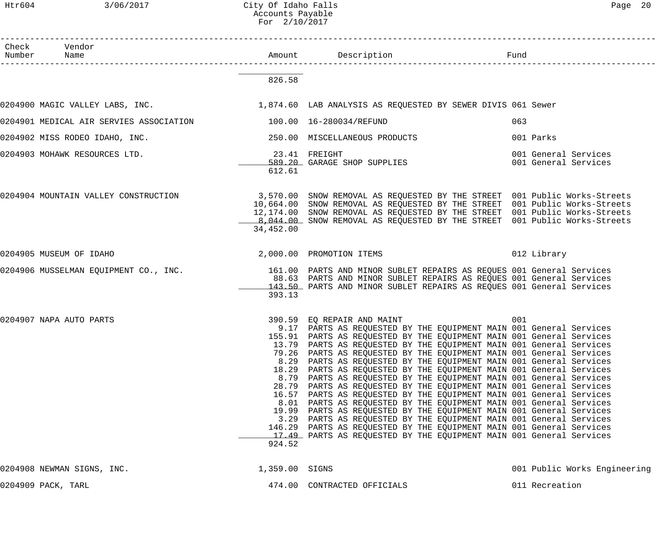## Htr604 3/06/2017 City Of Idaho Falls Page 20 Accounts Payable For 2/10/2017

| Number | Check Vendor<br>Name                    |                |                                                                                                                                                                                                                                                                                                                                                                                                                                                                                                                                                                                                                                                                                                                                                                                                                                                                                                                                                                                                                                                           | Fund                                         |
|--------|-----------------------------------------|----------------|-----------------------------------------------------------------------------------------------------------------------------------------------------------------------------------------------------------------------------------------------------------------------------------------------------------------------------------------------------------------------------------------------------------------------------------------------------------------------------------------------------------------------------------------------------------------------------------------------------------------------------------------------------------------------------------------------------------------------------------------------------------------------------------------------------------------------------------------------------------------------------------------------------------------------------------------------------------------------------------------------------------------------------------------------------------|----------------------------------------------|
|        |                                         | 826.58         |                                                                                                                                                                                                                                                                                                                                                                                                                                                                                                                                                                                                                                                                                                                                                                                                                                                                                                                                                                                                                                                           |                                              |
|        |                                         |                | $0204900$ MAGIC VALLEY LABS, INC. $1,874.60$ LAB ANALYSIS AS REQUESTED BY SEWER DIVIS 061 Sewer                                                                                                                                                                                                                                                                                                                                                                                                                                                                                                                                                                                                                                                                                                                                                                                                                                                                                                                                                           |                                              |
|        | 0204901 MEDICAL AIR SERVIES ASSOCIATION |                | 100.00  16-280034/REFUND                                                                                                                                                                                                                                                                                                                                                                                                                                                                                                                                                                                                                                                                                                                                                                                                                                                                                                                                                                                                                                  | 063                                          |
|        | 0204902 MISS RODEO IDAHO, INC.          |                | 250.00 MISCELLANEOUS PRODUCTS                                                                                                                                                                                                                                                                                                                                                                                                                                                                                                                                                                                                                                                                                                                                                                                                                                                                                                                                                                                                                             | 001 Parks                                    |
|        | 0204903 MOHAWK RESOURCES LTD.           | 612.61         | 23.41 FREIGHT<br>23.41  FREIGHT<br>589.20_ GARAGE SHOP SUPPLIES                                                                                                                                                                                                                                                                                                                                                                                                                                                                                                                                                                                                                                                                                                                                                                                                                                                                                                                                                                                           | 001 General Services<br>001 General Services |
|        | 0204904 MOUNTAIN VALLEY CONSTRUCTION    | 34,452.00      | 3,570.00 SNOW REMOVAL AS REQUESTED BY THE STREET 001 Public Works-Streets<br>10,664.00 SNOW REMOVAL AS REQUESTED BY THE STREET 001 Public Works-Streets<br>12,174.00 SNOW REMOVAL AS REQUESTED BY THE STREET 001 Public Works-Streets<br>8,044.00 SNOW REMOVAL AS REQUESTED BY THE STREET 001 Public Works-Streets                                                                                                                                                                                                                                                                                                                                                                                                                                                                                                                                                                                                                                                                                                                                        |                                              |
|        | 0204905 MUSEUM OF IDAHO                 |                | 2,000.00 PROMOTION ITEMS                                                                                                                                                                                                                                                                                                                                                                                                                                                                                                                                                                                                                                                                                                                                                                                                                                                                                                                                                                                                                                  | 012 Library                                  |
|        | 0204906 MUSSELMAN EQUIPMENT CO., INC.   | 393.13         | 161.00 PARTS AND MINOR SUBLET REPAIRS AS REQUES 001 General Services<br>88.63 PARTS AND MINOR SUBLET REPAIRS AS REQUES 001 General Services<br>143.50 PARTS AND MINOR SUBLET REPAIRS AS REQUES 001 General Services                                                                                                                                                                                                                                                                                                                                                                                                                                                                                                                                                                                                                                                                                                                                                                                                                                       |                                              |
|        | 0204907 NAPA AUTO PARTS                 | 924.52         | 390.59 EQ REPAIR AND MAINT<br>9.17 PARTS AS REQUESTED BY THE EQUIPMENT MAIN 001 General Services<br>155.91 PARTS AS REQUESTED BY THE EQUIPMENT MAIN 001 General Services<br>13.79 PARTS AS REQUESTED BY THE EQUIPMENT MAIN 001 General Services<br>79.26 PARTS AS REQUESTED BY THE EQUIPMENT MAIN 001 General Services<br>8.29 PARTS AS REQUESTED BY THE EQUIPMENT MAIN 001 General Services<br>18.29 PARTS AS REQUESTED BY THE EQUIPMENT MAIN 001 General Services<br>8.79 PARTS AS REQUESTED BY THE EQUIPMENT MAIN 001 General Services<br>28.79 PARTS AS REQUESTED BY THE EQUIPMENT MAIN 001 General Services<br>16.57 PARTS AS REQUESTED BY THE EQUIPMENT MAIN 001 General Services<br>8.01 PARTS AS REQUESTED BY THE EQUIPMENT MAIN 001 General Services<br>19.99 PARTS AS REQUESTED BY THE EQUIPMENT MAIN 001 General Services<br>3.29 PARTS AS REQUESTED BY THE EQUIPMENT MAIN 001 General Services<br>146.29 PARTS AS REQUESTED BY THE EQUIPMENT MAIN 001 General Services<br>17.49 PARTS AS REQUESTED BY THE EQUIPMENT MAIN 001 General Services | 001                                          |
|        | 0204908 NEWMAN SIGNS, INC.              | 1,359.00 SIGNS |                                                                                                                                                                                                                                                                                                                                                                                                                                                                                                                                                                                                                                                                                                                                                                                                                                                                                                                                                                                                                                                           | 001 Public Works Engineering                 |
|        | 0204909 PACK, TARL                      |                | 474.00 CONTRACTED OFFICIALS                                                                                                                                                                                                                                                                                                                                                                                                                                                                                                                                                                                                                                                                                                                                                                                                                                                                                                                                                                                                                               | 011 Recreation                               |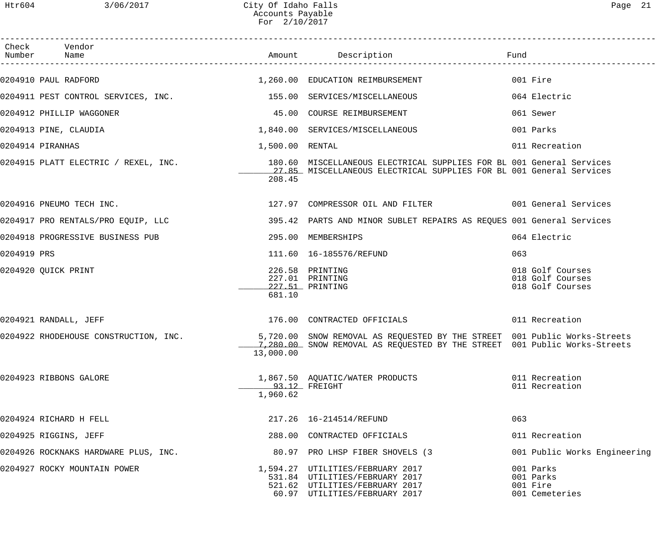|             | Check Vendor<br>Number Name          |                 |                                                                                                                                                                                                        | Fund                                                     |
|-------------|--------------------------------------|-----------------|--------------------------------------------------------------------------------------------------------------------------------------------------------------------------------------------------------|----------------------------------------------------------|
|             |                                      |                 | 0204910 PAUL RADFORD 601 Fire 1,260.00 EDUCATION REIMBURSEMENT 601 Fire                                                                                                                                |                                                          |
|             |                                      |                 | 0204911 PEST CONTROL SERVICES, INC. 155.00 SERVICES/MISCELLANEOUS                                                                                                                                      | 064 Electric                                             |
|             | 0204912 PHILLIP WAGGONER             |                 | 45.00 COURSE REIMBURSEMENT                                                                                                                                                                             | 061 Sewer                                                |
|             |                                      |                 | 0204913 PINE, CLAUDIA 2008 2009 1,840.00 SERVICES/MISCELLANEOUS                                                                                                                                        | 001 Parks                                                |
|             | 0204914 PIRANHAS                     | 1,500.00 RENTAL |                                                                                                                                                                                                        | 011 Recreation                                           |
|             |                                      | 208.45          | 0204915 PLATT ELECTRIC / REXEL, INC.                       180.60 MISCELLANEOUS ELECTRICAL SUPPLIES FOR BL 001 General Services<br>27.85 MISCELLANEOUS ELECTRICAL SUPPLIES FOR BL 001 General Services |                                                          |
|             |                                      |                 | 0204916 PNEUMO TECH INC. THE SERVICES SONDERESS ON THE SERVICES ON THE SERVICES ON DESCRIPTION ON THE SERVICES                                                                                         |                                                          |
|             |                                      |                 | 0204917 PRO RENTALS/PRO EQUIP, LLC 395.42 PARTS AND MINOR SUBLET REPAIRS AS REQUES 001 General Services                                                                                                |                                                          |
|             | 0204918 PROGRESSIVE BUSINESS PUB     |                 | 295.00 MEMBERSHIPS                                                                                                                                                                                     | 064 Electric                                             |
| 0204919 PRS |                                      |                 | 111.60    16-185576/REFUND                                                                                                                                                                             | 063                                                      |
|             | 0204920 OUICK PRINT                  | 681.10          | 226.58 PRINTING<br>227.01 PRINTING<br>227.51 PRINTING                                                                                                                                                  | 018 Golf Courses<br>018 Golf Courses<br>018 Golf Courses |
|             | 0204921 RANDALL, JEFF                |                 | 176.00 CONTRACTED OFFICIALS 6011 Recreation                                                                                                                                                            |                                                          |
|             |                                      | 13,000.00       | 0204922 RHODEHOUSE CONSTRUCTION, INC. 5,720.00 SNOW REMOVAL AS REQUESTED BY THE STREET 001 Public Works-Streets<br>1,280.00 SNOW REMOVAL AS REQUESTED BY THE STREET 001 Public Works-Streets           |                                                          |
|             | 0204923 RIBBONS GALORE               | 1,960.62        | 1,867.50 AQUATIC/WATER PRODUCTS<br>93.12 FREIGHT                                                                                                                                                       | 011 Recreation<br>011 Recreation                         |
|             | 0204924 RICHARD H FELL               |                 | 217.26  16-214514/REFUND                                                                                                                                                                               | 063                                                      |
|             | 0204925 RIGGINS, JEFF                |                 | 288.00 CONTRACTED OFFICIALS                                                                                                                                                                            | 011 Recreation                                           |
|             | 0204926 ROCKNAKS HARDWARE PLUS, INC. |                 | 80.97 PRO LHSP FIBER SHOVELS (3                                                                                                                                                                        | 001 Public Works Engineering                             |
|             | 0204927 ROCKY MOUNTAIN POWER         |                 | 1,594.27 UTILITIES/FEBRUARY 2017<br>531.84 UTILITIES/FEBRUARY 2017<br>521.62 UTILITIES/FEBRUARY 2017<br>60.97 UTILITIES/FEBRUARY 2017                                                                  | 001 Parks<br>001 Parks<br>001 Fire<br>001 Cemeteries     |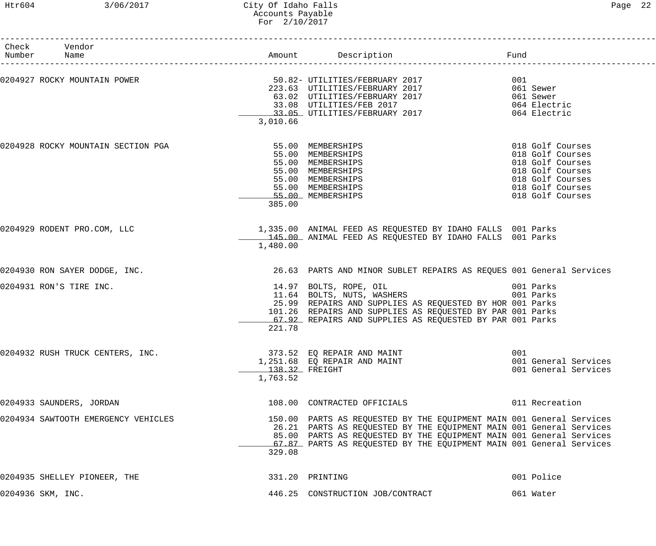| Check Vendor<br>Number Name         |                                                            |                            | Amount Description<br>Fund                                                                                                                                                                                                                                                                |                                                                                                                                          |
|-------------------------------------|------------------------------------------------------------|----------------------------|-------------------------------------------------------------------------------------------------------------------------------------------------------------------------------------------------------------------------------------------------------------------------------------------|------------------------------------------------------------------------------------------------------------------------------------------|
|                                     |                                                            | 3,010.66                   |                                                                                                                                                                                                                                                                                           |                                                                                                                                          |
|                                     | 0204928 ROCKY MOUNTAIN SECTION PGA 62010 55.00 MEMBERSHIPS | 385.00                     | 55.00 MEMBERSHIPS<br>55.00 MEMBERSHIPS<br>55.00 MEMBERSHIPS<br>55.00 MEMBERSHIPS<br>55.00 MEMBERSHIPS<br>55.00 MEMBERSHIPS                                                                                                                                                                | 018 Golf Courses<br>018 Golf Courses<br>018 Golf Courses<br>018 Golf Courses<br>018 Golf Courses<br>018 Golf Courses<br>018 Golf Courses |
| 0204929 RODENT PRO.COM, LLC         |                                                            | 1,480.00                   | 1,335.00 ANIMAL FEED AS REQUESTED BY IDAHO FALLS 001 Parks<br>145.00 ANIMAL FEED AS REQUESTED BY IDAHO FALLS 001 Parks                                                                                                                                                                    |                                                                                                                                          |
| 0204930 RON SAYER DODGE, INC.       |                                                            |                            | 26.63 PARTS AND MINOR SUBLET REPAIRS AS REQUES 001 General Services                                                                                                                                                                                                                       |                                                                                                                                          |
| 0204931 RON'S TIRE INC.             |                                                            | 221.78                     | 14.97 BOLTS, ROPE, OIL 14.97 BOLTS, ROPE, OIL CONSERVIT COMPARERS 11.64 BOLTS, NUTS, WASHERS<br>25.99 REPAIRS AND SUPPLIES AS REQUESTED BY HOR 001 Parks<br>101.26 REPAIRS AND SUPPLIES AS REQUESTED BY PAR 001 Parks<br>67.92 REPAIRS AND SUPPLIES AS REQUESTED BY PAR 001 Parks         |                                                                                                                                          |
| 0204932 RUSH TRUCK CENTERS, INC.    |                                                            | 138.32 FREIGHT<br>1,763.52 | 373.52 EO REPAIR AND MAINT<br>1,251.68 EQ REPAIR AND MAINT                                                                                                                                                                                                                                | 001<br>001 General Services<br>001 General Services                                                                                      |
| 0204933 SAUNDERS, JORDAN            |                                                            |                            | 108.00 CONTRACTED OFFICIALS                                                                                                                                                                                                                                                               | 011 Recreation                                                                                                                           |
| 0204934 SAWTOOTH EMERGENCY VEHICLES |                                                            | 329.08                     | 150.00 PARTS AS REQUESTED BY THE EQUIPMENT MAIN 001 General Services<br>26.21 PARTS AS REQUESTED BY THE EQUIPMENT MAIN 001 General Services<br>85.00 PARTS AS REQUESTED BY THE EQUIPMENT MAIN 001 General Services<br>67.87 PARTS AS REQUESTED BY THE EQUIPMENT MAIN 001 General Services |                                                                                                                                          |
| 0204935 SHELLEY PIONEER, THE        |                                                            |                            | 331.20 PRINTING                                                                                                                                                                                                                                                                           | 001 Police                                                                                                                               |
| 0204936 SKM, INC.                   |                                                            |                            | 446.25 CONSTRUCTION JOB/CONTRACT                                                                                                                                                                                                                                                          | 061 Water                                                                                                                                |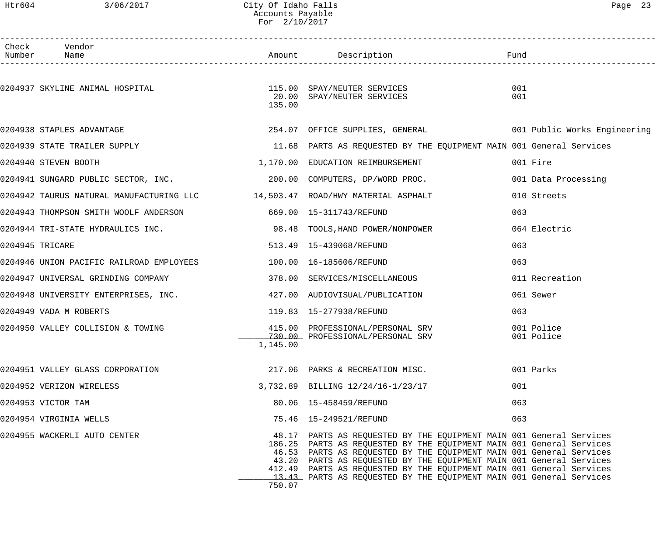## Htr604 3/06/2017 City Of Idaho Falls Page 23 Accounts Payable For 2/10/2017

| Check Vendor<br>Number Name                                                               |          |                                                                                                                                                                                                                                                                                                                                                                                                                                          |                                                               |
|-------------------------------------------------------------------------------------------|----------|------------------------------------------------------------------------------------------------------------------------------------------------------------------------------------------------------------------------------------------------------------------------------------------------------------------------------------------------------------------------------------------------------------------------------------------|---------------------------------------------------------------|
| 0204937 SKYLINE ANIMAL HOSPITAL 115.00 SPAY/NEUTER SERVICES<br>20.00 SPAY/NEUTER SERVICES | 135.00   |                                                                                                                                                                                                                                                                                                                                                                                                                                          | 001<br>001                                                    |
| 0204938 STAPLES ADVANTAGE                                                                 |          |                                                                                                                                                                                                                                                                                                                                                                                                                                          | 254.07 OFFICE SUPPLIES, GENERAL 6001 Public Works Engineering |
| 0204939 STATE TRAILER SUPPLY                                                              |          | 11.68 PARTS AS REQUESTED BY THE EQUIPMENT MAIN 001 General Services                                                                                                                                                                                                                                                                                                                                                                      |                                                               |
| 0204940 STEVEN BOOTH                                                                      |          | 1,170.00 EDUCATION REIMBURSEMENT                                                                                                                                                                                                                                                                                                                                                                                                         | 001 Fire                                                      |
| 0204941 SUNGARD PUBLIC SECTOR, INC. 200.00 COMPUTERS, DP/WORD PROC.                       |          |                                                                                                                                                                                                                                                                                                                                                                                                                                          | 001 Data Processing                                           |
| 0204942 TAURUS NATURAL MANUFACTURING LLC 14,503.47 ROAD/HWY MATERIAL ASPHALT              |          |                                                                                                                                                                                                                                                                                                                                                                                                                                          | 010 Streets                                                   |
| 0204943 THOMPSON SMITH WOOLF ANDERSON 669.00 15-311743/REFUND                             |          |                                                                                                                                                                                                                                                                                                                                                                                                                                          | 063                                                           |
| 0204944 TRI-STATE HYDRAULICS INC. 38.48 TOOLS, HAND POWER/NONPOWER                        |          |                                                                                                                                                                                                                                                                                                                                                                                                                                          | 064 Electric                                                  |
| 0204945 TRICARE                                                                           |          | 513.49  15-439068/REFUND                                                                                                                                                                                                                                                                                                                                                                                                                 | 063                                                           |
| 0204946 UNION PACIFIC RAILROAD EMPLOYEES 100.00 16-185606/REFUND                          |          |                                                                                                                                                                                                                                                                                                                                                                                                                                          | 063                                                           |
| 0204947 UNIVERSAL GRINDING COMPANY                                                        |          | 378.00 SERVICES/MISCELLANEOUS                                                                                                                                                                                                                                                                                                                                                                                                            | 011 Recreation                                                |
| 0204948 UNIVERSITY ENTERPRISES, INC. 427.00 AUDIOVISUAL/PUBLICATION                       |          |                                                                                                                                                                                                                                                                                                                                                                                                                                          | 061 Sewer                                                     |
| 0204949 VADA M ROBERTS                                                                    |          | 119.83    15-277938/REFUND                                                                                                                                                                                                                                                                                                                                                                                                               | 063                                                           |
| 0204950 VALLEY COLLISION & TOWING                                                         | 1,145.00 | 415.00 PROFESSIONAL/PERSONAL SRV<br>730.00 PROFESSIONAL/PERSONAL SRV                                                                                                                                                                                                                                                                                                                                                                     | 001 Police<br>001 Police                                      |
| 0204951 VALLEY GLASS CORPORATION                                                          |          | 217.06 PARKS & RECREATION MISC.                                                                                                                                                                                                                                                                                                                                                                                                          | 001 Parks                                                     |
| 0204952 VERIZON WIRELESS                                                                  |          | 3,732.89 BILLING 12/24/16-1/23/17                                                                                                                                                                                                                                                                                                                                                                                                        | 001                                                           |
| 0204953 VICTOR TAM                                                                        |          | 80.06  15-458459/REFUND                                                                                                                                                                                                                                                                                                                                                                                                                  | 063                                                           |
| 0204954 VIRGINIA WELLS                                                                    |          | 75.46   15-249521/REFUND                                                                                                                                                                                                                                                                                                                                                                                                                 | 063                                                           |
| 0204955 WACKERLI AUTO CENTER                                                              | 750.07   | 48.17 PARTS AS REQUESTED BY THE EQUIPMENT MAIN 001 General Services<br>186.25 PARTS AS REQUESTED BY THE EQUIPMENT MAIN 001 General Services<br>46.53 PARTS AS REQUESTED BY THE EQUIPMENT MAIN 001 General Services<br>43.20 PARTS AS REQUESTED BY THE EQUIPMENT MAIN 001 General Services<br>412.49 PARTS AS REQUESTED BY THE EQUIPMENT MAIN 001 General Services<br>13.43 PARTS AS REQUESTED BY THE EQUIPMENT MAIN 001 General Services |                                                               |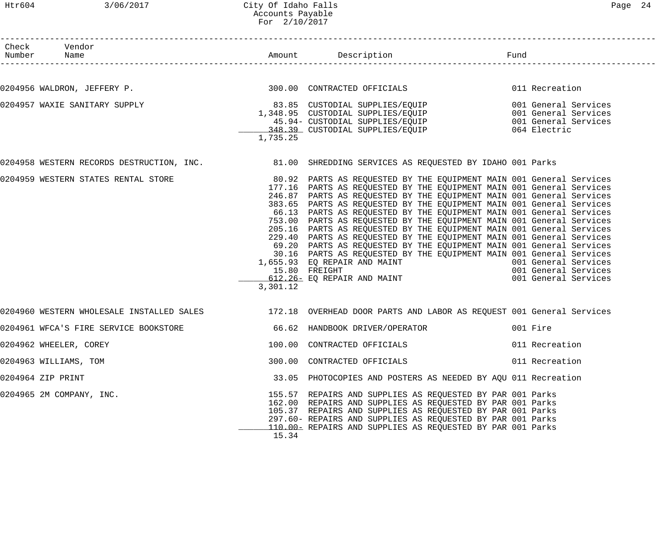| Раае | 4 |
|------|---|
|------|---|

| $^\mathtt{'heck}$ | 'endo. |        |             |
|-------------------|--------|--------|-------------|
| Number            | Name   | Amouni | <b>Tung</b> |

| 0204956 WALDRON, JEFFERY P. 200 10 CONTRACTED OFFICIALS 2004956 WALDRON, JEFFERY P.                                                                                                                                                          |          |                                                                                                                                                                                                                                                                                                                                                                                                                                                                                                                                                                                                                                                                                                                                                                                                                 |                |
|----------------------------------------------------------------------------------------------------------------------------------------------------------------------------------------------------------------------------------------------|----------|-----------------------------------------------------------------------------------------------------------------------------------------------------------------------------------------------------------------------------------------------------------------------------------------------------------------------------------------------------------------------------------------------------------------------------------------------------------------------------------------------------------------------------------------------------------------------------------------------------------------------------------------------------------------------------------------------------------------------------------------------------------------------------------------------------------------|----------------|
| 0204957 WAXIE SANITARY SUPPLY <b>1,348.39 CUSTODIAL SUPPLIES/EQUIP</b> 001 General Services<br>1,348.95 CUSTODIAL SUPPLIES/EQUIP 001 General Services<br>45.94- CUSTODIAL SUPPLIES/EQUIP 001 General Services<br>248.39 CUSTODIAL SUPPLIES/E | 1,735.25 |                                                                                                                                                                                                                                                                                                                                                                                                                                                                                                                                                                                                                                                                                                                                                                                                                 |                |
| 0204958 WESTERN RECORDS DESTRUCTION, INC. 31.00 SHREDDING SERVICES AS REQUESTED BY IDAHO 001 Parks                                                                                                                                           |          |                                                                                                                                                                                                                                                                                                                                                                                                                                                                                                                                                                                                                                                                                                                                                                                                                 |                |
| 0204959 WESTERN STATES RENTAL STORE <b>1999 ST 2005</b> 80.92 PARTS AS REQUESTED BY THE EQUIPMENT MAIN 001 General Services                                                                                                                  | 3,301.12 | 177.16 PARTS AS REQUESTED BY THE EQUIPMENT MAIN 001 General Services<br>246.87 PARTS AS REQUESTED BY THE EQUIPMENT MAIN 001 General Services<br>383.65 PARTS AS REQUESTED BY THE EQUIPMENT MAIN 001 General Services<br>66.13 PARTS AS REQUESTED BY THE EQUIPMENT MAIN 001 General Services<br>753.00 PARTS AS REQUESTED BY THE EQUIPMENT MAIN 001 General Services<br>205.16 PARTS AS REQUESTED BY THE EQUIPMENT MAIN 001 General Services<br>229.40 PARTS AS REQUESTED BY THE EQUIPMENT MAIN 001 General Services<br>69.20 PARTS AS REQUESTED BY THE EQUIPMENT MAIN 001 General Services<br>30.16 PARTS AS REQUESTED BY THE EQUIPMENT MAIN 001 General Services<br>1,655.93 EQ REPAIR AND MAINT 001 General Services<br>15.80 FREIGHT 001 General Services<br>612.26 EQ REPAIR AND MAINT 001 General Services |                |
| 0204960 WESTERN WHOLESALE INSTALLED SALES 172.18 OVERHEAD DOOR PARTS AND LABOR AS REQUEST 001 General Services                                                                                                                               |          |                                                                                                                                                                                                                                                                                                                                                                                                                                                                                                                                                                                                                                                                                                                                                                                                                 |                |
| 0204961 WFCA'S FIRE SERVICE BOOKSTORE 66.62 HANDBOOK DRIVER/OPERATOR 60.01 Fire                                                                                                                                                              |          |                                                                                                                                                                                                                                                                                                                                                                                                                                                                                                                                                                                                                                                                                                                                                                                                                 |                |
| 0204962 WHEELER, COREY                                                                                                                                                                                                                       |          | 100.00 CONTRACTED OFFICIALS                                                                                                                                                                                                                                                                                                                                                                                                                                                                                                                                                                                                                                                                                                                                                                                     | 011 Recreation |
| 0204963 WILLIAMS, TOM                                                                                                                                                                                                                        |          | 300.00 CONTRACTED OFFICIALS                                                                                                                                                                                                                                                                                                                                                                                                                                                                                                                                                                                                                                                                                                                                                                                     | 011 Recreation |
| 0204964 ZIP PRINT                                                                                                                                                                                                                            |          | 33.05 PHOTOCOPIES AND POSTERS AS NEEDED BY AOU 011 Recreation                                                                                                                                                                                                                                                                                                                                                                                                                                                                                                                                                                                                                                                                                                                                                   |                |
| 0204965 2M COMPANY, INC.                                                                                                                                                                                                                     | 15.34    | 155.57 REPAIRS AND SUPPLIES AS REQUESTED BY PAR 001 Parks<br>162.00 REPAIRS AND SUPPLIES AS REQUESTED BY PAR 001 Parks<br>105.37 REPAIRS AND SUPPLIES AS REQUESTED BY PAR 001 Parks<br>297.60- REPAIRS AND SUPPLIES AS REQUESTED BY PAR 001 Parks<br>110.00 REPAIRS AND SUPPLIES AS REQUESTED BY PAR 001 Parks                                                                                                                                                                                                                                                                                                                                                                                                                                                                                                  |                |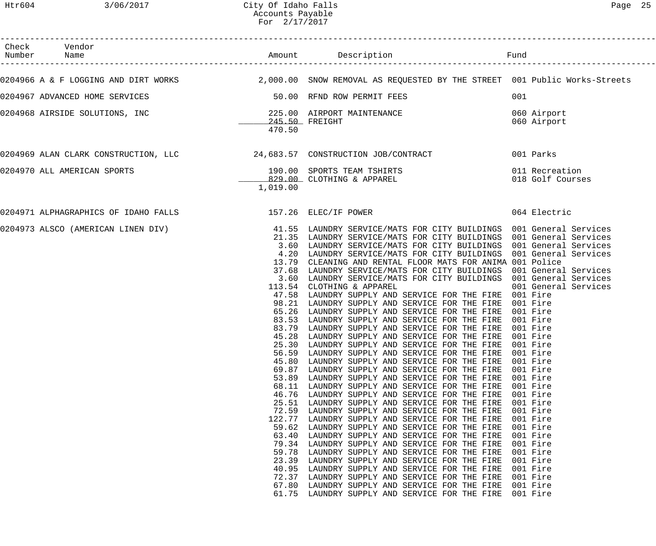|                                                                                                                    |                                                                                                                                                                                                                                                                                                                                                                                                                                                                                                                                  | Fund                                                                                                                                                                                                                                                                                                                                                                                                                                                                               |
|--------------------------------------------------------------------------------------------------------------------|----------------------------------------------------------------------------------------------------------------------------------------------------------------------------------------------------------------------------------------------------------------------------------------------------------------------------------------------------------------------------------------------------------------------------------------------------------------------------------------------------------------------------------|------------------------------------------------------------------------------------------------------------------------------------------------------------------------------------------------------------------------------------------------------------------------------------------------------------------------------------------------------------------------------------------------------------------------------------------------------------------------------------|
|                                                                                                                    |                                                                                                                                                                                                                                                                                                                                                                                                                                                                                                                                  |                                                                                                                                                                                                                                                                                                                                                                                                                                                                                    |
|                                                                                                                    |                                                                                                                                                                                                                                                                                                                                                                                                                                                                                                                                  | 001                                                                                                                                                                                                                                                                                                                                                                                                                                                                                |
| 470.50                                                                                                             |                                                                                                                                                                                                                                                                                                                                                                                                                                                                                                                                  | 060 Airport<br>060 Airport                                                                                                                                                                                                                                                                                                                                                                                                                                                         |
|                                                                                                                    |                                                                                                                                                                                                                                                                                                                                                                                                                                                                                                                                  |                                                                                                                                                                                                                                                                                                                                                                                                                                                                                    |
| 1,019.00                                                                                                           |                                                                                                                                                                                                                                                                                                                                                                                                                                                                                                                                  | 011 Recreation<br>018 Golf Courses                                                                                                                                                                                                                                                                                                                                                                                                                                                 |
|                                                                                                                    |                                                                                                                                                                                                                                                                                                                                                                                                                                                                                                                                  | 064 Electric                                                                                                                                                                                                                                                                                                                                                                                                                                                                       |
| 56.59<br>45.80<br>69.87<br>53.89<br>68.11<br>46.76<br>72.59<br>122.77<br>59.62<br>63.40<br>79.34<br>59.78<br>23.39 | LAUNDRY SUPPLY AND SERVICE FOR THE FIRE<br>LAUNDRY SUPPLY AND SERVICE FOR THE FIRE<br>LAUNDRY SUPPLY AND SERVICE FOR THE FIRE<br>LAUNDRY SUPPLY AND SERVICE FOR THE FIRE<br>LAUNDRY SUPPLY AND SERVICE FOR THE FIRE<br>LAUNDRY SUPPLY AND SERVICE FOR THE FIRE<br>LAUNDRY SUPPLY AND SERVICE FOR THE FIRE<br>LAUNDRY SUPPLY AND SERVICE FOR THE FIRE<br>LAUNDRY SUPPLY AND SERVICE FOR THE FIRE<br>LAUNDRY SUPPLY AND SERVICE FOR THE FIRE<br>LAUNDRY SUPPLY AND SERVICE FOR THE FIRE<br>LAUNDRY SUPPLY AND SERVICE FOR THE FIRE | 001 General Services<br>001 Fire<br>001 Fire<br>001 Fire<br>001 Fire<br>001 Fire<br>001 Fire<br>001 Fire<br>001 Fire<br>001 Fire<br>001 Fire<br>001 Fire<br>001 Fire<br>001 Fire<br>001 Fire<br>001 Fire                                                                                                                                                                                                                                                                           |
|                                                                                                                    |                                                                                                                                                                                                                                                                                                                                                                                                                                                                                                                                  | 0204966 A & F LOGGING AND DIRT WORKS $\,$ 2,000.00 SNOW REMOVAL AS REQUESTED BY THE STREET 001 Public Works-Streets<br>50.00 RFND ROW PERMIT FEES<br>0204969 ALAN CLARK CONSTRUCTION, LLC<br>24,683.57 CONSTRUCTION JOB/CONTRACT<br>001 Parks<br>190.00 SPORTS TEAM TSHIRTS<br>829.00 CLOTHING & APPAREL<br>0204971 ALPHAGRAPHICS OF IDAHO FALLS 157.26 ELEC/IF POWER<br>0204973 ALSCO (AMERICAN LINEN DIV) 41.55 LAUNDRY SERVICE/MATS FOR CITY BUILDINGS 001 General Services<br> |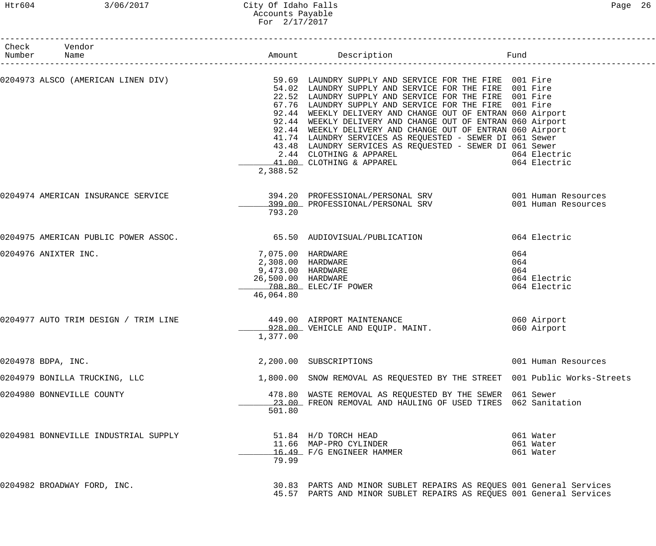## Htr604 3/06/2017 City Of Idaho Falls Page 26 Accounts Payable For 2/17/2017

| Check Vendor<br>Number Name          |                                                                                                |                                                                                                                                                                                                                                                                                                                                                                                                                                                                                                                                                                                                                                                                                                            |                                                   |
|--------------------------------------|------------------------------------------------------------------------------------------------|------------------------------------------------------------------------------------------------------------------------------------------------------------------------------------------------------------------------------------------------------------------------------------------------------------------------------------------------------------------------------------------------------------------------------------------------------------------------------------------------------------------------------------------------------------------------------------------------------------------------------------------------------------------------------------------------------------|---------------------------------------------------|
|                                      | 2,388.52                                                                                       | 0204973 ALSCO (AMERICAN LINEN DIV) 59.69 LAUNDRY SUPPLY AND SERVICE FOR THE FIRE 001 Fire<br>E4.02 IAINDRY SUPPLY AND SERVICE FOR TUE FIRE 001 Fire<br>54.02 LAUNDRY SUPPLY AND SERVICE FOR THE FIRE 001 Fire<br>22.52 LAUNDRY SUPPLY AND SERVICE FOR THE FIRE 001 Fire<br>67.76 LAUNDRY SUPPLY AND SERVICE FOR THE FIRE 001 Fire<br>92.44 WEEKLY DELIVERY AND CHANGE OUT OF ENTRAN 060 Airport<br>92.44 WEEKLY DELIVERY AND CHANGE OUT OF ENTRAN 060 Airport<br>92.44 WEEKLY DELIVERY AND CHANGE OUT OF ENTRAN 060 Airport<br>41.74 LAUNDRY SERVICES AS REQUESTED - SEWER DI 061 Sewer<br>43.48 LAUNDRY SERVICES AS REQUESTED - SEWER DI 061 Sewer<br>2.44 CLOTHING & APPAREL<br>41.00 CLOTHING & APPAREL | 064 Electric<br>064 Electric                      |
| 0204974 AMERICAN INSURANCE SERVICE   | 793.20                                                                                         | 394.20 PROFESSIONAL/PERSONAL SRV 6001 Human Resources<br>199.00 PROFESSIONAL/PERSONAL SRV 1999.00 Human Resources                                                                                                                                                                                                                                                                                                                                                                                                                                                                                                                                                                                          |                                                   |
| 0204975 AMERICAN PUBLIC POWER ASSOC. |                                                                                                | 65.50 AUDIOVISUAL/PUBLICATION                                                                                                                                                                                                                                                                                                                                                                                                                                                                                                                                                                                                                                                                              | 064 Electric                                      |
| 0204976 ANIXTER INC.                 | 7,075.00 HARDWARE<br>2,308.00 HARDWARE<br>9,473.00 HARDWARE<br>26,500.00 HARDWARE<br>46,064.80 | 708.80 ELEC/IF POWER                                                                                                                                                                                                                                                                                                                                                                                                                                                                                                                                                                                                                                                                                       | 064<br>064<br>064<br>064 Electric<br>064 Electric |
| 0204977 AUTO TRIM DESIGN / TRIM LINE | 1,377.00                                                                                       | 449.00 AIRPORT MAINTENANCE<br>928.00 VEHICLE AND EQUIP. MAINT.                                                                                                                                                                                                                                                                                                                                                                                                                                                                                                                                                                                                                                             | 060 Airport<br>060 Airport                        |
| 0204978 BDPA, INC.                   |                                                                                                | 2,200.00 SUBSCRIPTIONS                                                                                                                                                                                                                                                                                                                                                                                                                                                                                                                                                                                                                                                                                     | 001 Human Resources                               |
| 0204979 BONILLA TRUCKING, LLC        |                                                                                                | 1,800.00 SNOW REMOVAL AS REQUESTED BY THE STREET 001 Public Works-Streets                                                                                                                                                                                                                                                                                                                                                                                                                                                                                                                                                                                                                                  |                                                   |
| 0204980 BONNEVILLE COUNTY            | 501.80                                                                                         | 478.80 WASTE REMOVAL AS REQUESTED BY THE SEWER 061 Sewer<br>23.00 FREON REMOVAL AND HAULING OF USED TIRES 062 Sanitation                                                                                                                                                                                                                                                                                                                                                                                                                                                                                                                                                                                   |                                                   |
| 0204981 BONNEVILLE INDUSTRIAL SUPPLY | 79.99                                                                                          | 51.84 H/D TORCH HEAD<br>11.66 MAP-PRO CYLINDER<br>16.49 F/G ENGINEER HAMMER                                                                                                                                                                                                                                                                                                                                                                                                                                                                                                                                                                                                                                | 061 Water<br>061 Water<br>061 Water               |
| 0204982 BROADWAY FORD, INC.          |                                                                                                | 30.83 PARTS AND MINOR SUBLET REPAIRS AS REQUES 001 General Services<br>45.57 PARTS AND MINOR SUBLET REPAIRS AS REQUES 001 General Services                                                                                                                                                                                                                                                                                                                                                                                                                                                                                                                                                                 |                                                   |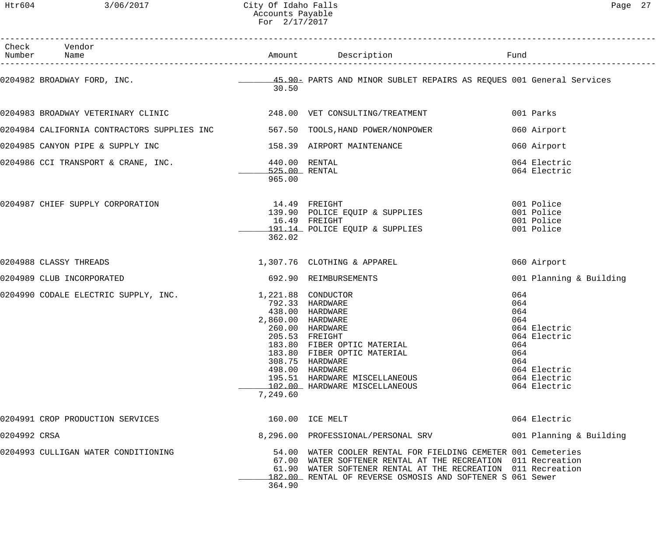|              | Check Vendor<br>Number Name                                                   |                               |                                                                                                                                                                                                                                                            |                                                                                                                               |
|--------------|-------------------------------------------------------------------------------|-------------------------------|------------------------------------------------------------------------------------------------------------------------------------------------------------------------------------------------------------------------------------------------------------|-------------------------------------------------------------------------------------------------------------------------------|
|              |                                                                               | 30.50                         | 0204982 BROADWAY FORD, INC. The Contract of the Contract of the Magnetic Magnetic AS AS REQUES 001 General Services                                                                                                                                        |                                                                                                                               |
|              |                                                                               |                               |                                                                                                                                                                                                                                                            | 001 Parks                                                                                                                     |
|              | 0204984 CALIFORNIA CONTRACTORS SUPPLIES INC 567.50 TOOLS, HAND POWER/NONPOWER |                               |                                                                                                                                                                                                                                                            | 060 Airport                                                                                                                   |
|              | 0204985 CANYON PIPE & SUPPLY INC<br>158.39 AIRPORT MAINTENANCE                |                               |                                                                                                                                                                                                                                                            | 060 Airport                                                                                                                   |
|              | 0204986 CCI TRANSPORT & CRANE, INC. 440.00 RENTAL                             | 965.00                        |                                                                                                                                                                                                                                                            | 064 Electric<br>064 Electric                                                                                                  |
|              | 0204987 CHIEF SUPPLY CORPORATION 14.49 FREIGHT                                | 362.02                        | 14.49 FREIGHT<br>139.90 POLICE EQUIP & SUPPLIES<br>16.49 FREIGHT<br>191.14 POLICE EQUIP & SUPPLIES                                                                                                                                                         | 001 Police<br>001 Police<br>001 Police<br>001 Police                                                                          |
|              | 0204988 CLASSY THREADS                                                        |                               | 1,307.76 CLOTHING & APPAREL                                                                                                                                                                                                                                | 060 Airport                                                                                                                   |
|              | 0204989 CLUB INCORPORATED                                                     |                               | 692.90 REIMBURSEMENTS                                                                                                                                                                                                                                      | 001 Planning & Building                                                                                                       |
|              | 0204990 CODALE ELECTRIC SUPPLY, INC. 1,221.88 CONDUCTOR                       | 2,860.00 HARDWARE<br>7,249.60 | 792.33 HARDWARE<br>438.00 HARDWARE<br>260.00 HARDWARE<br>205.53 FREIGHT<br>183.80 FIBER OPTIC MATERIAL<br>183.80 FIBER OPTIC MATERIAL<br>308.75 HARDWARE<br>498.00 HARDWARE<br>195.51 HARDWARE MISCELLANEOUS<br>102.00 HARDWARE MISCELLANEOUS              | 064<br>064<br>064<br>064<br>064 Electric<br>064 Electric<br>064<br>064<br>064<br>064 Electric<br>064 Electric<br>064 Electric |
|              | 0204991 CROP PRODUCTION SERVICES                                              | 160.00 ICE MELT               |                                                                                                                                                                                                                                                            | 064 Electric                                                                                                                  |
| 0204992 CRSA |                                                                               |                               | 8,296.00 PROFESSIONAL/PERSONAL SRV                                                                                                                                                                                                                         | 001 Planning & Building                                                                                                       |
|              | 0204993 CULLIGAN WATER CONDITIONING                                           | 364.90                        | 54.00 WATER COOLER RENTAL FOR FIELDING CEMETER 001 Cemeteries<br>67.00 WATER SOFTENER RENTAL AT THE RECREATION 011 Recreation<br>61.90 WATER SOFTENER RENTAL AT THE RECREATION 011 Recreation<br>182.00 RENTAL OF REVERSE OSMOSIS AND SOFTENER S 061 Sewer |                                                                                                                               |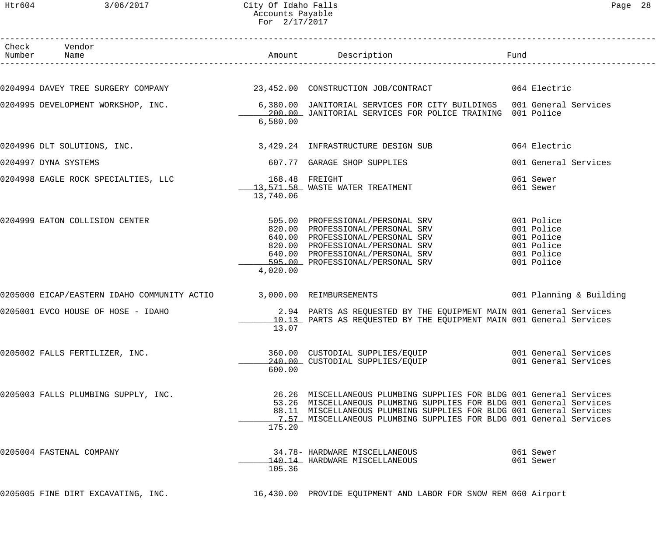| ⊌aαe | ┑<br>∍ |
|------|--------|
|------|--------|

| Check Vendor<br>Number Name |                                                                     |           | Amount Description Description Fund                                                                                                                                                                                                                                                     |                                              |
|-----------------------------|---------------------------------------------------------------------|-----------|-----------------------------------------------------------------------------------------------------------------------------------------------------------------------------------------------------------------------------------------------------------------------------------------|----------------------------------------------|
|                             |                                                                     |           | 0204994 DAVEY TREE SURGERY COMPANY 23,452.00 CONSTRUCTION JOB/CONTRACT 064 Electric                                                                                                                                                                                                     |                                              |
|                             |                                                                     |           |                                                                                                                                                                                                                                                                                         |                                              |
|                             |                                                                     | 6,580.00  | 0204995 DEVELOPMENT WORKSHOP, INC. 6,380.00 JANITORIAL SERVICES FOR CITY BUILDINGS 001 General Services<br>200.00 JANITORIAL SERVICES FOR POLICE TRAINING 001 Police                                                                                                                    |                                              |
|                             |                                                                     |           | 0204996 DLT SOLUTIONS, INC.                                    3,429.24 INFRASTRUCTURE DESIGN SUB                             064 Electric                                                                                                                                              |                                              |
| 0204997 DYNA SYSTEMS        |                                                                     |           | 607.77 GARAGE SHOP SUPPLIES                                                                                                                                                                                                                                                             | 001 General Services                         |
|                             | 0204998 EAGLE ROCK SPECIALTIES, LLC 168.48 FREIGHT                  | 13,740.06 | $-13,571.58$ WASTE WATER TREATMENT                                                                                                                                                                                                                                                      | 061 Sewer<br>061 Sewer                       |
|                             | 0204999 EATON COLLISION CENTER                                      | 4,020.00  | 505.00 PROFESSIONAL/PERSONAL SRV 001 Police<br>820.00 PROFESSIONAL/PERSONAL SRV 001 Police<br>640.00 PROFESSIONAL/PERSONAL SRV 001 Police<br>820.00 PROFESSIONAL/PERSONAL SRV 001 Police<br>640.00 PROFESSIONAL/PERSONAL SRV 001 Police<br>59                                           |                                              |
|                             | 0205000 EICAP/EASTERN IDAHO COMMUNITY ACTIO 3,000.00 REIMBURSEMENTS |           | 001 Planning & Building                                                                                                                                                                                                                                                                 |                                              |
|                             |                                                                     | 13.07     | 0205001 EVCO HOUSE OF HOSE - IDAHO<br>2.94 PARTS AS REQUESTED BY THE EQUIPMENT MAIN 001 General Services<br>10.13 PARTS AS REQUESTED BY THE EQUIPMENT MAIN 001 General Services                                                                                                         |                                              |
|                             | 0205002 FALLS FERTILIZER, INC.                                      | 600.00    | 360.00 CUSTODIAL SUPPLIES/EQUIP<br>240.00 CUSTODIAL SUPPLIES/EQUIP                                                                                                                                                                                                                      | 001 General Services<br>001 General Services |
|                             | 0205003 FALLS PLUMBING SUPPLY, INC.                                 | 175.20    | 26.26 MISCELLANEOUS PLUMBING SUPPLIES FOR BLDG 001 General Services<br>53.26 MISCELLANEOUS PLUMBING SUPPLIES FOR BLDG 001 General Services<br>88.11 MISCELLANEOUS PLUMBING SUPPLIES FOR BLDG 001 General Services<br>7.57 MISCELLANEOUS PLUMBING SUPPLIES FOR BLDG 001 General Services |                                              |
|                             | 0205004 FASTENAL COMPANY                                            | 105.36    | 34.78- HARDWARE MISCELLANEOUS<br>140.14 HARDWARE MISCELLANEOUS                                                                                                                                                                                                                          | 061 Sewer<br>061 Sewer                       |
|                             | 0205005 FINE DIRT EXCAVATING, INC.                                  |           | 16,430.00 PROVIDE EQUIPMENT AND LABOR FOR SNOW REM 060 Airport                                                                                                                                                                                                                          |                                              |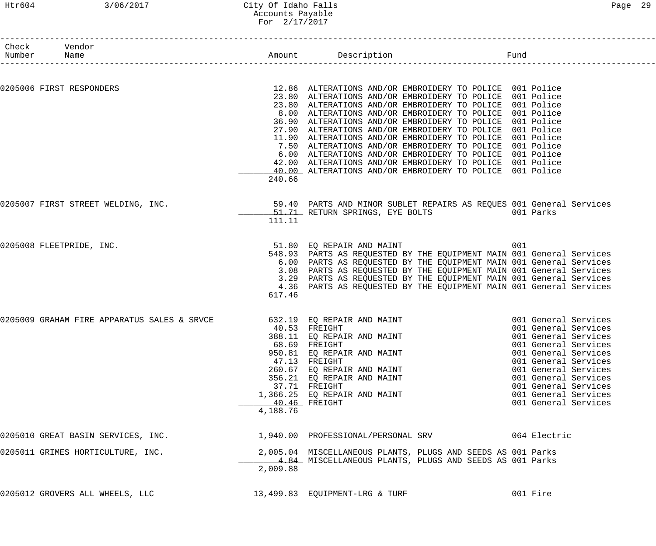## Htr604 3/06/2017 City Of Idaho Falls Page 29 Accounts Payable For 2/17/2017

| Check Vendor<br>Number Name                 |               | Amount Description                                                   | Fund                 |
|---------------------------------------------|---------------|----------------------------------------------------------------------|----------------------|
|                                             |               |                                                                      |                      |
| 0205006 FIRST RESPONDERS                    |               | 12.86 ALTERATIONS AND/OR EMBROIDERY TO POLICE 001 Police             |                      |
|                                             |               | 23.80 ALTERATIONS AND/OR EMBROIDERY TO POLICE 001 Police             |                      |
|                                             |               | 23.80 ALTERATIONS AND/OR EMBROIDERY TO POLICE 001 Police             |                      |
|                                             |               | 8.00 ALTERATIONS AND/OR EMBROIDERY TO POLICE 001 Police              |                      |
|                                             |               | 36.90 ALTERATIONS AND/OR EMBROIDERY TO POLICE 001 Police             |                      |
|                                             |               | 27.90 ALTERATIONS AND/OR EMBROIDERY TO POLICE 001 Police             |                      |
|                                             |               | 11.90 ALTERATIONS AND/OR EMBROIDERY TO POLICE 001 Police             |                      |
|                                             |               | 7.50 ALTERATIONS AND/OR EMBROIDERY TO POLICE 001 Police              |                      |
|                                             |               | 6.00 ALTERATIONS AND/OR EMBROIDERY TO POLICE 001 Police              |                      |
|                                             |               | 42.00 ALTERATIONS AND/OR EMBROIDERY TO POLICE 001 Police             |                      |
|                                             | 240.66        | 40.00 ALTERATIONS AND/OR EMBROIDERY TO POLICE 001 Police             |                      |
|                                             |               |                                                                      |                      |
| 0205007 FIRST STREET WELDING, INC.          |               | 59.40 PARTS AND MINOR SUBLET REPAIRS AS REQUES 001 General Services  |                      |
|                                             |               |                                                                      |                      |
|                                             | 111.11        |                                                                      |                      |
| 0205008 FLEETPRIDE, INC.                    |               | 51.80 EQ REPAIR AND MAINT                                            | 001                  |
|                                             |               | 548.93 PARTS AS REQUESTED BY THE EQUIPMENT MAIN 001 General Services |                      |
|                                             |               | 6.00 PARTS AS REQUESTED BY THE EQUIPMENT MAIN 001 General Services   |                      |
|                                             |               | 3.08 PARTS AS REQUESTED BY THE EQUIPMENT MAIN 001 General Services   |                      |
|                                             |               | 3.29 PARTS AS REQUESTED BY THE EQUIPMENT MAIN 001 General Services   |                      |
|                                             |               | 4.36 PARTS AS REQUESTED BY THE EQUIPMENT MAIN 001 General Services   |                      |
|                                             | 617.46        |                                                                      |                      |
| 0205009 GRAHAM FIRE APPARATUS SALES & SRVCE |               | 632.19 EQ REPAIR AND MAINT                                           | 001 General Services |
|                                             |               | 40.53 FREIGHT                                                        | 001 General Services |
|                                             |               | 388.11 EQ REPAIR AND MAINT                                           | 001 General Services |
|                                             |               | 68.69 FREIGHT                                                        | 001 General Services |
|                                             |               | 950.81 EQ REPAIR AND MAINT                                           | 001 General Services |
|                                             |               | 47.13 FREIGHT                                                        | 001 General Services |
|                                             |               | 260.67 EQ REPAIR AND MAINT                                           | 001 General Services |
|                                             |               | 356.21 EQ REPAIR AND MAINT                                           | 001 General Services |
|                                             |               | 37.71 FREIGHT                                                        | 001 General Services |
|                                             |               | 1,366.25 EQ REPAIR AND MAINT                                         | 001 General Services |
|                                             | 40.46 FREIGHT |                                                                      | 001 General Services |
|                                             | 4,188.76      |                                                                      |                      |
| 0205010 GREAT BASIN SERVICES, INC.          |               | 1,940.00 PROFESSIONAL/PERSONAL SRV                                   | 064 Electric         |
| 0205011 GRIMES HORTICULTURE, INC.           |               | 2,005.04 MISCELLANEOUS PLANTS, PLUGS AND SEEDS AS 001 Parks          |                      |
|                                             |               | 4.84 MISCELLANEOUS PLANTS, PLUGS AND SEEDS AS 001 Parks              |                      |
|                                             | 2,009.88      |                                                                      |                      |
| 0205012 GROVERS ALL WHEELS, LLC             |               | 13,499.83 EQUIPMENT-LRG & TURF                                       | 001 Fire             |
|                                             |               |                                                                      |                      |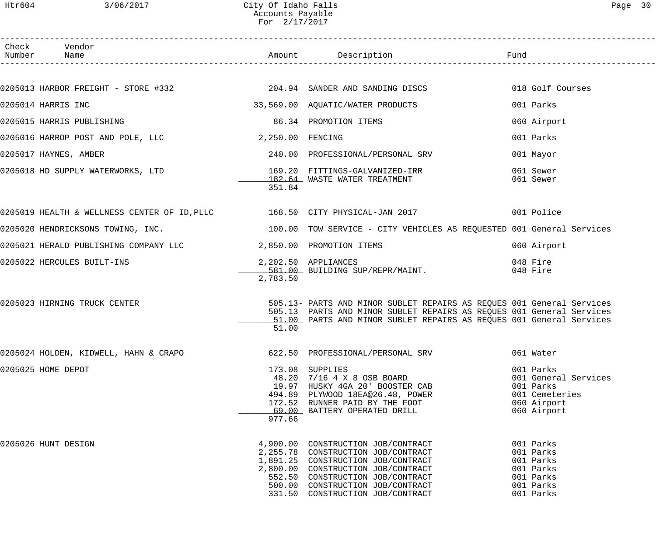| Page | 30 |  |
|------|----|--|
|      |    |  |

| Check Vendor<br>Number Name                                      |                  |                                                                                                                                                                                                                                                                  |                                                                                                |
|------------------------------------------------------------------|------------------|------------------------------------------------------------------------------------------------------------------------------------------------------------------------------------------------------------------------------------------------------------------|------------------------------------------------------------------------------------------------|
|                                                                  |                  |                                                                                                                                                                                                                                                                  |                                                                                                |
|                                                                  |                  | 0205013 HARBOR FREIGHT - STORE #332 204.94 SANDER AND SANDING DISCS                                                                                                                                                                                              | 018 Golf Courses                                                                               |
| 0205014 HARRIS INC                                               |                  | 33,569.00 AQUATIC/WATER PRODUCTS                                                                                                                                                                                                                                 | 001 Parks                                                                                      |
| 0205015 HARRIS PUBLISHING                                        |                  | 86.34 PROMOTION ITEMS                                                                                                                                                                                                                                            | 060 Airport                                                                                    |
| 0205016 HARROP POST AND POLE, LLC                                | 2,250.00 FENCING |                                                                                                                                                                                                                                                                  | 001 Parks                                                                                      |
| 0205017 HAYNES, AMBER                                            |                  | 240.00 PROFESSIONAL/PERSONAL SRV                                                                                                                                                                                                                                 | 001 Mayor                                                                                      |
| 0205018 HD SUPPLY WATERWORKS, LTD 169.20 FITTINGS-GALVANIZED-IRR | 351.84           | 182.64 WASTE WATER TREATMENT                                                                                                                                                                                                                                     | 061 Sewer<br>061 Sewer                                                                         |
|                                                                  |                  | 0205019 HEALTH & WELLNESS CENTER OF ID, PLLC 168.50 CITY PHYSICAL-JAN 2017 1001 Police                                                                                                                                                                           |                                                                                                |
|                                                                  |                  | 0205020 HENDRICKSONS TOWING, INC.<br>100.00 TOW SERVICE - CITY VEHICLES AS REQUESTED 001 General Services                                                                                                                                                        |                                                                                                |
| 0205021 HERALD PUBLISHING COMPANY LLC $2,850.00$ PROMOTION ITEMS |                  |                                                                                                                                                                                                                                                                  | 060 Airport                                                                                    |
| 0205022 HERCULES BUILT-INS                                       | 2,783.50         | 2,202.50 APPLIANCES<br>581.00 BUILDING SUP/REPR/MAINT.                                                                                                                                                                                                           | 048 Fire<br>048 Fire                                                                           |
| 0205023 HIRNING TRUCK CENTER                                     | 51.00            | 505.13- PARTS AND MINOR SUBLET REPAIRS AS REQUES 001 General Services<br>505.13 PARTS AND MINOR SUBLET REPAIRS AS REQUES 001 General Services<br>51.00 PARTS AND MINOR SUBLET REPAIRS AS REQUES 001 General Services                                             |                                                                                                |
| 0205024 HOLDEN, KIDWELL, HAHN & CRAPO                            |                  | 622.50 PROFESSIONAL/PERSONAL SRV                                                                                                                                                                                                                                 | 061 Water                                                                                      |
| 0205025 HOME DEPOT                                               | 977.66           | 173.08 SUPPLIES<br>48.20 7/16 4 X 8 OSB BOARD<br>19.97 HUSKY 4GA 20' BOOSTER CAB<br>494.89 PLYWOOD 18EA@26.48, POWER<br>172.53 PUNNER PAIR BY THE FOOT<br>172.52 RUNNER PAID BY THE FOOT<br>69.00 BATTERY OPERATED DRILL                                         | 001 Parks<br>001 General Services<br>001 Parks<br>001 Cemeteries<br>060 Airport<br>060 Airport |
| 0205026 HUNT DESIGN                                              |                  | 4,900.00 CONSTRUCTION JOB/CONTRACT<br>2,255.78 CONSTRUCTION JOB/CONTRACT<br>1,891.25 CONSTRUCTION JOB/CONTRACT<br>2,800.00 CONSTRUCTION JOB/CONTRACT<br>552.50 CONSTRUCTION JOB/CONTRACT<br>500.00 CONSTRUCTION JOB/CONTRACT<br>331.50 CONSTRUCTION JOB/CONTRACT | 001 Parks<br>001 Parks<br>001 Parks<br>001 Parks<br>001 Parks<br>001 Parks<br>001 Parks        |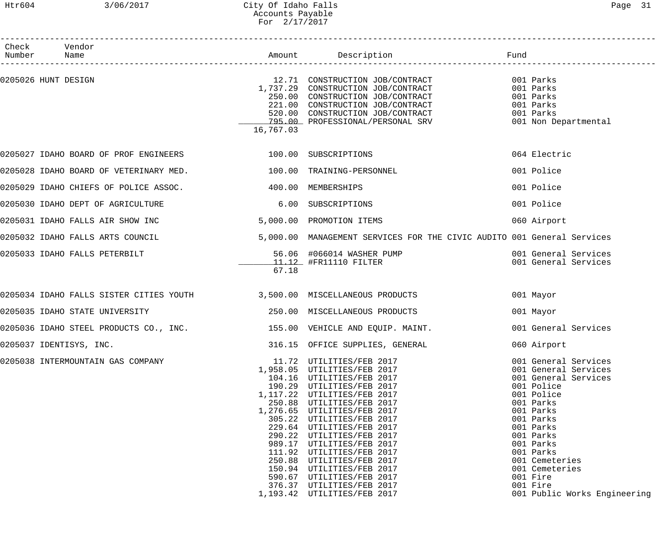## Htr604 3/06/2017 City Of Idaho Falls Page 31 Accounts Payable For 2/17/2017

| Check<br>Number     | Vendor<br>Name                                                          |           | Amount Description                                                                                                                                                                                                                                                                                                                                                                                                                                                                 | Fund |                                                                                                                                                                                                                                                         |
|---------------------|-------------------------------------------------------------------------|-----------|------------------------------------------------------------------------------------------------------------------------------------------------------------------------------------------------------------------------------------------------------------------------------------------------------------------------------------------------------------------------------------------------------------------------------------------------------------------------------------|------|---------------------------------------------------------------------------------------------------------------------------------------------------------------------------------------------------------------------------------------------------------|
| 0205026 HUNT DESIGN |                                                                         | 16,767.03 | 12.71 CONSTRUCTION JOB/CONTRACT<br>1,737.29 CONSTRUCTION JOB/CONTRACT<br>250.00 CONSTRUCTION JOB/CONTRACT<br>221.00 CONSTRUCTION JOB/CONTRACT<br>520.00 CONSTRUCTION JOB/CONTRACT<br>795.00 PROFESSIONAL/PERSONAL SRV                                                                                                                                                                                                                                                              |      | 001 Parks<br>001 Parks<br>001 Parks<br>001 Parks<br>001 Parks<br>001 Non Departmental                                                                                                                                                                   |
|                     | 0205027 IDAHO BOARD OF PROF ENGINEERS 100.00 SUBSCRIPTIONS              |           |                                                                                                                                                                                                                                                                                                                                                                                                                                                                                    |      | 064 Electric                                                                                                                                                                                                                                            |
|                     | 0205028 IDAHO BOARD OF VETERINARY MED.                                  | 100.00    | TRAINING-PERSONNEL                                                                                                                                                                                                                                                                                                                                                                                                                                                                 |      | 001 Police                                                                                                                                                                                                                                              |
|                     | 0205029 IDAHO CHIEFS OF POLICE ASSOC. 400.00                            |           | MEMBERSHIPS                                                                                                                                                                                                                                                                                                                                                                                                                                                                        |      | 001 Police                                                                                                                                                                                                                                              |
|                     | 0205030 IDAHO DEPT OF AGRICULTURE                                       | 6.00      | SUBSCRIPTIONS                                                                                                                                                                                                                                                                                                                                                                                                                                                                      |      | 001 Police                                                                                                                                                                                                                                              |
|                     | 0205031 IDAHO FALLS AIR SHOW INC                                        |           | 5,000.00 PROMOTION ITEMS                                                                                                                                                                                                                                                                                                                                                                                                                                                           |      | 060 Airport                                                                                                                                                                                                                                             |
|                     | 0205032 IDAHO FALLS ARTS COUNCIL                                        |           | 5,000.00 MANAGEMENT SERVICES FOR THE CIVIC AUDITO 001 General Services                                                                                                                                                                                                                                                                                                                                                                                                             |      |                                                                                                                                                                                                                                                         |
|                     | 0205033 IDAHO FALLS PETERBILT                                           | 67.18     | 56.06 #066014 WASHER PUMP<br>11.12 #FR11110 FILTER                                                                                                                                                                                                                                                                                                                                                                                                                                 |      | 001 General Services<br>001 General Services                                                                                                                                                                                                            |
|                     | 0205034 IDAHO FALLS SISTER CITIES YOUTH 3,500.00 MISCELLANEOUS PRODUCTS |           |                                                                                                                                                                                                                                                                                                                                                                                                                                                                                    |      | 001 Mayor                                                                                                                                                                                                                                               |
|                     | 0205035 IDAHO STATE UNIVERSITY                                          |           | 250.00 MISCELLANEOUS PRODUCTS                                                                                                                                                                                                                                                                                                                                                                                                                                                      |      | 001 Mayor                                                                                                                                                                                                                                               |
|                     |                                                                         |           | 0205036 IDAHO STEEL PRODUCTS CO., INC.                      155.00  VEHICLE AND EQUIP. MAINT.                                                                                                                                                                                                                                                                                                                                                                                      |      | 001 General Services                                                                                                                                                                                                                                    |
|                     | 0205037 IDENTISYS, INC.                                                 |           | 316.15 OFFICE SUPPLIES, GENERAL                                                                                                                                                                                                                                                                                                                                                                                                                                                    |      | 060 Airport                                                                                                                                                                                                                                             |
|                     | 0205038 INTERMOUNTAIN GAS COMPANY                                       |           | 11.72 UTILITIES/FEB 2017<br>1,958.05 UTILITIES/FEB 2017<br>104.16 UTILITIES/FEB 2017<br>190.29 UTILITIES/FEB 2017<br>1, 117.22 UTILITIES/FEB 2017<br>250.88 UTILITIES/FEB 2017<br>1,276.65 UTILITIES/FEB 2017<br>305.22 UTILITIES/FEB 2017<br>229.64 UTILITIES/FEB 2017<br>290.22 UTILITIES/FEB 2017<br>989.17 UTILITIES/FEB 2017<br>111.92 UTILITIES/FEB 2017<br>250.88 UTILITIES/FEB 2017<br>150.94 UTILITIES/FEB 2017<br>590.67 UTILITIES/FEB 2017<br>376.37 UTILITIES/FEB 2017 |      | 001 General Services<br>001 General Services<br>001 General Services<br>001 Police<br>001 Police<br>001 Parks<br>001 Parks<br>001 Parks<br>001 Parks<br>001 Parks<br>001 Parks<br>001 Parks<br>001 Cemeteries<br>001 Cemeteries<br>001 Fire<br>001 Fire |
|                     |                                                                         |           | 1,193.42 UTILITIES/FEB 2017                                                                                                                                                                                                                                                                                                                                                                                                                                                        |      | 001 Public Works Engineering                                                                                                                                                                                                                            |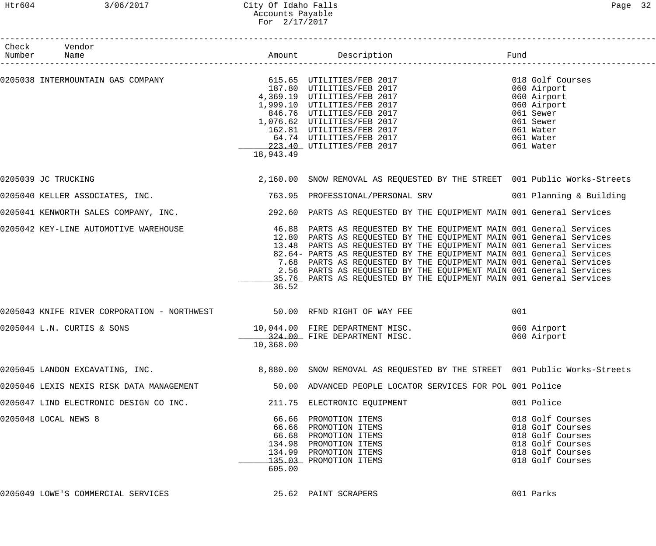# Htr604 3/06/2017 City Of Idaho Falls 32 Accounts Payable For 2/17/2017

| Check Vendor<br>Number Name                                                                                                                                                                                                                  |           |                                                                                                                                                                                                                                                                                                                                                                                                                                                                                                              |                                                                                                                                |  |
|----------------------------------------------------------------------------------------------------------------------------------------------------------------------------------------------------------------------------------------------|-----------|--------------------------------------------------------------------------------------------------------------------------------------------------------------------------------------------------------------------------------------------------------------------------------------------------------------------------------------------------------------------------------------------------------------------------------------------------------------------------------------------------------------|--------------------------------------------------------------------------------------------------------------------------------|--|
| 0205038 INTERMOUNTAIN GAS COMPANY<br>0205038 INTERMOUNTAIN GAS COMPANY<br>187.80 UTILITIES/FEB 2017<br>4,369.19 UTILITIES/FEB 2017<br>1,999.10 UTILITIES/FEB 2017<br>486.76 UTILITIES/FEB 2017<br>1,076.62 UTILITIES/FEB 2017<br>162.81 UTIL | 18,943.49 |                                                                                                                                                                                                                                                                                                                                                                                                                                                                                                              | 018 Golf Courses<br>060 Airport<br>060 Airport<br>060 Airport<br>061 Sewer<br>061 Sewer<br>061 Water<br>061 Water<br>061 Water |  |
| 0205039 JC TRUCKING                                                                                                                                                                                                                          |           | 2,160.00 SNOW REMOVAL AS REQUESTED BY THE STREET 001 Public Works-Streets                                                                                                                                                                                                                                                                                                                                                                                                                                    |                                                                                                                                |  |
| 0205040 KELLER ASSOCIATES, INC.                                                                                                                                                                                                              |           | 763.95 PROFESSIONAL/PERSONAL SRV 6001 Planning & Building                                                                                                                                                                                                                                                                                                                                                                                                                                                    |                                                                                                                                |  |
| 0205041 KENWORTH SALES COMPANY, INC. 40 192.60 PARTS AS REQUESTED BY THE EQUIPMENT MAIN 001 General Services                                                                                                                                 |           |                                                                                                                                                                                                                                                                                                                                                                                                                                                                                                              |                                                                                                                                |  |
| 0205042 KEY-LINE AUTOMOTIVE WAREHOUSE                                                                                                                                                                                                        | 36.52     | 46.88 PARTS AS REQUESTED BY THE EQUIPMENT MAIN 001 General Services<br>12.80 PARTS AS REQUESTED BY THE EQUIPMENT MAIN 001 General Services<br>13.48 PARTS AS REQUESTED BY THE EQUIPMENT MAIN 001 General Services<br>82.64- PARTS AS REQUESTED BY THE EQUIPMENT MAIN 001 General Services<br>7.68 PARTS AS REQUESTED BY THE EQUIPMENT MAIN 001 General Services<br>2.56 PARTS AS REQUESTED BY THE EQUIPMENT MAIN 001 General Services<br>35.76 PARTS AS REQUESTED BY THE EQUIPMENT MAIN 001 General Services |                                                                                                                                |  |
| 0205043 KNIFE RIVER CORPORATION - NORTHWEST 50.00 RFND RIGHT OF WAY FEE                                                                                                                                                                      |           |                                                                                                                                                                                                                                                                                                                                                                                                                                                                                                              | 001                                                                                                                            |  |
| 0205044 L.N. CURTIS & SONS                                                                                                                                                                                                                   | 10,368.00 | 10,044.00 FIRE DEPARTMENT MISC.<br>324.00 FIRE DEPARTMENT MISC.                                                                                                                                                                                                                                                                                                                                                                                                                                              | 060 Airport<br>060 Airport                                                                                                     |  |
| 0205045 LANDON EXCAVATING, INC. THE STAR BOOT ON SNOW REMOVAL AS REQUESTED BY THE STREET 001 Public Works-Streets                                                                                                                            |           |                                                                                                                                                                                                                                                                                                                                                                                                                                                                                                              |                                                                                                                                |  |
| 0205046 LEXIS NEXIS RISK DATA MANAGEMENT 60 100 ADVANCED PEOPLE LOCATOR SERVICES FOR POL 001 Police                                                                                                                                          |           |                                                                                                                                                                                                                                                                                                                                                                                                                                                                                                              |                                                                                                                                |  |
| 0205047 LIND ELECTRONIC DESIGN CO INC. 211.75 ELECTRONIC EQUIPMENT                                                                                                                                                                           |           |                                                                                                                                                                                                                                                                                                                                                                                                                                                                                                              | 001 Police                                                                                                                     |  |
| 0205048 LOCAL NEWS 8                                                                                                                                                                                                                         | 605.00    | 66.66 PROMOTION ITEMS<br>66.66 PROMOTION ITEMS<br>66.68 PROMOTION ITEMS<br>134.98 PROMOTION ITEMS<br>134.99 PROMOTION ITEMS<br>135.03 PROMOTION ITEMS                                                                                                                                                                                                                                                                                                                                                        | 018 Golf Courses<br>018 Golf Courses<br>018 Golf Courses<br>018 Golf Courses<br>018 Golf Courses<br>018 Golf Courses           |  |

0205049 LOWE'S COMMERCIAL SERVICES 25.62 PAINT SCRAPERS 001 Parks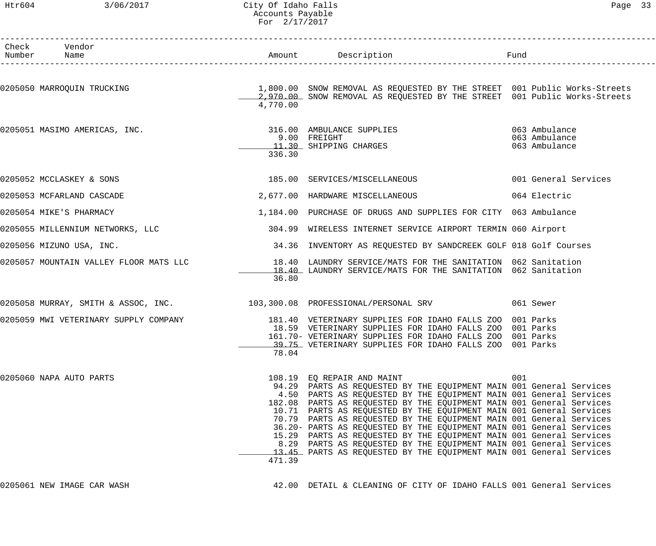## Htr604 3/06/2017 City Of Idaho Falls 33 Accounts Payable For 2/17/2017

| Check Vendor<br>Number Name           |          |                                                                                                                                                                                                                                                                                                                                                                                                                                                                                                                                                                                                                                                                                           |                                                 |
|---------------------------------------|----------|-------------------------------------------------------------------------------------------------------------------------------------------------------------------------------------------------------------------------------------------------------------------------------------------------------------------------------------------------------------------------------------------------------------------------------------------------------------------------------------------------------------------------------------------------------------------------------------------------------------------------------------------------------------------------------------------|-------------------------------------------------|
|                                       | 4,770.00 | 0205050 MARROQUIN TRUCKING <b>South 1,800.00 SNOW REMOVAL AS REQUESTED BY</b> THE STREET 001 Public Works-Streets<br>2,970.00 SNOW REMOVAL AS REQUESTED BY THE STREET 001 Public Works-Streets                                                                                                                                                                                                                                                                                                                                                                                                                                                                                            |                                                 |
| 0205051 MASIMO AMERICAS, INC.         | 336.30   | 316.00 AMBULANCE SUPPLIES<br>9.00 FREIGHT<br>11.30 SHIPPING CHARGES                                                                                                                                                                                                                                                                                                                                                                                                                                                                                                                                                                                                                       | 063 Ambulance<br>063 Ambulance<br>063 Ambulance |
| 0205052 MCCLASKEY & SONS              |          |                                                                                                                                                                                                                                                                                                                                                                                                                                                                                                                                                                                                                                                                                           |                                                 |
| 0205053 MCFARLAND CASCADE             |          | 2,677.00 HARDWARE MISCELLANEOUS                                                                                                                                                                                                                                                                                                                                                                                                                                                                                                                                                                                                                                                           | 064 Electric                                    |
| 0205054 MIKE'S PHARMACY               |          | 1,184.00 PURCHASE OF DRUGS AND SUPPLIES FOR CITY 063 Ambulance                                                                                                                                                                                                                                                                                                                                                                                                                                                                                                                                                                                                                            |                                                 |
| 0205055 MILLENNIUM NETWORKS, LLC      |          | 304.99 WIRELESS INTERNET SERVICE AIRPORT TERMIN 060 Airport                                                                                                                                                                                                                                                                                                                                                                                                                                                                                                                                                                                                                               |                                                 |
| 0205056 MIZUNO USA, INC.              |          | 34.36 INVENTORY AS REQUESTED BY SANDCREEK GOLF 018 Golf Courses                                                                                                                                                                                                                                                                                                                                                                                                                                                                                                                                                                                                                           |                                                 |
|                                       | 36.80    | 0205057 MOUNTAIN VALLEY FLOOR MATS LLC 18.40 LAUNDRY SERVICE/MATS FOR THE SANITATION 062 Sanitation<br>18.40 LAUNDRY SERVICE/MATS FOR THE SANITATION 062 Sanitation                                                                                                                                                                                                                                                                                                                                                                                                                                                                                                                       |                                                 |
|                                       |          | 0205058 MURRAY, SMITH & ASSOC, INC. 103,300.08 PROFESSIONAL/PERSONAL SRV 061 Sewer                                                                                                                                                                                                                                                                                                                                                                                                                                                                                                                                                                                                        |                                                 |
| 0205059 MWI VETERINARY SUPPLY COMPANY | 78.04    | 181.40 VETERINARY SUPPLIES FOR IDAHO FALLS ZOO 001 Parks<br>18.59 VETERINARY SUPPLIES FOR IDAHO FALLS ZOO 001 Parks<br>161.70- VETERINARY SUPPLIES FOR IDAHO FALLS ZOO 001 Parks<br>39.75 VETERINARY SUPPLIES FOR IDAHO FALLS ZOO 001 Parks                                                                                                                                                                                                                                                                                                                                                                                                                                               |                                                 |
| 0205060 NAPA AUTO PARTS               | 471.39   | 108.19 EQ REPAIR AND MAINT<br>94.29 PARTS AS REQUESTED BY THE EQUIPMENT MAIN 001 General Services<br>4.50 PARTS AS REQUESTED BY THE EQUIPMENT MAIN 001 General Services<br>182.08 PARTS AS REQUESTED BY THE EQUIPMENT MAIN 001 General Services<br>10.71 PARTS AS REQUESTED BY THE EQUIPMENT MAIN 001 General Services<br>70.79 PARTS AS REQUESTED BY THE EQUIPMENT MAIN 001 General Services<br>36.20- PARTS AS REQUESTED BY THE EQUIPMENT MAIN 001 General Services<br>15.29 PARTS AS REQUESTED BY THE EQUIPMENT MAIN 001 General Services<br>8.29 PARTS AS REQUESTED BY THE EQUIPMENT MAIN 001 General Services<br>13.45 PARTS AS REQUESTED BY THE EQUIPMENT MAIN 001 General Services | 001                                             |

0205061 NEW IMAGE CAR WASH 42.00 DETAIL & CLEANING OF CITY OF IDAHO FALLS 001 General Services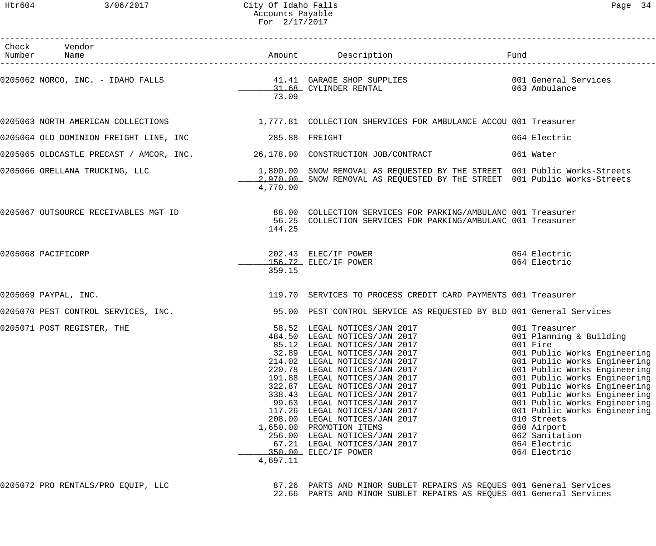## Htr604 3/06/2017 City Of Idaho Falls Page 34 Accounts Payable For 2/17/2017

| aσ<br><u>.</u> |  |
|----------------|--|
|----------------|--|

| Check Vendor<br>Number Name                                                                                 |                                                          |                                                                                                                                                                                                                                                                                                                                                                                                                                                                                                                                                     | Fund |                                                                                                                                                                                                                                                                                                                                                          |
|-------------------------------------------------------------------------------------------------------------|----------------------------------------------------------|-----------------------------------------------------------------------------------------------------------------------------------------------------------------------------------------------------------------------------------------------------------------------------------------------------------------------------------------------------------------------------------------------------------------------------------------------------------------------------------------------------------------------------------------------------|------|----------------------------------------------------------------------------------------------------------------------------------------------------------------------------------------------------------------------------------------------------------------------------------------------------------------------------------------------------------|
| 0205062 NORCO, INC. - IDAHO FALLS                                                                           | 73.09                                                    | 41.41 GARAGE SHOP SUPPLIES 001 General Services<br>31.68 CYLINDER RENTAL 063 Ambulance                                                                                                                                                                                                                                                                                                                                                                                                                                                              |      |                                                                                                                                                                                                                                                                                                                                                          |
| 0205063 NORTH AMERICAN COLLECTIONS 1,777.81 COLLECTION SHERVICES FOR AMBULANCE ACCOU 001 Treasurer          |                                                          |                                                                                                                                                                                                                                                                                                                                                                                                                                                                                                                                                     |      |                                                                                                                                                                                                                                                                                                                                                          |
|                                                                                                             |                                                          |                                                                                                                                                                                                                                                                                                                                                                                                                                                                                                                                                     |      | 064 Electric                                                                                                                                                                                                                                                                                                                                             |
| 0205065 OLDCASTLE PRECAST / AMCOR, INC. 26,178.00 CONSTRUCTION JOB/CONTRACT                                 |                                                          |                                                                                                                                                                                                                                                                                                                                                                                                                                                                                                                                                     |      | 061 Water                                                                                                                                                                                                                                                                                                                                                |
| 0205066 ORELLANA TRUCKING, LLC 30 1,800.00 SNOW REMOVAL AS REQUESTED BY THE STREET 001 Public Works-Streets | 4,770.00                                                 | 2,970.00 SNOW REMOVAL AS REQUESTED BY THE STREET 001 Public Works-Streets                                                                                                                                                                                                                                                                                                                                                                                                                                                                           |      |                                                                                                                                                                                                                                                                                                                                                          |
| 0205067 OUTSOURCE RECEIVABLES MGT ID                                                                        | 144.25                                                   | 88.00 COLLECTION SERVICES FOR PARKING/AMBULANC 001 Treasurer<br>56.25 COLLECTION SERVICES FOR PARKING/AMBULANC 001 Treasurer                                                                                                                                                                                                                                                                                                                                                                                                                        |      |                                                                                                                                                                                                                                                                                                                                                          |
| 0205068 PACIFICORP                                                                                          | 359.15                                                   | 202.43 ELEC/IF POWER<br>156.72 ELEC/IF POWER 156.72 ELEC/IF POWER                                                                                                                                                                                                                                                                                                                                                                                                                                                                                   |      |                                                                                                                                                                                                                                                                                                                                                          |
| 0205069 PAYPAL, INC.                                                                                        |                                                          | 119.70 SERVICES TO PROCESS CREDIT CARD PAYMENTS 001 Treasurer                                                                                                                                                                                                                                                                                                                                                                                                                                                                                       |      |                                                                                                                                                                                                                                                                                                                                                          |
| 0205070 PEST CONTROL SERVICES, INC. 40 195.00 PEST CONTROL SERVICE AS REQUESTED BY BLD 001 General Services |                                                          |                                                                                                                                                                                                                                                                                                                                                                                                                                                                                                                                                     |      |                                                                                                                                                                                                                                                                                                                                                          |
| 0205071 POST REGISTER, THE                                                                                  | 85.12<br>32.89<br>220.78<br>191.88<br>117.26<br>4,697.11 | 58.52 LEGAL NOTICES/JAN 2017<br>484.50 LEGAL NOTICES/JAN 2017                                    001 Planning & Building<br>LEGAL NOTICES/JAN 2017<br>LEGAL NOTICES/JAN 2017<br>214.02 LEGAL NOTICES/JAN 2017<br>LEGAL NOTICES/JAN 2017<br>LEGAL NOTICES/JAN 2017<br>322.87 LEGAL NOTICES/JAN 2017<br>338.43 LEGAL NOTICES/JAN 2017<br>99.63 LEGAL NOTICES/JAN 2017<br>LEGAL NOTICES/JAN 2017<br>208.00 LEGAL NOTICES/JAN 2017<br>1,650.00 PROMOTION ITEMS<br>256.00 LEGAL NOTICES/JAN 2017<br>67.21 LEGAL NOTICES/JAN 2017<br>350.00 ELEC/IF POWER |      | 001 Fire<br>001 Public Works Engineering<br>001 Public Works Engineering<br>001 Public Works Engineering<br>001 Public Works Engineering<br>001 Public Works Engineering<br>001 Public Works Engineering<br>001 Public Works Engineering<br>001 Public Works Engineering<br>010 Streets<br>060 Airport<br>062 Sanitation<br>064 Electric<br>064 Electric |
| 0205072 PRO RENTALS/PRO EQUIP, LLC                                                                          |                                                          | 87.26 PARTS AND MINOR SUBLET REPAIRS AS REQUES 001 General Services                                                                                                                                                                                                                                                                                                                                                                                                                                                                                 |      |                                                                                                                                                                                                                                                                                                                                                          |

22.66 PARTS AND MINOR SUBLET REPAIRS AS REQUES 001 General Services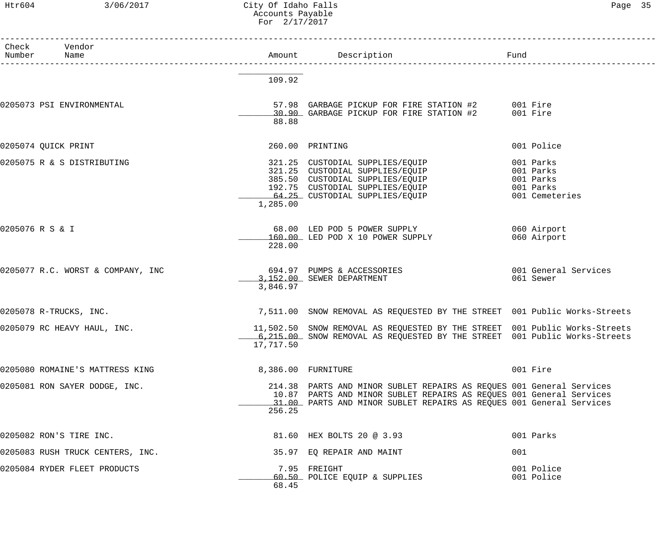## Htr604 3/06/2017 City Of Idaho Falls Page 35 Accounts Payable For 2/17/2017

| Page |  |
|------|--|
|------|--|

| Check Vendor<br>Number Name       |           | Amount Description                                                                                                                                                                                                 | Fund                                                               |
|-----------------------------------|-----------|--------------------------------------------------------------------------------------------------------------------------------------------------------------------------------------------------------------------|--------------------------------------------------------------------|
|                                   | 109.92    |                                                                                                                                                                                                                    |                                                                    |
| 0205073 PSI ENVIRONMENTAL         | 88.88     | 57.98 GARBAGE PICKUP FOR FIRE STATION #2 001 Fire<br>30.90 GARBAGE PICKUP FOR FIRE STATION #2 001 Fire                                                                                                             |                                                                    |
| 0205074 QUICK PRINT               |           | 260.00 PRINTING                                                                                                                                                                                                    | 001 Police                                                         |
| 0205075 R & S DISTRIBUTING        | 1,285.00  | 321.25 CUSTODIAL SUPPLIES/EQUIP<br>321.25 CUSTODIAL SUPPLIES/EQUIP<br>385.50 CUSTODIAL SUPPLIES/EQUIP<br>192.75 CUSTODIAL SUPPLIES/EQUIP<br>64.25 CUSTODIAL SUPPLIES/EQUIP                                         | 001 Parks<br>001 Parks<br>001 Parks<br>001 Parks<br>001 Cemeteries |
| 0205076 R S & I                   | 228.00    | 68.00 LED POD 5 POWER SUPPLY<br>160.00 LED POD X 10 POWER SUPPLY                                                                                                                                                   | 060 Airport<br>060 Airport                                         |
| 0205077 R.C. WORST & COMPANY, INC | 3,846.97  | 694.97 PUMPS & ACCESSORIES<br>3,152.00 SEWER DEPARTMENT                                                                                                                                                            | 001 General Services<br>061 Sewer                                  |
| 0205078 R-TRUCKS, INC.            |           | 7,511.00 SNOW REMOVAL AS REQUESTED BY THE STREET 001 Public Works-Streets                                                                                                                                          |                                                                    |
| 0205079 RC HEAVY HAUL, INC.       | 17,717.50 | 11,502.50 SNOW REMOVAL AS REQUESTED BY THE STREET 001 Public Works-Streets<br>6,215.00 SNOW REMOVAL AS REQUESTED BY THE STREET 001 Public Works-Streets                                                            |                                                                    |
| 0205080 ROMAINE'S MATTRESS KING   |           | 8,386.00 FURNITURE                                                                                                                                                                                                 | 001 Fire                                                           |
| 0205081 RON SAYER DODGE, INC.     | 256.25    | 214.38 PARTS AND MINOR SUBLET REPAIRS AS REQUES 001 General Services<br>10.87 PARTS AND MINOR SUBLET REPAIRS AS REQUES 001 General Services<br>31.00 PARTS AND MINOR SUBLET REPAIRS AS REQUES 001 General Services |                                                                    |
| 0205082 RON'S TIRE INC.           |           | 81.60 HEX BOLTS 20 @ 3.93                                                                                                                                                                                          | 001 Parks                                                          |
| 0205083 RUSH TRUCK CENTERS, INC.  |           | 35.97 EQ REPAIR AND MAINT                                                                                                                                                                                          | 001                                                                |
| 0205084 RYDER FLEET PRODUCTS      | 68.45     | 7.95 FREIGHT<br>60.50 POLICE EQUIP & SUPPLIES                                                                                                                                                                      | 001 Police<br>001 Police                                           |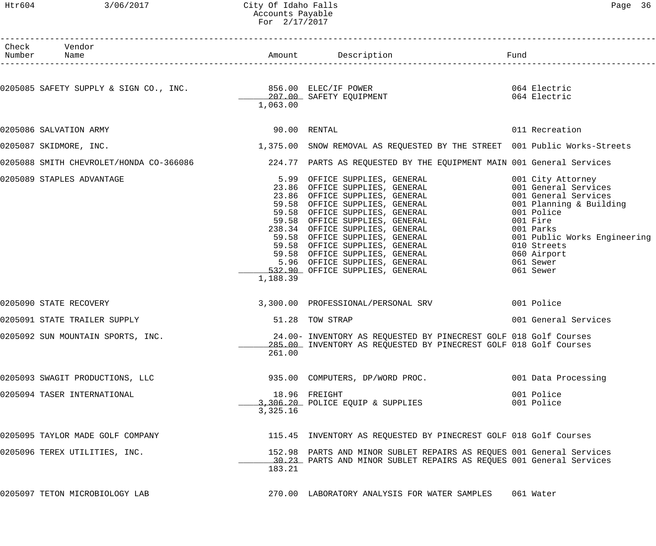## Htr604 3/06/2017 City Of Idaho Falls Page 36 Accounts Payable For 2/17/2017

| Paqe | 36 |
|------|----|
|------|----|

| Check Vendor<br>Number Name                                                            |                | Amount Description                                                                                                                                                                                                                                  | Fund                                                                                                                                                                                                                        |
|----------------------------------------------------------------------------------------|----------------|-----------------------------------------------------------------------------------------------------------------------------------------------------------------------------------------------------------------------------------------------------|-----------------------------------------------------------------------------------------------------------------------------------------------------------------------------------------------------------------------------|
| 0205085 SAFETY SUPPLY & SIGN CO., INC. 856.00 ELEC/IF POWER<br>207.00 SAFETY EQUIPMENT | 1,063.00       |                                                                                                                                                                                                                                                     | 064 Electric<br>064 Electric                                                                                                                                                                                                |
| 0205086 SALVATION ARMY                                                                 | $90.00$ RENTAL |                                                                                                                                                                                                                                                     | 011 Recreation                                                                                                                                                                                                              |
| 0205087 SKIDMORE, INC.                                                                 |                | 1,375.00 SNOW REMOVAL AS REQUESTED BY THE STREET 001 Public Works-Streets                                                                                                                                                                           |                                                                                                                                                                                                                             |
|                                                                                        |                | 0205088 SMITH CHEVROLET/HONDA CO-366086 224.77 PARTS AS REQUESTED BY THE EQUIPMENT MAIN 001 General Services                                                                                                                                        |                                                                                                                                                                                                                             |
| 0205089 STAPLES ADVANTAGE                                                              | 1,188.39       | 5.99 OFFICE SUPPLIES, GENERAL<br>23.86 OFFICE SUPPLIES, GENERAL<br>23.86 OFFICE SUPPLIES, GENERAL<br>59.58 OFFICE SUPPLIES, GENERAL<br>59.58 OFFICE SUPPLIES, GENERAL<br>59.58 OFFICE SUPPLIES, GENERAL<br>238.34 OFFICE SUPPLIES, GENERAL<br>59.58 | 001 City Attorney<br>001 General Services<br>001 General Services<br>001 Planning & Building<br>001 Police<br>001 Fire<br>001 Parks<br>001 Public Works Engineering<br>010 Streets<br>060 Airport<br>061 Sewer<br>061 Sewer |
| 0205090 STATE RECOVERY                                                                 |                | 3,300.00 PROFESSIONAL/PERSONAL SRV                                                                                                                                                                                                                  | 001 Police                                                                                                                                                                                                                  |
| 0205091 STATE TRAILER SUPPLY                                                           |                | 51.28 TOW STRAP                                                                                                                                                                                                                                     | 001 General Services                                                                                                                                                                                                        |
| 0205092 SUN MOUNTAIN SPORTS, INC.                                                      | 261.00         | 24.00- INVENTORY AS REQUESTED BY PINECREST GOLF 018 Golf Courses<br>285.00 INVENTORY AS REQUESTED BY PINECREST GOLF 018 Golf Courses                                                                                                                |                                                                                                                                                                                                                             |
| 0205093 SWAGIT PRODUCTIONS, LLC                                                        |                | 935.00 COMPUTERS, DP/WORD PROC.                                                                                                                                                                                                                     | 001 Data Processing                                                                                                                                                                                                         |
| 0205094 TASER INTERNATIONAL                                                            | 3,325.16       | 18.96 FREIGHT<br>3,306.20 POLICE EQUIP & SUPPLIES                                                                                                                                                                                                   | 001 Police<br>001 Police                                                                                                                                                                                                    |
| 0205095 TAYLOR MADE GOLF COMPANY                                                       |                | 115.45 INVENTORY AS REQUESTED BY PINECREST GOLF 018 Golf Courses                                                                                                                                                                                    |                                                                                                                                                                                                                             |
| 0205096 TEREX UTILITIES, INC.                                                          | 183.21         | 152.98 PARTS AND MINOR SUBLET REPAIRS AS REQUES 001 General Services<br>30.23 PARTS AND MINOR SUBLET REPAIRS AS REQUES 001 General Services                                                                                                         |                                                                                                                                                                                                                             |
| 0205097 TETON MICROBIOLOGY LAB                                                         |                | 270.00 LABORATORY ANALYSIS FOR WATER SAMPLES                                                                                                                                                                                                        | 061 Water                                                                                                                                                                                                                   |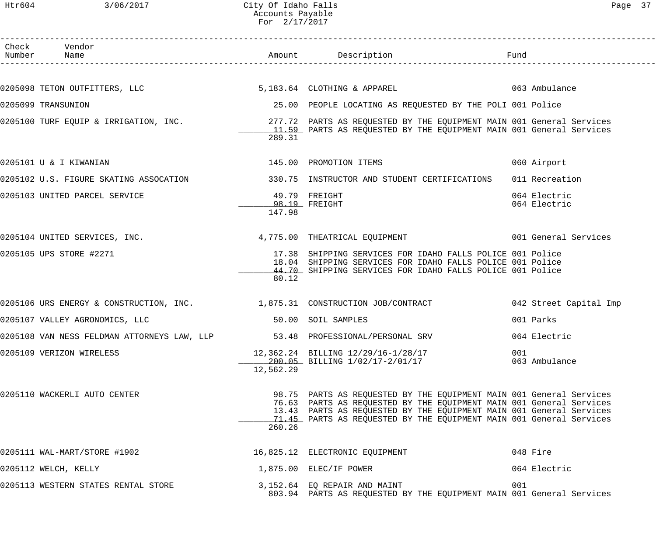12,562.29

| Htr604 | 3/06/2017                                   | City Of Idaho Falls<br>Accounts Payable<br>For 2/17/2017 |                                                                                                                                                                                     |                              | Page 37 |
|--------|---------------------------------------------|----------------------------------------------------------|-------------------------------------------------------------------------------------------------------------------------------------------------------------------------------------|------------------------------|---------|
| Number | Check Vendor<br>Name                        |                                                          | Amount Description<br>_______________________________                                                                                                                               | Fund                         |         |
|        | 0205098 TETON OUTFITTERS, LLC               |                                                          | 5,183.64 CLOTHING & APPAREL 063 Ambulance                                                                                                                                           |                              |         |
|        | 0205099 TRANSUNION                          |                                                          | 25.00 PEOPLE LOCATING AS REQUESTED BY THE POLI 001 Police                                                                                                                           |                              |         |
|        | 0205100 TURF EQUIP & IRRIGATION, INC.       | 289.31                                                   | 277.72 PARTS AS REQUESTED BY THE EQUIPMENT MAIN 001 General Services<br>11.59 PARTS AS REQUESTED BY THE EQUIPMENT MAIN 001 General Services                                         |                              |         |
|        | 0205101 U & I KIWANIAN                      |                                                          | 145.00 PROMOTION ITEMS                                                                                                                                                              | 060 Airport                  |         |
|        | 0205102 U.S. FIGURE SKATING ASSOCATION      |                                                          | 330.75 INSTRUCTOR AND STUDENT CERTIFICATIONS                                                                                                                                        | 011 Recreation               |         |
|        | 0205103 UNITED PARCEL SERVICE               | 147.98                                                   | 49.79 FREIGHT<br>98.19 FREIGHT                                                                                                                                                      | 064 Electric<br>064 Electric |         |
|        | 0205104 UNITED SERVICES, INC.               |                                                          | 4,775.00 THEATRICAL EQUIPMENT                                                                                                                                                       | 001 General Services         |         |
|        | 0205105 UPS STORE #2271                     | 80.12                                                    | 17.38 SHIPPING SERVICES FOR IDAHO FALLS POLICE 001 Police<br>18.04 SHIPPING SERVICES FOR IDAHO FALLS POLICE 001 Police<br>44.70 SHIPPING SERVICES FOR IDAHO FALLS POLICE 001 Police |                              |         |
|        | 0205106 URS ENERGY & CONSTRUCTION, INC.     |                                                          | 1,875.31 CONSTRUCTION JOB/CONTRACT                                                                                                                                                  | 042 Street Capital Imp       |         |
|        | 0205107 VALLEY AGRONOMICS, LLC              |                                                          | 50.00 SOIL SAMPLES                                                                                                                                                                  | 001 Parks                    |         |
|        | 0205108 VAN NESS FELDMAN ATTORNEYS LAW, LLP |                                                          | 53.48 PROFESSIONAL/PERSONAL SRV                                                                                                                                                     | 064 Electric                 |         |
|        | 0205109 VERIZON WIRELESS                    |                                                          | 12,362.24 BILLING 12/29/16-1/28/17<br>200.05 BILLING 1/02/17-2/01/17                                                                                                                | 001<br>063 Ambulance         |         |

0205110 WACKERLI AUTO CENTER 98.75 PARTS AS REQUESTED BY THE EQUIPMENT MAIN 001 General Services 76.63 PARTS AS REQUESTED BY THE EQUIPMENT MAIN 001 General Services 13.43 PARTS AS REQUESTED BY THE EQUIPMENT MAIN 001 General Services \_71.45 PARTS AS REQUESTED BY THE EQUIPMENT MAIN 001 General Services 260.26

|                                     | 16,825.12 ELECTRONIC EQUIPMENT                                                                       | 048 Fire     |
|-------------------------------------|------------------------------------------------------------------------------------------------------|--------------|
| 0205112 WELCH, KELLY                | $1,875.00$ ELEC/IF POWER                                                                             | 064 Electric |
| 0205113 WESTERN STATES RENTAL STORE | 3,152.64 EQ REPAIR AND MAINT<br>803.94 PARTS AS REQUESTED BY THE EQUIPMENT MAIN 001 General Services | 001          |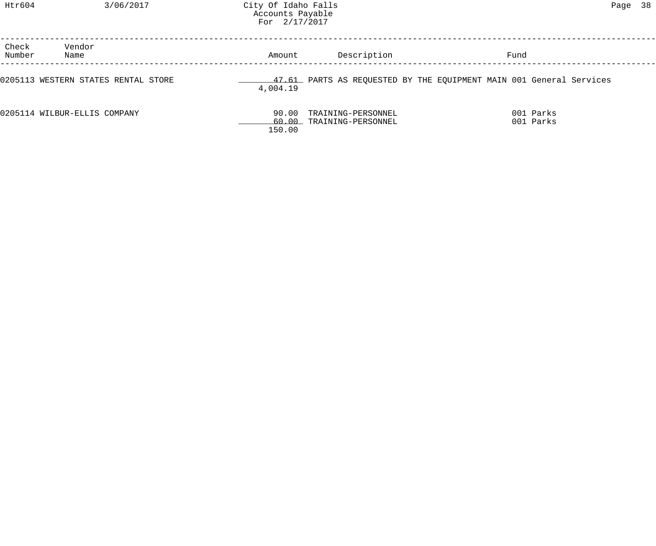| Check<br>Number | Vendor<br>Name                      | Amount          | Description                                    | Fund                                                                |  |
|-----------------|-------------------------------------|-----------------|------------------------------------------------|---------------------------------------------------------------------|--|
|                 | 0205113 WESTERN STATES RENTAL STORE | 4,004.19        |                                                | 47.61 PARTS AS REQUESTED BY THE EQUIPMENT MAIN 001 General Services |  |
|                 | 0205114 WILBUR-ELLIS COMPANY        | 90.00<br>150.00 | TRAINING-PERSONNEL<br>60.00 TRAINING-PERSONNEL | 001 Parks<br>001 Parks                                              |  |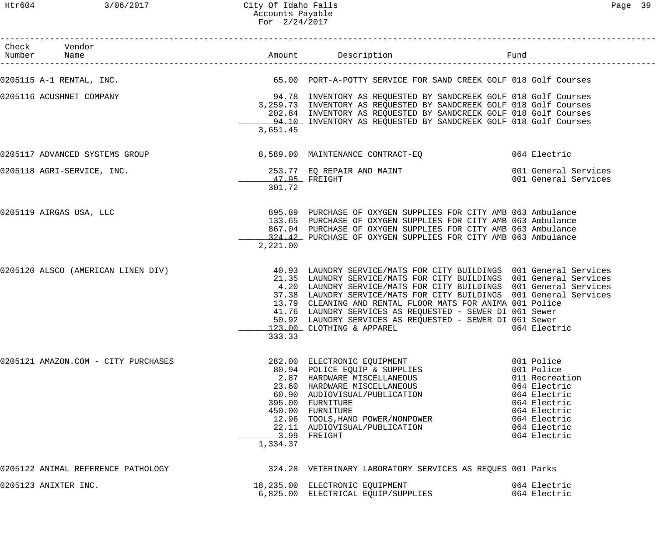| Check Vendor<br>Number Name         |          | Amount Description<br>--------------------------                                                                                                                                                                                                                                                                                                                                                                                                                                                      | Fund                                                                                                                                                       |
|-------------------------------------|----------|-------------------------------------------------------------------------------------------------------------------------------------------------------------------------------------------------------------------------------------------------------------------------------------------------------------------------------------------------------------------------------------------------------------------------------------------------------------------------------------------------------|------------------------------------------------------------------------------------------------------------------------------------------------------------|
| 0205115 A-1 RENTAL, INC.            |          | 65.00 PORT-A-POTTY SERVICE FOR SAND CREEK GOLF 018 Golf Courses                                                                                                                                                                                                                                                                                                                                                                                                                                       |                                                                                                                                                            |
| 0205116 ACUSHNET COMPANY            | 3,651.45 | 94.78 INVENTORY AS REQUESTED BY SANDCREEK GOLF 018 Golf Courses<br>3,259.73 INVENTORY AS REQUESTED BY SANDCREEK GOLF 018 Golf Courses<br>202.84 INVENTORY AS REQUESTED BY SANDCREEK GOLF 018 Golf Courses<br>94.10 INVENTORY AS REQUESTED BY SANDCREEK GOLF 018 Golf Courses                                                                                                                                                                                                                          |                                                                                                                                                            |
|                                     |          | 0205117 ADVANCED SYSTEMS GROUP 6,589.00 MAINTENANCE CONTRACT-EQ                                                                                                                                                                                                                                                                                                                                                                                                                                       |                                                                                                                                                            |
| 0205118 AGRI-SERVICE, INC.          | 301.72   | 253.77 EQ REPAIR AND MAINT                                                                                                                                                                                                                                                                                                                                                                                                                                                                            | 001 General Services<br>001 General Services                                                                                                               |
| 0205119 AIRGAS USA, LLC             | 2,221.00 | 895.89 PURCHASE OF OXYGEN SUPPLIES FOR CITY AMB 063 Ambulance<br>133.65 PURCHASE OF OXYGEN SUPPLIES FOR CITY AMB 063 Ambulance<br>867.04 PURCHASE OF OXYGEN SUPPLIES FOR CITY AMB 063 Ambulance<br>324.42 PURCHASE OF OXYGEN SUPPLIES FOR CITY AMB 063 Ambulance                                                                                                                                                                                                                                      |                                                                                                                                                            |
| 0205120 ALSCO (AMERICAN LINEN DIV)  | 333.33   | 40.93 LAUNDRY SERVICE/MATS FOR CITY BUILDINGS 001 General Services<br>21.35 LAUNDRY SERVICE/MATS FOR CITY BUILDINGS 001 General Services<br>4.20 LAUNDRY SERVICE/MATS FOR CITY BUILDINGS 001 General Services<br>37.38 LAUNDRY SERVICE/MATS FOR CITY BUILDINGS 001 General Services<br>13.79 CLEANING AND RENTAL FLOOR MATS FOR ANIMA 001 Police<br>41.76 LAUNDRY SERVICES AS REQUESTED - SEWER DI 061 Sewer<br>50.92 LAUNDRY SERVICES AS REQUESTED - SEWER DI 061 Sewer<br>123.00 CLOTHING & APPAREL | 064 Electric                                                                                                                                               |
| 0205121 AMAZON.COM - CITY PURCHASES | 1,334.37 | 282.00 ELECTRONIC EQUIPMENT<br>80.94 POLICE EQUIP & SUPPLIES<br>2.87 HARDWARE MISCELLANEOUS<br>23.60 HARDWARE MISCELLANEOUS<br>60.90 AUDIOVISUAL/PUBLICATION<br>395.00 FURNITURE<br>450.00 FURNITURE<br>12.96 TOOLS,HAND POWER/NONPOWER<br>22.11 AUDIOVISUAL/PUBLICATION<br>3.99 FREIGHT                                                                                                                                                                                                              | 001 Police<br>001 Police<br>011 Recreation<br>064 Electric<br>064 Electric<br>064 Electric<br>064 Electric<br>064 Electric<br>064 Electric<br>064 Electric |
| 0205122 ANIMAL REFERENCE PATHOLOGY  |          | 324.28 VETERINARY LABORATORY SERVICES AS REQUES 001 Parks                                                                                                                                                                                                                                                                                                                                                                                                                                             |                                                                                                                                                            |
| 0205123 ANIXTER INC.                |          | 18,235.00 ELECTRONIC EQUIPMENT<br>6,825.00 ELECTRICAL EQUIP/SUPPLIES                                                                                                                                                                                                                                                                                                                                                                                                                                  | 064 Electric<br>064 Electric                                                                                                                               |
|                                     |          |                                                                                                                                                                                                                                                                                                                                                                                                                                                                                                       |                                                                                                                                                            |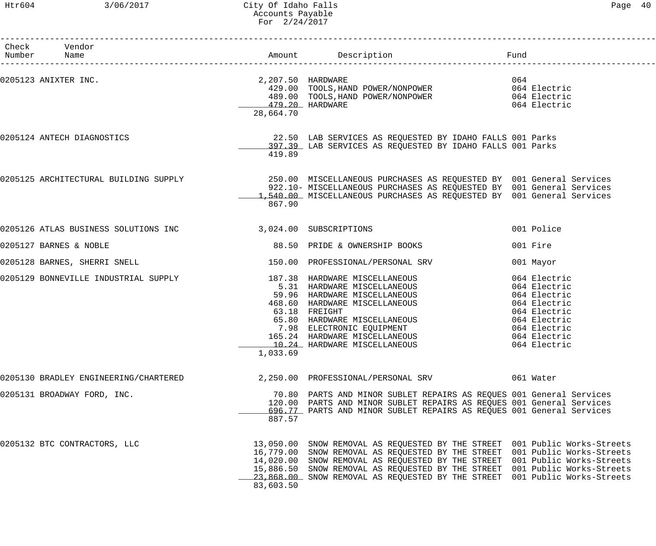### Htr604 3/06/2017 City Of Idaho Falls Page 40 Accounts Payable For 2/24/2017

| Check Vendor<br>Number Name                                        |                              |                                                                                                                                                                                                                                                                                                                                                                                                    |                                                                                                                                              |
|--------------------------------------------------------------------|------------------------------|----------------------------------------------------------------------------------------------------------------------------------------------------------------------------------------------------------------------------------------------------------------------------------------------------------------------------------------------------------------------------------------------------|----------------------------------------------------------------------------------------------------------------------------------------------|
| 0205123 ANIXTER INC.                                               | 479.20 HARDWARE<br>28,664.70 | 2,207.50 HARDWARE<br>429.00 TOOLS,HAND POWER/NONPOWER<br>489.00 TOOLS, HAND POWER/NONPOWER 064 Electric                                                                                                                                                                                                                                                                                            | 064<br>064 Electric<br>064 Electric                                                                                                          |
| 0205124 ANTECH DIAGNOSTICS                                         | 419.89                       | 22.50 LAB SERVICES AS REQUESTED BY IDAHO FALLS 001 Parks<br>397.39 LAB SERVICES AS REQUESTED BY IDAHO FALLS 001 Parks                                                                                                                                                                                                                                                                              |                                                                                                                                              |
|                                                                    | 867.90                       | 0205125 ARCHITECTURAL BUILDING SUPPLY                      250.00 MISCELLANEOUS PURCHASES AS REQUESTED BY  001 General Services<br>922.10- MISCELLANEOUS PURCHASES AS REQUESTED BY  001 General Services<br>1,540.00 MISCELLANEOUS PURCHASES AS REQUESTED BY 001 General Services                                                                                                                  |                                                                                                                                              |
| 0205126 ATLAS BUSINESS SOLUTIONS INC 3,024.00 SUBSCRIPTIONS        |                              |                                                                                                                                                                                                                                                                                                                                                                                                    | 001 Police                                                                                                                                   |
| 0205127 BARNES & NOBLE                                             |                              | 88.50 PRIDE & OWNERSHIP BOOKS                                                                                                                                                                                                                                                                                                                                                                      | 001 Fire                                                                                                                                     |
| 0205128 BARNES, SHERRI SNELL                                       |                              | 150.00 PROFESSIONAL/PERSONAL SRV                                                                                                                                                                                                                                                                                                                                                                   | 001 Mayor                                                                                                                                    |
| 0205129 BONNEVILLE INDUSTRIAL SUPPLY 187.38 HARDWARE MISCELLANEOUS | 1,033.69                     | 5.31 HARDWARE MISCELLANEOUS<br>59.96 HARDWARE MISCELLANEOUS<br>468.60 HARDWARE MISCELLANEOUS<br>63.18 FREIGHT<br>63.18 FREIGHT<br>03.10 FREIGHT<br>65.80 HARDWARE MISCELLANEOUS<br>7.98 ELECTRONIC EQUIPMENT<br>165.24 HARDWARE MISCELLANEOUS<br>10.24 HARDWARE MISCELLANEOUS<br>10.24 HARDWARE MISCELLANEOUS                                                                                      | 064 Electric<br>064 Electric<br>064 Electric<br>064 Electric<br>064 Electric<br>064 Electric<br>064 Electric<br>064 Electric<br>064 Electric |
| 0205130 BRADLEY ENGINEERING/CHARTERED                              |                              | 2,250.00 PROFESSIONAL/PERSONAL SRV                                                                                                                                                                                                                                                                                                                                                                 | 061 Water                                                                                                                                    |
| 0205131 BROADWAY FORD, INC.                                        | 887.57                       | 70.80 PARTS AND MINOR SUBLET REPAIRS AS REQUES 001 General Services<br>120.00 PARTS AND MINOR SUBLET REPAIRS AS REQUES 001 General Services<br>696.77 PARTS AND MINOR SUBLET REPAIRS AS REQUES 001 General Services                                                                                                                                                                                |                                                                                                                                              |
| 0205132 BTC CONTRACTORS, LLC                                       | 83,603.50                    | 13,050.00 SNOW REMOVAL AS REQUESTED BY THE STREET 001 Public Works-Streets<br>16,779.00 SNOW REMOVAL AS REQUESTED BY THE STREET 001 Public Works-Streets<br>14,020.00 SNOW REMOVAL AS REQUESTED BY THE STREET 001 Public Works-Streets<br>15,886.50 SNOW REMOVAL AS REQUESTED BY THE STREET 001 Public Works-Streets<br>23,868.00 SNOW REMOVAL AS REQUESTED BY THE STREET 001 Public Works-Streets |                                                                                                                                              |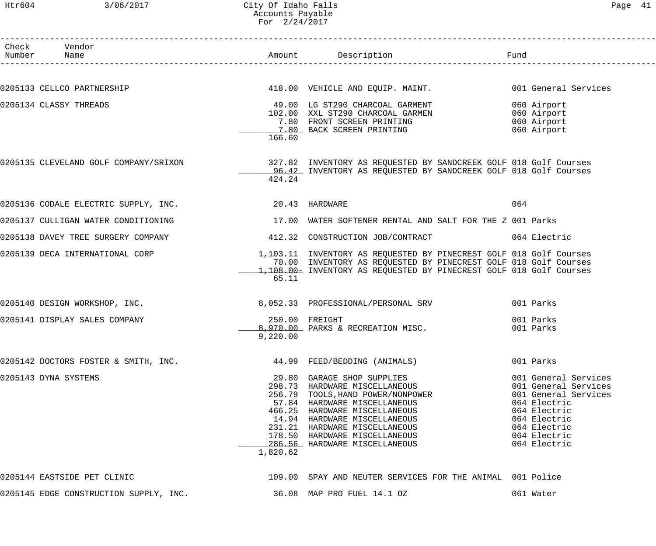### Htr604 3/06/2017 City Of Idaho Falls Page 41 Accounts Payable For 2/24/2017

| Page |  |
|------|--|
|------|--|

| Check Vendor<br>Number Name                                                                                     |          |                                                                                                                                                                                                                                                     |                              |
|-----------------------------------------------------------------------------------------------------------------|----------|-----------------------------------------------------------------------------------------------------------------------------------------------------------------------------------------------------------------------------------------------------|------------------------------|
| 0205133 CELLCO PARTNERSHIP 3 418.00 VEHICLE AND EQUIP. MAINT. 2001 General Services                             |          |                                                                                                                                                                                                                                                     |                              |
|                                                                                                                 |          |                                                                                                                                                                                                                                                     |                              |
| 0205134 CLASSY THREADS                                                                                          |          | 49.00 LG ST290 CHARCOAL GARMENT<br>102.00 XXL ST290 CHARCOAL GARMEN<br>7.80 FRONT SCREEN PRINTING<br>7.80 BACK SCREEN PRINTING                                                                                                                      | 060 Airport                  |
|                                                                                                                 |          |                                                                                                                                                                                                                                                     | 060 Airport                  |
|                                                                                                                 |          |                                                                                                                                                                                                                                                     | 060 Airport<br>060 Airport   |
|                                                                                                                 | 166.60   |                                                                                                                                                                                                                                                     |                              |
| 0205135 CLEVELAND GOLF COMPANY/SRIXON 327.82 INVENTORY AS REQUESTED BY SANDCREEK GOLF 018 Golf Courses          |          |                                                                                                                                                                                                                                                     |                              |
|                                                                                                                 |          | 96.42 INVENTORY AS REQUESTED BY SANDCREEK GOLF 018 Golf Courses                                                                                                                                                                                     |                              |
|                                                                                                                 | 424.24   |                                                                                                                                                                                                                                                     |                              |
| 0205136 CODALE ELECTRIC SUPPLY, INC. 20.43 HARDWARE                                                             |          |                                                                                                                                                                                                                                                     | 064                          |
| 0205137 CULLIGAN WATER CONDITIONING THE SOLUTION OF THE 2001 PATER SOFTENER RENTAL AND SALT FOR THE Z 001 Parks |          |                                                                                                                                                                                                                                                     |                              |
| 0205138 DAVEY TREE SURGERY COMPANY                                                                              |          | 412.32 CONSTRUCTION JOB/CONTRACT 064 Electric                                                                                                                                                                                                       |                              |
| 0205139 DECA INTERNATIONAL CORP                                                                                 |          | 1,103.11 INVENTORY AS REQUESTED BY PINECREST GOLF 018 Golf Courses                                                                                                                                                                                  |                              |
|                                                                                                                 |          | 70.00 INVENTORY AS REQUESTED BY PINECREST GOLF 018 Golf Courses                                                                                                                                                                                     |                              |
|                                                                                                                 | 65.11    | 1,108.00- INVENTORY AS REQUESTED BY PINECREST GOLF 018 Golf Courses                                                                                                                                                                                 |                              |
|                                                                                                                 |          |                                                                                                                                                                                                                                                     |                              |
| 0205140 DESIGN WORKSHOP, INC.                                                                                   |          | 8,052.33 PROFESSIONAL/PERSONAL SRV                                                                                                                                                                                                                  | 001 Parks                    |
| 0205141 DISPLAY SALES COMPANY                                                                                   |          | 250.00 FREIGHT                                                                                                                                                                                                                                      | 001 Parks                    |
|                                                                                                                 |          | 8,970.00 PARKS & RECREATION MISC.                                                                                                                                                                                                                   | 001 Parks                    |
|                                                                                                                 | 9,220.00 |                                                                                                                                                                                                                                                     |                              |
| 0205142 DOCTORS FOSTER & SMITH, INC. 44.99 FEED/BEDDING (ANIMALS)                                               |          |                                                                                                                                                                                                                                                     | 001 Parks                    |
| 0205143 DYNA SYSTEMS                                                                                            |          | 29.80 GARAGE SHOP SUPPLIES<br>298.73 HARDWARE MISCELLANEOUS<br>256.79 TOOLS, HAND POWER/NONPOWER<br>57.84 HARDWARE MISCELLANEOUS<br>466.25 HARDWARE MISCELLANEOUS<br>14.94 HARDWARE MISCELLANEOUS<br>231.21 HARDWARE MISCELLANEOUS<br>178.50 HARDWA | 001 General Services         |
|                                                                                                                 |          |                                                                                                                                                                                                                                                     | 001 General Services         |
|                                                                                                                 |          |                                                                                                                                                                                                                                                     | 001 General Services         |
|                                                                                                                 |          |                                                                                                                                                                                                                                                     | 064 Electric                 |
|                                                                                                                 |          |                                                                                                                                                                                                                                                     | 064 Electric<br>064 Electric |
|                                                                                                                 |          |                                                                                                                                                                                                                                                     | 064 Electric                 |
|                                                                                                                 |          |                                                                                                                                                                                                                                                     | 064 Electric                 |
|                                                                                                                 |          |                                                                                                                                                                                                                                                     | 064 Electric                 |
|                                                                                                                 | 1,820.62 |                                                                                                                                                                                                                                                     |                              |
| 0205144 EASTSIDE PET CLINIC                                                                                     |          | 109.00 SPAY AND NEUTER SERVICES FOR THE ANIMAL 001 Police                                                                                                                                                                                           |                              |
| 0205145 EDGE CONSTRUCTION SUPPLY, INC. 36.08 MAP PRO FUEL 14.1 OZ                                               |          |                                                                                                                                                                                                                                                     | 061 Water                    |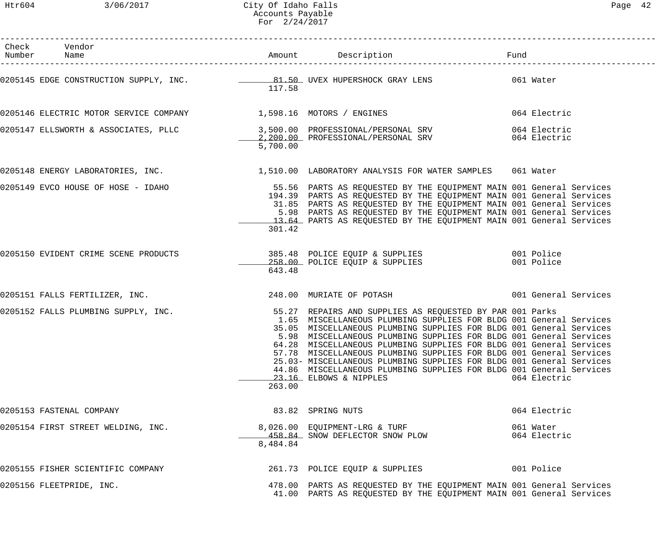Htr604 3/06/2017 City Of Idaho Falls Page 42 Accounts Payable For 2/24/2017

| Check Vendor<br>Number Name                                     |          |                                                                                                                                                                                                                                                                                                                                                                                                                                                                                                                                                                                                                                           |                           |
|-----------------------------------------------------------------|----------|-------------------------------------------------------------------------------------------------------------------------------------------------------------------------------------------------------------------------------------------------------------------------------------------------------------------------------------------------------------------------------------------------------------------------------------------------------------------------------------------------------------------------------------------------------------------------------------------------------------------------------------------|---------------------------|
|                                                                 | 117.58   |                                                                                                                                                                                                                                                                                                                                                                                                                                                                                                                                                                                                                                           |                           |
| 0205146 ELECTRIC MOTOR SERVICE COMPANY 1998.16 MOTORS / ENGINES |          |                                                                                                                                                                                                                                                                                                                                                                                                                                                                                                                                                                                                                                           | 064 Electric              |
|                                                                 | 5,700.00 | 0205147 ELLSWORTH & ASSOCIATES, PLLC 3,500.00 PROFESSIONAL/PERSONAL SRV 064 Electric<br>2,200.00 PROFESSIONAL/PERSONAL SRV 064 Electric                                                                                                                                                                                                                                                                                                                                                                                                                                                                                                   |                           |
|                                                                 |          | 0205148 ENERGY LABORATORIES, INC.<br>1,510.00 LABORATORIES, INC. 2010 1.510.00 LABORATORY ANALYSIS FOR WATER SAMPLES 061 Water                                                                                                                                                                                                                                                                                                                                                                                                                                                                                                            |                           |
|                                                                 | 301.42   | 0205149 EVCO HOUSE OF HOSE - IDAHO 30 10 MH (55.56 PARTS AS REQUESTED BY THE EQUIPMENT MAIN 001 General Services<br>194.39 PARTS AS REQUESTED BY THE EQUIPMENT MAIN 001 General Services<br>31.85 PARTS AS REQUESTED BY THE EQUIPMENT MAIN 001 General Services<br>5.98 PARTS AS REQUESTED BY THE EQUIPMENT MAIN 001 General Services<br>13.64 PARTS AS REQUESTED BY THE EQUIPMENT MAIN 001 General Services                                                                                                                                                                                                                              |                           |
|                                                                 | 643.48   | 0205150 EVIDENT CRIME SCENE PRODUCTS 385.48 POLICE EQUIP & SUPPLIES 001 Police<br>258.00 POLICE EQUIP & SUPPLIES                                                                                                                                                                                                                                                                                                                                                                                                                                                                                                                          | 001 Police                |
| 0205151 FALLS FERTILIZER, INC.                                  |          | 248.00 MURIATE OF POTASH 248.00 MURIATE OF POTASH                                                                                                                                                                                                                                                                                                                                                                                                                                                                                                                                                                                         |                           |
|                                                                 | 263.00   | 0205152 FALLS PLUMBING SUPPLY, INC.<br>55.27 REPAIRS AND SUPPLIES AS REQUESTED BY PAR 001 Parks<br>1.65 MISCELLANEOUS PLUMBING SUPPLIES FOR BLDG 001 General Services<br>35.05 MISCELLANEOUS PLUMBING SUPPLIES FOR BLDG 001 General Services<br>5.98 MISCELLANEOUS PLUMBING SUPPLIES FOR BLDG 001 General Services<br>64.28 MISCELLANEOUS PLUMBING SUPPLIES FOR BLDG 001 General Services<br>57.78 MISCELLANEOUS PLUMBING SUPPLIES FOR BLDG 001 General Services<br>25.03- MISCELLANEOUS PLUMBING SUPPLIES FOR BLDG 001 General Services<br>44.86 MISCELLANEOUS PLUMBING SUPPLIES FOR BLDG 001 General Services<br>23.16 ELBOWS & NIPPLES | 064 Electric              |
| 0205153 FASTENAL COMPANY                                        |          | 83.82 SPRING NUTS                                                                                                                                                                                                                                                                                                                                                                                                                                                                                                                                                                                                                         | 064 Electric              |
| 0205154 FIRST STREET WELDING, INC.                              | 8,484.84 | 8,026.00 EQUIPMENT-LRG & TURF<br>458.84 SNOW DEFLECTOR SNOW PLOW                                                                                                                                                                                                                                                                                                                                                                                                                                                                                                                                                                          | 061 Water<br>064 Electric |
| 0205155 FISHER SCIENTIFIC COMPANY                               |          | 261.73 POLICE EQUIP & SUPPLIES 001 Police                                                                                                                                                                                                                                                                                                                                                                                                                                                                                                                                                                                                 |                           |
| 0205156 FLEETPRIDE, INC.                                        |          | 478.00 PARTS AS REQUESTED BY THE EQUIPMENT MAIN 001 General Services<br>41.00 PARTS AS REQUESTED BY THE EQUIPMENT MAIN 001 General Services                                                                                                                                                                                                                                                                                                                                                                                                                                                                                               |                           |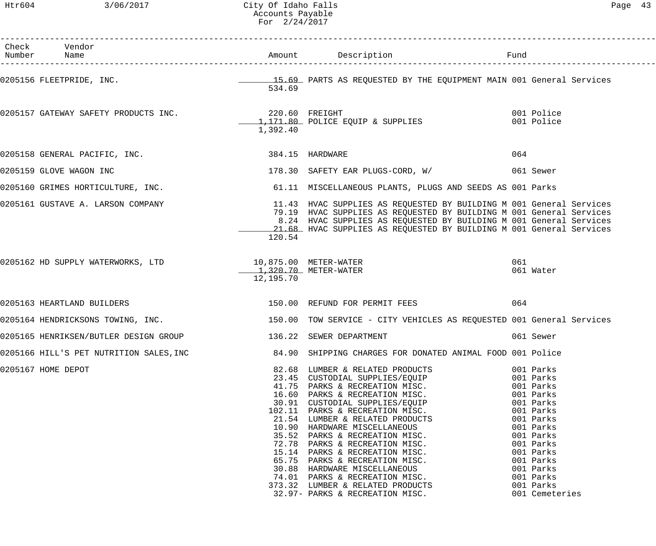# Htr604 3/06/2017 City Of Idaho Falls Page 43 Accounts Payable For 2/24/2017

| Check Vendor<br>Number Name                                              |                                        |                                                                                                                                                                                                                                                                                         |     |                          |
|--------------------------------------------------------------------------|----------------------------------------|-----------------------------------------------------------------------------------------------------------------------------------------------------------------------------------------------------------------------------------------------------------------------------------------|-----|--------------------------|
|                                                                          | 534.69                                 | 0205156 FLEETPRIDE, INC. The Services Control of the Magnusian Magnus and Services Control of the Magnus Assessment Control of the Magnus Assessment Control of the Magnus Assessment Control of the Magnus Assessment Control                                                          |     |                          |
| 0205157 GATEWAY SAFETY PRODUCTS INC.<br>1,171.80 POLICE EQUIP & SUPPLIES | 1,392.40                               |                                                                                                                                                                                                                                                                                         |     | 001 Police<br>001 Police |
| 0205158 GENERAL PACIFIC, INC.                                            |                                        | 384.15 HARDWARE                                                                                                                                                                                                                                                                         | 064 |                          |
| 0205159 GLOVE WAGON INC                                                  |                                        | 178.30 SAFETY EAR PLUGS-CORD, W/ 661 Sewer                                                                                                                                                                                                                                              |     |                          |
|                                                                          |                                        | 0205160 GRIMES HORTICULTURE, INC.<br>61.11 MISCELLANEOUS PLANTS, PLUGS AND SEEDS AS 001 Parks                                                                                                                                                                                           |     |                          |
| 0205161 GUSTAVE A. LARSON COMPANY                                        | 120.54                                 | 11.43 HVAC SUPPLIES AS REQUESTED BY BUILDING M 001 General Services<br>79.19 HVAC SUPPLIES AS REQUESTED BY BUILDING M 001 General Services<br>8.24 HVAC SUPPLIES AS REQUESTED BY BUILDING M 001 General Services<br>21.68 HVAC SUPPLIES AS REQUESTED BY BUILDING M 001 General Services |     |                          |
| 0205162 HD SUPPLY WATERWORKS, LTD 10,875.00 METER-WATER                  | _____1,320.70 METER-WATER<br>12,195.70 |                                                                                                                                                                                                                                                                                         | 061 | 061 Water                |
| 0205163 HEARTLAND BUILDERS                                               |                                        | 150.00 REFUND FOR PERMIT FEES                                                                                                                                                                                                                                                           | 064 |                          |
|                                                                          |                                        | 0205164 HENDRICKSONS TOWING, INC. THE REAR MANUSIC SERVICE - CITY VEHICLES AS REQUESTED 001 General Services                                                                                                                                                                            |     |                          |
| 0205165 HENRIKSEN/BUTLER DESIGN GROUP                                    |                                        | 136.22 SEWER DEPARTMENT                                                                                                                                                                                                                                                                 |     | 061 Sewer                |
|                                                                          |                                        | 0205166 HILL'S PET NUTRITION SALES, INC 34.90 SHIPPING CHARGES FOR DONATED ANIMAL FOOD 001 Police                                                                                                                                                                                       |     |                          |
| 0205167 HOME DEPOT                                                       |                                        | 82.68 LUMBER & RELATED PRODUCTS                                                                                                                                                                                                                                                         |     | 001 Parks                |
|                                                                          |                                        |                                                                                                                                                                                                                                                                                         |     | 001 Cemeteries           |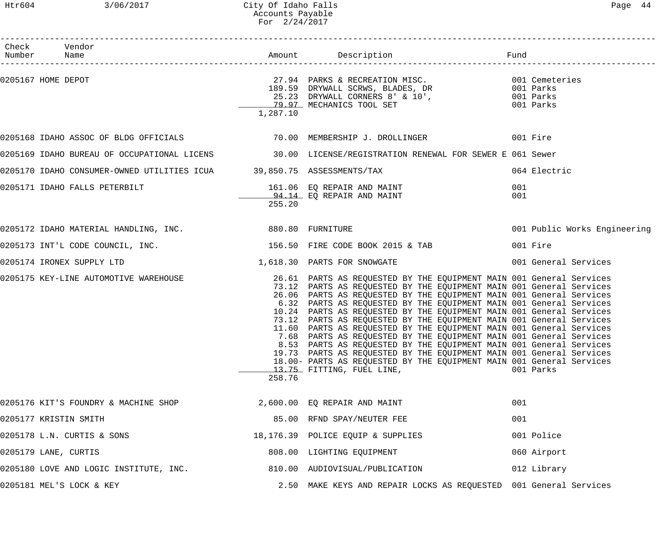# Htr604 3/06/2017 City Of Idaho Falls Page 44 Accounts Payable For 2/24/2017

| Check Vendor<br>Number Name                                           |          |                                                                                                                                                                                                                                                                                                                                                                                                                                                                                                                                                                                                                                                                                                                                                                                                                                                                            |                              |
|-----------------------------------------------------------------------|----------|----------------------------------------------------------------------------------------------------------------------------------------------------------------------------------------------------------------------------------------------------------------------------------------------------------------------------------------------------------------------------------------------------------------------------------------------------------------------------------------------------------------------------------------------------------------------------------------------------------------------------------------------------------------------------------------------------------------------------------------------------------------------------------------------------------------------------------------------------------------------------|------------------------------|
|                                                                       | 1,287.10 | 0205167 HOME DEPOT 189.59 DRYWALL SCRWS, BLADES, DR<br>189.59 DRYWALL SCRWS, BLADES, DR<br>25.23 DRYWALL CORNERS 8' & 10', 001 Parks<br>25.23 DRYWALL CORNERS 8' & 10', 001 Parks<br>29.97 MECHANICS TOOL SET 001 Parks                                                                                                                                                                                                                                                                                                                                                                                                                                                                                                                                                                                                                                                    |                              |
|                                                                       |          | 0205168 IDAHO ASSOC OF BLDG OFFICIALS 600 70.00 MEMBERSHIP J. DROLLINGER                                                                                                                                                                                                                                                                                                                                                                                                                                                                                                                                                                                                                                                                                                                                                                                                   |                              |
|                                                                       |          | 0205169 IDAHO BUREAU OF OCCUPATIONAL LICENS 30.00 LICENSE/REGISTRATION RENEWAL FOR SEWER E 061 Sewer                                                                                                                                                                                                                                                                                                                                                                                                                                                                                                                                                                                                                                                                                                                                                                       |                              |
| 0205170 IDAHO CONSUMER-OWNED UTILITIES ICUA 39,850.75 ASSESSMENTS/TAX |          |                                                                                                                                                                                                                                                                                                                                                                                                                                                                                                                                                                                                                                                                                                                                                                                                                                                                            | 064 Electric                 |
|                                                                       | 255.20   |                                                                                                                                                                                                                                                                                                                                                                                                                                                                                                                                                                                                                                                                                                                                                                                                                                                                            | 001<br>001                   |
| 0205172 IDAHO MATERIAL HANDLING, INC. 40 880.80 FURNITURE             |          |                                                                                                                                                                                                                                                                                                                                                                                                                                                                                                                                                                                                                                                                                                                                                                                                                                                                            | 001 Public Works Engineering |
| $0205173$ INT'L CODE COUNCIL, INC. $156.50$ FIRE CODE BOOK 2015 & TAB |          |                                                                                                                                                                                                                                                                                                                                                                                                                                                                                                                                                                                                                                                                                                                                                                                                                                                                            | 001 Fire                     |
| 0205174 IRONEX SUPPLY LTD $1,618.30$ PARTS FOR SNOWGATE               |          |                                                                                                                                                                                                                                                                                                                                                                                                                                                                                                                                                                                                                                                                                                                                                                                                                                                                            | 001 General Services         |
|                                                                       | 258.76   | 0205175 KEY-LINE AUTOMOTIVE WAREHOUSE 26.61 PARTS AS REQUESTED BY THE EQUIPMENT MAIN 001 General Services<br>73.12 PARTS AS REQUESTED BY THE EQUIPMENT MAIN 001 General Services<br>26.06 PARTS AS REQUESTED BY THE EQUIPMENT MAIN 001 General Services<br>6.32 PARTS AS REQUESTED BY THE EQUIPMENT MAIN 001 General Services<br>10.24 PARTS AS REQUESTED BY THE EQUIPMENT MAIN 001 General Services<br>73.12 PARTS AS REQUESTED BY THE EQUIPMENT MAIN 001 General Services<br>11.60 PARTS AS REQUESTED BY THE EQUIPMENT MAIN 001 General Services<br>7.68 PARTS AS REQUESTED BY THE EQUIPMENT MAIN 001 General Services<br>8.53 PARTS AS REQUESTED BY THE EQUIPMENT MAIN 001 General Services<br>19.73 PARTS AS REQUESTED BY THE EQUIPMENT MAIN 001 General Services<br>18.00- PARTS AS REQUESTED BY THE EQUIPMENT MAIN 001 General Services<br>13.75 FITTING, FUEL LINE, | 001 Parks                    |
| 0205176 KIT'S FOUNDRY & MACHINE SHOP                                  |          | 2,600.00 EQ REPAIR AND MAINT                                                                                                                                                                                                                                                                                                                                                                                                                                                                                                                                                                                                                                                                                                                                                                                                                                               | 001                          |
| 0205177 KRISTIN SMITH                                                 |          | 85.00 RFND SPAY/NEUTER FEE                                                                                                                                                                                                                                                                                                                                                                                                                                                                                                                                                                                                                                                                                                                                                                                                                                                 | 001                          |
| 0205178 L.N. CURTIS & SONS                                            |          | 18,176.39 POLICE EQUIP & SUPPLIES                                                                                                                                                                                                                                                                                                                                                                                                                                                                                                                                                                                                                                                                                                                                                                                                                                          | 001 Police                   |
| 0205179 LANE, CURTIS                                                  |          | 808.00 LIGHTING EQUIPMENT                                                                                                                                                                                                                                                                                                                                                                                                                                                                                                                                                                                                                                                                                                                                                                                                                                                  | 060 Airport                  |
| 0205180 LOVE AND LOGIC INSTITUTE, INC.                                |          | 810.00 AUDIOVISUAL/PUBLICATION                                                                                                                                                                                                                                                                                                                                                                                                                                                                                                                                                                                                                                                                                                                                                                                                                                             | 012 Library                  |
| 0205181 MEL'S LOCK & KEY                                              |          | 2.50 MAKE KEYS AND REPAIR LOCKS AS REQUESTED 001 General Services                                                                                                                                                                                                                                                                                                                                                                                                                                                                                                                                                                                                                                                                                                                                                                                                          |                              |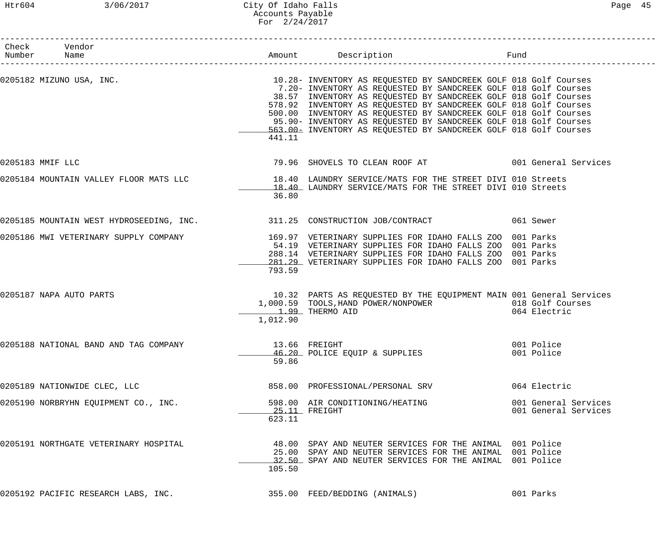### Htr604 3/06/2017 City Of Idaho Falls Page 45 Accounts Payable For 2/24/2017

| Check Vendor<br>Number Name           |                        |                                                                                                                                                                                                                                                                                                                                                                                                                     |                                              |
|---------------------------------------|------------------------|---------------------------------------------------------------------------------------------------------------------------------------------------------------------------------------------------------------------------------------------------------------------------------------------------------------------------------------------------------------------------------------------------------------------|----------------------------------------------|
|                                       | 441.11                 | 7.20- INVENTORY AS REQUESTED BY SANDCREEK GOLF 018 Golf Courses<br>38.57 INVENTORY AS REQUESTED BY SANDCREEK GOLF 018 Golf Courses<br>578.92 INVENTORY AS REQUESTED BY SANDCREEK GOLF 018 Golf Courses<br>500.00 INVENTORY AS REQUESTED BY SANDCREEK GOLF 018 Golf Courses<br>95.90- INVENTORY AS REQUESTED BY SANDCREEK GOLF 018 Golf Courses<br>563.00- INVENTORY AS REQUESTED BY SANDCREEK GOLF 018 Golf Courses |                                              |
| 0205183 MMIF LLC                      |                        | 79.96 SHOVELS TO CLEAN ROOF AT 6000 001 General Services                                                                                                                                                                                                                                                                                                                                                            |                                              |
|                                       | 36.80                  | 0205184 MOUNTAIN VALLEY FLOOR MATS LLC 18.40 LAUNDRY SERVICE/MATS FOR THE STREET DIVI 010 Streets<br>18.40 LAUNDRY SERVICE/MATS FOR THE STREET DIVI 010 Streets                                                                                                                                                                                                                                                     |                                              |
|                                       |                        | 0205185 MOUNTAIN WEST HYDROSEEDING, INC. 311.25 CONSTRUCTION JOB/CONTRACT 061 Sewer                                                                                                                                                                                                                                                                                                                                 |                                              |
|                                       | 793.59                 | 0205186 MWI VETERINARY SUPPLY COMPANY 169.97 VETERINARY SUPPLIES FOR IDAHO FALLS ZOO 001 Parks<br>54.19 VETERINARY SUPPLIES FOR IDAHO FALLS ZOO 001 Parks<br>288.14 VETERINARY SUPPLIES FOR IDAHO FALLS ZOO 001 Parks<br>281.29 VETERINARY SUPPLIES FOR IDAHO FALLS ZOO 001 Parks                                                                                                                                   |                                              |
| 0205187 NAPA AUTO PARTS               | 1,012.90               | 10.32 PARTS AS REQUESTED BY THE EQUIPMENT MAIN 001 General Services<br>1,000.59 TOOLS, HAND POWER/NONPOWER 018 Golf Courses<br>1.99 THERMO AID<br>1.99 THERMO AID                                                                                                                                                                                                                                                   |                                              |
| 0205188 NATIONAL BAND AND TAG COMPANY | 13.66 FREIGHT<br>59.86 | 46.20 POLICE EQUIP & SUPPLIES                                                                                                                                                                                                                                                                                                                                                                                       | 001 Police<br>001 Police                     |
| 0205189 NATIONWIDE CLEC, LLC          |                        | 858.00 PROFESSIONAL/PERSONAL SRV                                                                                                                                                                                                                                                                                                                                                                                    | 064 Electric                                 |
| 0205190 NORBRYHN EQUIPMENT CO., INC.  | 623.11                 | 598.00 AIR CONDITIONING/HEATING<br>25.11 FREIGHT                                                                                                                                                                                                                                                                                                                                                                    | 001 General Services<br>001 General Services |
| 0205191 NORTHGATE VETERINARY HOSPITAL | 105.50                 | 48.00 SPAY AND NEUTER SERVICES FOR THE ANIMAL 001 Police<br>25.00 SPAY AND NEUTER SERVICES FOR THE ANIMAL 001 Police<br>32.50 SPAY AND NEUTER SERVICES FOR THE ANIMAL 001 Police                                                                                                                                                                                                                                    |                                              |
|                                       |                        |                                                                                                                                                                                                                                                                                                                                                                                                                     | 001 Parks                                    |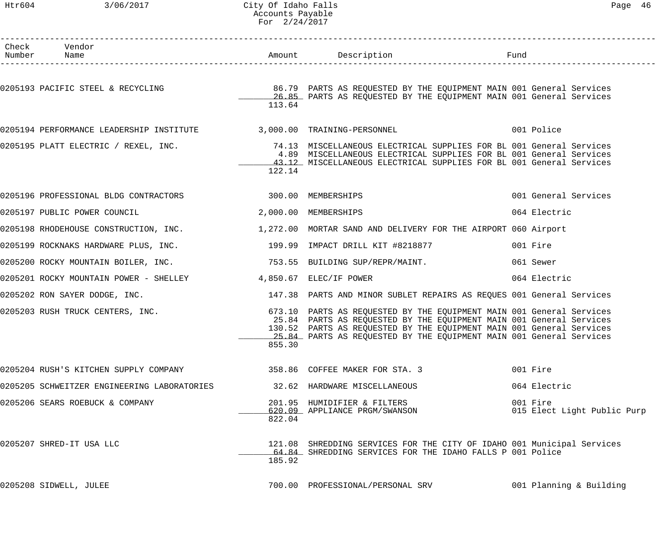# Htr604 3/06/2017 City Of Idaho Falls Page 46 Accounts Payable For 2/24/2017

| Page | 6 |
|------|---|
|------|---|

| Check Vendor<br>Number Name                                                                                                                                                                  |        |                                                                                                                                                                                                                    |                                         |
|----------------------------------------------------------------------------------------------------------------------------------------------------------------------------------------------|--------|--------------------------------------------------------------------------------------------------------------------------------------------------------------------------------------------------------------------|-----------------------------------------|
| 0205193 PACIFIC STEEL & RECYCLING <b>19 Marry 26.79 PARTS AS REQUESTED BY</b> THE EQUIPMENT MAIN 001 General Services<br>26.85 PARTS AS REQUESTED BY THE EQUIPMENT MAIN 001 General Services | 113.64 |                                                                                                                                                                                                                    |                                         |
| 0205194 PERFORMANCE LEADERSHIP INSTITUTE 3,000.00 TRAINING-PERSONNEL 601 Police                                                                                                              |        |                                                                                                                                                                                                                    |                                         |
| 0205195 PLATT ELECTRIC / REXEL, INC.               74.13 MISCELLANEOUS ELECTRICAL SUPPLIES FOR BL 001 General Services                                                                       | 122.14 | 4.89 MISCELLANEOUS ELECTRICAL SUPPLIES FOR BL 001 General Services<br>43.12 MISCELLANEOUS ELECTRICAL SUPPLIES FOR BL 001 General Services                                                                          |                                         |
|                                                                                                                                                                                              |        |                                                                                                                                                                                                                    | 001 General Services                    |
| 0205197 PUBLIC POWER COUNCIL 2,000.00 MEMBERSHIPS                                                                                                                                            |        |                                                                                                                                                                                                                    | 064 Electric                            |
| 0205198 RHODEHOUSE CONSTRUCTION, INC. $1,272.00$ MORTAR SAND AND DELIVERY FOR THE AIRPORT 060 Airport                                                                                        |        |                                                                                                                                                                                                                    |                                         |
| 0205199 ROCKNAKS HARDWARE PLUS, INC.                       199.99 IMPACT DRILL KIT #8218877                                                                                                  |        |                                                                                                                                                                                                                    | 001 Fire                                |
| 0205200 ROCKY MOUNTAIN BOILER, INC.                                   753.55  BUILDING SUP/REPR/MAINT.                                                                                       |        |                                                                                                                                                                                                                    | 061 Sewer                               |
| 0205201 ROCKY MOUNTAIN POWER - SHELLEY $4,850.67$ ELEC/IF POWER                                                                                                                              |        |                                                                                                                                                                                                                    | 064 Electric                            |
| 0205202 RON SAYER DODGE, INC.                            147.38  PARTS AND MINOR SUBLET REPAIRS AS REQUES 001 General Services                                                               |        |                                                                                                                                                                                                                    |                                         |
| 0205203 RUSH TRUCK CENTERS, INC. THE SAME REARD STATE OF PARTS AS REQUESTED BY THE EQUIPMENT MAIN 001 General Services                                                                       | 855.30 | 25.84 PARTS AS REQUESTED BY THE EQUIPMENT MAIN 001 General Services<br>130.52 PARTS AS REQUESTED BY THE EQUIPMENT MAIN 001 General Services<br>25.84 PARTS AS REQUESTED BY THE EQUIPMENT MAIN 001 General Services |                                         |
| 0205204 RUSH'S KITCHEN SUPPLY COMPANY                                                                                                                                                        |        | 358.86 COFFEE MAKER FOR STA. 3                                                                                                                                                                                     | 001 Fire                                |
| 0205205 SCHWEITZER ENGINEERING LABORATORIES                                                                                                                                                  |        | 32.62 HARDWARE MISCELLANEOUS                                                                                                                                                                                       | 064 Electric                            |
| 0205206 SEARS ROEBUCK & COMPANY                                                                                                                                                              | 822.04 | 201.95 HUMIDIFIER & FILTERS<br>620.09 APPLIANCE PRGM/SWANSON                                                                                                                                                       | 001 Fire<br>015 Elect Light Public Purp |
| 0205207 SHRED-IT USA LLC                                                                                                                                                                     | 185.92 | 121.08 SHREDDING SERVICES FOR THE CITY OF IDAHO 001 Municipal Services<br>64.84 SHREDDING SERVICES FOR THE IDAHO FALLS P 001 Police                                                                                |                                         |
| 0205208 SIDWELL, JULEE                                                                                                                                                                       |        | 700.00 PROFESSIONAL/PERSONAL SRV                                                                                                                                                                                   | 001 Planning & Building                 |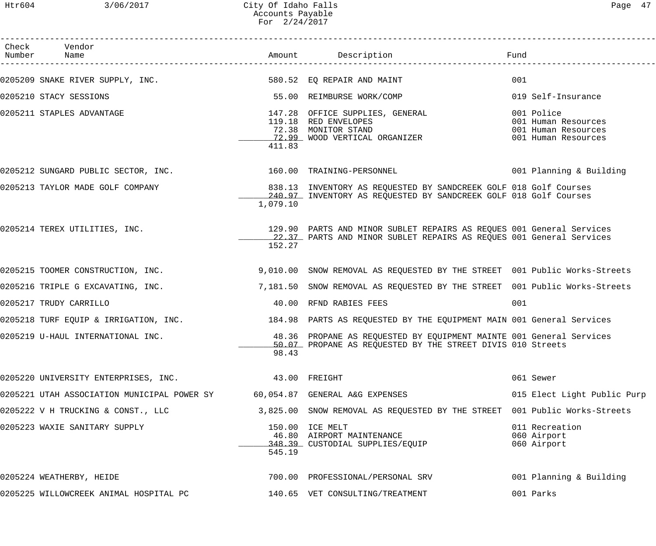# Htr604 3/06/2017 City Of Idaho Falls Page 47 Accounts Payable For 2/24/2017

| Check Vendor<br>Number Name                                                |               | Amount Description                                                                                                                          | Fund                                                                            |
|----------------------------------------------------------------------------|---------------|---------------------------------------------------------------------------------------------------------------------------------------------|---------------------------------------------------------------------------------|
| 0205209 SNAKE RIVER SUPPLY, INC.                                           |               | 580.52 EQ REPAIR AND MAINT                                                                                                                  | 001                                                                             |
| 0205210 STACY SESSIONS                                                     |               | 55.00 REIMBURSE WORK/COMP                                                                                                                   | 019 Self-Insurance                                                              |
| 0205211 STAPLES ADVANTAGE                                                  | 411.83        | 147.28 OFFICE SUPPLIES, GENERAL<br>119.18 RED ENVELOPES<br>72.38 MONITOR STAND<br>72.99 WOOD VERTICAL ORGANIZER                             | 001 Police<br>001 Human Resources<br>001 Human Resources<br>001 Human Resources |
| 0205212 SUNGARD PUBLIC SECTOR, INC. $160.00$ TRAINING-PERSONNEL            |               |                                                                                                                                             | 001 Planning & Building                                                         |
| 0205213 TAYLOR MADE GOLF COMPANY                                           | 1,079.10      | 838.13 INVENTORY AS REQUESTED BY SANDCREEK GOLF 018 Golf Courses<br>240.97 INVENTORY AS REQUESTED BY SANDCREEK GOLF 018 Golf Courses        |                                                                                 |
| 0205214 TEREX UTILITIES, INC.                                              | 152.27        | 129.90 PARTS AND MINOR SUBLET REPAIRS AS REQUES 001 General Services<br>22.37 PARTS AND MINOR SUBLET REPAIRS AS REQUES 001 General Services |                                                                                 |
| 0205215 TOOMER CONSTRUCTION, INC.                                          |               | 9,010.00 SNOW REMOVAL AS REQUESTED BY THE STREET 001 Public Works-Streets                                                                   |                                                                                 |
| 0205216 TRIPLE G EXCAVATING, INC.                                          |               | 7,181.50 SNOW REMOVAL AS REQUESTED BY THE STREET 001 Public Works-Streets                                                                   |                                                                                 |
| 0205217 TRUDY CARRILLO                                                     |               | 40.00 RFND RABIES FEES                                                                                                                      | 001                                                                             |
| 0205218 TURF EQUIP & IRRIGATION, INC.                                      |               | 184.98 PARTS AS REQUESTED BY THE EQUIPMENT MAIN 001 General Services                                                                        |                                                                                 |
| 0205219 U-HAUL INTERNATIONAL INC.                                          | 98.43         | 48.36 PROPANE AS REQUESTED BY EQUIPMENT MAINTE 001 General Services<br>50.07 PROPANE AS REQUESTED BY THE STREET DIVIS 010 Streets           |                                                                                 |
| 0205220 UNIVERSITY ENTERPRISES, INC.                                       | 43.00 FREIGHT |                                                                                                                                             | 061 Sewer                                                                       |
| 0205221 UTAH ASSOCIATION MUNICIPAL POWER SY 60,054.87 GENERAL A&G EXPENSES |               |                                                                                                                                             | 015 Elect Light Public Purp                                                     |
| 0205222 V H TRUCKING & CONST., LLC                                         |               | 3,825.00 SNOW REMOVAL AS REQUESTED BY THE STREET 001 Public Works-Streets                                                                   |                                                                                 |
| 0205223 WAXIE SANITARY SUPPLY                                              | 545.19        | 150.00 ICE MELT<br>46.80 AIRPORT MAINTENANCE<br>348.39 CUSTODIAL SUPPLIES/EQUIP                                                             | 011 Recreation<br>060 Airport<br>060 Airport                                    |
| 0205224 WEATHERBY, HEIDE                                                   |               | 700.00 PROFESSIONAL/PERSONAL SRV                                                                                                            | 001 Planning & Building                                                         |
| 0205225 WILLOWCREEK ANIMAL HOSPITAL PC                                     |               | 140.65 VET CONSULTING/TREATMENT                                                                                                             | 001 Parks                                                                       |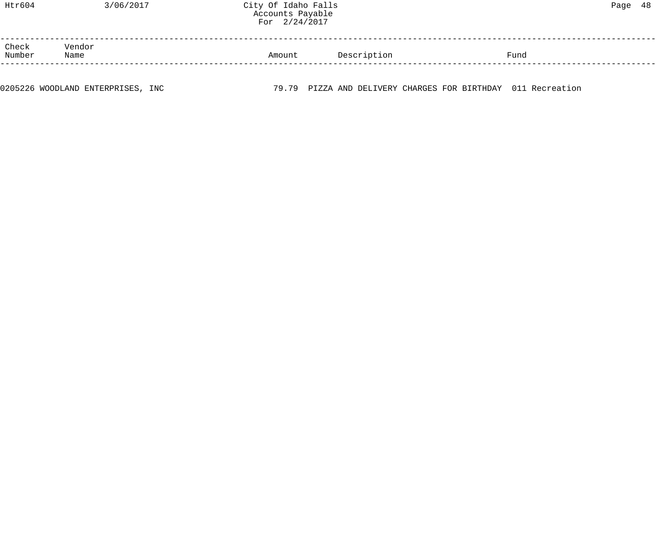| Htr604 |  |
|--------|--|
|        |  |

| Check<br>Number | Vendor<br>Name | Amount | Description | Fund |  |
|-----------------|----------------|--------|-------------|------|--|
|                 |                |        |             |      |  |

0205226 WOODLAND ENTERPRISES, INC **79.79 PIZZA AND DELIVERY CHARGES FOR BIRTHDAY** 011 Recreation